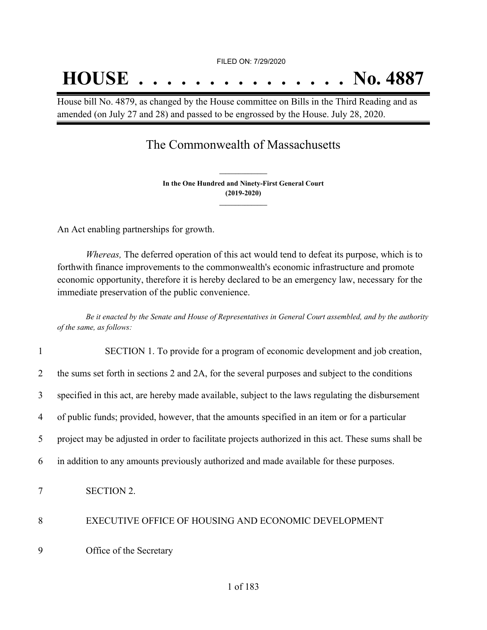# **HOUSE . . . . . . . . . . . . . . . No. 4887**

House bill No. 4879, as changed by the House committee on Bills in the Third Reading and as amended (on July 27 and 28) and passed to be engrossed by the House. July 28, 2020.

## The Commonwealth of Massachusetts

**In the One Hundred and Ninety-First General Court (2019-2020) \_\_\_\_\_\_\_\_\_\_\_\_\_\_\_**

**\_\_\_\_\_\_\_\_\_\_\_\_\_\_\_**

An Act enabling partnerships for growth.

*Whereas,* The deferred operation of this act would tend to defeat its purpose, which is to forthwith finance improvements to the commonwealth's economic infrastructure and promote economic opportunity, therefore it is hereby declared to be an emergency law, necessary for the immediate preservation of the public convenience.

Be it enacted by the Senate and House of Representatives in General Court assembled, and by the authority *of the same, as follows:*

| $\mathbf{1}$   | SECTION 1. To provide for a program of economic development and job creation,                       |
|----------------|-----------------------------------------------------------------------------------------------------|
| 2              | the sums set forth in sections 2 and 2A, for the several purposes and subject to the conditions     |
| 3              | specified in this act, are hereby made available, subject to the laws regulating the disbursement   |
| 4              | of public funds; provided, however, that the amounts specified in an item or for a particular       |
| 5              | project may be adjusted in order to facilitate projects authorized in this act. These sums shall be |
| 6              | in addition to any amounts previously authorized and made available for these purposes.             |
| $\overline{7}$ | <b>SECTION 2.</b>                                                                                   |
| 8              | EXECUTIVE OFFICE OF HOUSING AND ECONOMIC DEVELOPMENT                                                |
| 9              | Office of the Secretary                                                                             |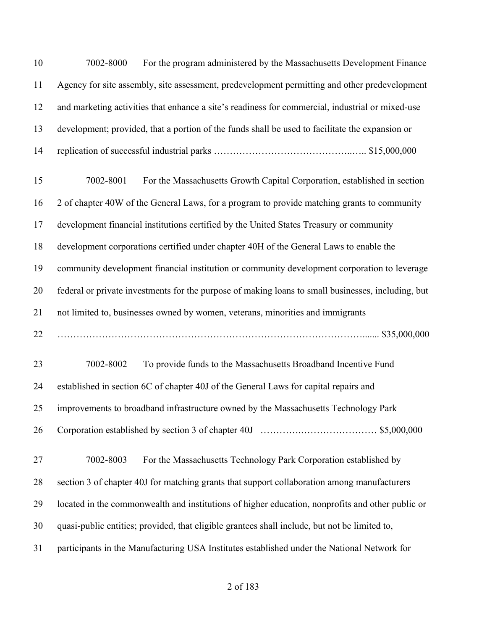| 10 | For the program administered by the Massachusetts Development Finance<br>7002-8000                 |
|----|----------------------------------------------------------------------------------------------------|
| 11 | Agency for site assembly, site assessment, predevelopment permitting and other predevelopment      |
| 12 | and marketing activities that enhance a site's readiness for commercial, industrial or mixed-use   |
| 13 | development; provided, that a portion of the funds shall be used to facilitate the expansion or    |
| 14 |                                                                                                    |
| 15 | 7002-8001<br>For the Massachusetts Growth Capital Corporation, established in section              |
| 16 | 2 of chapter 40W of the General Laws, for a program to provide matching grants to community        |
| 17 | development financial institutions certified by the United States Treasury or community            |
| 18 | development corporations certified under chapter 40H of the General Laws to enable the             |
| 19 | community development financial institution or community development corporation to leverage       |
| 20 | federal or private investments for the purpose of making loans to small businesses, including, but |
| 21 | not limited to, businesses owned by women, veterans, minorities and immigrants                     |
| 22 |                                                                                                    |
| 23 | 7002-8002<br>To provide funds to the Massachusetts Broadband Incentive Fund                        |
| 24 | established in section 6C of chapter 40J of the General Laws for capital repairs and               |
| 25 | improvements to broadband infrastructure owned by the Massachusetts Technology Park                |
| 26 |                                                                                                    |
| 27 | 7002-8003<br>For the Massachusetts Technology Park Corporation established by                      |
| 28 | section 3 of chapter 40J for matching grants that support collaboration among manufacturers        |
| 29 | located in the commonwealth and institutions of higher education, nonprofits and other public or   |
| 30 | quasi-public entities; provided, that eligible grantees shall include, but not be limited to,      |
| 31 | participants in the Manufacturing USA Institutes established under the National Network for        |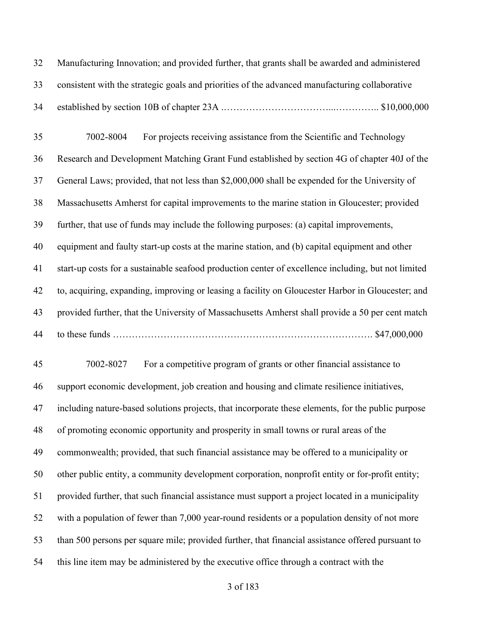Manufacturing Innovation; and provided further, that grants shall be awarded and administered consistent with the strategic goals and priorities of the advanced manufacturing collaborative established by section 10B of chapter 23A .……………………………...………….. \$10,000,000 7002-8004 For projects receiving assistance from the Scientific and Technology Research and Development Matching Grant Fund established by section 4G of chapter 40J of the General Laws; provided, that not less than \$2,000,000 shall be expended for the University of Massachusetts Amherst for capital improvements to the marine station in Gloucester; provided further, that use of funds may include the following purposes: (a) capital improvements, equipment and faulty start-up costs at the marine station, and (b) capital equipment and other start-up costs for a sustainable seafood production center of excellence including, but not limited to, acquiring, expanding, improving or leasing a facility on Gloucester Harbor in Gloucester; and provided further, that the University of Massachusetts Amherst shall provide a 50 per cent match to these funds ………………………………………………………………………. \$47,000,000 7002-8027 For a competitive program of grants or other financial assistance to support economic development, job creation and housing and climate resilience initiatives, including nature-based solutions projects, that incorporate these elements, for the public purpose of promoting economic opportunity and prosperity in small towns or rural areas of the commonwealth; provided, that such financial assistance may be offered to a municipality or other public entity, a community development corporation, nonprofit entity or for-profit entity; provided further, that such financial assistance must support a project located in a municipality with a population of fewer than 7,000 year-round residents or a population density of not more than 500 persons per square mile; provided further, that financial assistance offered pursuant to this line item may be administered by the executive office through a contract with the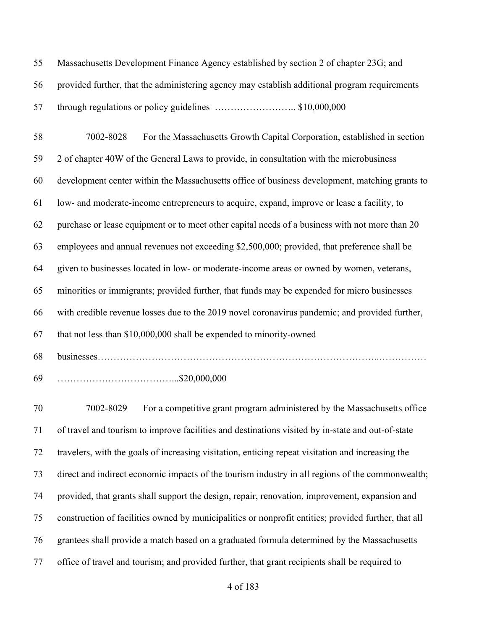Massachusetts Development Finance Agency established by section 2 of chapter 23G; and provided further, that the administering agency may establish additional program requirements through regulations or policy guidelines …………………….. \$10,000,000

 7002-8028 For the Massachusetts Growth Capital Corporation, established in section 2 of chapter 40W of the General Laws to provide, in consultation with the microbusiness development center within the Massachusetts office of business development, matching grants to low- and moderate-income entrepreneurs to acquire, expand, improve or lease a facility, to purchase or lease equipment or to meet other capital needs of a business with not more than 20 employees and annual revenues not exceeding \$2,500,000; provided, that preference shall be given to businesses located in low- or moderate-income areas or owned by women, veterans, minorities or immigrants; provided further, that funds may be expended for micro businesses with credible revenue losses due to the 2019 novel coronavirus pandemic; and provided further, that not less than \$10,000,000 shall be expended to minority-owned businesses……………………………………………………………………………..……………

………………………………...\$20,000,000

 7002-8029 For a competitive grant program administered by the Massachusetts office of travel and tourism to improve facilities and destinations visited by in-state and out-of-state travelers, with the goals of increasing visitation, enticing repeat visitation and increasing the direct and indirect economic impacts of the tourism industry in all regions of the commonwealth; provided, that grants shall support the design, repair, renovation, improvement, expansion and construction of facilities owned by municipalities or nonprofit entities; provided further, that all grantees shall provide a match based on a graduated formula determined by the Massachusetts office of travel and tourism; and provided further, that grant recipients shall be required to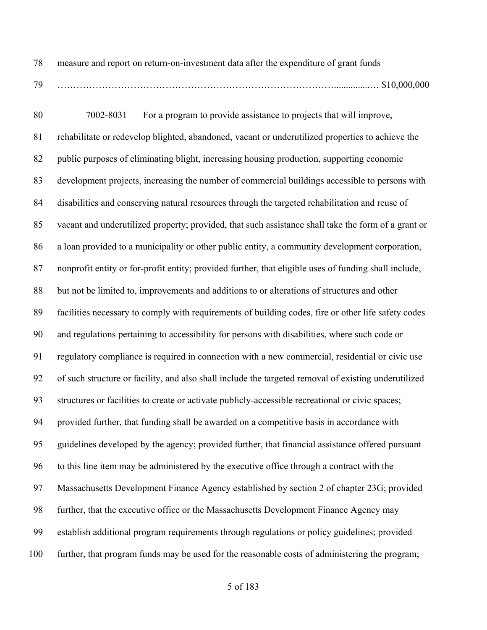measure and report on return-on-investment data after the expenditure of grant funds ……………………………………………………………………………...............… \$10,000,000

 7002-8031 For a program to provide assistance to projects that will improve, rehabilitate or redevelop blighted, abandoned, vacant or underutilized properties to achieve the public purposes of eliminating blight, increasing housing production, supporting economic development projects, increasing the number of commercial buildings accessible to persons with disabilities and conserving natural resources through the targeted rehabilitation and reuse of vacant and underutilized property; provided, that such assistance shall take the form of a grant or a loan provided to a municipality or other public entity, a community development corporation, nonprofit entity or for-profit entity; provided further, that eligible uses of funding shall include, but not be limited to, improvements and additions to or alterations of structures and other facilities necessary to comply with requirements of building codes, fire or other life safety codes and regulations pertaining to accessibility for persons with disabilities, where such code or regulatory compliance is required in connection with a new commercial, residential or civic use of such structure or facility, and also shall include the targeted removal of existing underutilized structures or facilities to create or activate publicly-accessible recreational or civic spaces; provided further, that funding shall be awarded on a competitive basis in accordance with guidelines developed by the agency; provided further, that financial assistance offered pursuant to this line item may be administered by the executive office through a contract with the Massachusetts Development Finance Agency established by section 2 of chapter 23G; provided further, that the executive office or the Massachusetts Development Finance Agency may establish additional program requirements through regulations or policy guidelines; provided further, that program funds may be used for the reasonable costs of administering the program;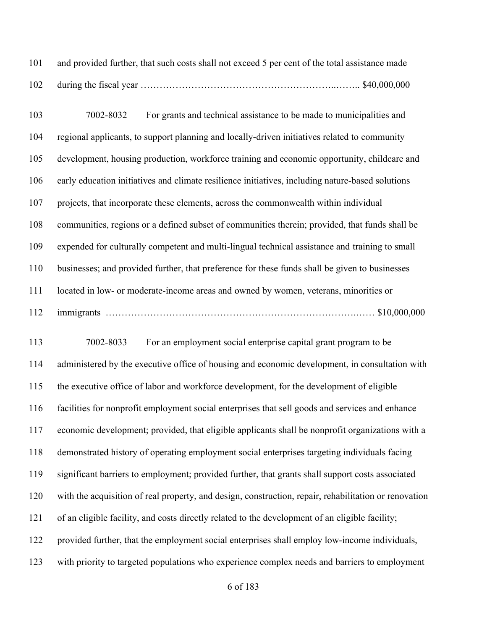and provided further, that such costs shall not exceed 5 per cent of the total assistance made during the fiscal year ……………………………………………………..…….. \$40,000,000

 7002-8032 For grants and technical assistance to be made to municipalities and regional applicants, to support planning and locally-driven initiatives related to community development, housing production, workforce training and economic opportunity, childcare and early education initiatives and climate resilience initiatives, including nature-based solutions projects, that incorporate these elements, across the commonwealth within individual communities, regions or a defined subset of communities therein; provided, that funds shall be expended for culturally competent and multi-lingual technical assistance and training to small businesses; and provided further, that preference for these funds shall be given to businesses located in low- or moderate-income areas and owned by women, veterans, minorities or immigrants …………………………………………………………………….…… \$10,000,000

 7002-8033 For an employment social enterprise capital grant program to be administered by the executive office of housing and economic development, in consultation with the executive office of labor and workforce development, for the development of eligible facilities for nonprofit employment social enterprises that sell goods and services and enhance economic development; provided, that eligible applicants shall be nonprofit organizations with a demonstrated history of operating employment social enterprises targeting individuals facing significant barriers to employment; provided further, that grants shall support costs associated with the acquisition of real property, and design, construction, repair, rehabilitation or renovation of an eligible facility, and costs directly related to the development of an eligible facility; provided further, that the employment social enterprises shall employ low-income individuals, with priority to targeted populations who experience complex needs and barriers to employment

of 183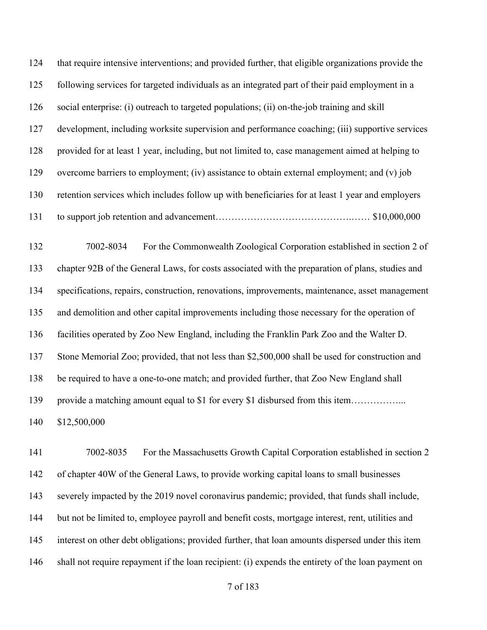that require intensive interventions; and provided further, that eligible organizations provide the following services for targeted individuals as an integrated part of their paid employment in a social enterprise: (i) outreach to targeted populations; (ii) on-the-job training and skill development, including worksite supervision and performance coaching; (iii) supportive services provided for at least 1 year, including, but not limited to, case management aimed at helping to overcome barriers to employment; (iv) assistance to obtain external employment; and (v) job retention services which includes follow up with beneficiaries for at least 1 year and employers to support job retention and advancement…………………………………….…… \$10,000,000 7002-8034 For the Commonwealth Zoological Corporation established in section 2 of chapter 92B of the General Laws, for costs associated with the preparation of plans, studies and specifications, repairs, construction, renovations, improvements, maintenance, asset management

facilities operated by Zoo New England, including the Franklin Park Zoo and the Walter D.

and demolition and other capital improvements including those necessary for the operation of

Stone Memorial Zoo; provided, that not less than \$2,500,000 shall be used for construction and

be required to have a one-to-one match; and provided further, that Zoo New England shall

139 provide a matching amount equal to \$1 for every \$1 disbursed from this item…………….

\$12,500,000

 7002-8035 For the Massachusetts Growth Capital Corporation established in section 2 of chapter 40W of the General Laws, to provide working capital loans to small businesses severely impacted by the 2019 novel coronavirus pandemic; provided, that funds shall include, but not be limited to, employee payroll and benefit costs, mortgage interest, rent, utilities and interest on other debt obligations; provided further, that loan amounts dispersed under this item shall not require repayment if the loan recipient: (i) expends the entirety of the loan payment on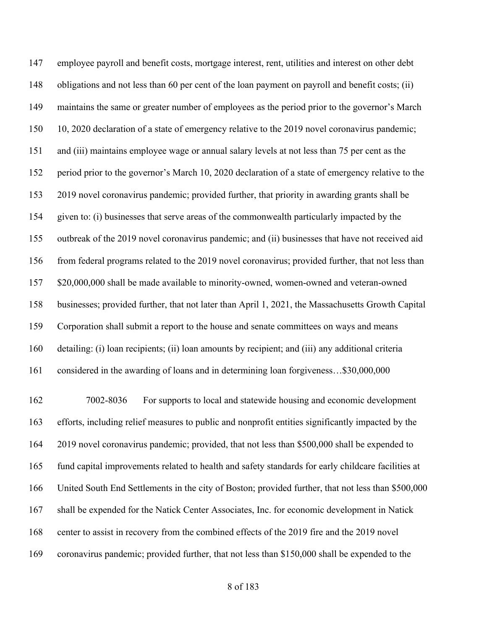employee payroll and benefit costs, mortgage interest, rent, utilities and interest on other debt obligations and not less than 60 per cent of the loan payment on payroll and benefit costs; (ii) maintains the same or greater number of employees as the period prior to the governor's March 10, 2020 declaration of a state of emergency relative to the 2019 novel coronavirus pandemic; and (iii) maintains employee wage or annual salary levels at not less than 75 per cent as the period prior to the governor's March 10, 2020 declaration of a state of emergency relative to the 2019 novel coronavirus pandemic; provided further, that priority in awarding grants shall be given to: (i) businesses that serve areas of the commonwealth particularly impacted by the outbreak of the 2019 novel coronavirus pandemic; and (ii) businesses that have not received aid from federal programs related to the 2019 novel coronavirus; provided further, that not less than \$20,000,000 shall be made available to minority-owned, women-owned and veteran-owned businesses; provided further, that not later than April 1, 2021, the Massachusetts Growth Capital Corporation shall submit a report to the house and senate committees on ways and means detailing: (i) loan recipients; (ii) loan amounts by recipient; and (iii) any additional criteria considered in the awarding of loans and in determining loan forgiveness…\$30,000,000

 7002-8036 For supports to local and statewide housing and economic development efforts, including relief measures to public and nonprofit entities significantly impacted by the 2019 novel coronavirus pandemic; provided, that not less than \$500,000 shall be expended to fund capital improvements related to health and safety standards for early childcare facilities at United South End Settlements in the city of Boston; provided further, that not less than \$500,000 shall be expended for the Natick Center Associates, Inc. for economic development in Natick 168 center to assist in recovery from the combined effects of the 2019 fire and the 2019 novel coronavirus pandemic; provided further, that not less than \$150,000 shall be expended to the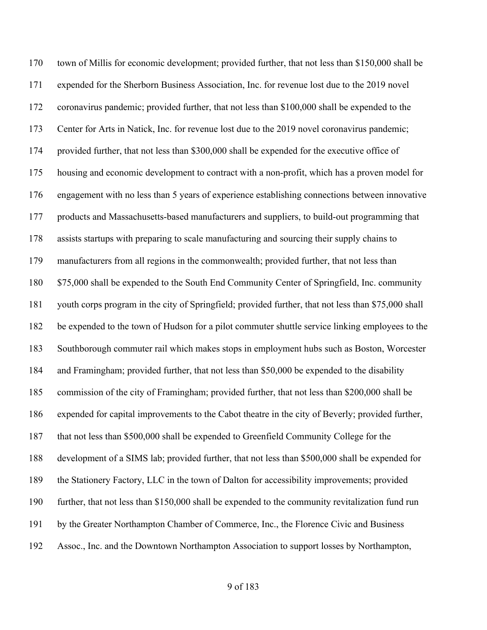town of Millis for economic development; provided further, that not less than \$150,000 shall be expended for the Sherborn Business Association, Inc. for revenue lost due to the 2019 novel coronavirus pandemic; provided further, that not less than \$100,000 shall be expended to the Center for Arts in Natick, Inc. for revenue lost due to the 2019 novel coronavirus pandemic; provided further, that not less than \$300,000 shall be expended for the executive office of housing and economic development to contract with a non-profit, which has a proven model for engagement with no less than 5 years of experience establishing connections between innovative products and Massachusetts-based manufacturers and suppliers, to build-out programming that assists startups with preparing to scale manufacturing and sourcing their supply chains to manufacturers from all regions in the commonwealth; provided further, that not less than \$75,000 shall be expended to the South End Community Center of Springfield, Inc. community youth corps program in the city of Springfield; provided further, that not less than \$75,000 shall be expended to the town of Hudson for a pilot commuter shuttle service linking employees to the Southborough commuter rail which makes stops in employment hubs such as Boston, Worcester and Framingham; provided further, that not less than \$50,000 be expended to the disability commission of the city of Framingham; provided further, that not less than \$200,000 shall be expended for capital improvements to the Cabot theatre in the city of Beverly; provided further, that not less than \$500,000 shall be expended to Greenfield Community College for the development of a SIMS lab; provided further, that not less than \$500,000 shall be expended for the Stationery Factory, LLC in the town of Dalton for accessibility improvements; provided further, that not less than \$150,000 shall be expended to the community revitalization fund run by the Greater Northampton Chamber of Commerce, Inc., the Florence Civic and Business Assoc., Inc. and the Downtown Northampton Association to support losses by Northampton,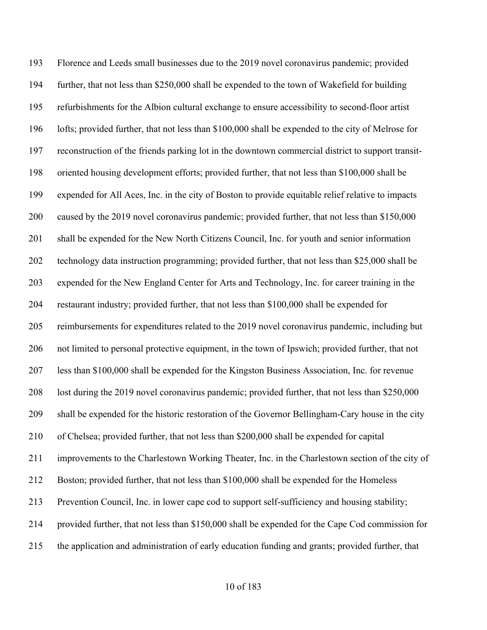Florence and Leeds small businesses due to the 2019 novel coronavirus pandemic; provided further, that not less than \$250,000 shall be expended to the town of Wakefield for building refurbishments for the Albion cultural exchange to ensure accessibility to second-floor artist lofts; provided further, that not less than \$100,000 shall be expended to the city of Melrose for reconstruction of the friends parking lot in the downtown commercial district to support transit- oriented housing development efforts; provided further, that not less than \$100,000 shall be expended for All Aces, Inc. in the city of Boston to provide equitable relief relative to impacts caused by the 2019 novel coronavirus pandemic; provided further, that not less than \$150,000 shall be expended for the New North Citizens Council, Inc. for youth and senior information technology data instruction programming; provided further, that not less than \$25,000 shall be expended for the New England Center for Arts and Technology, Inc. for career training in the restaurant industry; provided further, that not less than \$100,000 shall be expended for reimbursements for expenditures related to the 2019 novel coronavirus pandemic, including but not limited to personal protective equipment, in the town of Ipswich; provided further, that not less than \$100,000 shall be expended for the Kingston Business Association, Inc. for revenue lost during the 2019 novel coronavirus pandemic; provided further, that not less than \$250,000 shall be expended for the historic restoration of the Governor Bellingham-Cary house in the city of Chelsea; provided further, that not less than \$200,000 shall be expended for capital improvements to the Charlestown Working Theater, Inc. in the Charlestown section of the city of Boston; provided further, that not less than \$100,000 shall be expended for the Homeless Prevention Council, Inc. in lower cape cod to support self-sufficiency and housing stability; provided further, that not less than \$150,000 shall be expended for the Cape Cod commission for the application and administration of early education funding and grants; provided further, that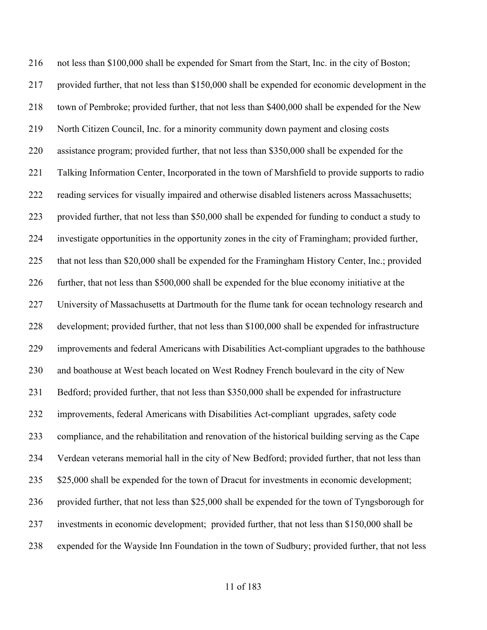not less than \$100,000 shall be expended for Smart from the Start, Inc. in the city of Boston; provided further, that not less than \$150,000 shall be expended for economic development in the town of Pembroke; provided further, that not less than \$400,000 shall be expended for the New North Citizen Council, Inc. for a minority community down payment and closing costs assistance program; provided further, that not less than \$350,000 shall be expended for the Talking Information Center, Incorporated in the town of Marshfield to provide supports to radio reading services for visually impaired and otherwise disabled listeners across Massachusetts; provided further, that not less than \$50,000 shall be expended for funding to conduct a study to investigate opportunities in the opportunity zones in the city of Framingham; provided further, that not less than \$20,000 shall be expended for the Framingham History Center, Inc.; provided further, that not less than \$500,000 shall be expended for the blue economy initiative at the University of Massachusetts at Dartmouth for the flume tank for ocean technology research and development; provided further, that not less than \$100,000 shall be expended for infrastructure improvements and federal Americans with Disabilities Act-compliant upgrades to the bathhouse and boathouse at West beach located on West Rodney French boulevard in the city of New Bedford; provided further, that not less than \$350,000 shall be expended for infrastructure improvements, federal Americans with Disabilities Act-compliant upgrades, safety code compliance, and the rehabilitation and renovation of the historical building serving as the Cape Verdean veterans memorial hall in the city of New Bedford; provided further, that not less than 235 \$25,000 shall be expended for the town of Dracut for investments in economic development; provided further, that not less than \$25,000 shall be expended for the town of Tyngsborough for investments in economic development; provided further, that not less than \$150,000 shall be expended for the Wayside Inn Foundation in the town of Sudbury; provided further, that not less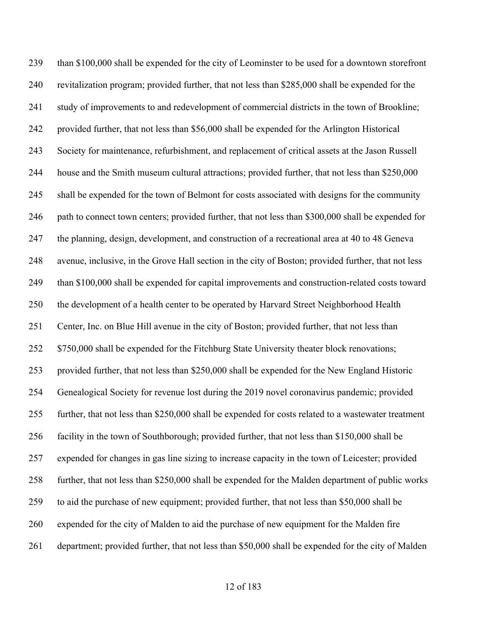than \$100,000 shall be expended for the city of Leominster to be used for a downtown storefront revitalization program; provided further, that not less than \$285,000 shall be expended for the study of improvements to and redevelopment of commercial districts in the town of Brookline; provided further, that not less than \$56,000 shall be expended for the Arlington Historical Society for maintenance, refurbishment, and replacement of critical assets at the Jason Russell house and the Smith museum cultural attractions; provided further, that not less than \$250,000 shall be expended for the town of Belmont for costs associated with designs for the community path to connect town centers; provided further, that not less than \$300,000 shall be expended for the planning, design, development, and construction of a recreational area at 40 to 48 Geneva avenue, inclusive, in the Grove Hall section in the city of Boston; provided further, that not less than \$100,000 shall be expended for capital improvements and construction-related costs toward the development of a health center to be operated by Harvard Street Neighborhood Health Center, Inc. on Blue Hill avenue in the city of Boston; provided further, that not less than 252 \$750,000 shall be expended for the Fitchburg State University theater block renovations; provided further, that not less than \$250,000 shall be expended for the New England Historic Genealogical Society for revenue lost during the 2019 novel coronavirus pandemic; provided further, that not less than \$250,000 shall be expended for costs related to a wastewater treatment facility in the town of Southborough; provided further, that not less than \$150,000 shall be expended for changes in gas line sizing to increase capacity in the town of Leicester; provided further, that not less than \$250,000 shall be expended for the Malden department of public works to aid the purchase of new equipment; provided further, that not less than \$50,000 shall be expended for the city of Malden to aid the purchase of new equipment for the Malden fire department; provided further, that not less than \$50,000 shall be expended for the city of Malden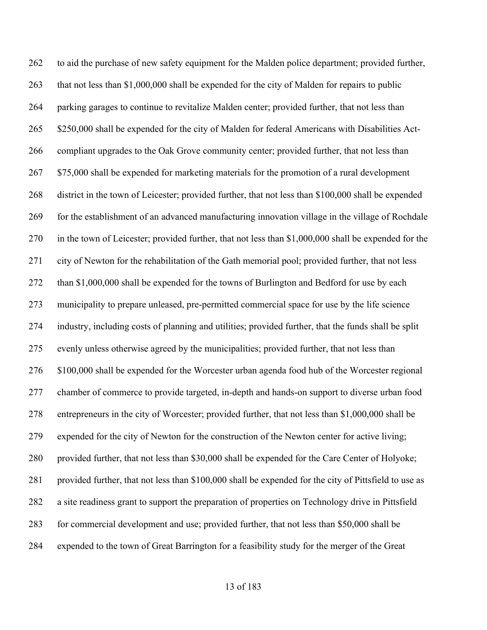to aid the purchase of new safety equipment for the Malden police department; provided further, 263 that not less than \$1,000,000 shall be expended for the city of Malden for repairs to public parking garages to continue to revitalize Malden center; provided further, that not less than 265 \$250,000 shall be expended for the city of Malden for federal Americans with Disabilities Act- compliant upgrades to the Oak Grove community center; provided further, that not less than 267 \$75,000 shall be expended for marketing materials for the promotion of a rural development district in the town of Leicester; provided further, that not less than \$100,000 shall be expended for the establishment of an advanced manufacturing innovation village in the village of Rochdale in the town of Leicester; provided further, that not less than \$1,000,000 shall be expended for the city of Newton for the rehabilitation of the Gath memorial pool; provided further, that not less 272 than \$1,000,000 shall be expended for the towns of Burlington and Bedford for use by each municipality to prepare unleased, pre-permitted commercial space for use by the life science industry, including costs of planning and utilities; provided further, that the funds shall be split evenly unless otherwise agreed by the municipalities; provided further, that not less than \$100,000 shall be expended for the Worcester urban agenda food hub of the Worcester regional chamber of commerce to provide targeted, in-depth and hands-on support to diverse urban food entrepreneurs in the city of Worcester; provided further, that not less than \$1,000,000 shall be expended for the city of Newton for the construction of the Newton center for active living; provided further, that not less than \$30,000 shall be expended for the Care Center of Holyoke; provided further, that not less than \$100,000 shall be expended for the city of Pittsfield to use as a site readiness grant to support the preparation of properties on Technology drive in Pittsfield for commercial development and use; provided further, that not less than \$50,000 shall be expended to the town of Great Barrington for a feasibility study for the merger of the Great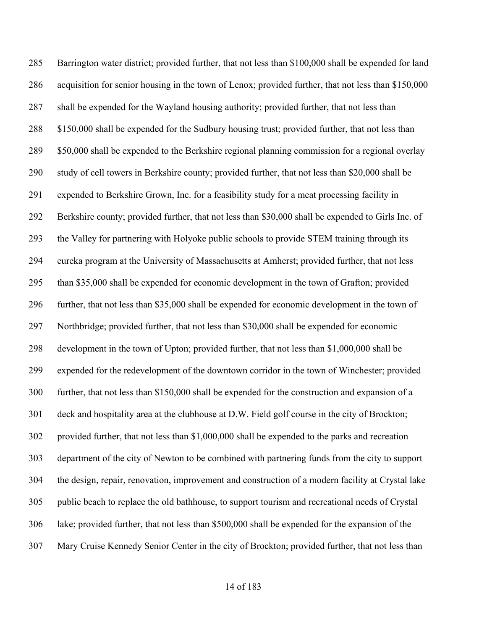Barrington water district; provided further, that not less than \$100,000 shall be expended for land acquisition for senior housing in the town of Lenox; provided further, that not less than \$150,000 shall be expended for the Wayland housing authority; provided further, that not less than 288 \$150,000 shall be expended for the Sudbury housing trust; provided further, that not less than \$50,000 shall be expended to the Berkshire regional planning commission for a regional overlay study of cell towers in Berkshire county; provided further, that not less than \$20,000 shall be expended to Berkshire Grown, Inc. for a feasibility study for a meat processing facility in Berkshire county; provided further, that not less than \$30,000 shall be expended to Girls Inc. of the Valley for partnering with Holyoke public schools to provide STEM training through its eureka program at the University of Massachusetts at Amherst; provided further, that not less than \$35,000 shall be expended for economic development in the town of Grafton; provided further, that not less than \$35,000 shall be expended for economic development in the town of Northbridge; provided further, that not less than \$30,000 shall be expended for economic development in the town of Upton; provided further, that not less than \$1,000,000 shall be expended for the redevelopment of the downtown corridor in the town of Winchester; provided further, that not less than \$150,000 shall be expended for the construction and expansion of a deck and hospitality area at the clubhouse at D.W. Field golf course in the city of Brockton; provided further, that not less than \$1,000,000 shall be expended to the parks and recreation department of the city of Newton to be combined with partnering funds from the city to support the design, repair, renovation, improvement and construction of a modern facility at Crystal lake public beach to replace the old bathhouse, to support tourism and recreational needs of Crystal lake; provided further, that not less than \$500,000 shall be expended for the expansion of the Mary Cruise Kennedy Senior Center in the city of Brockton; provided further, that not less than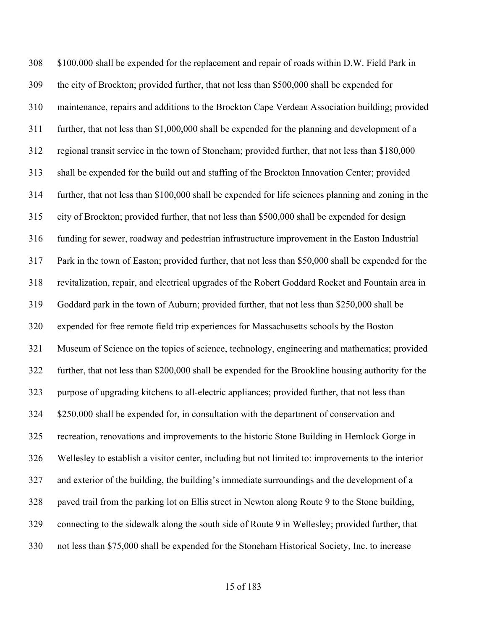\$100,000 shall be expended for the replacement and repair of roads within D.W. Field Park in the city of Brockton; provided further, that not less than \$500,000 shall be expended for maintenance, repairs and additions to the Brockton Cape Verdean Association building; provided further, that not less than \$1,000,000 shall be expended for the planning and development of a regional transit service in the town of Stoneham; provided further, that not less than \$180,000 shall be expended for the build out and staffing of the Brockton Innovation Center; provided further, that not less than \$100,000 shall be expended for life sciences planning and zoning in the city of Brockton; provided further, that not less than \$500,000 shall be expended for design funding for sewer, roadway and pedestrian infrastructure improvement in the Easton Industrial Park in the town of Easton; provided further, that not less than \$50,000 shall be expended for the revitalization, repair, and electrical upgrades of the Robert Goddard Rocket and Fountain area in Goddard park in the town of Auburn; provided further, that not less than \$250,000 shall be expended for free remote field trip experiences for Massachusetts schools by the Boston Museum of Science on the topics of science, technology, engineering and mathematics; provided further, that not less than \$200,000 shall be expended for the Brookline housing authority for the purpose of upgrading kitchens to all-electric appliances; provided further, that not less than \$250,000 shall be expended for, in consultation with the department of conservation and recreation, renovations and improvements to the historic Stone Building in Hemlock Gorge in Wellesley to establish a visitor center, including but not limited to: improvements to the interior and exterior of the building, the building's immediate surroundings and the development of a paved trail from the parking lot on Ellis street in Newton along Route 9 to the Stone building, connecting to the sidewalk along the south side of Route 9 in Wellesley; provided further, that not less than \$75,000 shall be expended for the Stoneham Historical Society, Inc. to increase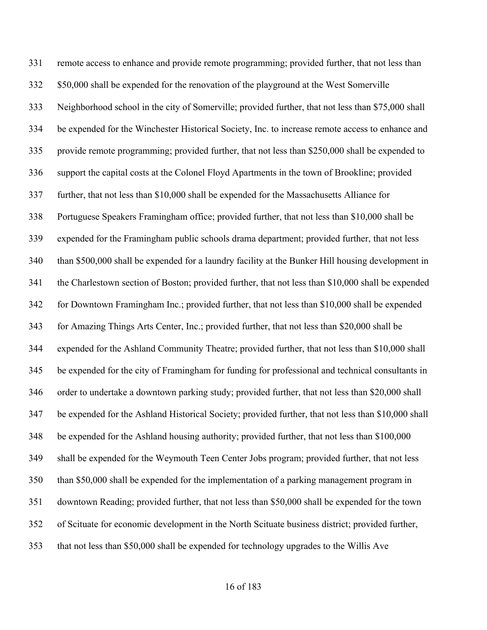remote access to enhance and provide remote programming; provided further, that not less than \$50,000 shall be expended for the renovation of the playground at the West Somerville Neighborhood school in the city of Somerville; provided further, that not less than \$75,000 shall be expended for the Winchester Historical Society, Inc. to increase remote access to enhance and provide remote programming; provided further, that not less than \$250,000 shall be expended to support the capital costs at the Colonel Floyd Apartments in the town of Brookline; provided further, that not less than \$10,000 shall be expended for the Massachusetts Alliance for Portuguese Speakers Framingham office; provided further, that not less than \$10,000 shall be expended for the Framingham public schools drama department; provided further, that not less than \$500,000 shall be expended for a laundry facility at the Bunker Hill housing development in the Charlestown section of Boston; provided further, that not less than \$10,000 shall be expended for Downtown Framingham Inc.; provided further, that not less than \$10,000 shall be expended for Amazing Things Arts Center, Inc.; provided further, that not less than \$20,000 shall be expended for the Ashland Community Theatre; provided further, that not less than \$10,000 shall be expended for the city of Framingham for funding for professional and technical consultants in order to undertake a downtown parking study; provided further, that not less than \$20,000 shall be expended for the Ashland Historical Society; provided further, that not less than \$10,000 shall be expended for the Ashland housing authority; provided further, that not less than \$100,000 shall be expended for the Weymouth Teen Center Jobs program; provided further, that not less than \$50,000 shall be expended for the implementation of a parking management program in downtown Reading; provided further, that not less than \$50,000 shall be expended for the town of Scituate for economic development in the North Scituate business district; provided further, that not less than \$50,000 shall be expended for technology upgrades to the Willis Ave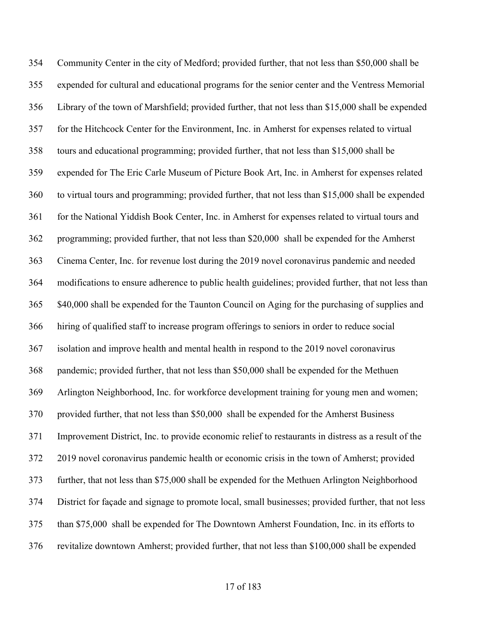Community Center in the city of Medford; provided further, that not less than \$50,000 shall be expended for cultural and educational programs for the senior center and the Ventress Memorial Library of the town of Marshfield; provided further, that not less than \$15,000 shall be expended for the Hitchcock Center for the Environment, Inc. in Amherst for expenses related to virtual tours and educational programming; provided further, that not less than \$15,000 shall be expended for The Eric Carle Museum of Picture Book Art, Inc. in Amherst for expenses related to virtual tours and programming; provided further, that not less than \$15,000 shall be expended 361 for the National Yiddish Book Center, Inc. in Amherst for expenses related to virtual tours and programming; provided further, that not less than \$20,000 shall be expended for the Amherst Cinema Center, Inc. for revenue lost during the 2019 novel coronavirus pandemic and needed modifications to ensure adherence to public health guidelines; provided further, that not less than \$40,000 shall be expended for the Taunton Council on Aging for the purchasing of supplies and hiring of qualified staff to increase program offerings to seniors in order to reduce social isolation and improve health and mental health in respond to the 2019 novel coronavirus pandemic; provided further, that not less than \$50,000 shall be expended for the Methuen Arlington Neighborhood, Inc. for workforce development training for young men and women; provided further, that not less than \$50,000 shall be expended for the Amherst Business Improvement District, Inc. to provide economic relief to restaurants in distress as a result of the 2019 novel coronavirus pandemic health or economic crisis in the town of Amherst; provided further, that not less than \$75,000 shall be expended for the Methuen Arlington Neighborhood District for façade and signage to promote local, small businesses; provided further, that not less than \$75,000 shall be expended for The Downtown Amherst Foundation, Inc. in its efforts to revitalize downtown Amherst; provided further, that not less than \$100,000 shall be expended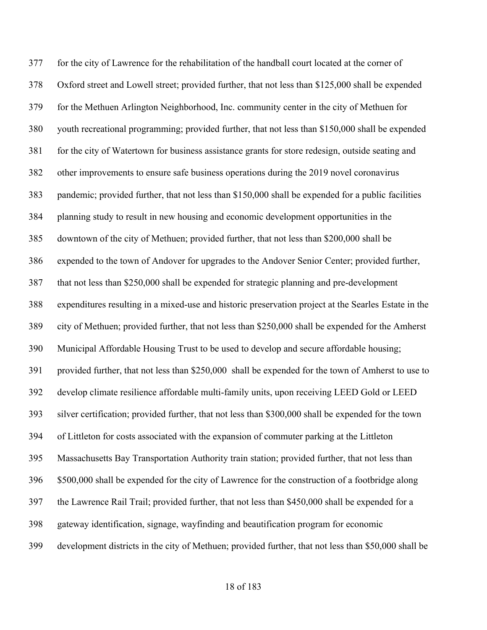for the city of Lawrence for the rehabilitation of the handball court located at the corner of Oxford street and Lowell street; provided further, that not less than \$125,000 shall be expended for the Methuen Arlington Neighborhood, Inc. community center in the city of Methuen for youth recreational programming; provided further, that not less than \$150,000 shall be expended for the city of Watertown for business assistance grants for store redesign, outside seating and other improvements to ensure safe business operations during the 2019 novel coronavirus pandemic; provided further, that not less than \$150,000 shall be expended for a public facilities planning study to result in new housing and economic development opportunities in the downtown of the city of Methuen; provided further, that not less than \$200,000 shall be expended to the town of Andover for upgrades to the Andover Senior Center; provided further, that not less than \$250,000 shall be expended for strategic planning and pre-development expenditures resulting in a mixed-use and historic preservation project at the Searles Estate in the city of Methuen; provided further, that not less than \$250,000 shall be expended for the Amherst Municipal Affordable Housing Trust to be used to develop and secure affordable housing; provided further, that not less than \$250,000 shall be expended for the town of Amherst to use to develop climate resilience affordable multi-family units, upon receiving LEED Gold or LEED silver certification; provided further, that not less than \$300,000 shall be expended for the town of Littleton for costs associated with the expansion of commuter parking at the Littleton Massachusetts Bay Transportation Authority train station; provided further, that not less than \$500,000 shall be expended for the city of Lawrence for the construction of a footbridge along the Lawrence Rail Trail; provided further, that not less than \$450,000 shall be expended for a gateway identification, signage, wayfinding and beautification program for economic development districts in the city of Methuen; provided further, that not less than \$50,000 shall be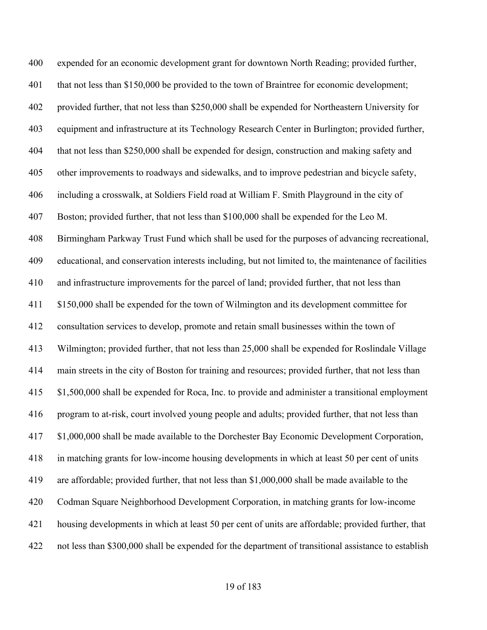expended for an economic development grant for downtown North Reading; provided further, that not less than \$150,000 be provided to the town of Braintree for economic development; provided further, that not less than \$250,000 shall be expended for Northeastern University for equipment and infrastructure at its Technology Research Center in Burlington; provided further, that not less than \$250,000 shall be expended for design, construction and making safety and other improvements to roadways and sidewalks, and to improve pedestrian and bicycle safety, including a crosswalk, at Soldiers Field road at William F. Smith Playground in the city of Boston; provided further, that not less than \$100,000 shall be expended for the Leo M. Birmingham Parkway Trust Fund which shall be used for the purposes of advancing recreational, educational, and conservation interests including, but not limited to, the maintenance of facilities and infrastructure improvements for the parcel of land; provided further, that not less than \$150,000 shall be expended for the town of Wilmington and its development committee for consultation services to develop, promote and retain small businesses within the town of Wilmington; provided further, that not less than 25,000 shall be expended for Roslindale Village main streets in the city of Boston for training and resources; provided further, that not less than \$1,500,000 shall be expended for Roca, Inc. to provide and administer a transitional employment program to at-risk, court involved young people and adults; provided further, that not less than \$1,000,000 shall be made available to the Dorchester Bay Economic Development Corporation, in matching grants for low-income housing developments in which at least 50 per cent of units are affordable; provided further, that not less than \$1,000,000 shall be made available to the Codman Square Neighborhood Development Corporation, in matching grants for low-income housing developments in which at least 50 per cent of units are affordable; provided further, that not less than \$300,000 shall be expended for the department of transitional assistance to establish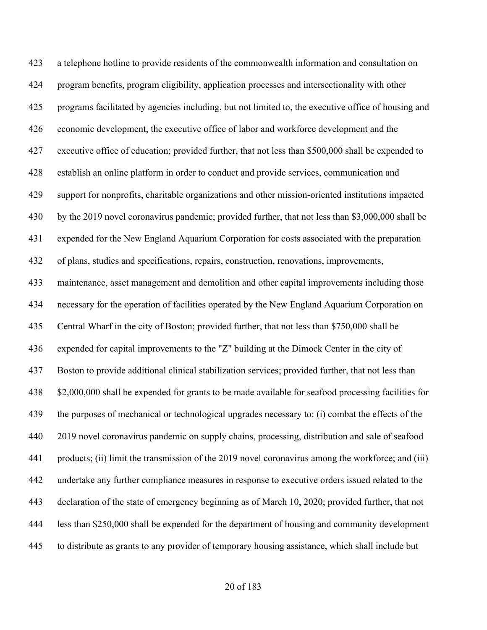a telephone hotline to provide residents of the commonwealth information and consultation on program benefits, program eligibility, application processes and intersectionality with other programs facilitated by agencies including, but not limited to, the executive office of housing and economic development, the executive office of labor and workforce development and the executive office of education; provided further, that not less than \$500,000 shall be expended to establish an online platform in order to conduct and provide services, communication and support for nonprofits, charitable organizations and other mission-oriented institutions impacted by the 2019 novel coronavirus pandemic; provided further, that not less than \$3,000,000 shall be expended for the New England Aquarium Corporation for costs associated with the preparation of plans, studies and specifications, repairs, construction, renovations, improvements, maintenance, asset management and demolition and other capital improvements including those necessary for the operation of facilities operated by the New England Aquarium Corporation on Central Wharf in the city of Boston; provided further, that not less than \$750,000 shall be expended for capital improvements to the "Z" building at the Dimock Center in the city of Boston to provide additional clinical stabilization services; provided further, that not less than \$2,000,000 shall be expended for grants to be made available for seafood processing facilities for the purposes of mechanical or technological upgrades necessary to: (i) combat the effects of the 2019 novel coronavirus pandemic on supply chains, processing, distribution and sale of seafood products; (ii) limit the transmission of the 2019 novel coronavirus among the workforce; and (iii) undertake any further compliance measures in response to executive orders issued related to the declaration of the state of emergency beginning as of March 10, 2020; provided further, that not less than \$250,000 shall be expended for the department of housing and community development to distribute as grants to any provider of temporary housing assistance, which shall include but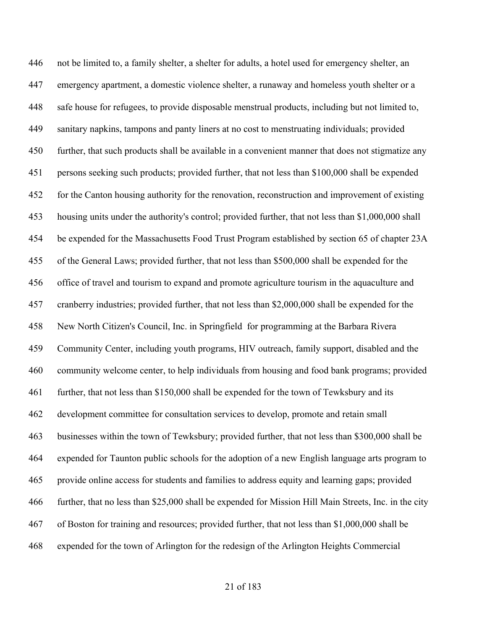not be limited to, a family shelter, a shelter for adults, a hotel used for emergency shelter, an emergency apartment, a domestic violence shelter, a runaway and homeless youth shelter or a safe house for refugees, to provide disposable menstrual products, including but not limited to, sanitary napkins, tampons and panty liners at no cost to menstruating individuals; provided further, that such products shall be available in a convenient manner that does not stigmatize any persons seeking such products; provided further, that not less than \$100,000 shall be expended for the Canton housing authority for the renovation, reconstruction and improvement of existing housing units under the authority's control; provided further, that not less than \$1,000,000 shall be expended for the Massachusetts Food Trust Program established by section 65 of chapter 23A of the General Laws; provided further, that not less than \$500,000 shall be expended for the office of travel and tourism to expand and promote agriculture tourism in the aquaculture and cranberry industries; provided further, that not less than \$2,000,000 shall be expended for the New North Citizen's Council, Inc. in Springfield for programming at the Barbara Rivera Community Center, including youth programs, HIV outreach, family support, disabled and the community welcome center, to help individuals from housing and food bank programs; provided further, that not less than \$150,000 shall be expended for the town of Tewksbury and its development committee for consultation services to develop, promote and retain small businesses within the town of Tewksbury; provided further, that not less than \$300,000 shall be expended for Taunton public schools for the adoption of a new English language arts program to provide online access for students and families to address equity and learning gaps; provided further, that no less than \$25,000 shall be expended for Mission Hill Main Streets, Inc. in the city of Boston for training and resources; provided further, that not less than \$1,000,000 shall be expended for the town of Arlington for the redesign of the Arlington Heights Commercial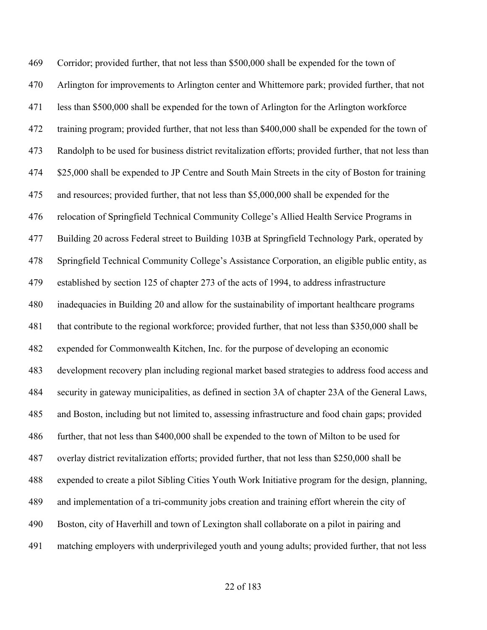Corridor; provided further, that not less than \$500,000 shall be expended for the town of Arlington for improvements to Arlington center and Whittemore park; provided further, that not less than \$500,000 shall be expended for the town of Arlington for the Arlington workforce training program; provided further, that not less than \$400,000 shall be expended for the town of Randolph to be used for business district revitalization efforts; provided further, that not less than \$25,000 shall be expended to JP Centre and South Main Streets in the city of Boston for training and resources; provided further, that not less than \$5,000,000 shall be expended for the relocation of Springfield Technical Community College's Allied Health Service Programs in Building 20 across Federal street to Building 103B at Springfield Technology Park, operated by Springfield Technical Community College's Assistance Corporation, an eligible public entity, as established by section 125 of chapter 273 of the acts of 1994, to address infrastructure inadequacies in Building 20 and allow for the sustainability of important healthcare programs that contribute to the regional workforce; provided further, that not less than \$350,000 shall be expended for Commonwealth Kitchen, Inc. for the purpose of developing an economic development recovery plan including regional market based strategies to address food access and security in gateway municipalities, as defined in section 3A of chapter 23A of the General Laws, and Boston, including but not limited to, assessing infrastructure and food chain gaps; provided further, that not less than \$400,000 shall be expended to the town of Milton to be used for overlay district revitalization efforts; provided further, that not less than \$250,000 shall be expended to create a pilot Sibling Cities Youth Work Initiative program for the design, planning, and implementation of a tri-community jobs creation and training effort wherein the city of Boston, city of Haverhill and town of Lexington shall collaborate on a pilot in pairing and matching employers with underprivileged youth and young adults; provided further, that not less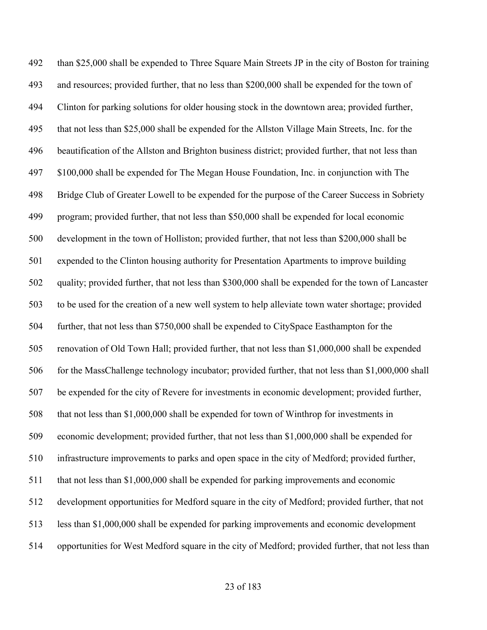than \$25,000 shall be expended to Three Square Main Streets JP in the city of Boston for training and resources; provided further, that no less than \$200,000 shall be expended for the town of Clinton for parking solutions for older housing stock in the downtown area; provided further, that not less than \$25,000 shall be expended for the Allston Village Main Streets, Inc. for the beautification of the Allston and Brighton business district; provided further, that not less than \$100,000 shall be expended for The Megan House Foundation, Inc. in conjunction with The Bridge Club of Greater Lowell to be expended for the purpose of the Career Success in Sobriety program; provided further, that not less than \$50,000 shall be expended for local economic development in the town of Holliston; provided further, that not less than \$200,000 shall be expended to the Clinton housing authority for Presentation Apartments to improve building quality; provided further, that not less than \$300,000 shall be expended for the town of Lancaster to be used for the creation of a new well system to help alleviate town water shortage; provided further, that not less than \$750,000 shall be expended to CitySpace Easthampton for the renovation of Old Town Hall; provided further, that not less than \$1,000,000 shall be expended 506 for the MassChallenge technology incubator; provided further, that not less than \$1,000,000 shall be expended for the city of Revere for investments in economic development; provided further, that not less than \$1,000,000 shall be expended for town of Winthrop for investments in economic development; provided further, that not less than \$1,000,000 shall be expended for infrastructure improvements to parks and open space in the city of Medford; provided further, 511 that not less than \$1,000,000 shall be expended for parking improvements and economic development opportunities for Medford square in the city of Medford; provided further, that not less than \$1,000,000 shall be expended for parking improvements and economic development opportunities for West Medford square in the city of Medford; provided further, that not less than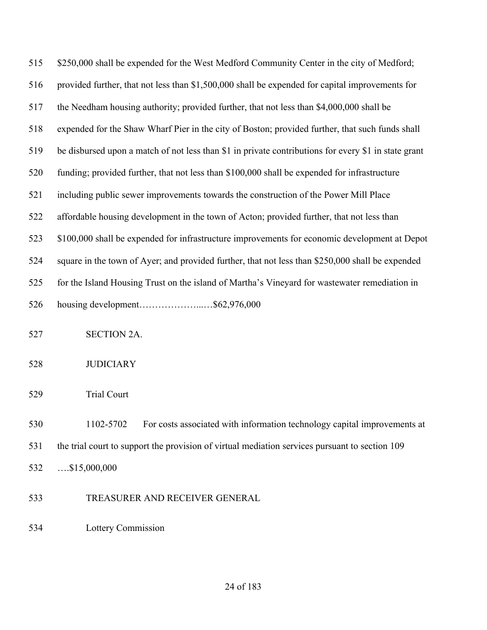| 515 | \$250,000 shall be expended for the West Medford Community Center in the city of Medford;            |
|-----|------------------------------------------------------------------------------------------------------|
| 516 | provided further, that not less than \$1,500,000 shall be expended for capital improvements for      |
| 517 | the Needham housing authority; provided further, that not less than \$4,000,000 shall be             |
| 518 | expended for the Shaw Wharf Pier in the city of Boston; provided further, that such funds shall      |
| 519 | be disbursed upon a match of not less than \$1 in private contributions for every \$1 in state grant |
| 520 | funding; provided further, that not less than \$100,000 shall be expended for infrastructure         |
| 521 | including public sewer improvements towards the construction of the Power Mill Place                 |
| 522 | affordable housing development in the town of Acton; provided further, that not less than            |
| 523 | \$100,000 shall be expended for infrastructure improvements for economic development at Depot        |
| 524 | square in the town of Ayer; and provided further, that not less than \$250,000 shall be expended     |
| 525 | for the Island Housing Trust on the island of Martha's Vineyard for wastewater remediation in        |
| 526 | housing development\$62,976,000                                                                      |
| 527 | <b>SECTION 2A.</b>                                                                                   |
| 528 | <b>JUDICIARY</b>                                                                                     |
| 529 | <b>Trial Court</b>                                                                                   |
| 530 | For costs associated with information technology capital improvements at<br>1102-5702                |
| 531 | the trial court to support the provision of virtual mediation services pursuant to section 109       |
| 532 | $$ \$15,000,000                                                                                      |
| 533 | TREASURER AND RECEIVER GENERAL                                                                       |

Lottery Commission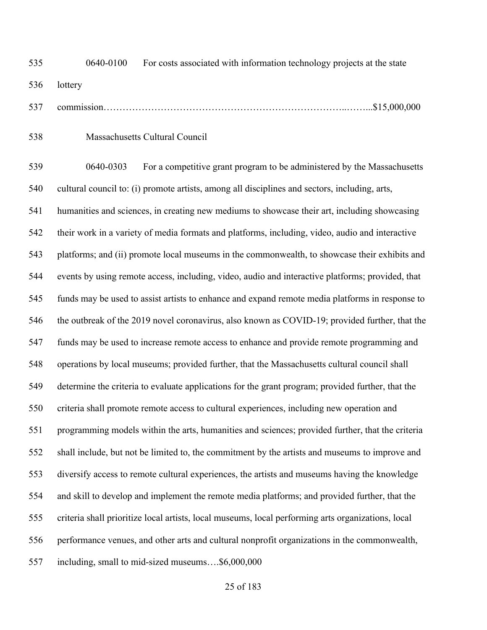0640-0100 For costs associated with information technology projects at the state lottery

- commission…………………………………………………………………..……...\$15,000,000
- Massachusetts Cultural Council

 0640-0303 For a competitive grant program to be administered by the Massachusetts cultural council to: (i) promote artists, among all disciplines and sectors, including, arts, humanities and sciences, in creating new mediums to showcase their art, including showcasing their work in a variety of media formats and platforms, including, video, audio and interactive platforms; and (ii) promote local museums in the commonwealth, to showcase their exhibits and events by using remote access, including, video, audio and interactive platforms; provided, that funds may be used to assist artists to enhance and expand remote media platforms in response to the outbreak of the 2019 novel coronavirus, also known as COVID-19; provided further, that the funds may be used to increase remote access to enhance and provide remote programming and operations by local museums; provided further, that the Massachusetts cultural council shall determine the criteria to evaluate applications for the grant program; provided further, that the criteria shall promote remote access to cultural experiences, including new operation and programming models within the arts, humanities and sciences; provided further, that the criteria shall include, but not be limited to, the commitment by the artists and museums to improve and diversify access to remote cultural experiences, the artists and museums having the knowledge and skill to develop and implement the remote media platforms; and provided further, that the criteria shall prioritize local artists, local museums, local performing arts organizations, local performance venues, and other arts and cultural nonprofit organizations in the commonwealth, including, small to mid-sized museums….\$6,000,000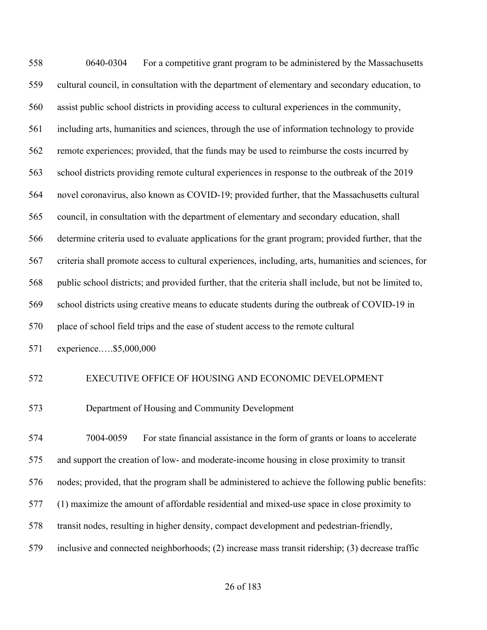0640-0304 For a competitive grant program to be administered by the Massachusetts cultural council, in consultation with the department of elementary and secondary education, to assist public school districts in providing access to cultural experiences in the community, including arts, humanities and sciences, through the use of information technology to provide remote experiences; provided, that the funds may be used to reimburse the costs incurred by school districts providing remote cultural experiences in response to the outbreak of the 2019 novel coronavirus, also known as COVID-19; provided further, that the Massachusetts cultural council, in consultation with the department of elementary and secondary education, shall determine criteria used to evaluate applications for the grant program; provided further, that the criteria shall promote access to cultural experiences, including, arts, humanities and sciences, for public school districts; and provided further, that the criteria shall include, but not be limited to, school districts using creative means to educate students during the outbreak of COVID-19 in place of school field trips and the ease of student access to the remote cultural experience.….\$5,000,000 EXECUTIVE OFFICE OF HOUSING AND ECONOMIC DEVELOPMENT Department of Housing and Community Development 7004-0059 For state financial assistance in the form of grants or loans to accelerate and support the creation of low- and moderate-income housing in close proximity to transit nodes; provided, that the program shall be administered to achieve the following public benefits: (1) maximize the amount of affordable residential and mixed-use space in close proximity to transit nodes, resulting in higher density, compact development and pedestrian-friendly, inclusive and connected neighborhoods; (2) increase mass transit ridership; (3) decrease traffic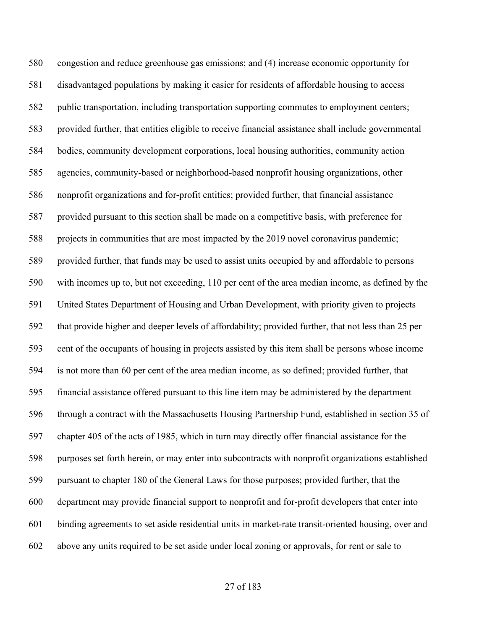congestion and reduce greenhouse gas emissions; and (4) increase economic opportunity for disadvantaged populations by making it easier for residents of affordable housing to access public transportation, including transportation supporting commutes to employment centers; provided further, that entities eligible to receive financial assistance shall include governmental bodies, community development corporations, local housing authorities, community action agencies, community-based or neighborhood-based nonprofit housing organizations, other nonprofit organizations and for-profit entities; provided further, that financial assistance provided pursuant to this section shall be made on a competitive basis, with preference for projects in communities that are most impacted by the 2019 novel coronavirus pandemic; provided further, that funds may be used to assist units occupied by and affordable to persons with incomes up to, but not exceeding, 110 per cent of the area median income, as defined by the United States Department of Housing and Urban Development, with priority given to projects that provide higher and deeper levels of affordability; provided further, that not less than 25 per cent of the occupants of housing in projects assisted by this item shall be persons whose income is not more than 60 per cent of the area median income, as so defined; provided further, that financial assistance offered pursuant to this line item may be administered by the department through a contract with the Massachusetts Housing Partnership Fund, established in section 35 of chapter 405 of the acts of 1985, which in turn may directly offer financial assistance for the purposes set forth herein, or may enter into subcontracts with nonprofit organizations established pursuant to chapter 180 of the General Laws for those purposes; provided further, that the department may provide financial support to nonprofit and for-profit developers that enter into binding agreements to set aside residential units in market-rate transit-oriented housing, over and above any units required to be set aside under local zoning or approvals, for rent or sale to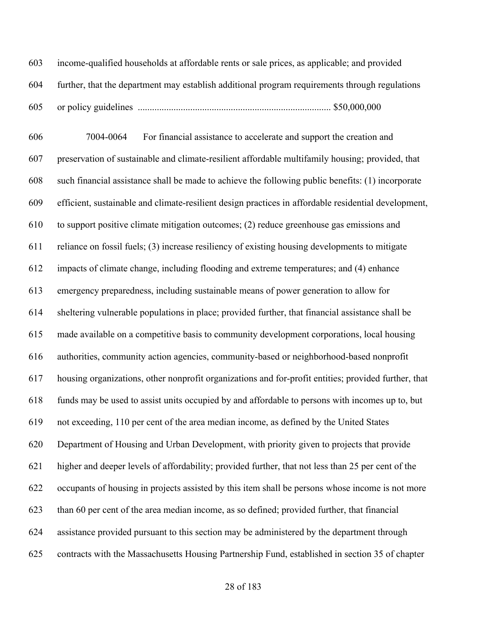income-qualified households at affordable rents or sale prices, as applicable; and provided further, that the department may establish additional program requirements through regulations or policy guidelines ................................................................................. \$50,000,000

 7004-0064 For financial assistance to accelerate and support the creation and preservation of sustainable and climate-resilient affordable multifamily housing; provided, that such financial assistance shall be made to achieve the following public benefits: (1) incorporate efficient, sustainable and climate-resilient design practices in affordable residential development, to support positive climate mitigation outcomes; (2) reduce greenhouse gas emissions and reliance on fossil fuels; (3) increase resiliency of existing housing developments to mitigate impacts of climate change, including flooding and extreme temperatures; and (4) enhance emergency preparedness, including sustainable means of power generation to allow for sheltering vulnerable populations in place; provided further, that financial assistance shall be made available on a competitive basis to community development corporations, local housing authorities, community action agencies, community-based or neighborhood-based nonprofit housing organizations, other nonprofit organizations and for-profit entities; provided further, that funds may be used to assist units occupied by and affordable to persons with incomes up to, but not exceeding, 110 per cent of the area median income, as defined by the United States Department of Housing and Urban Development, with priority given to projects that provide higher and deeper levels of affordability; provided further, that not less than 25 per cent of the occupants of housing in projects assisted by this item shall be persons whose income is not more than 60 per cent of the area median income, as so defined; provided further, that financial assistance provided pursuant to this section may be administered by the department through contracts with the Massachusetts Housing Partnership Fund, established in section 35 of chapter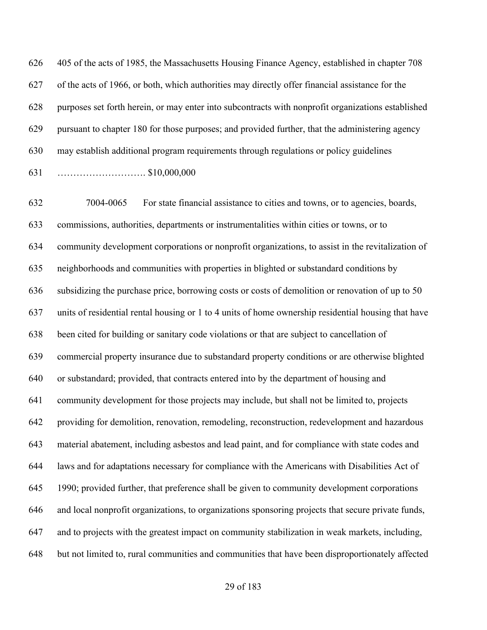405 of the acts of 1985, the Massachusetts Housing Finance Agency, established in chapter 708 of the acts of 1966, or both, which authorities may directly offer financial assistance for the purposes set forth herein, or may enter into subcontracts with nonprofit organizations established pursuant to chapter 180 for those purposes; and provided further, that the administering agency may establish additional program requirements through regulations or policy guidelines ………………………. \$10,000,000

 7004-0065 For state financial assistance to cities and towns, or to agencies, boards, commissions, authorities, departments or instrumentalities within cities or towns, or to community development corporations or nonprofit organizations, to assist in the revitalization of neighborhoods and communities with properties in blighted or substandard conditions by subsidizing the purchase price, borrowing costs or costs of demolition or renovation of up to 50 units of residential rental housing or 1 to 4 units of home ownership residential housing that have been cited for building or sanitary code violations or that are subject to cancellation of commercial property insurance due to substandard property conditions or are otherwise blighted or substandard; provided, that contracts entered into by the department of housing and community development for those projects may include, but shall not be limited to, projects providing for demolition, renovation, remodeling, reconstruction, redevelopment and hazardous material abatement, including asbestos and lead paint, and for compliance with state codes and laws and for adaptations necessary for compliance with the Americans with Disabilities Act of 1990; provided further, that preference shall be given to community development corporations and local nonprofit organizations, to organizations sponsoring projects that secure private funds, and to projects with the greatest impact on community stabilization in weak markets, including, but not limited to, rural communities and communities that have been disproportionately affected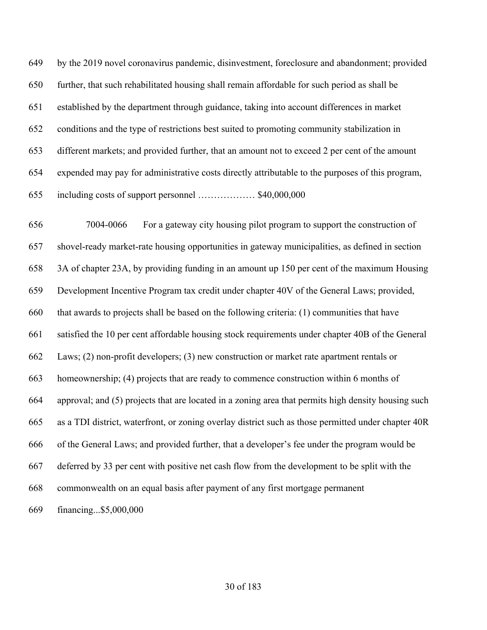by the 2019 novel coronavirus pandemic, disinvestment, foreclosure and abandonment; provided further, that such rehabilitated housing shall remain affordable for such period as shall be established by the department through guidance, taking into account differences in market conditions and the type of restrictions best suited to promoting community stabilization in different markets; and provided further, that an amount not to exceed 2 per cent of the amount expended may pay for administrative costs directly attributable to the purposes of this program, including costs of support personnel ……………… \$40,000,000

 7004-0066 For a gateway city housing pilot program to support the construction of shovel-ready market-rate housing opportunities in gateway municipalities, as defined in section 3A of chapter 23A, by providing funding in an amount up 150 per cent of the maximum Housing Development Incentive Program tax credit under chapter 40V of the General Laws; provided, that awards to projects shall be based on the following criteria: (1) communities that have satisfied the 10 per cent affordable housing stock requirements under chapter 40B of the General Laws; (2) non-profit developers; (3) new construction or market rate apartment rentals or homeownership; (4) projects that are ready to commence construction within 6 months of approval; and (5) projects that are located in a zoning area that permits high density housing such as a TDI district, waterfront, or zoning overlay district such as those permitted under chapter 40R of the General Laws; and provided further, that a developer's fee under the program would be deferred by 33 per cent with positive net cash flow from the development to be split with the commonwealth on an equal basis after payment of any first mortgage permanent financing...\$5,000,000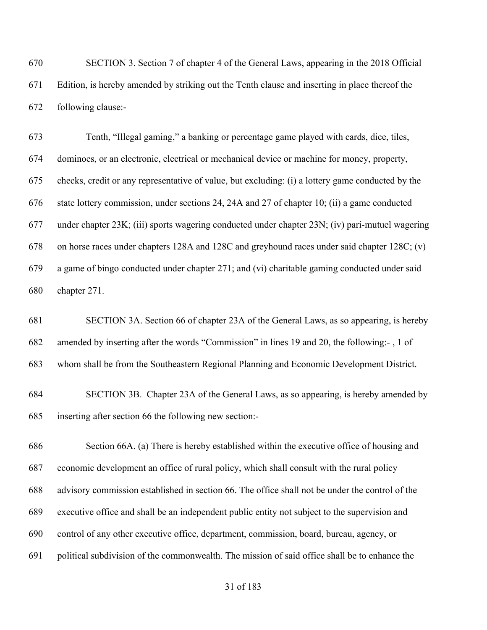SECTION 3. Section 7 of chapter 4 of the General Laws, appearing in the 2018 Official Edition, is hereby amended by striking out the Tenth clause and inserting in place thereof the following clause:-

 Tenth, "Illegal gaming," a banking or percentage game played with cards, dice, tiles, dominoes, or an electronic, electrical or mechanical device or machine for money, property, checks, credit or any representative of value, but excluding: (i) a lottery game conducted by the state lottery commission, under sections 24, 24A and 27 of chapter 10; (ii) a game conducted under chapter 23K; (iii) sports wagering conducted under chapter 23N; (iv) pari-mutuel wagering on horse races under chapters 128A and 128C and greyhound races under said chapter 128C; (v) a game of bingo conducted under chapter 271; and (vi) charitable gaming conducted under said chapter 271.

 SECTION 3A. Section 66 of chapter 23A of the General Laws, as so appearing, is hereby amended by inserting after the words "Commission" in lines 19 and 20, the following:- , 1 of whom shall be from the Southeastern Regional Planning and Economic Development District.

 SECTION 3B. Chapter 23A of the General Laws, as so appearing, is hereby amended by inserting after section 66 the following new section:-

 Section 66A. (a) There is hereby established within the executive office of housing and economic development an office of rural policy, which shall consult with the rural policy advisory commission established in section 66. The office shall not be under the control of the executive office and shall be an independent public entity not subject to the supervision and control of any other executive office, department, commission, board, bureau, agency, or political subdivision of the commonwealth. The mission of said office shall be to enhance the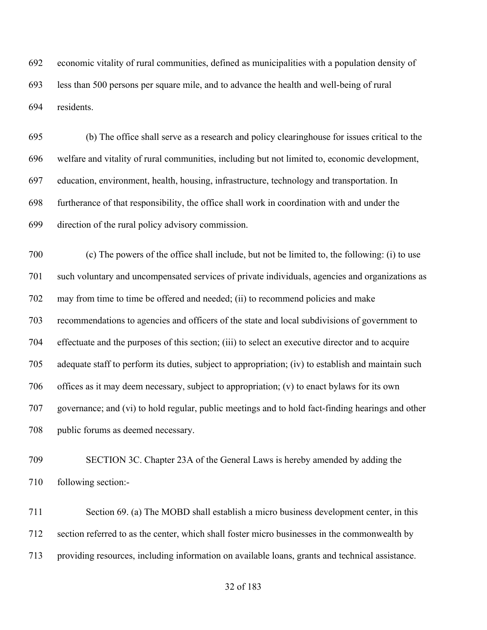economic vitality of rural communities, defined as municipalities with a population density of less than 500 persons per square mile, and to advance the health and well-being of rural residents.

 (b) The office shall serve as a research and policy clearinghouse for issues critical to the welfare and vitality of rural communities, including but not limited to, economic development, education, environment, health, housing, infrastructure, technology and transportation. In furtherance of that responsibility, the office shall work in coordination with and under the direction of the rural policy advisory commission.

 (c) The powers of the office shall include, but not be limited to, the following: (i) to use such voluntary and uncompensated services of private individuals, agencies and organizations as may from time to time be offered and needed; (ii) to recommend policies and make recommendations to agencies and officers of the state and local subdivisions of government to effectuate and the purposes of this section; (iii) to select an executive director and to acquire adequate staff to perform its duties, subject to appropriation; (iv) to establish and maintain such offices as it may deem necessary, subject to appropriation; (v) to enact bylaws for its own governance; and (vi) to hold regular, public meetings and to hold fact-finding hearings and other public forums as deemed necessary.

 SECTION 3C. Chapter 23A of the General Laws is hereby amended by adding the following section:-

 Section 69. (a) The MOBD shall establish a micro business development center, in this section referred to as the center, which shall foster micro businesses in the commonwealth by providing resources, including information on available loans, grants and technical assistance.

### of 183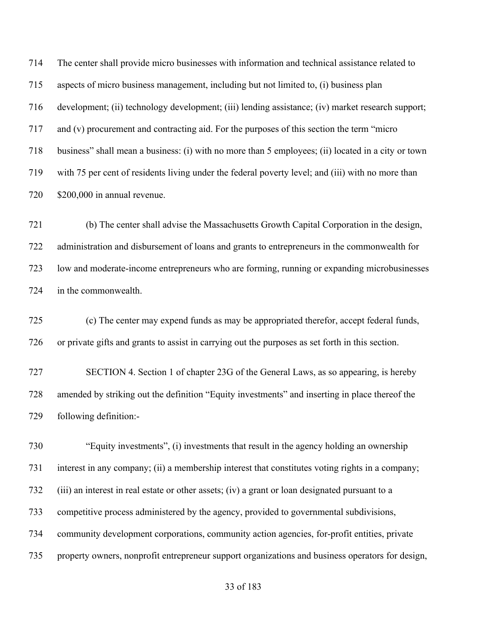The center shall provide micro businesses with information and technical assistance related to aspects of micro business management, including but not limited to, (i) business plan development; (ii) technology development; (iii) lending assistance; (iv) market research support; and (v) procurement and contracting aid. For the purposes of this section the term "micro business" shall mean a business: (i) with no more than 5 employees; (ii) located in a city or town with 75 per cent of residents living under the federal poverty level; and (iii) with no more than \$200,000 in annual revenue.

 (b) The center shall advise the Massachusetts Growth Capital Corporation in the design, administration and disbursement of loans and grants to entrepreneurs in the commonwealth for low and moderate-income entrepreneurs who are forming, running or expanding microbusinesses in the commonwealth.

 (c) The center may expend funds as may be appropriated therefor, accept federal funds, or private gifts and grants to assist in carrying out the purposes as set forth in this section.

 SECTION 4. Section 1 of chapter 23G of the General Laws, as so appearing, is hereby amended by striking out the definition "Equity investments" and inserting in place thereof the following definition:-

 "Equity investments", (i) investments that result in the agency holding an ownership interest in any company; (ii) a membership interest that constitutes voting rights in a company; (iii) an interest in real estate or other assets; (iv) a grant or loan designated pursuant to a competitive process administered by the agency, provided to governmental subdivisions, community development corporations, community action agencies, for-profit entities, private property owners, nonprofit entrepreneur support organizations and business operators for design,

### of 183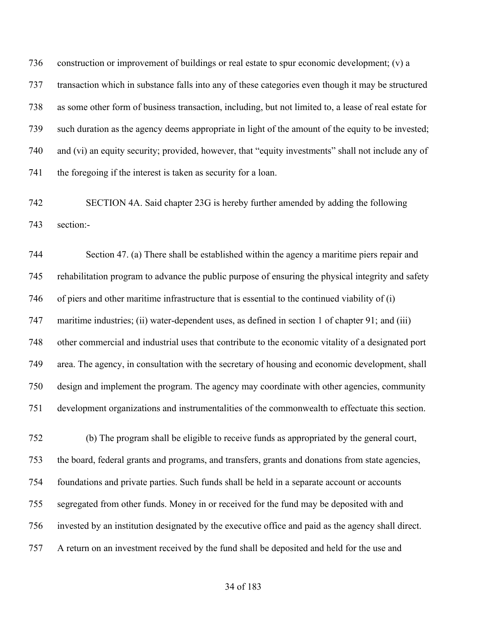736 construction or improvement of buildings or real estate to spur economic development; (v) a transaction which in substance falls into any of these categories even though it may be structured as some other form of business transaction, including, but not limited to, a lease of real estate for such duration as the agency deems appropriate in light of the amount of the equity to be invested; and (vi) an equity security; provided, however, that "equity investments" shall not include any of the foregoing if the interest is taken as security for a loan.

 SECTION 4A. Said chapter 23G is hereby further amended by adding the following section:-

 Section 47. (a) There shall be established within the agency a maritime piers repair and rehabilitation program to advance the public purpose of ensuring the physical integrity and safety of piers and other maritime infrastructure that is essential to the continued viability of (i) 747 maritime industries; (ii) water-dependent uses, as defined in section 1 of chapter 91; and (iii) other commercial and industrial uses that contribute to the economic vitality of a designated port area. The agency, in consultation with the secretary of housing and economic development, shall design and implement the program. The agency may coordinate with other agencies, community development organizations and instrumentalities of the commonwealth to effectuate this section.

 (b) The program shall be eligible to receive funds as appropriated by the general court, the board, federal grants and programs, and transfers, grants and donations from state agencies, foundations and private parties. Such funds shall be held in a separate account or accounts segregated from other funds. Money in or received for the fund may be deposited with and invested by an institution designated by the executive office and paid as the agency shall direct. A return on an investment received by the fund shall be deposited and held for the use and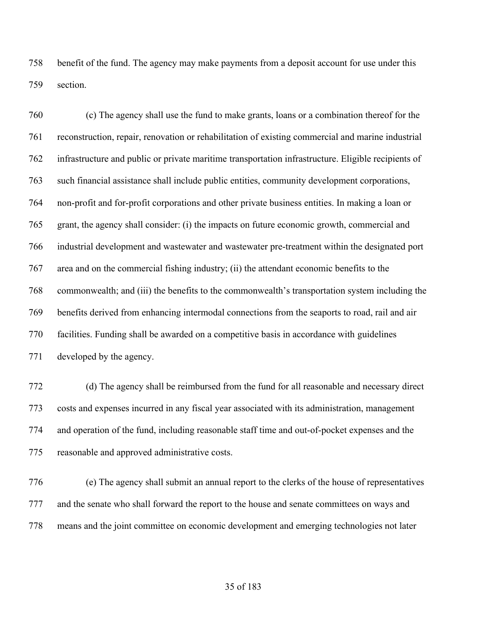benefit of the fund. The agency may make payments from a deposit account for use under this section.

 (c) The agency shall use the fund to make grants, loans or a combination thereof for the reconstruction, repair, renovation or rehabilitation of existing commercial and marine industrial infrastructure and public or private maritime transportation infrastructure. Eligible recipients of such financial assistance shall include public entities, community development corporations, non-profit and for-profit corporations and other private business entities. In making a loan or grant, the agency shall consider: (i) the impacts on future economic growth, commercial and industrial development and wastewater and wastewater pre-treatment within the designated port area and on the commercial fishing industry; (ii) the attendant economic benefits to the commonwealth; and (iii) the benefits to the commonwealth's transportation system including the benefits derived from enhancing intermodal connections from the seaports to road, rail and air facilities. Funding shall be awarded on a competitive basis in accordance with guidelines developed by the agency.

 (d) The agency shall be reimbursed from the fund for all reasonable and necessary direct costs and expenses incurred in any fiscal year associated with its administration, management and operation of the fund, including reasonable staff time and out-of-pocket expenses and the reasonable and approved administrative costs.

 (e) The agency shall submit an annual report to the clerks of the house of representatives and the senate who shall forward the report to the house and senate committees on ways and means and the joint committee on economic development and emerging technologies not later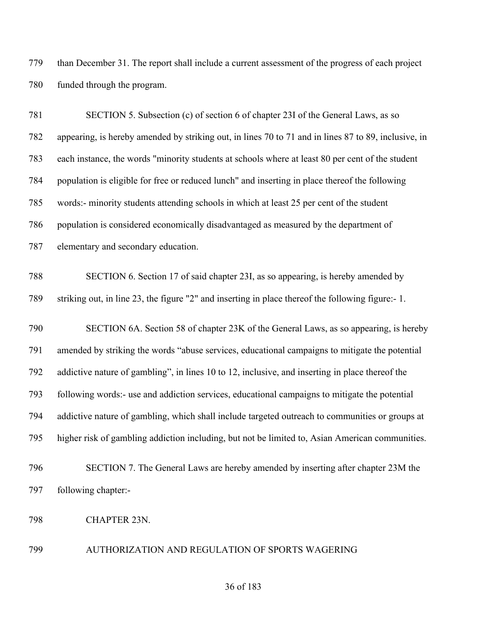than December 31. The report shall include a current assessment of the progress of each project funded through the program.

 SECTION 5. Subsection (c) of section 6 of chapter 23I of the General Laws, as so appearing, is hereby amended by striking out, in lines 70 to 71 and in lines 87 to 89, inclusive, in each instance, the words "minority students at schools where at least 80 per cent of the student population is eligible for free or reduced lunch" and inserting in place thereof the following words:- minority students attending schools in which at least 25 per cent of the student population is considered economically disadvantaged as measured by the department of elementary and secondary education. SECTION 6. Section 17 of said chapter 23I, as so appearing, is hereby amended by striking out, in line 23, the figure "2" and inserting in place thereof the following figure:- 1. SECTION 6A. Section 58 of chapter 23K of the General Laws, as so appearing, is hereby amended by striking the words "abuse services, educational campaigns to mitigate the potential addictive nature of gambling", in lines 10 to 12, inclusive, and inserting in place thereof the following words:- use and addiction services, educational campaigns to mitigate the potential addictive nature of gambling, which shall include targeted outreach to communities or groups at higher risk of gambling addiction including, but not be limited to, Asian American communities. SECTION 7. The General Laws are hereby amended by inserting after chapter 23M the following chapter:- CHAPTER 23N.

AUTHORIZATION AND REGULATION OF SPORTS WAGERING

### of 183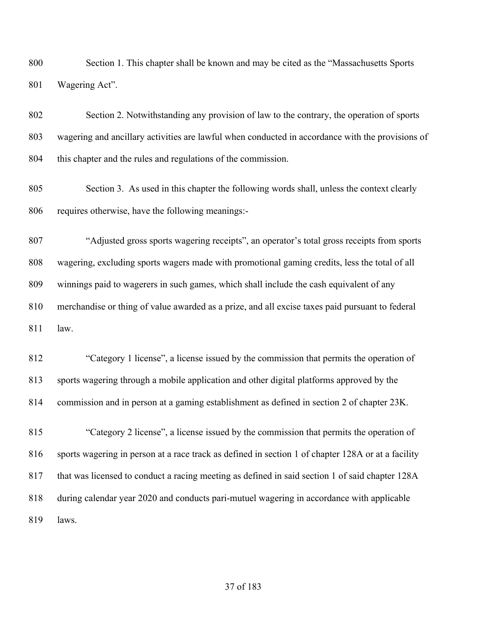Section 1. This chapter shall be known and may be cited as the "Massachusetts Sports Wagering Act".

 Section 2. Notwithstanding any provision of law to the contrary, the operation of sports wagering and ancillary activities are lawful when conducted in accordance with the provisions of this chapter and the rules and regulations of the commission.

 Section 3. As used in this chapter the following words shall, unless the context clearly requires otherwise, have the following meanings:-

 "Adjusted gross sports wagering receipts", an operator's total gross receipts from sports wagering, excluding sports wagers made with promotional gaming credits, less the total of all winnings paid to wagerers in such games, which shall include the cash equivalent of any merchandise or thing of value awarded as a prize, and all excise taxes paid pursuant to federal law.

 "Category 1 license", a license issued by the commission that permits the operation of sports wagering through a mobile application and other digital platforms approved by the commission and in person at a gaming establishment as defined in section 2 of chapter 23K.

 "Category 2 license", a license issued by the commission that permits the operation of sports wagering in person at a race track as defined in section 1 of chapter 128A or at a facility that was licensed to conduct a racing meeting as defined in said section 1 of said chapter 128A during calendar year 2020 and conducts pari-mutuel wagering in accordance with applicable laws.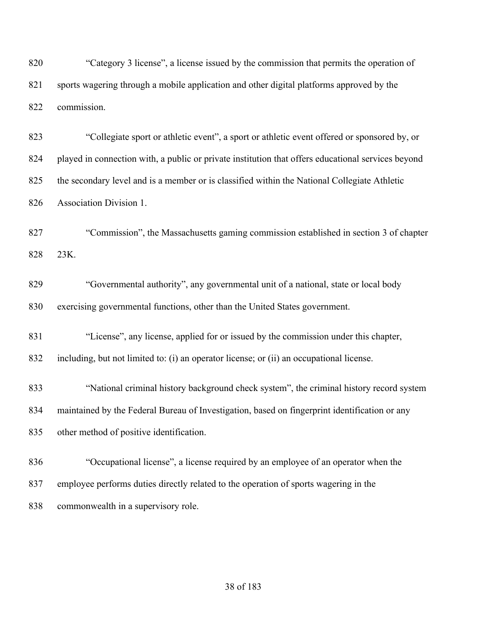820 "Category 3 license", a license issued by the commission that permits the operation of sports wagering through a mobile application and other digital platforms approved by the commission.

 "Collegiate sport or athletic event", a sport or athletic event offered or sponsored by, or played in connection with, a public or private institution that offers educational services beyond the secondary level and is a member or is classified within the National Collegiate Athletic Association Division 1.

 "Commission", the Massachusetts gaming commission established in section 3 of chapter 23K.

 "Governmental authority", any governmental unit of a national, state or local body exercising governmental functions, other than the United States government.

"License", any license, applied for or issued by the commission under this chapter,

including, but not limited to: (i) an operator license; or (ii) an occupational license.

 "National criminal history background check system", the criminal history record system maintained by the Federal Bureau of Investigation, based on fingerprint identification or any other method of positive identification.

 "Occupational license", a license required by an employee of an operator when the employee performs duties directly related to the operation of sports wagering in the commonwealth in a supervisory role.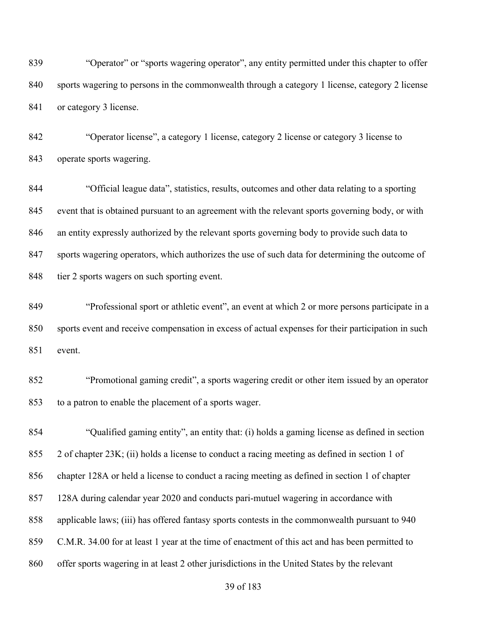839 "Operator" or "sports wagering operator", any entity permitted under this chapter to offer sports wagering to persons in the commonwealth through a category 1 license, category 2 license 841 or category 3 license.

 "Operator license", a category 1 license, category 2 license or category 3 license to operate sports wagering.

 "Official league data", statistics, results, outcomes and other data relating to a sporting event that is obtained pursuant to an agreement with the relevant sports governing body, or with an entity expressly authorized by the relevant sports governing body to provide such data to 847 sports wagering operators, which authorizes the use of such data for determining the outcome of tier 2 sports wagers on such sporting event.

 "Professional sport or athletic event", an event at which 2 or more persons participate in a sports event and receive compensation in excess of actual expenses for their participation in such event.

 "Promotional gaming credit", a sports wagering credit or other item issued by an operator to a patron to enable the placement of a sports wager.

 "Qualified gaming entity", an entity that: (i) holds a gaming license as defined in section 2 of chapter 23K; (ii) holds a license to conduct a racing meeting as defined in section 1 of chapter 128A or held a license to conduct a racing meeting as defined in section 1 of chapter 128A during calendar year 2020 and conducts pari-mutuel wagering in accordance with applicable laws; (iii) has offered fantasy sports contests in the commonwealth pursuant to 940 C.M.R. 34.00 for at least 1 year at the time of enactment of this act and has been permitted to offer sports wagering in at least 2 other jurisdictions in the United States by the relevant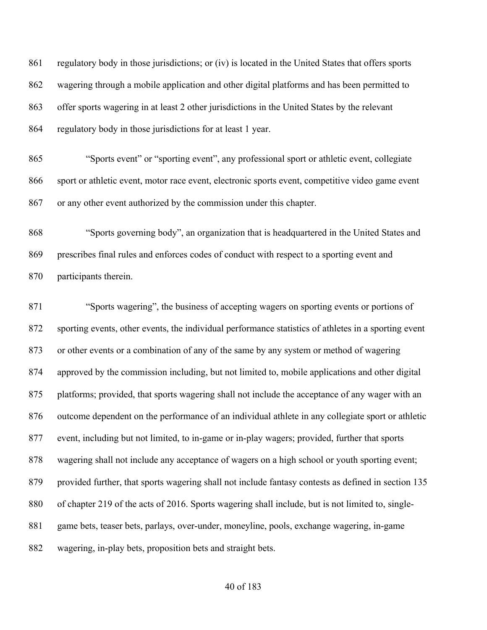regulatory body in those jurisdictions; or (iv) is located in the United States that offers sports wagering through a mobile application and other digital platforms and has been permitted to offer sports wagering in at least 2 other jurisdictions in the United States by the relevant regulatory body in those jurisdictions for at least 1 year.

 "Sports event" or "sporting event", any professional sport or athletic event, collegiate sport or athletic event, motor race event, electronic sports event, competitive video game event or any other event authorized by the commission under this chapter.

 "Sports governing body", an organization that is headquartered in the United States and prescribes final rules and enforces codes of conduct with respect to a sporting event and participants therein.

 "Sports wagering", the business of accepting wagers on sporting events or portions of sporting events, other events, the individual performance statistics of athletes in a sporting event or other events or a combination of any of the same by any system or method of wagering approved by the commission including, but not limited to, mobile applications and other digital platforms; provided, that sports wagering shall not include the acceptance of any wager with an outcome dependent on the performance of an individual athlete in any collegiate sport or athletic event, including but not limited, to in-game or in-play wagers; provided, further that sports wagering shall not include any acceptance of wagers on a high school or youth sporting event; provided further, that sports wagering shall not include fantasy contests as defined in section 135 of chapter 219 of the acts of 2016. Sports wagering shall include, but is not limited to, single- game bets, teaser bets, parlays, over-under, moneyline, pools, exchange wagering, in-game wagering, in-play bets, proposition bets and straight bets.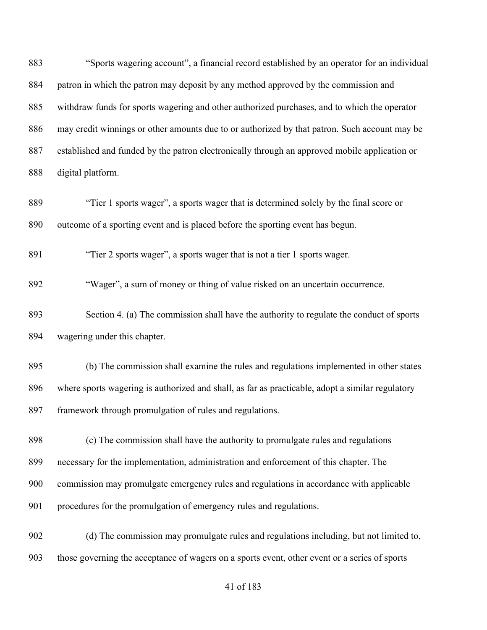"Sports wagering account", a financial record established by an operator for an individual patron in which the patron may deposit by any method approved by the commission and withdraw funds for sports wagering and other authorized purchases, and to which the operator may credit winnings or other amounts due to or authorized by that patron. Such account may be established and funded by the patron electronically through an approved mobile application or digital platform. "Tier 1 sports wager", a sports wager that is determined solely by the final score or outcome of a sporting event and is placed before the sporting event has begun. "Tier 2 sports wager", a sports wager that is not a tier 1 sports wager. "Wager", a sum of money or thing of value risked on an uncertain occurrence. Section 4. (a) The commission shall have the authority to regulate the conduct of sports wagering under this chapter. (b) The commission shall examine the rules and regulations implemented in other states where sports wagering is authorized and shall, as far as practicable, adopt a similar regulatory 897 framework through promulgation of rules and regulations. (c) The commission shall have the authority to promulgate rules and regulations necessary for the implementation, administration and enforcement of this chapter. The commission may promulgate emergency rules and regulations in accordance with applicable procedures for the promulgation of emergency rules and regulations. (d) The commission may promulgate rules and regulations including, but not limited to,

those governing the acceptance of wagers on a sports event, other event or a series of sports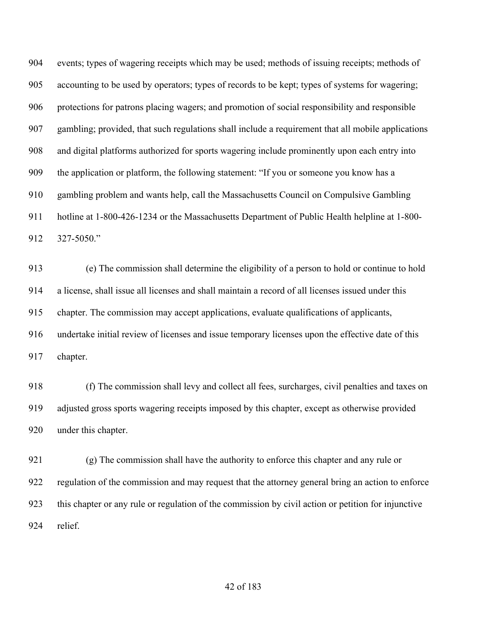events; types of wagering receipts which may be used; methods of issuing receipts; methods of accounting to be used by operators; types of records to be kept; types of systems for wagering; protections for patrons placing wagers; and promotion of social responsibility and responsible gambling; provided, that such regulations shall include a requirement that all mobile applications and digital platforms authorized for sports wagering include prominently upon each entry into the application or platform, the following statement: "If you or someone you know has a gambling problem and wants help, call the Massachusetts Council on Compulsive Gambling hotline at 1-800-426-1234 or the Massachusetts Department of Public Health helpline at 1-800- 327-5050."

 (e) The commission shall determine the eligibility of a person to hold or continue to hold a license, shall issue all licenses and shall maintain a record of all licenses issued under this chapter. The commission may accept applications, evaluate qualifications of applicants, undertake initial review of licenses and issue temporary licenses upon the effective date of this chapter.

 (f) The commission shall levy and collect all fees, surcharges, civil penalties and taxes on adjusted gross sports wagering receipts imposed by this chapter, except as otherwise provided under this chapter.

 (g) The commission shall have the authority to enforce this chapter and any rule or regulation of the commission and may request that the attorney general bring an action to enforce this chapter or any rule or regulation of the commission by civil action or petition for injunctive relief.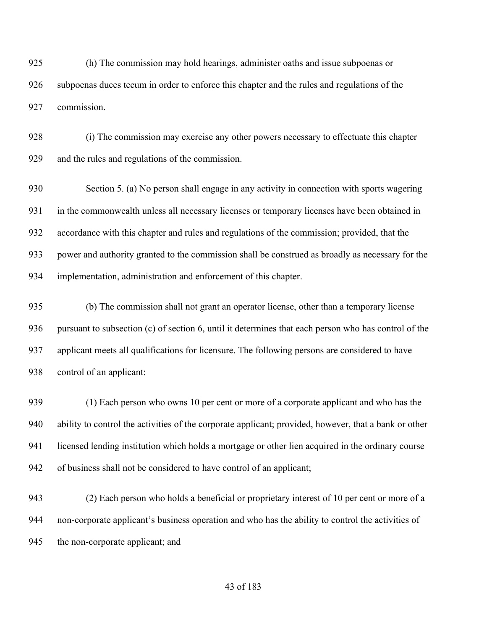(h) The commission may hold hearings, administer oaths and issue subpoenas or subpoenas duces tecum in order to enforce this chapter and the rules and regulations of the commission.

 (i) The commission may exercise any other powers necessary to effectuate this chapter and the rules and regulations of the commission.

 Section 5. (a) No person shall engage in any activity in connection with sports wagering in the commonwealth unless all necessary licenses or temporary licenses have been obtained in accordance with this chapter and rules and regulations of the commission; provided, that the power and authority granted to the commission shall be construed as broadly as necessary for the implementation, administration and enforcement of this chapter.

 (b) The commission shall not grant an operator license, other than a temporary license pursuant to subsection (c) of section 6, until it determines that each person who has control of the applicant meets all qualifications for licensure. The following persons are considered to have control of an applicant:

 (1) Each person who owns 10 per cent or more of a corporate applicant and who has the ability to control the activities of the corporate applicant; provided, however, that a bank or other licensed lending institution which holds a mortgage or other lien acquired in the ordinary course of business shall not be considered to have control of an applicant;

 (2) Each person who holds a beneficial or proprietary interest of 10 per cent or more of a non-corporate applicant's business operation and who has the ability to control the activities of 945 the non-corporate applicant; and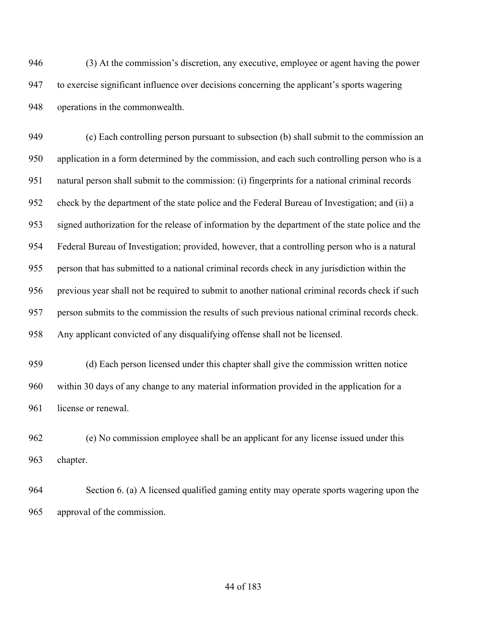(3) At the commission's discretion, any executive, employee or agent having the power to exercise significant influence over decisions concerning the applicant's sports wagering operations in the commonwealth.

 (c) Each controlling person pursuant to subsection (b) shall submit to the commission an application in a form determined by the commission, and each such controlling person who is a natural person shall submit to the commission: (i) fingerprints for a national criminal records check by the department of the state police and the Federal Bureau of Investigation; and (ii) a signed authorization for the release of information by the department of the state police and the Federal Bureau of Investigation; provided, however, that a controlling person who is a natural person that has submitted to a national criminal records check in any jurisdiction within the previous year shall not be required to submit to another national criminal records check if such person submits to the commission the results of such previous national criminal records check. Any applicant convicted of any disqualifying offense shall not be licensed.

 (d) Each person licensed under this chapter shall give the commission written notice within 30 days of any change to any material information provided in the application for a 961 license or renewal.

 (e) No commission employee shall be an applicant for any license issued under this chapter.

 Section 6. (a) A licensed qualified gaming entity may operate sports wagering upon the approval of the commission.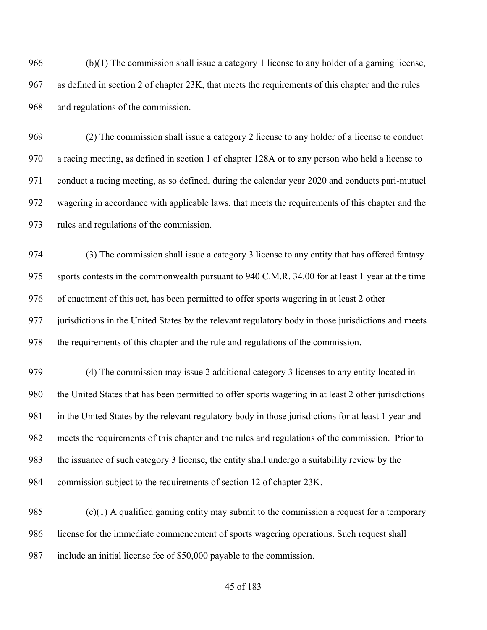(b)(1) The commission shall issue a category 1 license to any holder of a gaming license, as defined in section 2 of chapter 23K, that meets the requirements of this chapter and the rules and regulations of the commission.

 (2) The commission shall issue a category 2 license to any holder of a license to conduct a racing meeting, as defined in section 1 of chapter 128A or to any person who held a license to conduct a racing meeting, as so defined, during the calendar year 2020 and conducts pari-mutuel wagering in accordance with applicable laws, that meets the requirements of this chapter and the rules and regulations of the commission.

 (3) The commission shall issue a category 3 license to any entity that has offered fantasy sports contests in the commonwealth pursuant to 940 C.M.R. 34.00 for at least 1 year at the time of enactment of this act, has been permitted to offer sports wagering in at least 2 other jurisdictions in the United States by the relevant regulatory body in those jurisdictions and meets the requirements of this chapter and the rule and regulations of the commission.

 (4) The commission may issue 2 additional category 3 licenses to any entity located in the United States that has been permitted to offer sports wagering in at least 2 other jurisdictions in the United States by the relevant regulatory body in those jurisdictions for at least 1 year and meets the requirements of this chapter and the rules and regulations of the commission. Prior to the issuance of such category 3 license, the entity shall undergo a suitability review by the commission subject to the requirements of section 12 of chapter 23K.

985  $(c)(1)$  A qualified gaming entity may submit to the commission a request for a temporary license for the immediate commencement of sports wagering operations. Such request shall include an initial license fee of \$50,000 payable to the commission.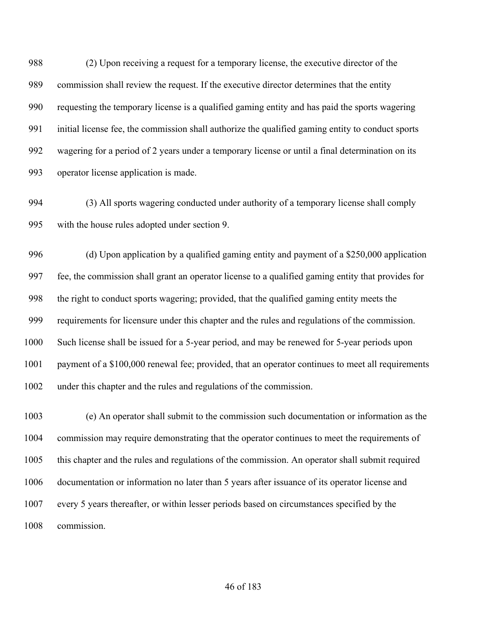(2) Upon receiving a request for a temporary license, the executive director of the commission shall review the request. If the executive director determines that the entity requesting the temporary license is a qualified gaming entity and has paid the sports wagering initial license fee, the commission shall authorize the qualified gaming entity to conduct sports wagering for a period of 2 years under a temporary license or until a final determination on its operator license application is made.

 (3) All sports wagering conducted under authority of a temporary license shall comply with the house rules adopted under section 9.

 (d) Upon application by a qualified gaming entity and payment of a \$250,000 application fee, the commission shall grant an operator license to a qualified gaming entity that provides for the right to conduct sports wagering; provided, that the qualified gaming entity meets the requirements for licensure under this chapter and the rules and regulations of the commission. Such license shall be issued for a 5-year period, and may be renewed for 5-year periods upon payment of a \$100,000 renewal fee; provided, that an operator continues to meet all requirements under this chapter and the rules and regulations of the commission.

 (e) An operator shall submit to the commission such documentation or information as the commission may require demonstrating that the operator continues to meet the requirements of this chapter and the rules and regulations of the commission. An operator shall submit required documentation or information no later than 5 years after issuance of its operator license and every 5 years thereafter, or within lesser periods based on circumstances specified by the commission.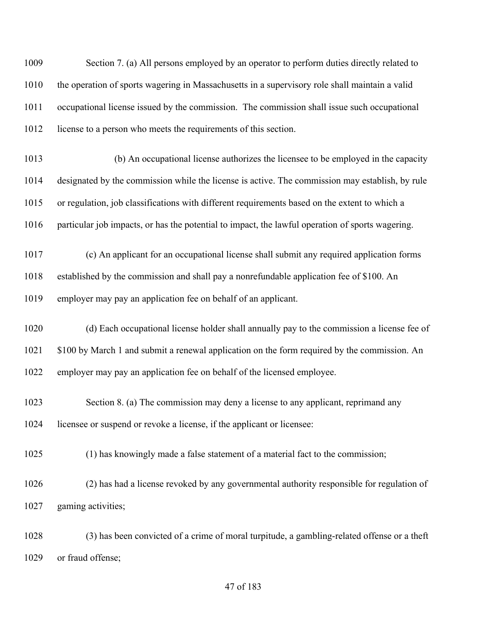Section 7. (a) All persons employed by an operator to perform duties directly related to the operation of sports wagering in Massachusetts in a supervisory role shall maintain a valid occupational license issued by the commission. The commission shall issue such occupational license to a person who meets the requirements of this section.

 (b) An occupational license authorizes the licensee to be employed in the capacity designated by the commission while the license is active. The commission may establish, by rule or regulation, job classifications with different requirements based on the extent to which a particular job impacts, or has the potential to impact, the lawful operation of sports wagering.

 (c) An applicant for an occupational license shall submit any required application forms established by the commission and shall pay a nonrefundable application fee of \$100. An employer may pay an application fee on behalf of an applicant.

 (d) Each occupational license holder shall annually pay to the commission a license fee of 1021 \$100 by March 1 and submit a renewal application on the form required by the commission. An employer may pay an application fee on behalf of the licensed employee.

 Section 8. (a) The commission may deny a license to any applicant, reprimand any licensee or suspend or revoke a license, if the applicant or licensee:

(1) has knowingly made a false statement of a material fact to the commission;

 (2) has had a license revoked by any governmental authority responsible for regulation of gaming activities;

 (3) has been convicted of a crime of moral turpitude, a gambling-related offense or a theft or fraud offense;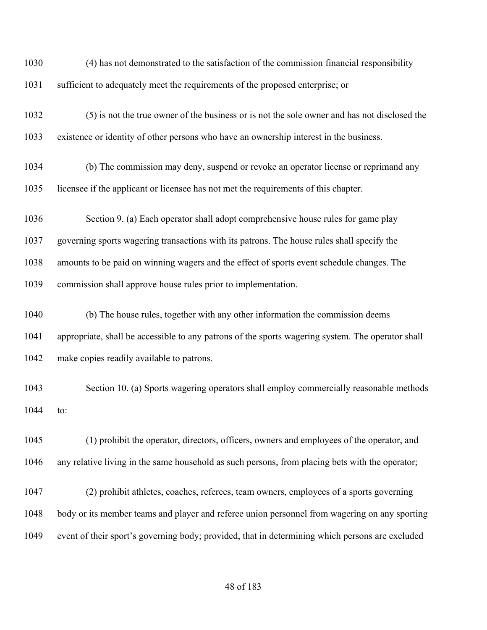(4) has not demonstrated to the satisfaction of the commission financial responsibility sufficient to adequately meet the requirements of the proposed enterprise; or (5) is not the true owner of the business or is not the sole owner and has not disclosed the existence or identity of other persons who have an ownership interest in the business. (b) The commission may deny, suspend or revoke an operator license or reprimand any licensee if the applicant or licensee has not met the requirements of this chapter. Section 9. (a) Each operator shall adopt comprehensive house rules for game play governing sports wagering transactions with its patrons. The house rules shall specify the amounts to be paid on winning wagers and the effect of sports event schedule changes. The commission shall approve house rules prior to implementation. (b) The house rules, together with any other information the commission deems appropriate, shall be accessible to any patrons of the sports wagering system. The operator shall make copies readily available to patrons. Section 10. (a) Sports wagering operators shall employ commercially reasonable methods to: (1) prohibit the operator, directors, officers, owners and employees of the operator, and any relative living in the same household as such persons, from placing bets with the operator; (2) prohibit athletes, coaches, referees, team owners, employees of a sports governing body or its member teams and player and referee union personnel from wagering on any sporting event of their sport's governing body; provided, that in determining which persons are excluded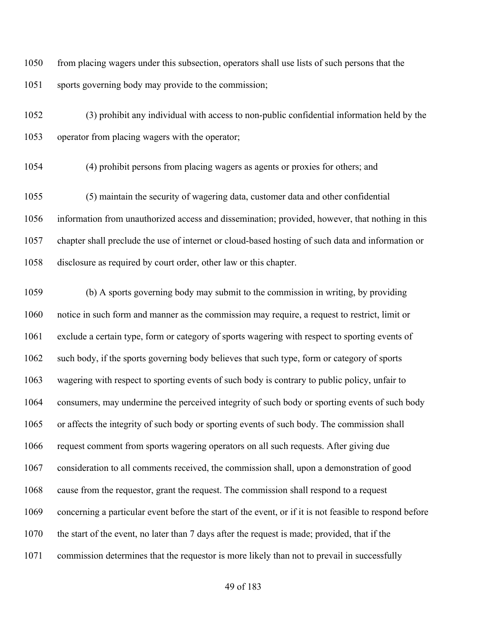from placing wagers under this subsection, operators shall use lists of such persons that the sports governing body may provide to the commission;

 (3) prohibit any individual with access to non-public confidential information held by the operator from placing wagers with the operator;

(4) prohibit persons from placing wagers as agents or proxies for others; and

 (5) maintain the security of wagering data, customer data and other confidential information from unauthorized access and dissemination; provided, however, that nothing in this chapter shall preclude the use of internet or cloud-based hosting of such data and information or disclosure as required by court order, other law or this chapter.

 (b) A sports governing body may submit to the commission in writing, by providing notice in such form and manner as the commission may require, a request to restrict, limit or exclude a certain type, form or category of sports wagering with respect to sporting events of such body, if the sports governing body believes that such type, form or category of sports wagering with respect to sporting events of such body is contrary to public policy, unfair to consumers, may undermine the perceived integrity of such body or sporting events of such body or affects the integrity of such body or sporting events of such body. The commission shall request comment from sports wagering operators on all such requests. After giving due consideration to all comments received, the commission shall, upon a demonstration of good cause from the requestor, grant the request. The commission shall respond to a request concerning a particular event before the start of the event, or if it is not feasible to respond before the start of the event, no later than 7 days after the request is made; provided, that if the commission determines that the requestor is more likely than not to prevail in successfully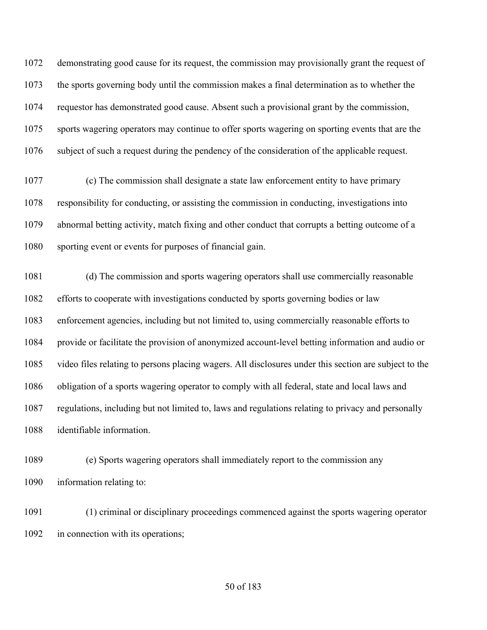demonstrating good cause for its request, the commission may provisionally grant the request of the sports governing body until the commission makes a final determination as to whether the requestor has demonstrated good cause. Absent such a provisional grant by the commission, sports wagering operators may continue to offer sports wagering on sporting events that are the subject of such a request during the pendency of the consideration of the applicable request.

 (c) The commission shall designate a state law enforcement entity to have primary responsibility for conducting, or assisting the commission in conducting, investigations into abnormal betting activity, match fixing and other conduct that corrupts a betting outcome of a sporting event or events for purposes of financial gain.

 (d) The commission and sports wagering operators shall use commercially reasonable efforts to cooperate with investigations conducted by sports governing bodies or law enforcement agencies, including but not limited to, using commercially reasonable efforts to provide or facilitate the provision of anonymized account-level betting information and audio or video files relating to persons placing wagers. All disclosures under this section are subject to the obligation of a sports wagering operator to comply with all federal, state and local laws and regulations, including but not limited to, laws and regulations relating to privacy and personally identifiable information.

 (e) Sports wagering operators shall immediately report to the commission any information relating to:

 (1) criminal or disciplinary proceedings commenced against the sports wagering operator 1092 in connection with its operations;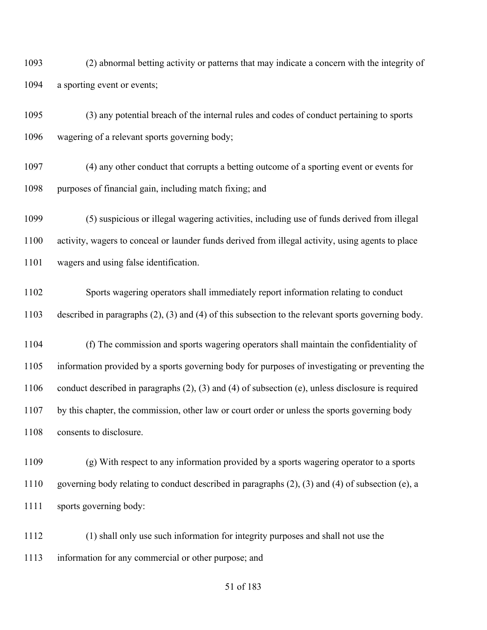(2) abnormal betting activity or patterns that may indicate a concern with the integrity of a sporting event or events;

 (3) any potential breach of the internal rules and codes of conduct pertaining to sports wagering of a relevant sports governing body;

 (4) any other conduct that corrupts a betting outcome of a sporting event or events for purposes of financial gain, including match fixing; and

 (5) suspicious or illegal wagering activities, including use of funds derived from illegal activity, wagers to conceal or launder funds derived from illegal activity, using agents to place wagers and using false identification.

 Sports wagering operators shall immediately report information relating to conduct described in paragraphs (2), (3) and (4) of this subsection to the relevant sports governing body.

 (f) The commission and sports wagering operators shall maintain the confidentiality of information provided by a sports governing body for purposes of investigating or preventing the conduct described in paragraphs (2), (3) and (4) of subsection (e), unless disclosure is required by this chapter, the commission, other law or court order or unless the sports governing body 1108 consents to disclosure.

 (g) With respect to any information provided by a sports wagering operator to a sports governing body relating to conduct described in paragraphs (2), (3) and (4) of subsection (e), a sports governing body:

 (1) shall only use such information for integrity purposes and shall not use the information for any commercial or other purpose; and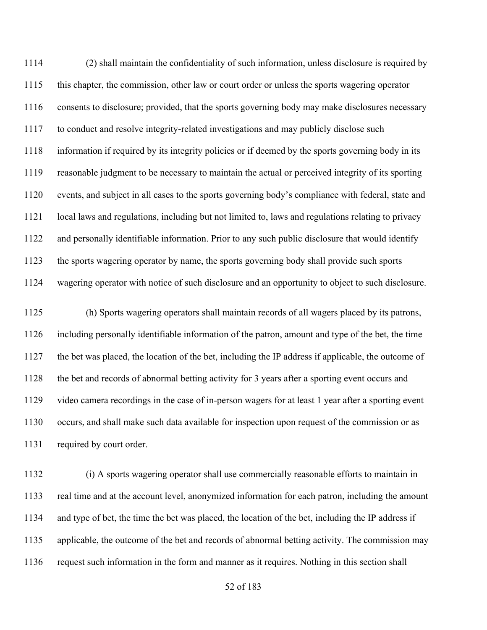(2) shall maintain the confidentiality of such information, unless disclosure is required by this chapter, the commission, other law or court order or unless the sports wagering operator consents to disclosure; provided, that the sports governing body may make disclosures necessary to conduct and resolve integrity-related investigations and may publicly disclose such information if required by its integrity policies or if deemed by the sports governing body in its reasonable judgment to be necessary to maintain the actual or perceived integrity of its sporting events, and subject in all cases to the sports governing body's compliance with federal, state and local laws and regulations, including but not limited to, laws and regulations relating to privacy and personally identifiable information. Prior to any such public disclosure that would identify the sports wagering operator by name, the sports governing body shall provide such sports wagering operator with notice of such disclosure and an opportunity to object to such disclosure.

 (h) Sports wagering operators shall maintain records of all wagers placed by its patrons, including personally identifiable information of the patron, amount and type of the bet, the time the bet was placed, the location of the bet, including the IP address if applicable, the outcome of the bet and records of abnormal betting activity for 3 years after a sporting event occurs and video camera recordings in the case of in-person wagers for at least 1 year after a sporting event occurs, and shall make such data available for inspection upon request of the commission or as 1131 required by court order.

 (i) A sports wagering operator shall use commercially reasonable efforts to maintain in real time and at the account level, anonymized information for each patron, including the amount and type of bet, the time the bet was placed, the location of the bet, including the IP address if applicable, the outcome of the bet and records of abnormal betting activity. The commission may request such information in the form and manner as it requires. Nothing in this section shall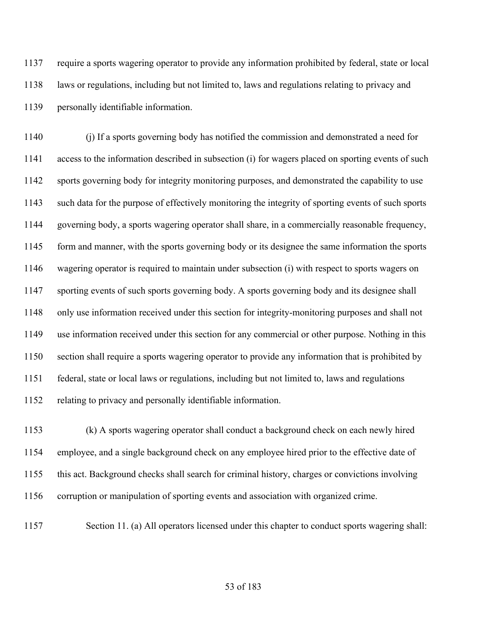require a sports wagering operator to provide any information prohibited by federal, state or local laws or regulations, including but not limited to, laws and regulations relating to privacy and personally identifiable information.

 (j) If a sports governing body has notified the commission and demonstrated a need for access to the information described in subsection (i) for wagers placed on sporting events of such sports governing body for integrity monitoring purposes, and demonstrated the capability to use such data for the purpose of effectively monitoring the integrity of sporting events of such sports governing body, a sports wagering operator shall share, in a commercially reasonable frequency, form and manner, with the sports governing body or its designee the same information the sports wagering operator is required to maintain under subsection (i) with respect to sports wagers on sporting events of such sports governing body. A sports governing body and its designee shall only use information received under this section for integrity-monitoring purposes and shall not use information received under this section for any commercial or other purpose. Nothing in this section shall require a sports wagering operator to provide any information that is prohibited by federal, state or local laws or regulations, including but not limited to, laws and regulations relating to privacy and personally identifiable information.

 (k) A sports wagering operator shall conduct a background check on each newly hired employee, and a single background check on any employee hired prior to the effective date of this act. Background checks shall search for criminal history, charges or convictions involving corruption or manipulation of sporting events and association with organized crime.

Section 11. (a) All operators licensed under this chapter to conduct sports wagering shall: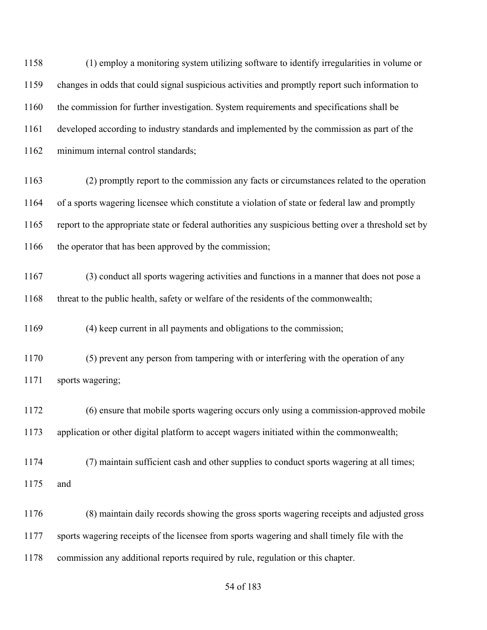(1) employ a monitoring system utilizing software to identify irregularities in volume or changes in odds that could signal suspicious activities and promptly report such information to the commission for further investigation. System requirements and specifications shall be developed according to industry standards and implemented by the commission as part of the minimum internal control standards; (2) promptly report to the commission any facts or circumstances related to the operation of a sports wagering licensee which constitute a violation of state or federal law and promptly report to the appropriate state or federal authorities any suspicious betting over a threshold set by 1166 the operator that has been approved by the commission; (3) conduct all sports wagering activities and functions in a manner that does not pose a threat to the public health, safety or welfare of the residents of the commonwealth; (4) keep current in all payments and obligations to the commission; (5) prevent any person from tampering with or interfering with the operation of any sports wagering; (6) ensure that mobile sports wagering occurs only using a commission-approved mobile application or other digital platform to accept wagers initiated within the commonwealth; (7) maintain sufficient cash and other supplies to conduct sports wagering at all times; and (8) maintain daily records showing the gross sports wagering receipts and adjusted gross sports wagering receipts of the licensee from sports wagering and shall timely file with the commission any additional reports required by rule, regulation or this chapter.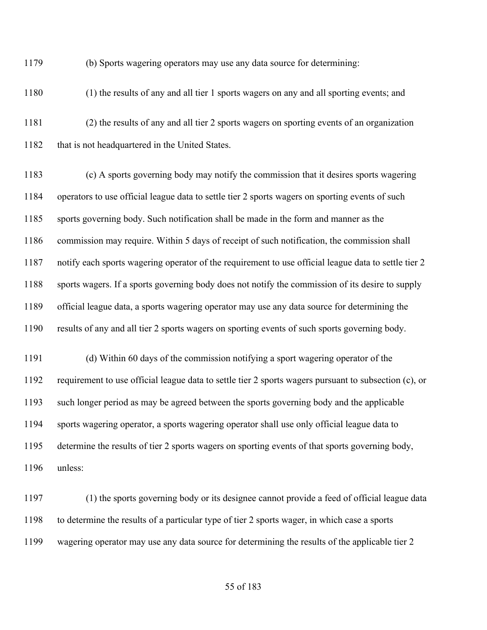(b) Sports wagering operators may use any data source for determining:

(1) the results of any and all tier 1 sports wagers on any and all sporting events; and

 (2) the results of any and all tier 2 sports wagers on sporting events of an organization 1182 that is not headquartered in the United States.

 (c) A sports governing body may notify the commission that it desires sports wagering operators to use official league data to settle tier 2 sports wagers on sporting events of such sports governing body. Such notification shall be made in the form and manner as the commission may require. Within 5 days of receipt of such notification, the commission shall notify each sports wagering operator of the requirement to use official league data to settle tier 2 sports wagers. If a sports governing body does not notify the commission of its desire to supply official league data, a sports wagering operator may use any data source for determining the results of any and all tier 2 sports wagers on sporting events of such sports governing body.

 (d) Within 60 days of the commission notifying a sport wagering operator of the requirement to use official league data to settle tier 2 sports wagers pursuant to subsection (c), or such longer period as may be agreed between the sports governing body and the applicable sports wagering operator, a sports wagering operator shall use only official league data to determine the results of tier 2 sports wagers on sporting events of that sports governing body, unless:

 (1) the sports governing body or its designee cannot provide a feed of official league data to determine the results of a particular type of tier 2 sports wager, in which case a sports wagering operator may use any data source for determining the results of the applicable tier 2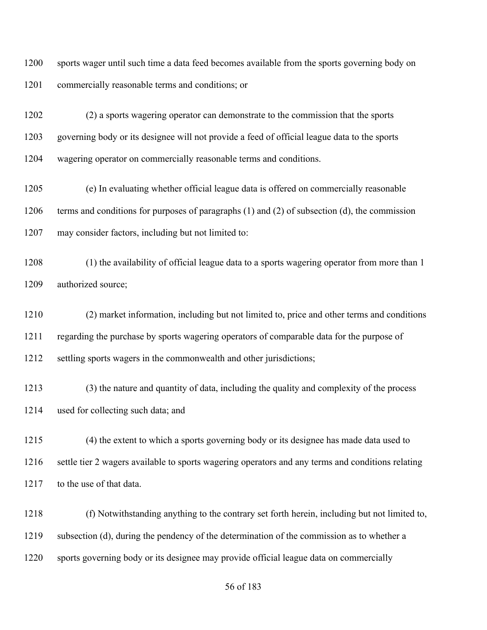sports wager until such time a data feed becomes available from the sports governing body on commercially reasonable terms and conditions; or

 (2) a sports wagering operator can demonstrate to the commission that the sports governing body or its designee will not provide a feed of official league data to the sports wagering operator on commercially reasonable terms and conditions.

 (e) In evaluating whether official league data is offered on commercially reasonable terms and conditions for purposes of paragraphs (1) and (2) of subsection (d), the commission may consider factors, including but not limited to:

 (1) the availability of official league data to a sports wagering operator from more than 1 1209 authorized source;

 (2) market information, including but not limited to, price and other terms and conditions regarding the purchase by sports wagering operators of comparable data for the purpose of settling sports wagers in the commonwealth and other jurisdictions;

 (3) the nature and quantity of data, including the quality and complexity of the process used for collecting such data; and

 (4) the extent to which a sports governing body or its designee has made data used to settle tier 2 wagers available to sports wagering operators and any terms and conditions relating 1217 to the use of that data.

 (f) Notwithstanding anything to the contrary set forth herein, including but not limited to, subsection (d), during the pendency of the determination of the commission as to whether a sports governing body or its designee may provide official league data on commercially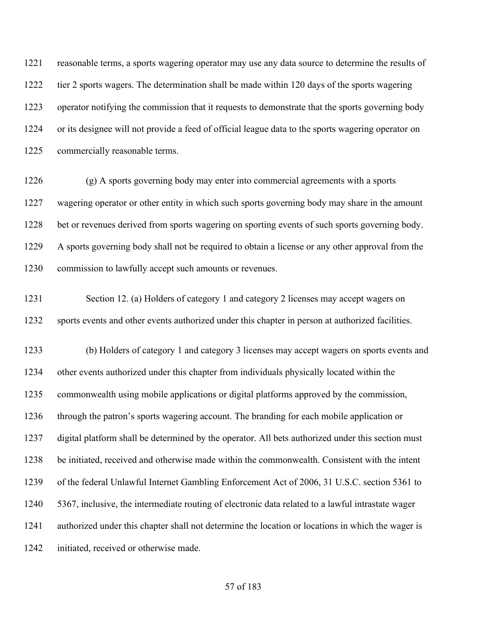reasonable terms, a sports wagering operator may use any data source to determine the results of tier 2 sports wagers. The determination shall be made within 120 days of the sports wagering operator notifying the commission that it requests to demonstrate that the sports governing body or its designee will not provide a feed of official league data to the sports wagering operator on commercially reasonable terms.

 (g) A sports governing body may enter into commercial agreements with a sports wagering operator or other entity in which such sports governing body may share in the amount bet or revenues derived from sports wagering on sporting events of such sports governing body. A sports governing body shall not be required to obtain a license or any other approval from the commission to lawfully accept such amounts or revenues.

 Section 12. (a) Holders of category 1 and category 2 licenses may accept wagers on sports events and other events authorized under this chapter in person at authorized facilities.

 (b) Holders of category 1 and category 3 licenses may accept wagers on sports events and other events authorized under this chapter from individuals physically located within the commonwealth using mobile applications or digital platforms approved by the commission, through the patron's sports wagering account. The branding for each mobile application or digital platform shall be determined by the operator. All bets authorized under this section must be initiated, received and otherwise made within the commonwealth. Consistent with the intent of the federal Unlawful Internet Gambling Enforcement Act of 2006, 31 U.S.C. section 5361 to 5367, inclusive, the intermediate routing of electronic data related to a lawful intrastate wager authorized under this chapter shall not determine the location or locations in which the wager is initiated, received or otherwise made.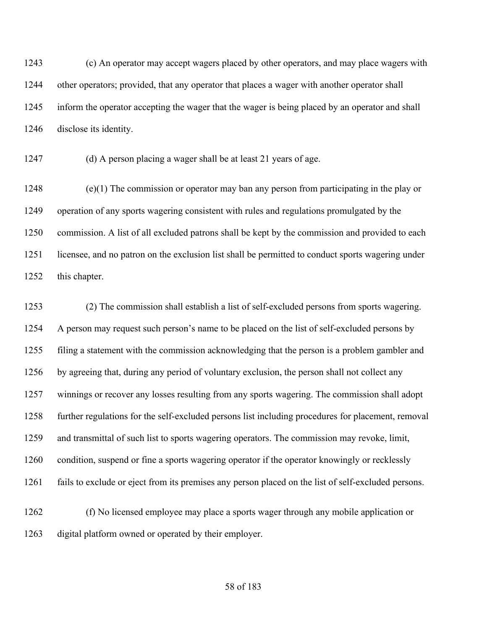(c) An operator may accept wagers placed by other operators, and may place wagers with other operators; provided, that any operator that places a wager with another operator shall inform the operator accepting the wager that the wager is being placed by an operator and shall disclose its identity.

(d) A person placing a wager shall be at least 21 years of age.

 (e)(1) The commission or operator may ban any person from participating in the play or operation of any sports wagering consistent with rules and regulations promulgated by the commission. A list of all excluded patrons shall be kept by the commission and provided to each licensee, and no patron on the exclusion list shall be permitted to conduct sports wagering under this chapter.

 (2) The commission shall establish a list of self-excluded persons from sports wagering. A person may request such person's name to be placed on the list of self-excluded persons by filing a statement with the commission acknowledging that the person is a problem gambler and by agreeing that, during any period of voluntary exclusion, the person shall not collect any winnings or recover any losses resulting from any sports wagering. The commission shall adopt further regulations for the self-excluded persons list including procedures for placement, removal and transmittal of such list to sports wagering operators. The commission may revoke, limit, condition, suspend or fine a sports wagering operator if the operator knowingly or recklessly fails to exclude or eject from its premises any person placed on the list of self-excluded persons.

 (f) No licensed employee may place a sports wager through any mobile application or digital platform owned or operated by their employer.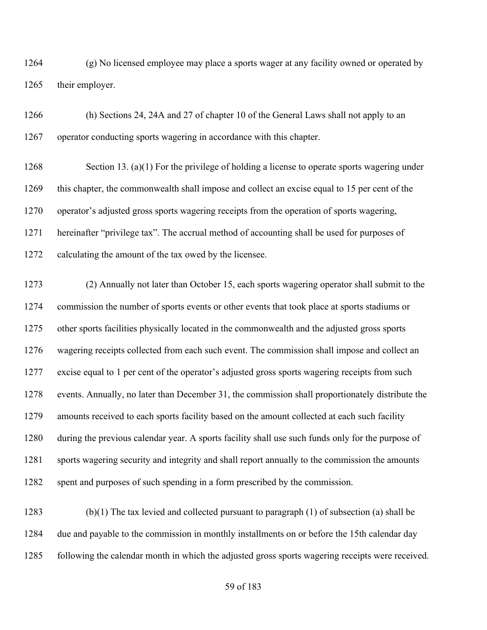(g) No licensed employee may place a sports wager at any facility owned or operated by their employer.

 (h) Sections 24, 24A and 27 of chapter 10 of the General Laws shall not apply to an operator conducting sports wagering in accordance with this chapter.

 Section 13. (a)(1) For the privilege of holding a license to operate sports wagering under this chapter, the commonwealth shall impose and collect an excise equal to 15 per cent of the operator's adjusted gross sports wagering receipts from the operation of sports wagering, hereinafter "privilege tax". The accrual method of accounting shall be used for purposes of calculating the amount of the tax owed by the licensee.

 (2) Annually not later than October 15, each sports wagering operator shall submit to the commission the number of sports events or other events that took place at sports stadiums or other sports facilities physically located in the commonwealth and the adjusted gross sports wagering receipts collected from each such event. The commission shall impose and collect an excise equal to 1 per cent of the operator's adjusted gross sports wagering receipts from such events. Annually, no later than December 31, the commission shall proportionately distribute the amounts received to each sports facility based on the amount collected at each such facility during the previous calendar year. A sports facility shall use such funds only for the purpose of sports wagering security and integrity and shall report annually to the commission the amounts spent and purposes of such spending in a form prescribed by the commission.

 (b)(1) The tax levied and collected pursuant to paragraph (1) of subsection (a) shall be due and payable to the commission in monthly installments on or before the 15th calendar day following the calendar month in which the adjusted gross sports wagering receipts were received.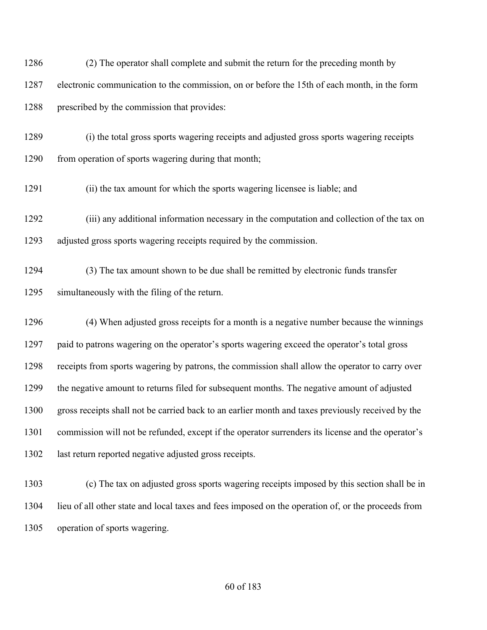(2) The operator shall complete and submit the return for the preceding month by electronic communication to the commission, on or before the 15th of each month, in the form prescribed by the commission that provides:

 (i) the total gross sports wagering receipts and adjusted gross sports wagering receipts 1290 from operation of sports wagering during that month;

(ii) the tax amount for which the sports wagering licensee is liable; and

 (iii) any additional information necessary in the computation and collection of the tax on adjusted gross sports wagering receipts required by the commission.

 (3) The tax amount shown to be due shall be remitted by electronic funds transfer simultaneously with the filing of the return.

 (4) When adjusted gross receipts for a month is a negative number because the winnings paid to patrons wagering on the operator's sports wagering exceed the operator's total gross receipts from sports wagering by patrons, the commission shall allow the operator to carry over the negative amount to returns filed for subsequent months. The negative amount of adjusted gross receipts shall not be carried back to an earlier month and taxes previously received by the commission will not be refunded, except if the operator surrenders its license and the operator's last return reported negative adjusted gross receipts.

 (c) The tax on adjusted gross sports wagering receipts imposed by this section shall be in lieu of all other state and local taxes and fees imposed on the operation of, or the proceeds from operation of sports wagering.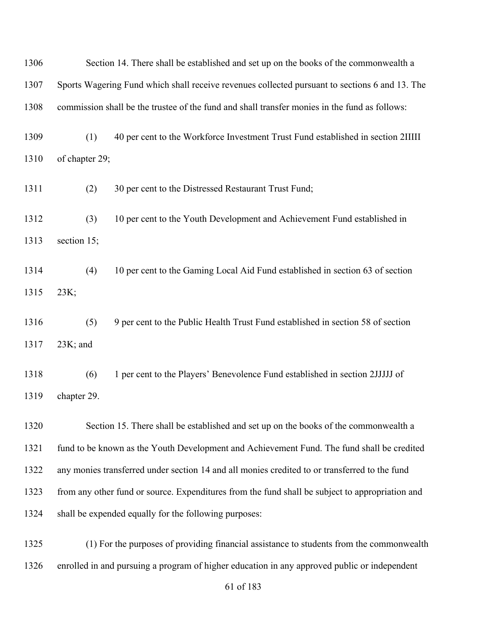| 1306 | Section 14. There shall be established and set up on the books of the commonwealth a            |                                                                                               |
|------|-------------------------------------------------------------------------------------------------|-----------------------------------------------------------------------------------------------|
| 1307 | Sports Wagering Fund which shall receive revenues collected pursuant to sections 6 and 13. The  |                                                                                               |
| 1308 |                                                                                                 | commission shall be the trustee of the fund and shall transfer monies in the fund as follows: |
| 1309 | (1)                                                                                             | 40 per cent to the Workforce Investment Trust Fund established in section 2IIIII              |
| 1310 | of chapter 29;                                                                                  |                                                                                               |
| 1311 | (2)                                                                                             | 30 per cent to the Distressed Restaurant Trust Fund;                                          |
| 1312 | (3)                                                                                             | 10 per cent to the Youth Development and Achievement Fund established in                      |
| 1313 | section 15;                                                                                     |                                                                                               |
| 1314 | (4)                                                                                             | 10 per cent to the Gaming Local Aid Fund established in section 63 of section                 |
| 1315 | 23K;                                                                                            |                                                                                               |
| 1316 | (5)                                                                                             | 9 per cent to the Public Health Trust Fund established in section 58 of section               |
| 1317 | $23K$ ; and                                                                                     |                                                                                               |
| 1318 | (6)                                                                                             | 1 per cent to the Players' Benevolence Fund established in section 2JJJJJ of                  |
| 1319 | chapter 29.                                                                                     |                                                                                               |
| 1320 |                                                                                                 | Section 15. There shall be established and set up on the books of the commonwealth a          |
| 1321 | fund to be known as the Youth Development and Achievement Fund. The fund shall be credited      |                                                                                               |
| 1322 | any monies transferred under section 14 and all monies credited to or transferred to the fund   |                                                                                               |
| 1323 | from any other fund or source. Expenditures from the fund shall be subject to appropriation and |                                                                                               |
| 1324 |                                                                                                 | shall be expended equally for the following purposes:                                         |
| 1325 |                                                                                                 | (1) For the purposes of providing financial assistance to students from the commonwealth      |
| 1326 |                                                                                                 | enrolled in and pursuing a program of higher education in any approved public or independent  |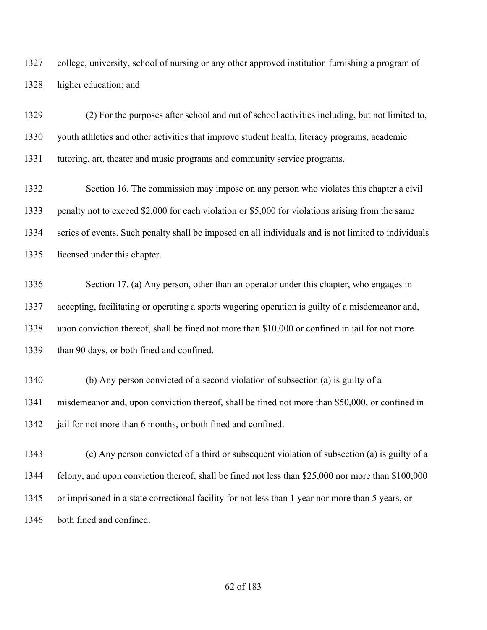college, university, school of nursing or any other approved institution furnishing a program of higher education; and

 (2) For the purposes after school and out of school activities including, but not limited to, youth athletics and other activities that improve student health, literacy programs, academic tutoring, art, theater and music programs and community service programs.

 Section 16. The commission may impose on any person who violates this chapter a civil penalty not to exceed \$2,000 for each violation or \$5,000 for violations arising from the same series of events. Such penalty shall be imposed on all individuals and is not limited to individuals licensed under this chapter.

 Section 17. (a) Any person, other than an operator under this chapter, who engages in accepting, facilitating or operating a sports wagering operation is guilty of a misdemeanor and, upon conviction thereof, shall be fined not more than \$10,000 or confined in jail for not more than 90 days, or both fined and confined.

- (b) Any person convicted of a second violation of subsection (a) is guilty of a misdemeanor and, upon conviction thereof, shall be fined not more than \$50,000, or confined in 1342 jail for not more than 6 months, or both fined and confined.
- (c) Any person convicted of a third or subsequent violation of subsection (a) is guilty of a felony, and upon conviction thereof, shall be fined not less than \$25,000 nor more than \$100,000 or imprisoned in a state correctional facility for not less than 1 year nor more than 5 years, or both fined and confined.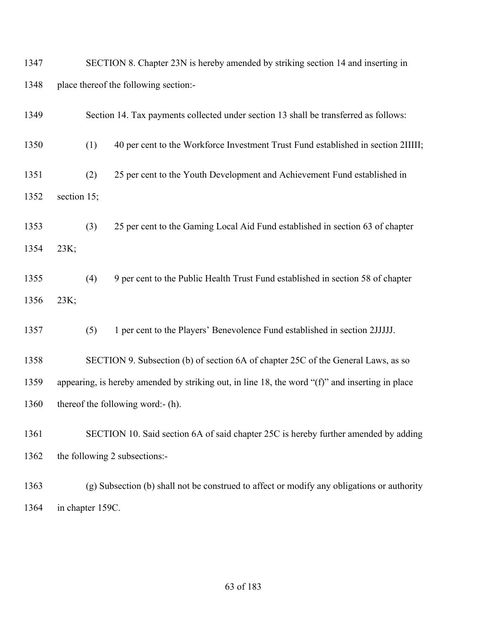| 1347 | SECTION 8. Chapter 23N is hereby amended by striking section 14 and inserting in                    |  |  |
|------|-----------------------------------------------------------------------------------------------------|--|--|
| 1348 | place thereof the following section:-                                                               |  |  |
| 1349 | Section 14. Tax payments collected under section 13 shall be transferred as follows:                |  |  |
| 1350 | (1)<br>40 per cent to the Workforce Investment Trust Fund established in section 2IIIII;            |  |  |
| 1351 | (2)<br>25 per cent to the Youth Development and Achievement Fund established in                     |  |  |
| 1352 | section 15;                                                                                         |  |  |
| 1353 | (3)<br>25 per cent to the Gaming Local Aid Fund established in section 63 of chapter                |  |  |
| 1354 | 23K;                                                                                                |  |  |
| 1355 | (4)<br>9 per cent to the Public Health Trust Fund established in section 58 of chapter              |  |  |
| 1356 | 23K;                                                                                                |  |  |
| 1357 | (5)<br>1 per cent to the Players' Benevolence Fund established in section 2JJJJJ.                   |  |  |
| 1358 | SECTION 9. Subsection (b) of section 6A of chapter 25C of the General Laws, as so                   |  |  |
| 1359 | appearing, is hereby amended by striking out, in line 18, the word " $(f)$ " and inserting in place |  |  |
| 1360 | thereof the following word:- (h).                                                                   |  |  |
| 1361 | SECTION 10. Said section 6A of said chapter 25C is hereby further amended by adding                 |  |  |
| 1362 | the following 2 subsections:-                                                                       |  |  |
| 1363 | (g) Subsection (b) shall not be construed to affect or modify any obligations or authority          |  |  |
|      |                                                                                                     |  |  |

in chapter 159C.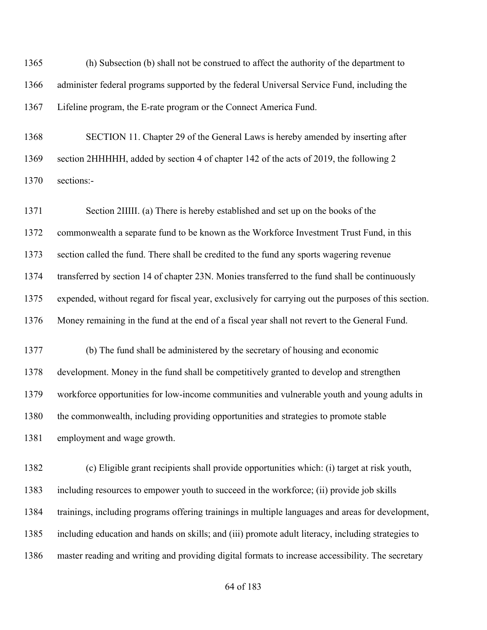(h) Subsection (b) shall not be construed to affect the authority of the department to administer federal programs supported by the federal Universal Service Fund, including the Lifeline program, the E-rate program or the Connect America Fund.

 SECTION 11. Chapter 29 of the General Laws is hereby amended by inserting after section 2HHHHH, added by section 4 of chapter 142 of the acts of 2019, the following 2 sections:-

 Section 2IIIII. (a) There is hereby established and set up on the books of the commonwealth a separate fund to be known as the Workforce Investment Trust Fund, in this section called the fund. There shall be credited to the fund any sports wagering revenue transferred by section 14 of chapter 23N. Monies transferred to the fund shall be continuously expended, without regard for fiscal year, exclusively for carrying out the purposes of this section. Money remaining in the fund at the end of a fiscal year shall not revert to the General Fund. (b) The fund shall be administered by the secretary of housing and economic

 development. Money in the fund shall be competitively granted to develop and strengthen workforce opportunities for low-income communities and vulnerable youth and young adults in the commonwealth, including providing opportunities and strategies to promote stable employment and wage growth.

 (c) Eligible grant recipients shall provide opportunities which: (i) target at risk youth, including resources to empower youth to succeed in the workforce; (ii) provide job skills trainings, including programs offering trainings in multiple languages and areas for development, including education and hands on skills; and (iii) promote adult literacy, including strategies to master reading and writing and providing digital formats to increase accessibility. The secretary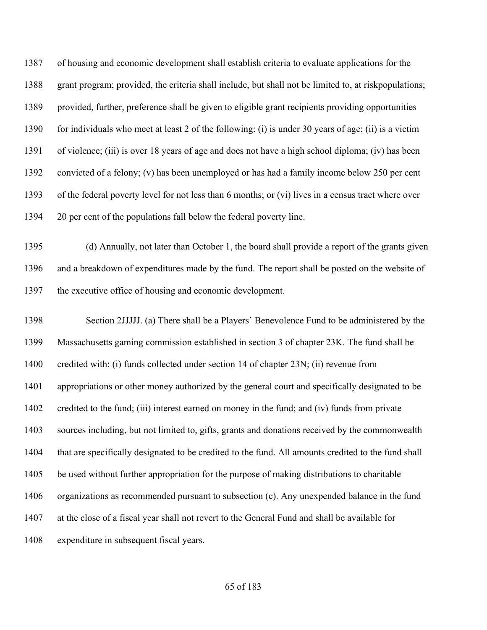of housing and economic development shall establish criteria to evaluate applications for the grant program; provided, the criteria shall include, but shall not be limited to, at riskpopulations; provided, further, preference shall be given to eligible grant recipients providing opportunities for individuals who meet at least 2 of the following: (i) is under 30 years of age; (ii) is a victim of violence; (iii) is over 18 years of age and does not have a high school diploma; (iv) has been convicted of a felony; (v) has been unemployed or has had a family income below 250 per cent of the federal poverty level for not less than 6 months; or (vi) lives in a census tract where over 20 per cent of the populations fall below the federal poverty line.

 (d) Annually, not later than October 1, the board shall provide a report of the grants given and a breakdown of expenditures made by the fund. The report shall be posted on the website of the executive office of housing and economic development.

 Section 2JJJJJ. (a) There shall be a Players' Benevolence Fund to be administered by the Massachusetts gaming commission established in section 3 of chapter 23K. The fund shall be credited with: (i) funds collected under section 14 of chapter 23N; (ii) revenue from appropriations or other money authorized by the general court and specifically designated to be credited to the fund; (iii) interest earned on money in the fund; and (iv) funds from private sources including, but not limited to, gifts, grants and donations received by the commonwealth that are specifically designated to be credited to the fund. All amounts credited to the fund shall be used without further appropriation for the purpose of making distributions to charitable organizations as recommended pursuant to subsection (c). Any unexpended balance in the fund at the close of a fiscal year shall not revert to the General Fund and shall be available for expenditure in subsequent fiscal years.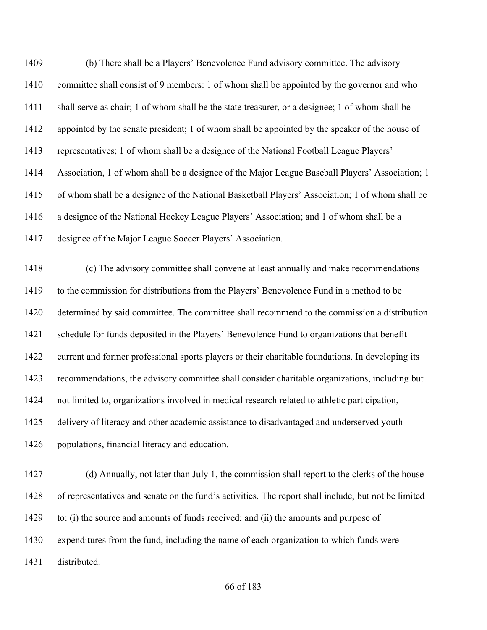(b) There shall be a Players' Benevolence Fund advisory committee. The advisory committee shall consist of 9 members: 1 of whom shall be appointed by the governor and who shall serve as chair; 1 of whom shall be the state treasurer, or a designee; 1 of whom shall be 1412 appointed by the senate president; 1 of whom shall be appointed by the speaker of the house of representatives; 1 of whom shall be a designee of the National Football League Players' Association, 1 of whom shall be a designee of the Major League Baseball Players' Association; 1 of whom shall be a designee of the National Basketball Players' Association; 1 of whom shall be a designee of the National Hockey League Players' Association; and 1 of whom shall be a designee of the Major League Soccer Players' Association.

 (c) The advisory committee shall convene at least annually and make recommendations to the commission for distributions from the Players' Benevolence Fund in a method to be determined by said committee. The committee shall recommend to the commission a distribution schedule for funds deposited in the Players' Benevolence Fund to organizations that benefit current and former professional sports players or their charitable foundations. In developing its recommendations, the advisory committee shall consider charitable organizations, including but not limited to, organizations involved in medical research related to athletic participation, 1425 delivery of literacy and other academic assistance to disadvantaged and underserved youth populations, financial literacy and education.

 (d) Annually, not later than July 1, the commission shall report to the clerks of the house of representatives and senate on the fund's activities. The report shall include, but not be limited to: (i) the source and amounts of funds received; and (ii) the amounts and purpose of expenditures from the fund, including the name of each organization to which funds were distributed.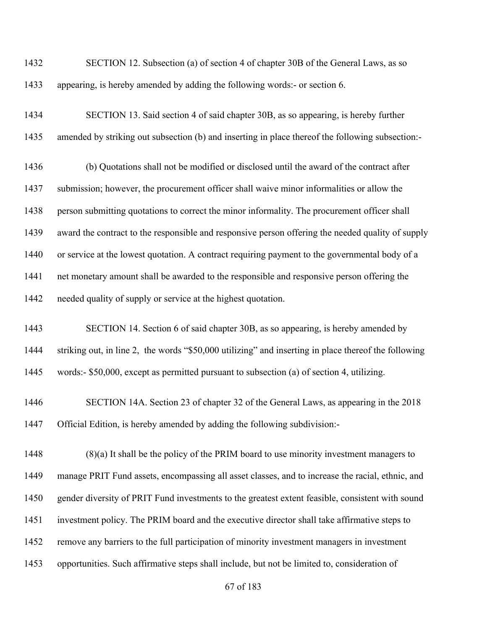SECTION 12. Subsection (a) of section 4 of chapter 30B of the General Laws, as so appearing, is hereby amended by adding the following words:- or section 6.

 SECTION 13. Said section 4 of said chapter 30B, as so appearing, is hereby further amended by striking out subsection (b) and inserting in place thereof the following subsection:-

 (b) Quotations shall not be modified or disclosed until the award of the contract after submission; however, the procurement officer shall waive minor informalities or allow the person submitting quotations to correct the minor informality. The procurement officer shall award the contract to the responsible and responsive person offering the needed quality of supply 1440 or service at the lowest quotation. A contract requiring payment to the governmental body of a net monetary amount shall be awarded to the responsible and responsive person offering the needed quality of supply or service at the highest quotation.

 SECTION 14. Section 6 of said chapter 30B, as so appearing, is hereby amended by striking out, in line 2, the words "\$50,000 utilizing" and inserting in place thereof the following words:- \$50,000, except as permitted pursuant to subsection (a) of section 4, utilizing.

 SECTION 14A. Section 23 of chapter 32 of the General Laws, as appearing in the 2018 Official Edition, is hereby amended by adding the following subdivision:-

 (8)(a) It shall be the policy of the PRIM board to use minority investment managers to manage PRIT Fund assets, encompassing all asset classes, and to increase the racial, ethnic, and gender diversity of PRIT Fund investments to the greatest extent feasible, consistent with sound investment policy. The PRIM board and the executive director shall take affirmative steps to remove any barriers to the full participation of minority investment managers in investment opportunities. Such affirmative steps shall include, but not be limited to, consideration of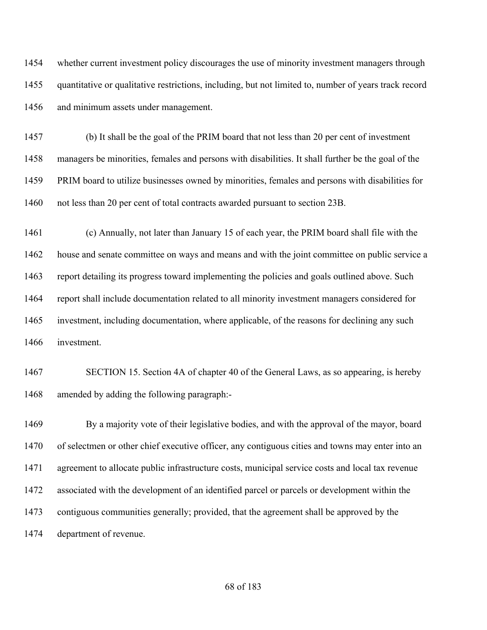whether current investment policy discourages the use of minority investment managers through quantitative or qualitative restrictions, including, but not limited to, number of years track record and minimum assets under management.

 (b) It shall be the goal of the PRIM board that not less than 20 per cent of investment managers be minorities, females and persons with disabilities. It shall further be the goal of the PRIM board to utilize businesses owned by minorities, females and persons with disabilities for not less than 20 per cent of total contracts awarded pursuant to section 23B.

 (c) Annually, not later than January 15 of each year, the PRIM board shall file with the house and senate committee on ways and means and with the joint committee on public service a report detailing its progress toward implementing the policies and goals outlined above. Such report shall include documentation related to all minority investment managers considered for investment, including documentation, where applicable, of the reasons for declining any such investment.

 SECTION 15. Section 4A of chapter 40 of the General Laws, as so appearing, is hereby amended by adding the following paragraph:-

 By a majority vote of their legislative bodies, and with the approval of the mayor, board 1470 of selectmen or other chief executive officer, any contiguous cities and towns may enter into an agreement to allocate public infrastructure costs, municipal service costs and local tax revenue associated with the development of an identified parcel or parcels or development within the contiguous communities generally; provided, that the agreement shall be approved by the department of revenue.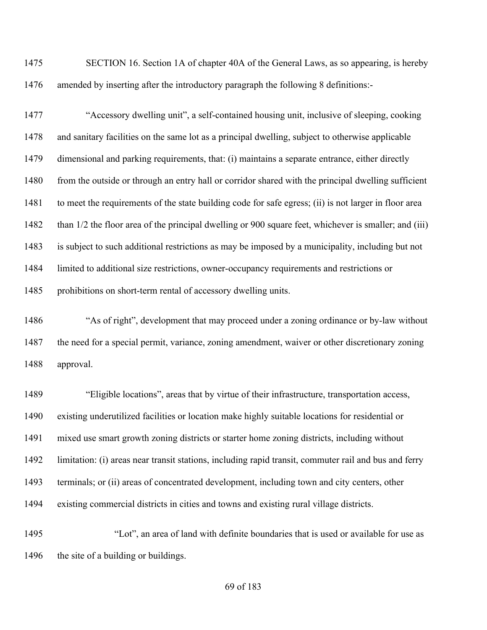SECTION 16. Section 1A of chapter 40A of the General Laws, as so appearing, is hereby amended by inserting after the introductory paragraph the following 8 definitions:-

 "Accessory dwelling unit", a self-contained housing unit, inclusive of sleeping, cooking and sanitary facilities on the same lot as a principal dwelling, subject to otherwise applicable dimensional and parking requirements, that: (i) maintains a separate entrance, either directly 1480 from the outside or through an entry hall or corridor shared with the principal dwelling sufficient to meet the requirements of the state building code for safe egress; (ii) is not larger in floor area 1482 than 1/2 the floor area of the principal dwelling or 900 square feet, whichever is smaller; and (iii) is subject to such additional restrictions as may be imposed by a municipality, including but not limited to additional size restrictions, owner-occupancy requirements and restrictions or 1485 prohibitions on short-term rental of accessory dwelling units.

 "As of right", development that may proceed under a zoning ordinance or by-law without the need for a special permit, variance, zoning amendment, waiver or other discretionary zoning approval.

 "Eligible locations", areas that by virtue of their infrastructure, transportation access, existing underutilized facilities or location make highly suitable locations for residential or mixed use smart growth zoning districts or starter home zoning districts, including without limitation: (i) areas near transit stations, including rapid transit, commuter rail and bus and ferry terminals; or (ii) areas of concentrated development, including town and city centers, other existing commercial districts in cities and towns and existing rural village districts.

 "Lot", an area of land with definite boundaries that is used or available for use as 1496 the site of a building or buildings.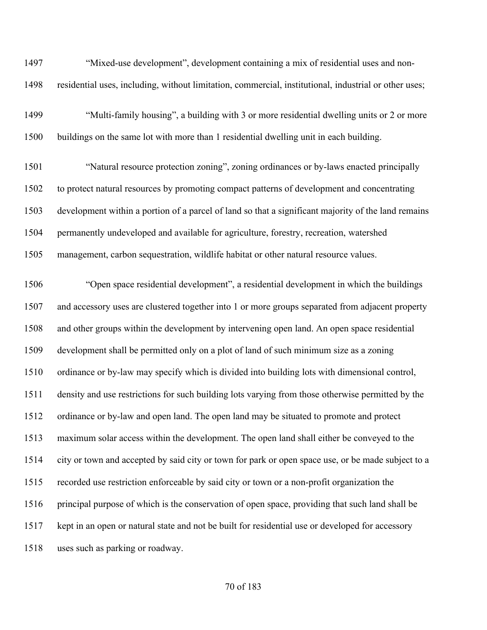"Mixed-use development", development containing a mix of residential uses and non-residential uses, including, without limitation, commercial, institutional, industrial or other uses;

 "Multi-family housing", a building with 3 or more residential dwelling units or 2 or more buildings on the same lot with more than 1 residential dwelling unit in each building.

 "Natural resource protection zoning", zoning ordinances or by-laws enacted principally to protect natural resources by promoting compact patterns of development and concentrating development within a portion of a parcel of land so that a significant majority of the land remains permanently undeveloped and available for agriculture, forestry, recreation, watershed management, carbon sequestration, wildlife habitat or other natural resource values.

 "Open space residential development", a residential development in which the buildings and accessory uses are clustered together into 1 or more groups separated from adjacent property and other groups within the development by intervening open land. An open space residential development shall be permitted only on a plot of land of such minimum size as a zoning ordinance or by-law may specify which is divided into building lots with dimensional control, density and use restrictions for such building lots varying from those otherwise permitted by the ordinance or by-law and open land. The open land may be situated to promote and protect maximum solar access within the development. The open land shall either be conveyed to the city or town and accepted by said city or town for park or open space use, or be made subject to a recorded use restriction enforceable by said city or town or a non-profit organization the principal purpose of which is the conservation of open space, providing that such land shall be kept in an open or natural state and not be built for residential use or developed for accessory uses such as parking or roadway.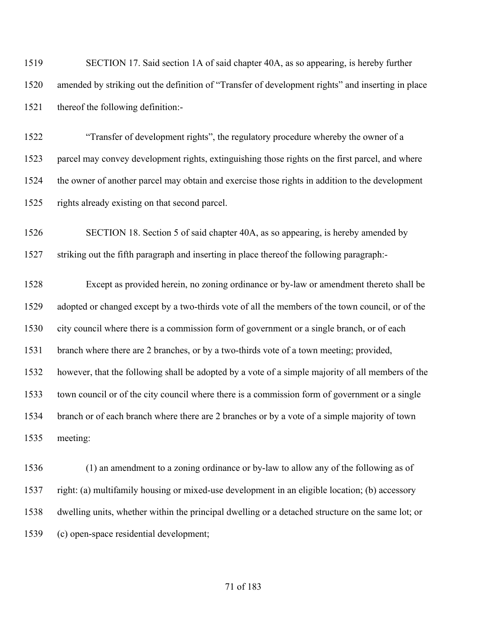| 1519 | SECTION 17. Said section 1A of said chapter 40A, as so appearing, is hereby further               |  |
|------|---------------------------------------------------------------------------------------------------|--|
| 1520 | amended by striking out the definition of "Transfer of development rights" and inserting in place |  |
| 1521 | thereof the following definition:-                                                                |  |
| 1522 | "Transfer of development rights", the regulatory procedure whereby the owner of a                 |  |
| 1523 | parcel may convey development rights, extinguishing those rights on the first parcel, and where   |  |
| 1524 | the owner of another parcel may obtain and exercise those rights in addition to the development   |  |
| 1525 | rights already existing on that second parcel.                                                    |  |
| 1526 | SECTION 18. Section 5 of said chapter 40A, as so appearing, is hereby amended by                  |  |
| 1527 | striking out the fifth paragraph and inserting in place thereof the following paragraph:-         |  |
| 1528 | Except as provided herein, no zoning ordinance or by-law or amendment thereto shall be            |  |
| 1529 | adopted or changed except by a two-thirds vote of all the members of the town council, or of the  |  |
| 1530 | city council where there is a commission form of government or a single branch, or of each        |  |
| 1531 | branch where there are 2 branches, or by a two-thirds vote of a town meeting; provided,           |  |
| 1532 | however, that the following shall be adopted by a vote of a simple majority of all members of the |  |
| 1533 | town council or of the city council where there is a commission form of government or a single    |  |
| 1534 | branch or of each branch where there are 2 branches or by a vote of a simple majority of town     |  |
| 1535 | meeting:                                                                                          |  |
| 1536 | (1) an amendment to a zoning ordinance or by-law to allow any of the following as of              |  |

 right: (a) multifamily housing or mixed-use development in an eligible location; (b) accessory dwelling units, whether within the principal dwelling or a detached structure on the same lot; or (c) open-space residential development;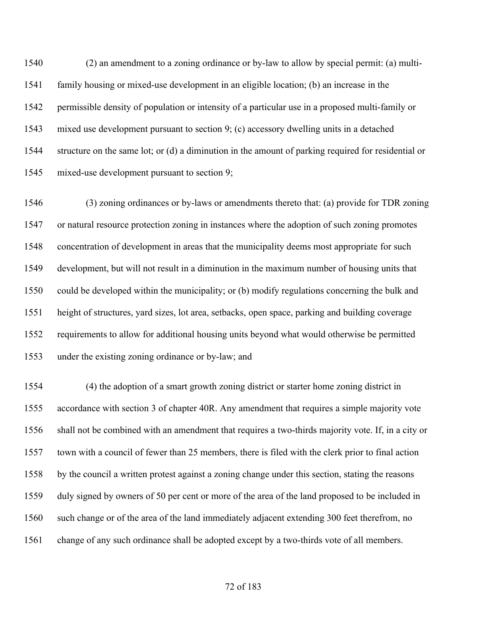(2) an amendment to a zoning ordinance or by-law to allow by special permit: (a) multi- family housing or mixed-use development in an eligible location; (b) an increase in the permissible density of population or intensity of a particular use in a proposed multi-family or mixed use development pursuant to section 9; (c) accessory dwelling units in a detached structure on the same lot; or (d) a diminution in the amount of parking required for residential or mixed-use development pursuant to section 9;

 (3) zoning ordinances or by-laws or amendments thereto that: (a) provide for TDR zoning or natural resource protection zoning in instances where the adoption of such zoning promotes concentration of development in areas that the municipality deems most appropriate for such development, but will not result in a diminution in the maximum number of housing units that could be developed within the municipality; or (b) modify regulations concerning the bulk and height of structures, yard sizes, lot area, setbacks, open space, parking and building coverage requirements to allow for additional housing units beyond what would otherwise be permitted under the existing zoning ordinance or by-law; and

 (4) the adoption of a smart growth zoning district or starter home zoning district in accordance with section 3 of chapter 40R. Any amendment that requires a simple majority vote shall not be combined with an amendment that requires a two-thirds majority vote. If, in a city or town with a council of fewer than 25 members, there is filed with the clerk prior to final action by the council a written protest against a zoning change under this section, stating the reasons duly signed by owners of 50 per cent or more of the area of the land proposed to be included in such change or of the area of the land immediately adjacent extending 300 feet therefrom, no change of any such ordinance shall be adopted except by a two-thirds vote of all members.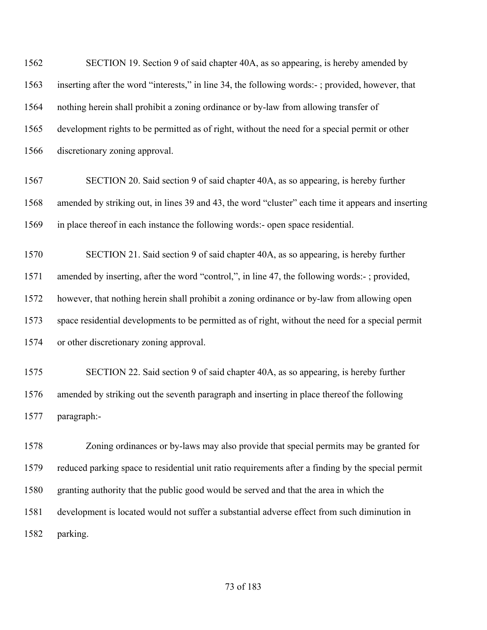SECTION 19. Section 9 of said chapter 40A, as so appearing, is hereby amended by inserting after the word "interests," in line 34, the following words:- ; provided, however, that nothing herein shall prohibit a zoning ordinance or by-law from allowing transfer of development rights to be permitted as of right, without the need for a special permit or other discretionary zoning approval. SECTION 20. Said section 9 of said chapter 40A, as so appearing, is hereby further amended by striking out, in lines 39 and 43, the word "cluster" each time it appears and inserting in place thereof in each instance the following words:- open space residential. SECTION 21. Said section 9 of said chapter 40A, as so appearing, is hereby further amended by inserting, after the word "control,", in line 47, the following words:- ; provided, however, that nothing herein shall prohibit a zoning ordinance or by-law from allowing open space residential developments to be permitted as of right, without the need for a special permit or other discretionary zoning approval. SECTION 22. Said section 9 of said chapter 40A, as so appearing, is hereby further amended by striking out the seventh paragraph and inserting in place thereof the following paragraph:- Zoning ordinances or by-laws may also provide that special permits may be granted for reduced parking space to residential unit ratio requirements after a finding by the special permit granting authority that the public good would be served and that the area in which the development is located would not suffer a substantial adverse effect from such diminution in parking.

## of 183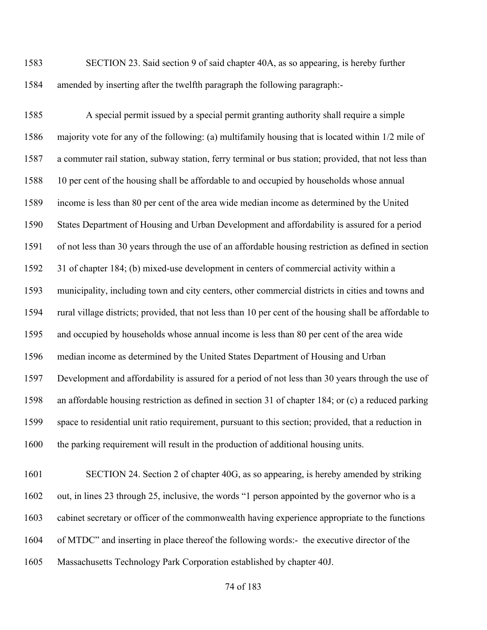SECTION 23. Said section 9 of said chapter 40A, as so appearing, is hereby further amended by inserting after the twelfth paragraph the following paragraph:-

 A special permit issued by a special permit granting authority shall require a simple majority vote for any of the following: (a) multifamily housing that is located within 1/2 mile of a commuter rail station, subway station, ferry terminal or bus station; provided, that not less than 10 per cent of the housing shall be affordable to and occupied by households whose annual income is less than 80 per cent of the area wide median income as determined by the United States Department of Housing and Urban Development and affordability is assured for a period of not less than 30 years through the use of an affordable housing restriction as defined in section 31 of chapter 184; (b) mixed-use development in centers of commercial activity within a municipality, including town and city centers, other commercial districts in cities and towns and rural village districts; provided, that not less than 10 per cent of the housing shall be affordable to and occupied by households whose annual income is less than 80 per cent of the area wide median income as determined by the United States Department of Housing and Urban Development and affordability is assured for a period of not less than 30 years through the use of an affordable housing restriction as defined in section 31 of chapter 184; or (c) a reduced parking space to residential unit ratio requirement, pursuant to this section; provided, that a reduction in the parking requirement will result in the production of additional housing units.

 SECTION 24. Section 2 of chapter 40G, as so appearing, is hereby amended by striking out, in lines 23 through 25, inclusive, the words "1 person appointed by the governor who is a cabinet secretary or officer of the commonwealth having experience appropriate to the functions of MTDC" and inserting in place thereof the following words:- the executive director of the Massachusetts Technology Park Corporation established by chapter 40J.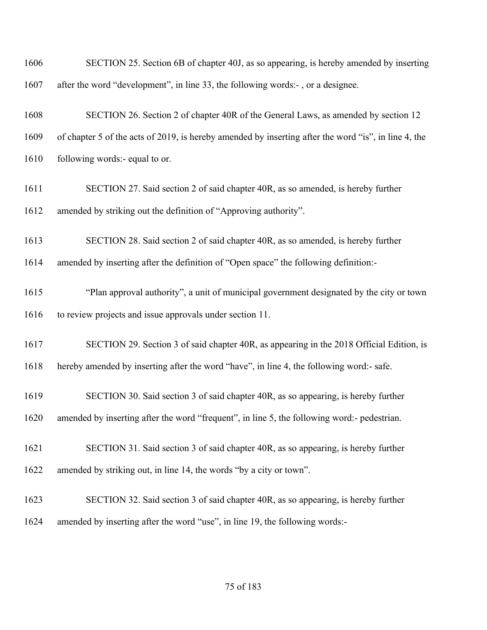| 1606 | SECTION 25. Section 6B of chapter 40J, as so appearing, is hereby amended by inserting               |
|------|------------------------------------------------------------------------------------------------------|
| 1607 | after the word "development", in line 33, the following words:-, or a designee.                      |
| 1608 | SECTION 26. Section 2 of chapter 40R of the General Laws, as amended by section 12                   |
| 1609 | of chapter 5 of the acts of 2019, is hereby amended by inserting after the word "is", in line 4, the |
| 1610 | following words:- equal to or.                                                                       |
| 1611 | SECTION 27. Said section 2 of said chapter 40R, as so amended, is hereby further                     |
| 1612 | amended by striking out the definition of "Approving authority".                                     |
| 1613 | SECTION 28. Said section 2 of said chapter 40R, as so amended, is hereby further                     |
| 1614 | amended by inserting after the definition of "Open space" the following definition:-                 |
| 1615 | "Plan approval authority", a unit of municipal government designated by the city or town             |
| 1616 | to review projects and issue approvals under section 11.                                             |
| 1617 | SECTION 29. Section 3 of said chapter 40R, as appearing in the 2018 Official Edition, is             |
| 1618 | hereby amended by inserting after the word "have", in line 4, the following word:- safe.             |
| 1619 | SECTION 30. Said section 3 of said chapter 40R, as so appearing, is hereby further                   |
| 1620 | amended by inserting after the word "frequent", in line 5, the following word:- pedestrian.          |
| 1621 | SECTION 31. Said section 3 of said chapter 40R, as so appearing, is hereby further                   |
| 1622 | amended by striking out, in line 14, the words "by a city or town".                                  |
| 1623 | SECTION 32. Said section 3 of said chapter 40R, as so appearing, is hereby further                   |
| 1624 | amended by inserting after the word "use", in line 19, the following words:-                         |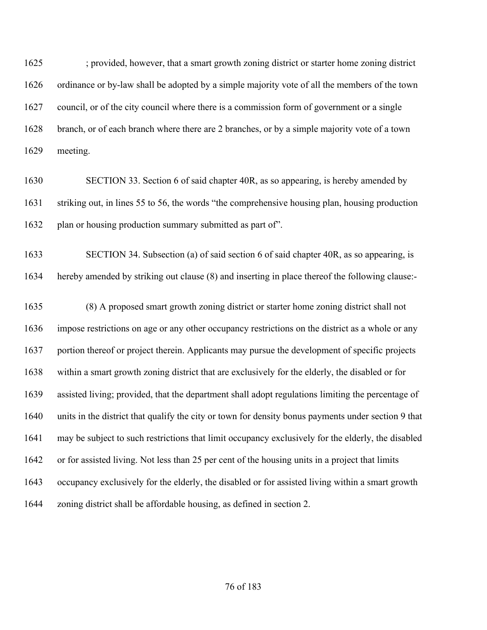; provided, however, that a smart growth zoning district or starter home zoning district ordinance or by-law shall be adopted by a simple majority vote of all the members of the town council, or of the city council where there is a commission form of government or a single branch, or of each branch where there are 2 branches, or by a simple majority vote of a town meeting.

 SECTION 33. Section 6 of said chapter 40R, as so appearing, is hereby amended by striking out, in lines 55 to 56, the words "the comprehensive housing plan, housing production 1632 plan or housing production summary submitted as part of".

 SECTION 34. Subsection (a) of said section 6 of said chapter 40R, as so appearing, is hereby amended by striking out clause (8) and inserting in place thereof the following clause:-

 (8) A proposed smart growth zoning district or starter home zoning district shall not impose restrictions on age or any other occupancy restrictions on the district as a whole or any portion thereof or project therein. Applicants may pursue the development of specific projects within a smart growth zoning district that are exclusively for the elderly, the disabled or for assisted living; provided, that the department shall adopt regulations limiting the percentage of units in the district that qualify the city or town for density bonus payments under section 9 that may be subject to such restrictions that limit occupancy exclusively for the elderly, the disabled or for assisted living. Not less than 25 per cent of the housing units in a project that limits occupancy exclusively for the elderly, the disabled or for assisted living within a smart growth zoning district shall be affordable housing, as defined in section 2.

## of 183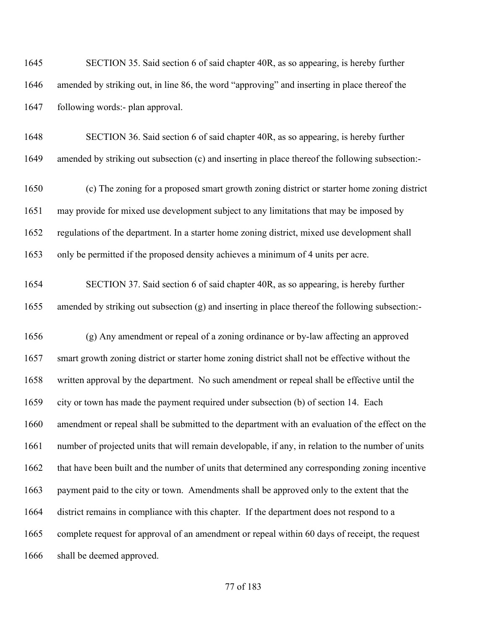SECTION 35. Said section 6 of said chapter 40R, as so appearing, is hereby further amended by striking out, in line 86, the word "approving" and inserting in place thereof the following words:- plan approval.

 SECTION 36. Said section 6 of said chapter 40R, as so appearing, is hereby further amended by striking out subsection (c) and inserting in place thereof the following subsection:-

 (c) The zoning for a proposed smart growth zoning district or starter home zoning district may provide for mixed use development subject to any limitations that may be imposed by regulations of the department. In a starter home zoning district, mixed use development shall only be permitted if the proposed density achieves a minimum of 4 units per acre.

 SECTION 37. Said section 6 of said chapter 40R, as so appearing, is hereby further amended by striking out subsection (g) and inserting in place thereof the following subsection:-

 (g) Any amendment or repeal of a zoning ordinance or by-law affecting an approved smart growth zoning district or starter home zoning district shall not be effective without the written approval by the department. No such amendment or repeal shall be effective until the city or town has made the payment required under subsection (b) of section 14. Each amendment or repeal shall be submitted to the department with an evaluation of the effect on the number of projected units that will remain developable, if any, in relation to the number of units 1662 that have been built and the number of units that determined any corresponding zoning incentive payment paid to the city or town. Amendments shall be approved only to the extent that the district remains in compliance with this chapter. If the department does not respond to a complete request for approval of an amendment or repeal within 60 days of receipt, the request 1666 shall be deemed approved.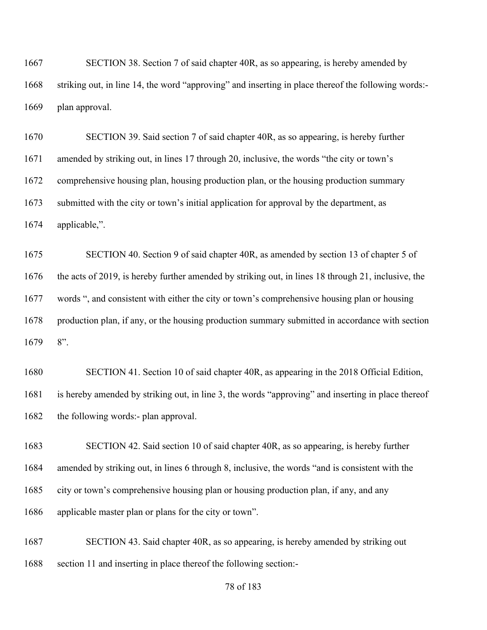SECTION 38. Section 7 of said chapter 40R, as so appearing, is hereby amended by striking out, in line 14, the word "approving" and inserting in place thereof the following words:- plan approval.

 SECTION 39. Said section 7 of said chapter 40R, as so appearing, is hereby further amended by striking out, in lines 17 through 20, inclusive, the words "the city or town's comprehensive housing plan, housing production plan, or the housing production summary submitted with the city or town's initial application for approval by the department, as applicable,".

 SECTION 40. Section 9 of said chapter 40R, as amended by section 13 of chapter 5 of the acts of 2019, is hereby further amended by striking out, in lines 18 through 21, inclusive, the words ", and consistent with either the city or town's comprehensive housing plan or housing 1678 production plan, if any, or the housing production summary submitted in accordance with section 8".

 SECTION 41. Section 10 of said chapter 40R, as appearing in the 2018 Official Edition, is hereby amended by striking out, in line 3, the words "approving" and inserting in place thereof 1682 the following words:- plan approval.

 SECTION 42. Said section 10 of said chapter 40R, as so appearing, is hereby further amended by striking out, in lines 6 through 8, inclusive, the words "and is consistent with the city or town's comprehensive housing plan or housing production plan, if any, and any applicable master plan or plans for the city or town".

 SECTION 43. Said chapter 40R, as so appearing, is hereby amended by striking out section 11 and inserting in place thereof the following section:-

#### of 183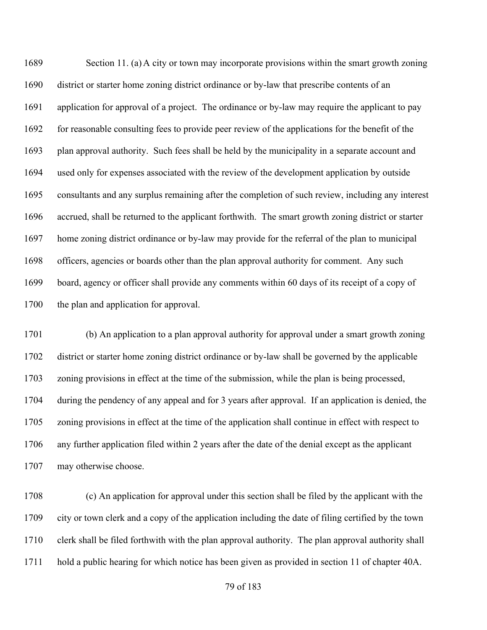Section 11. (a) A city or town may incorporate provisions within the smart growth zoning district or starter home zoning district ordinance or by-law that prescribe contents of an application for approval of a project. The ordinance or by-law may require the applicant to pay for reasonable consulting fees to provide peer review of the applications for the benefit of the plan approval authority. Such fees shall be held by the municipality in a separate account and used only for expenses associated with the review of the development application by outside consultants and any surplus remaining after the completion of such review, including any interest accrued, shall be returned to the applicant forthwith. The smart growth zoning district or starter home zoning district ordinance or by-law may provide for the referral of the plan to municipal officers, agencies or boards other than the plan approval authority for comment. Any such board, agency or officer shall provide any comments within 60 days of its receipt of a copy of the plan and application for approval.

 (b) An application to a plan approval authority for approval under a smart growth zoning district or starter home zoning district ordinance or by-law shall be governed by the applicable zoning provisions in effect at the time of the submission, while the plan is being processed, during the pendency of any appeal and for 3 years after approval. If an application is denied, the zoning provisions in effect at the time of the application shall continue in effect with respect to any further application filed within 2 years after the date of the denial except as the applicant may otherwise choose.

 (c) An application for approval under this section shall be filed by the applicant with the city or town clerk and a copy of the application including the date of filing certified by the town clerk shall be filed forthwith with the plan approval authority. The plan approval authority shall hold a public hearing for which notice has been given as provided in section 11 of chapter 40A.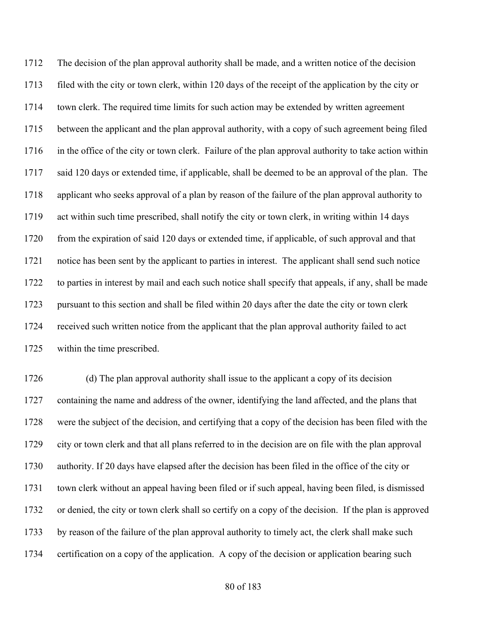The decision of the plan approval authority shall be made, and a written notice of the decision filed with the city or town clerk, within 120 days of the receipt of the application by the city or town clerk. The required time limits for such action may be extended by written agreement between the applicant and the plan approval authority, with a copy of such agreement being filed 1716 in the office of the city or town clerk. Failure of the plan approval authority to take action within said 120 days or extended time, if applicable, shall be deemed to be an approval of the plan. The applicant who seeks approval of a plan by reason of the failure of the plan approval authority to act within such time prescribed, shall notify the city or town clerk, in writing within 14 days from the expiration of said 120 days or extended time, if applicable, of such approval and that notice has been sent by the applicant to parties in interest. The applicant shall send such notice to parties in interest by mail and each such notice shall specify that appeals, if any, shall be made pursuant to this section and shall be filed within 20 days after the date the city or town clerk received such written notice from the applicant that the plan approval authority failed to act within the time prescribed.

 (d) The plan approval authority shall issue to the applicant a copy of its decision containing the name and address of the owner, identifying the land affected, and the plans that were the subject of the decision, and certifying that a copy of the decision has been filed with the city or town clerk and that all plans referred to in the decision are on file with the plan approval authority. If 20 days have elapsed after the decision has been filed in the office of the city or town clerk without an appeal having been filed or if such appeal, having been filed, is dismissed or denied, the city or town clerk shall so certify on a copy of the decision. If the plan is approved by reason of the failure of the plan approval authority to timely act, the clerk shall make such certification on a copy of the application. A copy of the decision or application bearing such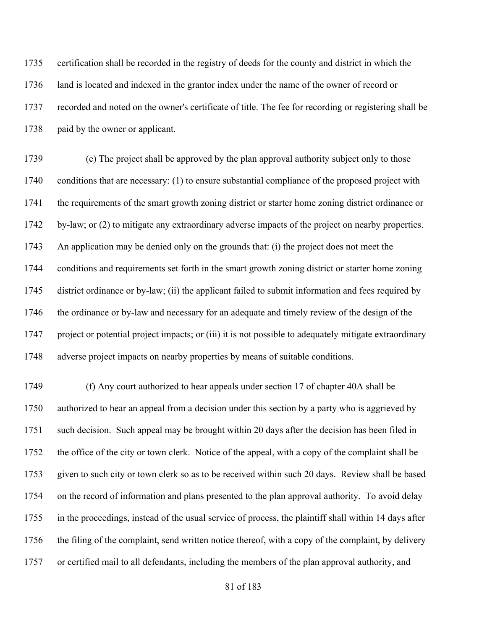certification shall be recorded in the registry of deeds for the county and district in which the 1736 land is located and indexed in the grantor index under the name of the owner of record or recorded and noted on the owner's certificate of title. The fee for recording or registering shall be 1738 paid by the owner or applicant.

 (e) The project shall be approved by the plan approval authority subject only to those conditions that are necessary: (1) to ensure substantial compliance of the proposed project with the requirements of the smart growth zoning district or starter home zoning district ordinance or by-law; or (2) to mitigate any extraordinary adverse impacts of the project on nearby properties. An application may be denied only on the grounds that: (i) the project does not meet the conditions and requirements set forth in the smart growth zoning district or starter home zoning district ordinance or by-law; (ii) the applicant failed to submit information and fees required by the ordinance or by-law and necessary for an adequate and timely review of the design of the project or potential project impacts; or (iii) it is not possible to adequately mitigate extraordinary adverse project impacts on nearby properties by means of suitable conditions.

 (f) Any court authorized to hear appeals under section 17 of chapter 40A shall be authorized to hear an appeal from a decision under this section by a party who is aggrieved by such decision. Such appeal may be brought within 20 days after the decision has been filed in the office of the city or town clerk. Notice of the appeal, with a copy of the complaint shall be given to such city or town clerk so as to be received within such 20 days. Review shall be based on the record of information and plans presented to the plan approval authority. To avoid delay in the proceedings, instead of the usual service of process, the plaintiff shall within 14 days after the filing of the complaint, send written notice thereof, with a copy of the complaint, by delivery or certified mail to all defendants, including the members of the plan approval authority, and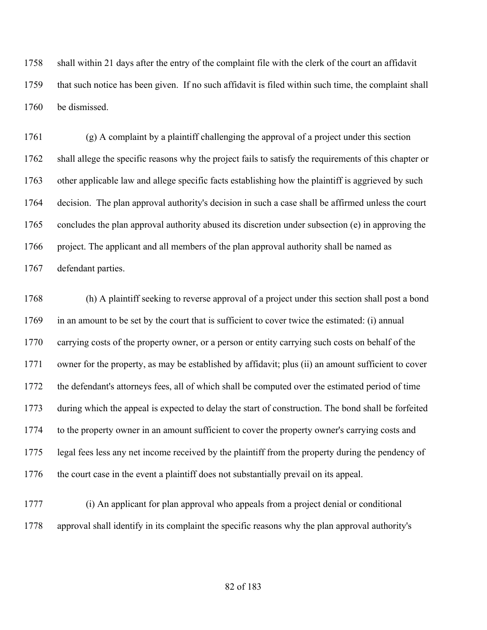shall within 21 days after the entry of the complaint file with the clerk of the court an affidavit that such notice has been given. If no such affidavit is filed within such time, the complaint shall be dismissed.

 (g) A complaint by a plaintiff challenging the approval of a project under this section shall allege the specific reasons why the project fails to satisfy the requirements of this chapter or other applicable law and allege specific facts establishing how the plaintiff is aggrieved by such decision. The plan approval authority's decision in such a case shall be affirmed unless the court concludes the plan approval authority abused its discretion under subsection (e) in approving the project. The applicant and all members of the plan approval authority shall be named as defendant parties.

 (h) A plaintiff seeking to reverse approval of a project under this section shall post a bond in an amount to be set by the court that is sufficient to cover twice the estimated: (i) annual carrying costs of the property owner, or a person or entity carrying such costs on behalf of the owner for the property, as may be established by affidavit; plus (ii) an amount sufficient to cover the defendant's attorneys fees, all of which shall be computed over the estimated period of time during which the appeal is expected to delay the start of construction. The bond shall be forfeited to the property owner in an amount sufficient to cover the property owner's carrying costs and legal fees less any net income received by the plaintiff from the property during the pendency of the court case in the event a plaintiff does not substantially prevail on its appeal.

 (i) An applicant for plan approval who appeals from a project denial or conditional approval shall identify in its complaint the specific reasons why the plan approval authority's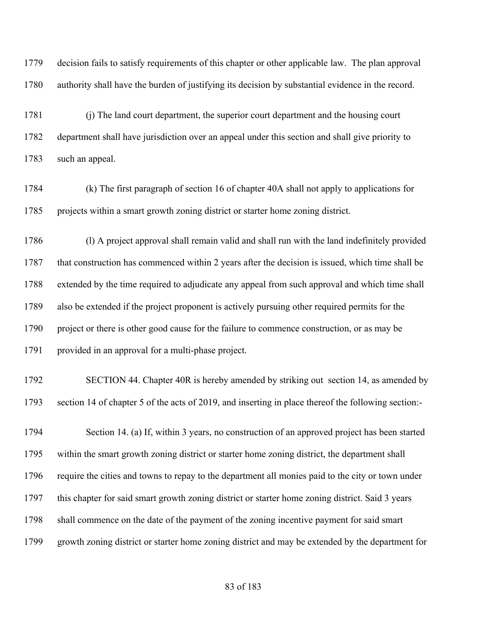decision fails to satisfy requirements of this chapter or other applicable law. The plan approval authority shall have the burden of justifying its decision by substantial evidence in the record.

 (j) The land court department, the superior court department and the housing court department shall have jurisdiction over an appeal under this section and shall give priority to such an appeal.

 (k) The first paragraph of section 16 of chapter 40A shall not apply to applications for projects within a smart growth zoning district or starter home zoning district.

 (l) A project approval shall remain valid and shall run with the land indefinitely provided that construction has commenced within 2 years after the decision is issued, which time shall be extended by the time required to adjudicate any appeal from such approval and which time shall also be extended if the project proponent is actively pursuing other required permits for the 1790 project or there is other good cause for the failure to commence construction, or as may be provided in an approval for a multi-phase project.

 SECTION 44. Chapter 40R is hereby amended by striking out section 14, as amended by section 14 of chapter 5 of the acts of 2019, and inserting in place thereof the following section:-

 Section 14. (a) If, within 3 years, no construction of an approved project has been started within the smart growth zoning district or starter home zoning district, the department shall require the cities and towns to repay to the department all monies paid to the city or town under this chapter for said smart growth zoning district or starter home zoning district. Said 3 years shall commence on the date of the payment of the zoning incentive payment for said smart growth zoning district or starter home zoning district and may be extended by the department for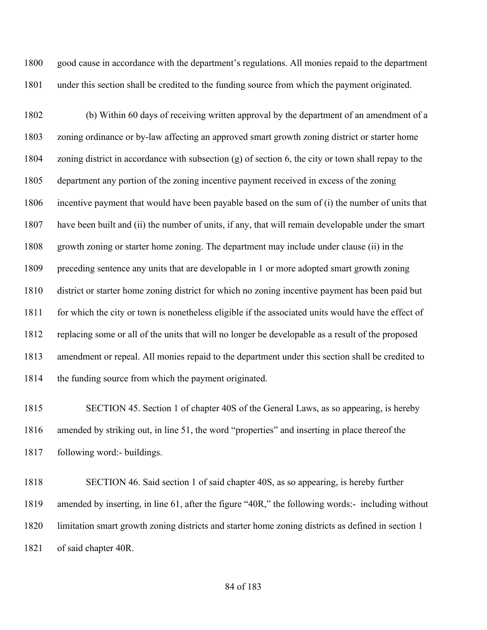good cause in accordance with the department's regulations. All monies repaid to the department under this section shall be credited to the funding source from which the payment originated.

 (b) Within 60 days of receiving written approval by the department of an amendment of a zoning ordinance or by-law affecting an approved smart growth zoning district or starter home zoning district in accordance with subsection (g) of section 6, the city or town shall repay to the department any portion of the zoning incentive payment received in excess of the zoning incentive payment that would have been payable based on the sum of (i) the number of units that have been built and (ii) the number of units, if any, that will remain developable under the smart growth zoning or starter home zoning. The department may include under clause (ii) in the preceding sentence any units that are developable in 1 or more adopted smart growth zoning district or starter home zoning district for which no zoning incentive payment has been paid but 1811 for which the city or town is nonetheless eligible if the associated units would have the effect of replacing some or all of the units that will no longer be developable as a result of the proposed amendment or repeal. All monies repaid to the department under this section shall be credited to 1814 the funding source from which the payment originated.

 SECTION 45. Section 1 of chapter 40S of the General Laws, as so appearing, is hereby amended by striking out, in line 51, the word "properties" and inserting in place thereof the following word:- buildings.

 SECTION 46. Said section 1 of said chapter 40S, as so appearing, is hereby further amended by inserting, in line 61, after the figure "40R," the following words:- including without limitation smart growth zoning districts and starter home zoning districts as defined in section 1 of said chapter 40R.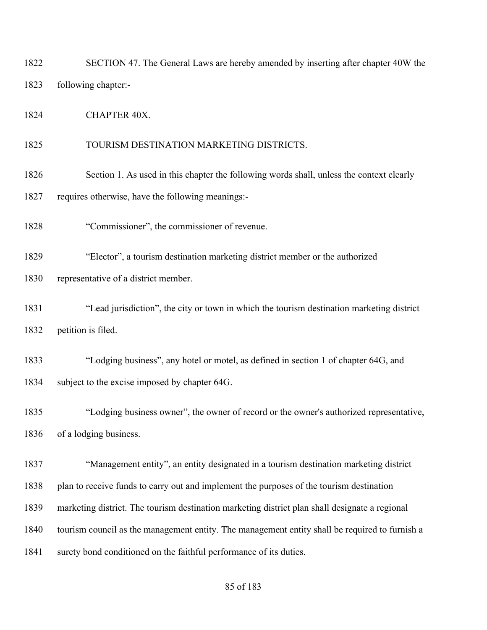SECTION 47. The General Laws are hereby amended by inserting after chapter 40W the following chapter:-

1824 CHAPTER 40X.

TOURISM DESTINATION MARKETING DISTRICTS.

1826 Section 1. As used in this chapter the following words shall, unless the context clearly

requires otherwise, have the following meanings:-

"Commissioner", the commissioner of revenue.

"Elector", a tourism destination marketing district member or the authorized

representative of a district member.

 "Lead jurisdiction", the city or town in which the tourism destination marketing district petition is filed.

 "Lodging business", any hotel or motel, as defined in section 1 of chapter 64G, and 1834 subject to the excise imposed by chapter 64G.

 "Lodging business owner", the owner of record or the owner's authorized representative, of a lodging business.

 "Management entity", an entity designated in a tourism destination marketing district plan to receive funds to carry out and implement the purposes of the tourism destination marketing district. The tourism destination marketing district plan shall designate a regional tourism council as the management entity. The management entity shall be required to furnish a 1841 surety bond conditioned on the faithful performance of its duties.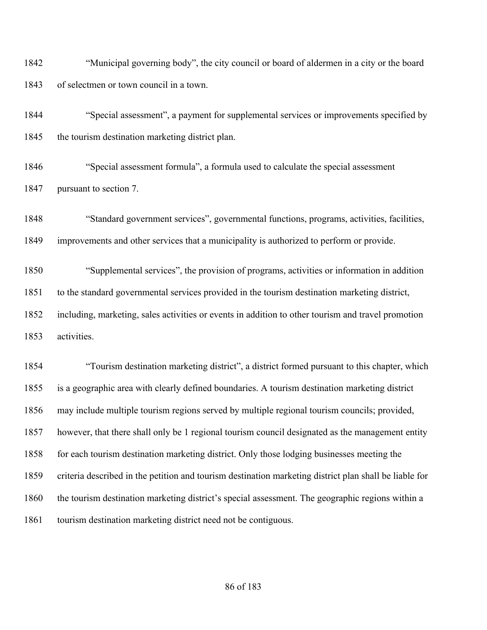"Municipal governing body", the city council or board of aldermen in a city or the board of selectmen or town council in a town.

 "Special assessment", a payment for supplemental services or improvements specified by 1845 the tourism destination marketing district plan.

 "Special assessment formula", a formula used to calculate the special assessment pursuant to section 7.

 "Standard government services", governmental functions, programs, activities, facilities, improvements and other services that a municipality is authorized to perform or provide.

 "Supplemental services", the provision of programs, activities or information in addition to the standard governmental services provided in the tourism destination marketing district, including, marketing, sales activities or events in addition to other tourism and travel promotion activities.

 "Tourism destination marketing district", a district formed pursuant to this chapter, which is a geographic area with clearly defined boundaries. A tourism destination marketing district may include multiple tourism regions served by multiple regional tourism councils; provided, however, that there shall only be 1 regional tourism council designated as the management entity 1858 for each tourism destination marketing district. Only those lodging businesses meeting the criteria described in the petition and tourism destination marketing district plan shall be liable for the tourism destination marketing district's special assessment. The geographic regions within a 1861 tourism destination marketing district need not be contiguous.

## of 183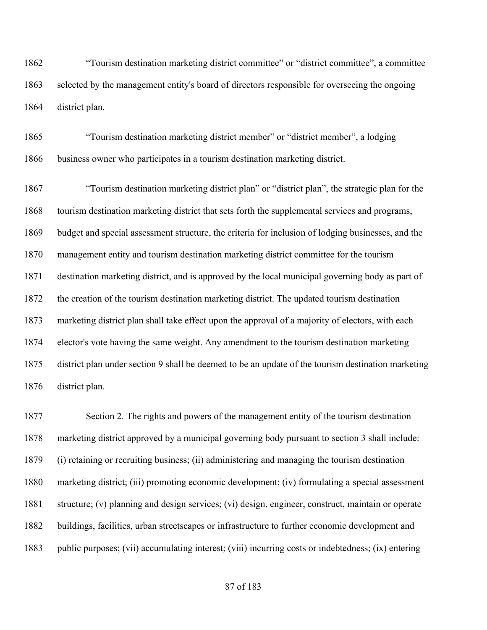"Tourism destination marketing district committee" or "district committee", a committee selected by the management entity's board of directors responsible for overseeing the ongoing district plan.

 "Tourism destination marketing district member" or "district member", a lodging business owner who participates in a tourism destination marketing district.

 "Tourism destination marketing district plan" or "district plan", the strategic plan for the tourism destination marketing district that sets forth the supplemental services and programs, budget and special assessment structure, the criteria for inclusion of lodging businesses, and the management entity and tourism destination marketing district committee for the tourism destination marketing district, and is approved by the local municipal governing body as part of the creation of the tourism destination marketing district. The updated tourism destination marketing district plan shall take effect upon the approval of a majority of electors, with each elector's vote having the same weight. Any amendment to the tourism destination marketing district plan under section 9 shall be deemed to be an update of the tourism destination marketing district plan.

 Section 2. The rights and powers of the management entity of the tourism destination marketing district approved by a municipal governing body pursuant to section 3 shall include: (i) retaining or recruiting business; (ii) administering and managing the tourism destination marketing district; (iii) promoting economic development; (iv) formulating a special assessment structure; (v) planning and design services; (vi) design, engineer, construct, maintain or operate buildings, facilities, urban streetscapes or infrastructure to further economic development and public purposes; (vii) accumulating interest; (viii) incurring costs or indebtedness; (ix) entering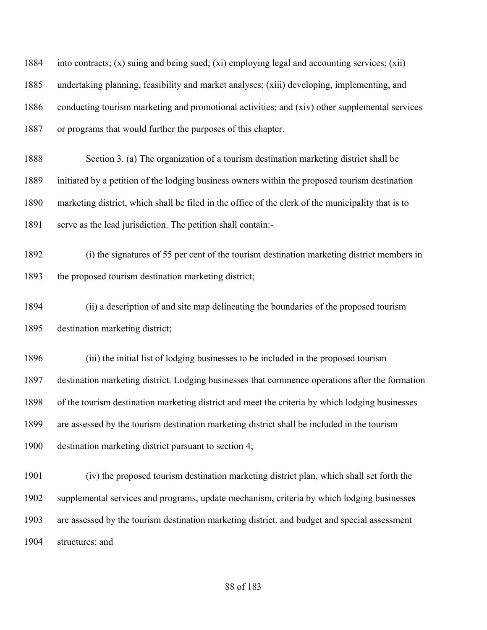into contracts; (x) suing and being sued; (xi) employing legal and accounting services; (xii) undertaking planning, feasibility and market analyses; (xiii) developing, implementing, and conducting tourism marketing and promotional activities; and (xiv) other supplemental services or programs that would further the purposes of this chapter.

 Section 3. (a) The organization of a tourism destination marketing district shall be initiated by a petition of the lodging business owners within the proposed tourism destination marketing district, which shall be filed in the office of the clerk of the municipality that is to serve as the lead jurisdiction. The petition shall contain:-

 (i) the signatures of 55 per cent of the tourism destination marketing district members in the proposed tourism destination marketing district;

 (ii) a description of and site map delineating the boundaries of the proposed tourism destination marketing district;

 (iii) the initial list of lodging businesses to be included in the proposed tourism destination marketing district. Lodging businesses that commence operations after the formation of the tourism destination marketing district and meet the criteria by which lodging businesses are assessed by the tourism destination marketing district shall be included in the tourism destination marketing district pursuant to section 4;

 (iv) the proposed tourism destination marketing district plan, which shall set forth the supplemental services and programs, update mechanism, criteria by which lodging businesses are assessed by the tourism destination marketing district, and budget and special assessment structures; and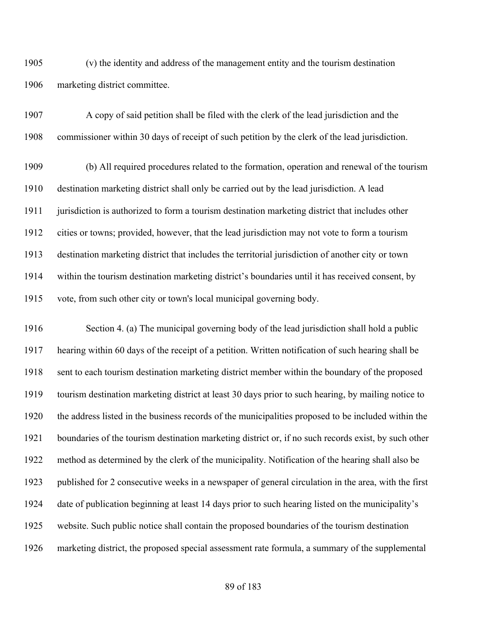(v) the identity and address of the management entity and the tourism destination marketing district committee.

 A copy of said petition shall be filed with the clerk of the lead jurisdiction and the commissioner within 30 days of receipt of such petition by the clerk of the lead jurisdiction.

 (b) All required procedures related to the formation, operation and renewal of the tourism destination marketing district shall only be carried out by the lead jurisdiction. A lead jurisdiction is authorized to form a tourism destination marketing district that includes other cities or towns; provided, however, that the lead jurisdiction may not vote to form a tourism destination marketing district that includes the territorial jurisdiction of another city or town within the tourism destination marketing district's boundaries until it has received consent, by vote, from such other city or town's local municipal governing body.

 Section 4. (a) The municipal governing body of the lead jurisdiction shall hold a public hearing within 60 days of the receipt of a petition. Written notification of such hearing shall be sent to each tourism destination marketing district member within the boundary of the proposed tourism destination marketing district at least 30 days prior to such hearing, by mailing notice to the address listed in the business records of the municipalities proposed to be included within the boundaries of the tourism destination marketing district or, if no such records exist, by such other method as determined by the clerk of the municipality. Notification of the hearing shall also be published for 2 consecutive weeks in a newspaper of general circulation in the area, with the first date of publication beginning at least 14 days prior to such hearing listed on the municipality's website. Such public notice shall contain the proposed boundaries of the tourism destination marketing district, the proposed special assessment rate formula, a summary of the supplemental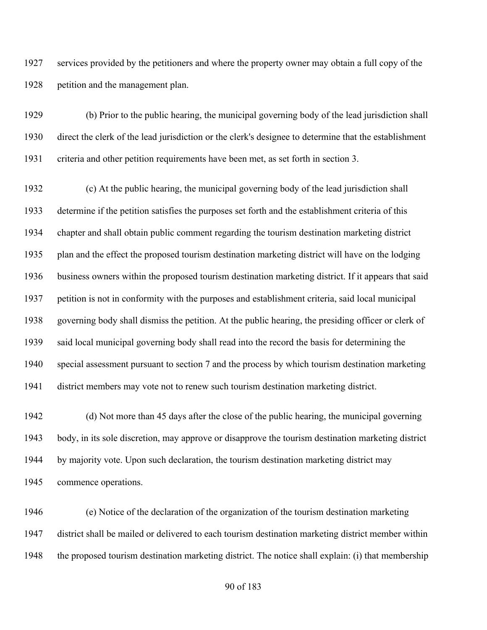services provided by the petitioners and where the property owner may obtain a full copy of the petition and the management plan.

 (b) Prior to the public hearing, the municipal governing body of the lead jurisdiction shall direct the clerk of the lead jurisdiction or the clerk's designee to determine that the establishment criteria and other petition requirements have been met, as set forth in section 3.

 (c) At the public hearing, the municipal governing body of the lead jurisdiction shall determine if the petition satisfies the purposes set forth and the establishment criteria of this chapter and shall obtain public comment regarding the tourism destination marketing district plan and the effect the proposed tourism destination marketing district will have on the lodging business owners within the proposed tourism destination marketing district. If it appears that said petition is not in conformity with the purposes and establishment criteria, said local municipal governing body shall dismiss the petition. At the public hearing, the presiding officer or clerk of said local municipal governing body shall read into the record the basis for determining the special assessment pursuant to section 7 and the process by which tourism destination marketing district members may vote not to renew such tourism destination marketing district.

 (d) Not more than 45 days after the close of the public hearing, the municipal governing body, in its sole discretion, may approve or disapprove the tourism destination marketing district by majority vote. Upon such declaration, the tourism destination marketing district may commence operations.

 (e) Notice of the declaration of the organization of the tourism destination marketing district shall be mailed or delivered to each tourism destination marketing district member within the proposed tourism destination marketing district. The notice shall explain: (i) that membership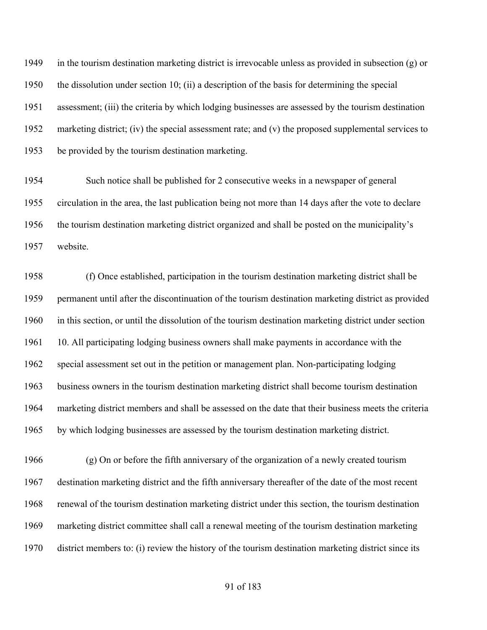1949 in the tourism destination marketing district is irrevocable unless as provided in subsection (g) or the dissolution under section 10; (ii) a description of the basis for determining the special assessment; (iii) the criteria by which lodging businesses are assessed by the tourism destination marketing district; (iv) the special assessment rate; and (v) the proposed supplemental services to be provided by the tourism destination marketing.

 Such notice shall be published for 2 consecutive weeks in a newspaper of general circulation in the area, the last publication being not more than 14 days after the vote to declare the tourism destination marketing district organized and shall be posted on the municipality's website.

 (f) Once established, participation in the tourism destination marketing district shall be permanent until after the discontinuation of the tourism destination marketing district as provided in this section, or until the dissolution of the tourism destination marketing district under section 10. All participating lodging business owners shall make payments in accordance with the special assessment set out in the petition or management plan. Non-participating lodging business owners in the tourism destination marketing district shall become tourism destination marketing district members and shall be assessed on the date that their business meets the criteria by which lodging businesses are assessed by the tourism destination marketing district.

 (g) On or before the fifth anniversary of the organization of a newly created tourism destination marketing district and the fifth anniversary thereafter of the date of the most recent renewal of the tourism destination marketing district under this section, the tourism destination marketing district committee shall call a renewal meeting of the tourism destination marketing district members to: (i) review the history of the tourism destination marketing district since its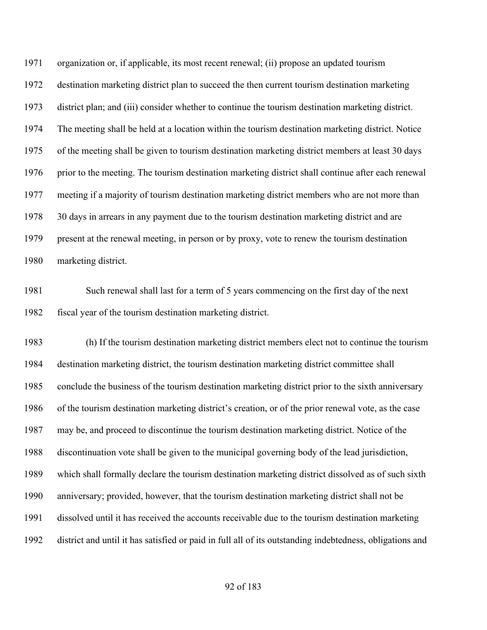organization or, if applicable, its most recent renewal; (ii) propose an updated tourism destination marketing district plan to succeed the then current tourism destination marketing district plan; and (iii) consider whether to continue the tourism destination marketing district. The meeting shall be held at a location within the tourism destination marketing district. Notice of the meeting shall be given to tourism destination marketing district members at least 30 days 1976 prior to the meeting. The tourism destination marketing district shall continue after each renewal meeting if a majority of tourism destination marketing district members who are not more than 30 days in arrears in any payment due to the tourism destination marketing district and are present at the renewal meeting, in person or by proxy, vote to renew the tourism destination marketing district.

 Such renewal shall last for a term of 5 years commencing on the first day of the next fiscal year of the tourism destination marketing district.

 (h) If the tourism destination marketing district members elect not to continue the tourism destination marketing district, the tourism destination marketing district committee shall conclude the business of the tourism destination marketing district prior to the sixth anniversary of the tourism destination marketing district's creation, or of the prior renewal vote, as the case may be, and proceed to discontinue the tourism destination marketing district. Notice of the discontinuation vote shall be given to the municipal governing body of the lead jurisdiction, which shall formally declare the tourism destination marketing district dissolved as of such sixth anniversary; provided, however, that the tourism destination marketing district shall not be dissolved until it has received the accounts receivable due to the tourism destination marketing district and until it has satisfied or paid in full all of its outstanding indebtedness, obligations and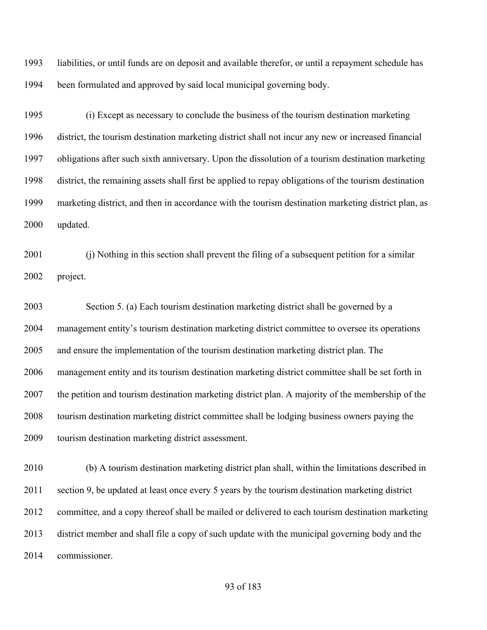liabilities, or until funds are on deposit and available therefor, or until a repayment schedule has been formulated and approved by said local municipal governing body.

 (i) Except as necessary to conclude the business of the tourism destination marketing district, the tourism destination marketing district shall not incur any new or increased financial obligations after such sixth anniversary. Upon the dissolution of a tourism destination marketing district, the remaining assets shall first be applied to repay obligations of the tourism destination marketing district, and then in accordance with the tourism destination marketing district plan, as updated.

 (j) Nothing in this section shall prevent the filing of a subsequent petition for a similar project.

 Section 5. (a) Each tourism destination marketing district shall be governed by a management entity's tourism destination marketing district committee to oversee its operations and ensure the implementation of the tourism destination marketing district plan. The management entity and its tourism destination marketing district committee shall be set forth in the petition and tourism destination marketing district plan. A majority of the membership of the tourism destination marketing district committee shall be lodging business owners paying the tourism destination marketing district assessment.

 (b) A tourism destination marketing district plan shall, within the limitations described in section 9, be updated at least once every 5 years by the tourism destination marketing district committee, and a copy thereof shall be mailed or delivered to each tourism destination marketing district member and shall file a copy of such update with the municipal governing body and the commissioner.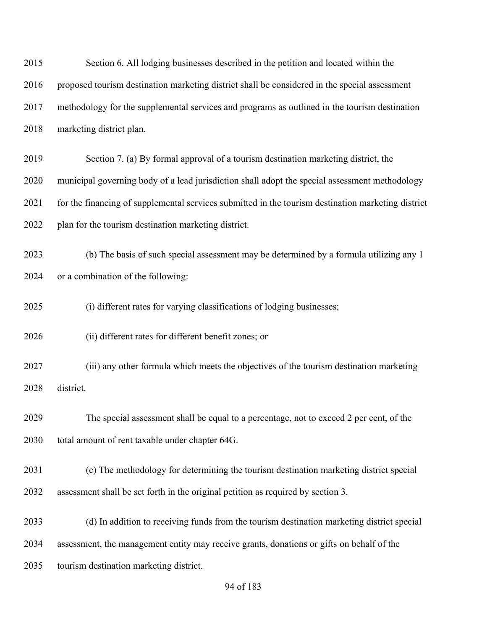| 2015 | Section 6. All lodging businesses described in the petition and located within the                 |
|------|----------------------------------------------------------------------------------------------------|
| 2016 | proposed tourism destination marketing district shall be considered in the special assessment      |
| 2017 | methodology for the supplemental services and programs as outlined in the tourism destination      |
| 2018 | marketing district plan.                                                                           |
| 2019 | Section 7. (a) By formal approval of a tourism destination marketing district, the                 |
| 2020 | municipal governing body of a lead jurisdiction shall adopt the special assessment methodology     |
| 2021 | for the financing of supplemental services submitted in the tourism destination marketing district |
| 2022 | plan for the tourism destination marketing district.                                               |
| 2023 | (b) The basis of such special assessment may be determined by a formula utilizing any 1            |
| 2024 | or a combination of the following:                                                                 |
| 2025 | (i) different rates for varying classifications of lodging businesses;                             |
| 2026 | (ii) different rates for different benefit zones; or                                               |
| 2027 | (iii) any other formula which meets the objectives of the tourism destination marketing            |
| 2028 | district.                                                                                          |
| 2029 | The special assessment shall be equal to a percentage, not to exceed 2 per cent, of the            |
| 2030 | total amount of rent taxable under chapter 64G.                                                    |
| 2031 | (c) The methodology for determining the tourism destination marketing district special             |
| 2032 | assessment shall be set forth in the original petition as required by section 3.                   |
| 2033 | (d) In addition to receiving funds from the tourism destination marketing district special         |
| 2034 | assessment, the management entity may receive grants, donations or gifts on behalf of the          |
| 2035 | tourism destination marketing district.                                                            |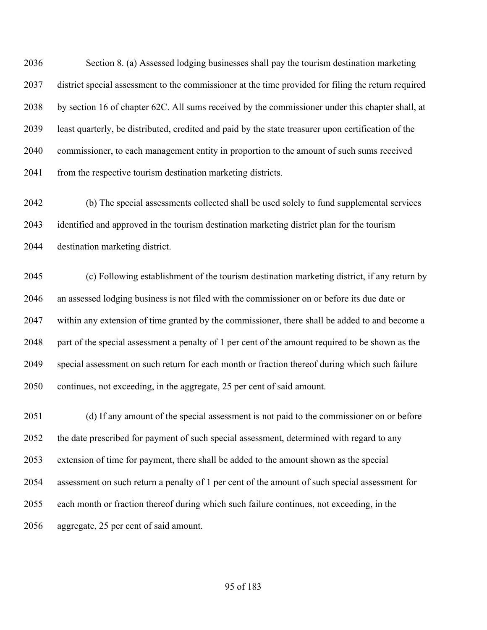Section 8. (a) Assessed lodging businesses shall pay the tourism destination marketing district special assessment to the commissioner at the time provided for filing the return required by section 16 of chapter 62C. All sums received by the commissioner under this chapter shall, at least quarterly, be distributed, credited and paid by the state treasurer upon certification of the commissioner, to each management entity in proportion to the amount of such sums received 2041 from the respective tourism destination marketing districts.

 (b) The special assessments collected shall be used solely to fund supplemental services identified and approved in the tourism destination marketing district plan for the tourism destination marketing district.

 (c) Following establishment of the tourism destination marketing district, if any return by an assessed lodging business is not filed with the commissioner on or before its due date or within any extension of time granted by the commissioner, there shall be added to and become a part of the special assessment a penalty of 1 per cent of the amount required to be shown as the special assessment on such return for each month or fraction thereof during which such failure continues, not exceeding, in the aggregate, 25 per cent of said amount.

 (d) If any amount of the special assessment is not paid to the commissioner on or before 2052 the date prescribed for payment of such special assessment, determined with regard to any extension of time for payment, there shall be added to the amount shown as the special assessment on such return a penalty of 1 per cent of the amount of such special assessment for each month or fraction thereof during which such failure continues, not exceeding, in the aggregate, 25 per cent of said amount.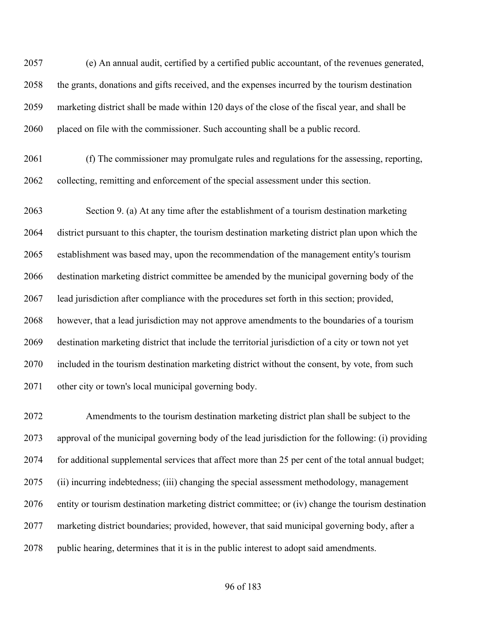(e) An annual audit, certified by a certified public accountant, of the revenues generated, the grants, donations and gifts received, and the expenses incurred by the tourism destination marketing district shall be made within 120 days of the close of the fiscal year, and shall be placed on file with the commissioner. Such accounting shall be a public record.

 (f) The commissioner may promulgate rules and regulations for the assessing, reporting, collecting, remitting and enforcement of the special assessment under this section.

 Section 9. (a) At any time after the establishment of a tourism destination marketing district pursuant to this chapter, the tourism destination marketing district plan upon which the establishment was based may, upon the recommendation of the management entity's tourism destination marketing district committee be amended by the municipal governing body of the lead jurisdiction after compliance with the procedures set forth in this section; provided, however, that a lead jurisdiction may not approve amendments to the boundaries of a tourism destination marketing district that include the territorial jurisdiction of a city or town not yet included in the tourism destination marketing district without the consent, by vote, from such other city or town's local municipal governing body.

 Amendments to the tourism destination marketing district plan shall be subject to the approval of the municipal governing body of the lead jurisdiction for the following: (i) providing for additional supplemental services that affect more than 25 per cent of the total annual budget; (ii) incurring indebtedness; (iii) changing the special assessment methodology, management entity or tourism destination marketing district committee; or (iv) change the tourism destination marketing district boundaries; provided, however, that said municipal governing body, after a public hearing, determines that it is in the public interest to adopt said amendments.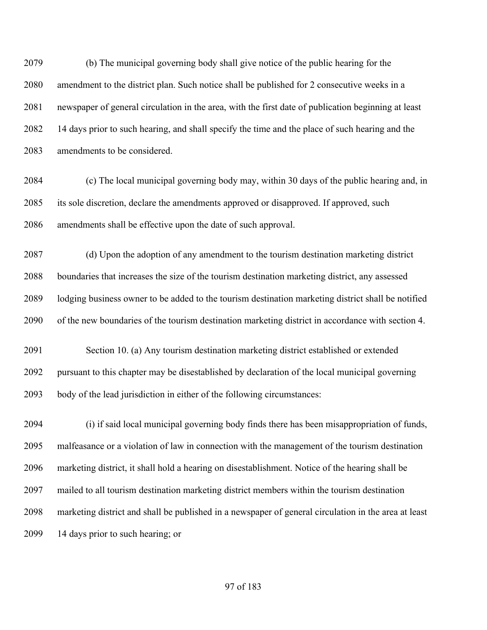(b) The municipal governing body shall give notice of the public hearing for the amendment to the district plan. Such notice shall be published for 2 consecutive weeks in a newspaper of general circulation in the area, with the first date of publication beginning at least 14 days prior to such hearing, and shall specify the time and the place of such hearing and the amendments to be considered.

 (c) The local municipal governing body may, within 30 days of the public hearing and, in its sole discretion, declare the amendments approved or disapproved. If approved, such amendments shall be effective upon the date of such approval.

 (d) Upon the adoption of any amendment to the tourism destination marketing district boundaries that increases the size of the tourism destination marketing district, any assessed lodging business owner to be added to the tourism destination marketing district shall be notified of the new boundaries of the tourism destination marketing district in accordance with section 4.

 Section 10. (a) Any tourism destination marketing district established or extended pursuant to this chapter may be disestablished by declaration of the local municipal governing body of the lead jurisdiction in either of the following circumstances:

 (i) if said local municipal governing body finds there has been misappropriation of funds, malfeasance or a violation of law in connection with the management of the tourism destination marketing district, it shall hold a hearing on disestablishment. Notice of the hearing shall be mailed to all tourism destination marketing district members within the tourism destination marketing district and shall be published in a newspaper of general circulation in the area at least 14 days prior to such hearing; or

#### of 183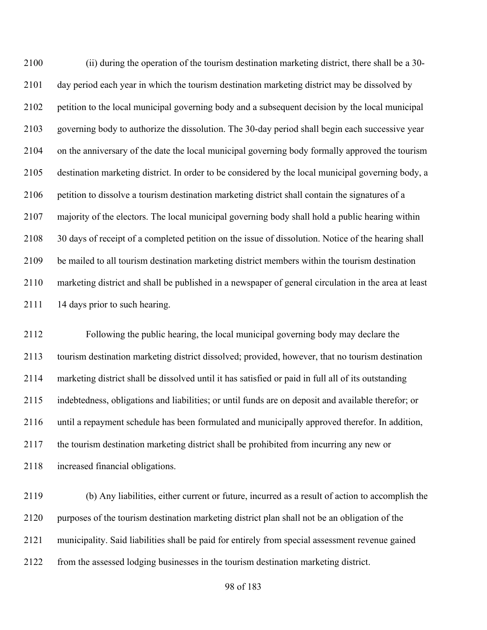(ii) during the operation of the tourism destination marketing district, there shall be a 30- day period each year in which the tourism destination marketing district may be dissolved by petition to the local municipal governing body and a subsequent decision by the local municipal governing body to authorize the dissolution. The 30-day period shall begin each successive year on the anniversary of the date the local municipal governing body formally approved the tourism destination marketing district. In order to be considered by the local municipal governing body, a petition to dissolve a tourism destination marketing district shall contain the signatures of a majority of the electors. The local municipal governing body shall hold a public hearing within 30 days of receipt of a completed petition on the issue of dissolution. Notice of the hearing shall be mailed to all tourism destination marketing district members within the tourism destination marketing district and shall be published in a newspaper of general circulation in the area at least 2111 14 days prior to such hearing.

 Following the public hearing, the local municipal governing body may declare the tourism destination marketing district dissolved; provided, however, that no tourism destination marketing district shall be dissolved until it has satisfied or paid in full all of its outstanding indebtedness, obligations and liabilities; or until funds are on deposit and available therefor; or until a repayment schedule has been formulated and municipally approved therefor. In addition, the tourism destination marketing district shall be prohibited from incurring any new or increased financial obligations.

 (b) Any liabilities, either current or future, incurred as a result of action to accomplish the purposes of the tourism destination marketing district plan shall not be an obligation of the municipality. Said liabilities shall be paid for entirely from special assessment revenue gained from the assessed lodging businesses in the tourism destination marketing district.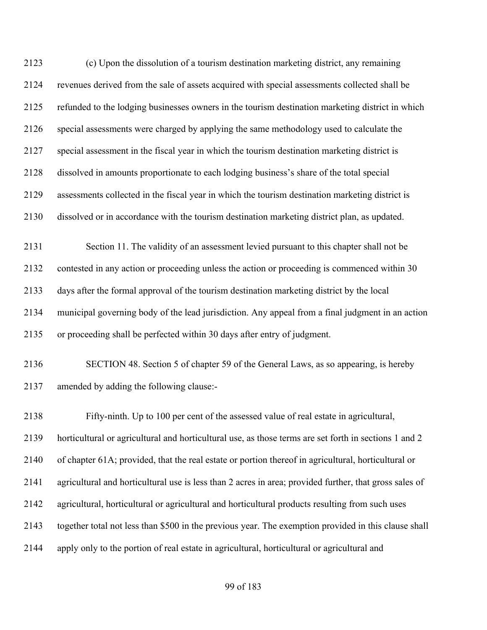(c) Upon the dissolution of a tourism destination marketing district, any remaining revenues derived from the sale of assets acquired with special assessments collected shall be refunded to the lodging businesses owners in the tourism destination marketing district in which special assessments were charged by applying the same methodology used to calculate the special assessment in the fiscal year in which the tourism destination marketing district is dissolved in amounts proportionate to each lodging business's share of the total special assessments collected in the fiscal year in which the tourism destination marketing district is dissolved or in accordance with the tourism destination marketing district plan, as updated. Section 11. The validity of an assessment levied pursuant to this chapter shall not be contested in any action or proceeding unless the action or proceeding is commenced within 30 days after the formal approval of the tourism destination marketing district by the local municipal governing body of the lead jurisdiction. Any appeal from a final judgment in an action or proceeding shall be perfected within 30 days after entry of judgment. SECTION 48. Section 5 of chapter 59 of the General Laws, as so appearing, is hereby amended by adding the following clause:- Fifty-ninth. Up to 100 per cent of the assessed value of real estate in agricultural, horticultural or agricultural and horticultural use, as those terms are set forth in sections 1 and 2 of chapter 61A; provided, that the real estate or portion thereof in agricultural, horticultural or agricultural and horticultural use is less than 2 acres in area; provided further, that gross sales of agricultural, horticultural or agricultural and horticultural products resulting from such uses together total not less than \$500 in the previous year. The exemption provided in this clause shall apply only to the portion of real estate in agricultural, horticultural or agricultural and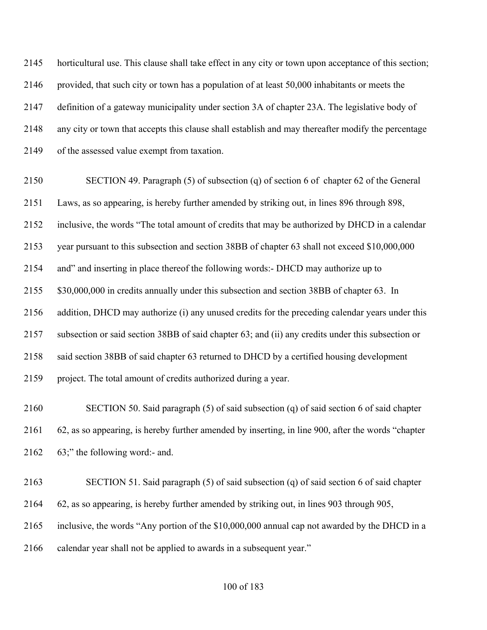horticultural use. This clause shall take effect in any city or town upon acceptance of this section; provided, that such city or town has a population of at least 50,000 inhabitants or meets the definition of a gateway municipality under section 3A of chapter 23A. The legislative body of any city or town that accepts this clause shall establish and may thereafter modify the percentage of the assessed value exempt from taxation.

 SECTION 49. Paragraph (5) of subsection (q) of section 6 of chapter 62 of the General Laws, as so appearing, is hereby further amended by striking out, in lines 896 through 898, inclusive, the words "The total amount of credits that may be authorized by DHCD in a calendar year pursuant to this subsection and section 38BB of chapter 63 shall not exceed \$10,000,000 and" and inserting in place thereof the following words:- DHCD may authorize up to \$30,000,000 in credits annually under this subsection and section 38BB of chapter 63. In addition, DHCD may authorize (i) any unused credits for the preceding calendar years under this subsection or said section 38BB of said chapter 63; and (ii) any credits under this subsection or said section 38BB of said chapter 63 returned to DHCD by a certified housing development project. The total amount of credits authorized during a year.

 SECTION 50. Said paragraph (5) of said subsection (q) of said section 6 of said chapter 62, as so appearing, is hereby further amended by inserting, in line 900, after the words "chapter 63;" the following word:- and.

 SECTION 51. Said paragraph (5) of said subsection (q) of said section 6 of said chapter 62, as so appearing, is hereby further amended by striking out, in lines 903 through 905, inclusive, the words "Any portion of the \$10,000,000 annual cap not awarded by the DHCD in a calendar year shall not be applied to awards in a subsequent year."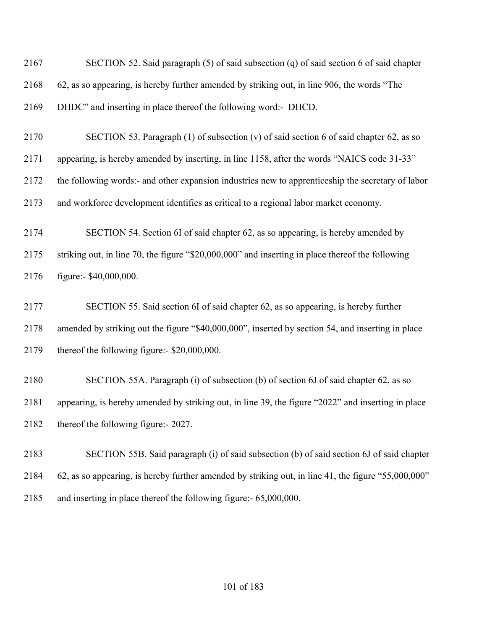SECTION 52. Said paragraph (5) of said subsection (q) of said section 6 of said chapter 62, as so appearing, is hereby further amended by striking out, in line 906, the words "The DHDC" and inserting in place thereof the following word:- DHCD.

 SECTION 53. Paragraph (1) of subsection (v) of said section 6 of said chapter 62, as so appearing, is hereby amended by inserting, in line 1158, after the words "NAICS code 31-33" the following words:- and other expansion industries new to apprenticeship the secretary of labor and workforce development identifies as critical to a regional labor market economy.

 SECTION 54. Section 6I of said chapter 62, as so appearing, is hereby amended by striking out, in line 70, the figure "\$20,000,000" and inserting in place thereof the following figure:- \$40,000,000.

 SECTION 55. Said section 6I of said chapter 62, as so appearing, is hereby further amended by striking out the figure "\$40,000,000", inserted by section 54, and inserting in place thereof the following figure:- \$20,000,000.

 SECTION 55A. Paragraph (i) of subsection (b) of section 6J of said chapter 62, as so appearing, is hereby amended by striking out, in line 39, the figure "2022" and inserting in place thereof the following figure:- 2027.

 SECTION 55B. Said paragraph (i) of said subsection (b) of said section 6J of said chapter 62, as so appearing, is hereby further amended by striking out, in line 41, the figure "55,000,000" and inserting in place thereof the following figure:- 65,000,000.

# of 183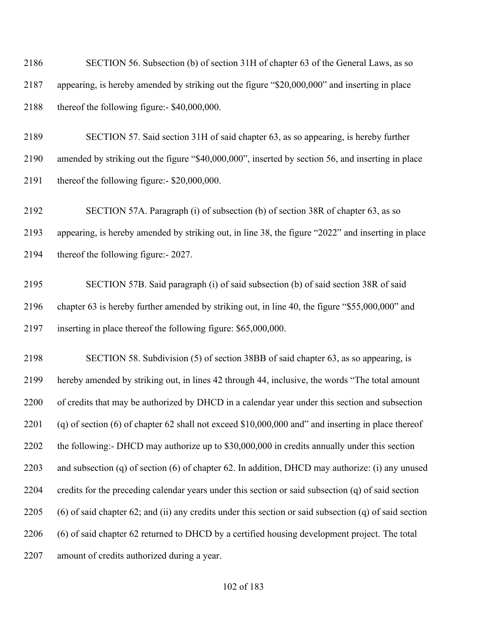SECTION 56. Subsection (b) of section 31H of chapter 63 of the General Laws, as so appearing, is hereby amended by striking out the figure "\$20,000,000" and inserting in place thereof the following figure:- \$40,000,000.

 SECTION 57. Said section 31H of said chapter 63, as so appearing, is hereby further amended by striking out the figure "\$40,000,000", inserted by section 56, and inserting in place thereof the following figure:- \$20,000,000.

 SECTION 57A. Paragraph (i) of subsection (b) of section 38R of chapter 63, as so appearing, is hereby amended by striking out, in line 38, the figure "2022" and inserting in place thereof the following figure:- 2027.

 SECTION 57B. Said paragraph (i) of said subsection (b) of said section 38R of said chapter 63 is hereby further amended by striking out, in line 40, the figure "\$55,000,000" and inserting in place thereof the following figure: \$65,000,000.

 SECTION 58. Subdivision (5) of section 38BB of said chapter 63, as so appearing, is hereby amended by striking out, in lines 42 through 44, inclusive, the words "The total amount of credits that may be authorized by DHCD in a calendar year under this section and subsection (q) of section (6) of chapter 62 shall not exceed \$10,000,000 and" and inserting in place thereof the following:- DHCD may authorize up to \$30,000,000 in credits annually under this section and subsection (q) of section (6) of chapter 62. In addition, DHCD may authorize: (i) any unused credits for the preceding calendar years under this section or said subsection (q) of said section (6) of said chapter 62; and (ii) any credits under this section or said subsection (q) of said section (6) of said chapter 62 returned to DHCD by a certified housing development project. The total amount of credits authorized during a year.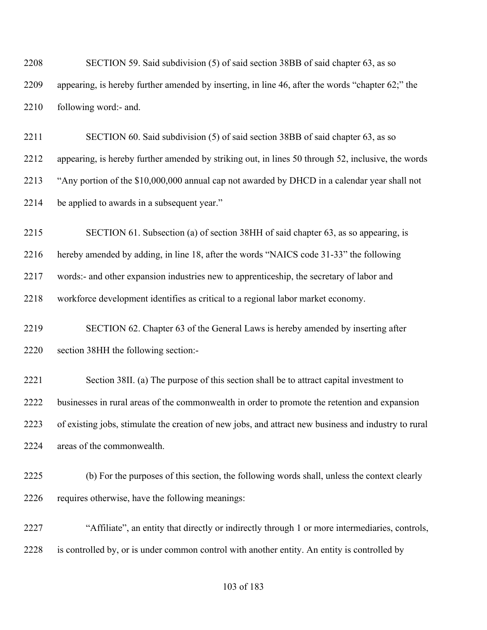SECTION 59. Said subdivision (5) of said section 38BB of said chapter 63, as so appearing, is hereby further amended by inserting, in line 46, after the words "chapter 62;" the following word:- and.

 SECTION 60. Said subdivision (5) of said section 38BB of said chapter 63, as so appearing, is hereby further amended by striking out, in lines 50 through 52, inclusive, the words "Any portion of the \$10,000,000 annual cap not awarded by DHCD in a calendar year shall not be applied to awards in a subsequent year."

SECTION 61. Subsection (a) of section 38HH of said chapter 63, as so appearing, is

hereby amended by adding, in line 18, after the words "NAICS code 31-33" the following

words:- and other expansion industries new to apprenticeship, the secretary of labor and

workforce development identifies as critical to a regional labor market economy.

 SECTION 62. Chapter 63 of the General Laws is hereby amended by inserting after section 38HH the following section:-

 Section 38II. (a) The purpose of this section shall be to attract capital investment to businesses in rural areas of the commonwealth in order to promote the retention and expansion of existing jobs, stimulate the creation of new jobs, and attract new business and industry to rural areas of the commonwealth.

 (b) For the purposes of this section, the following words shall, unless the context clearly 2226 requires otherwise, have the following meanings:

 "Affiliate", an entity that directly or indirectly through 1 or more intermediaries, controls, is controlled by, or is under common control with another entity. An entity is controlled by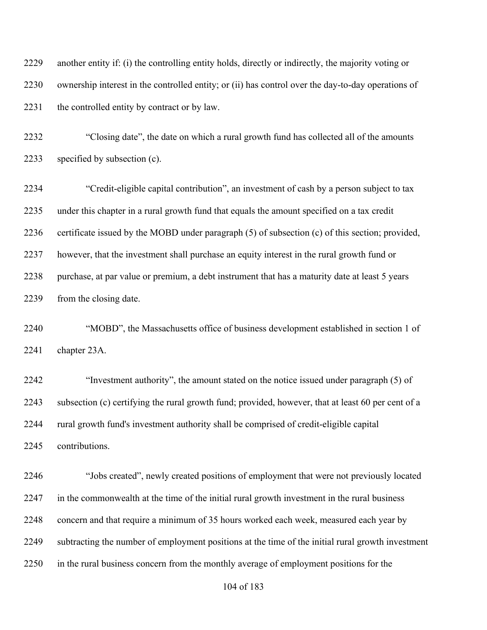another entity if: (i) the controlling entity holds, directly or indirectly, the majority voting or ownership interest in the controlled entity; or (ii) has control over the day-to-day operations of 2231 the controlled entity by contract or by law.

 "Closing date", the date on which a rural growth fund has collected all of the amounts specified by subsection (c).

 "Credit-eligible capital contribution", an investment of cash by a person subject to tax under this chapter in a rural growth fund that equals the amount specified on a tax credit certificate issued by the MOBD under paragraph (5) of subsection (c) of this section; provided, however, that the investment shall purchase an equity interest in the rural growth fund or 2238 purchase, at par value or premium, a debt instrument that has a maturity date at least 5 years from the closing date.

 "MOBD", the Massachusetts office of business development established in section 1 of chapter 23A.

 "Investment authority", the amount stated on the notice issued under paragraph (5) of subsection (c) certifying the rural growth fund; provided, however, that at least 60 per cent of a rural growth fund's investment authority shall be comprised of credit-eligible capital contributions.

 "Jobs created", newly created positions of employment that were not previously located in the commonwealth at the time of the initial rural growth investment in the rural business concern and that require a minimum of 35 hours worked each week, measured each year by subtracting the number of employment positions at the time of the initial rural growth investment in the rural business concern from the monthly average of employment positions for the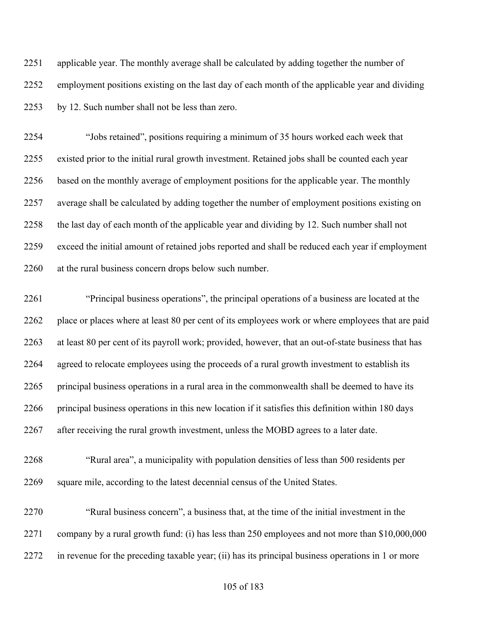applicable year. The monthly average shall be calculated by adding together the number of employment positions existing on the last day of each month of the applicable year and dividing by 12. Such number shall not be less than zero.

 "Jobs retained", positions requiring a minimum of 35 hours worked each week that existed prior to the initial rural growth investment. Retained jobs shall be counted each year based on the monthly average of employment positions for the applicable year. The monthly average shall be calculated by adding together the number of employment positions existing on the last day of each month of the applicable year and dividing by 12. Such number shall not exceed the initial amount of retained jobs reported and shall be reduced each year if employment at the rural business concern drops below such number.

 "Principal business operations", the principal operations of a business are located at the place or places where at least 80 per cent of its employees work or where employees that are paid at least 80 per cent of its payroll work; provided, however, that an out-of-state business that has agreed to relocate employees using the proceeds of a rural growth investment to establish its principal business operations in a rural area in the commonwealth shall be deemed to have its principal business operations in this new location if it satisfies this definition within 180 days after receiving the rural growth investment, unless the MOBD agrees to a later date.

 "Rural area", a municipality with population densities of less than 500 residents per square mile, according to the latest decennial census of the United States.

 "Rural business concern", a business that, at the time of the initial investment in the company by a rural growth fund: (i) has less than 250 employees and not more than \$10,000,000 in revenue for the preceding taxable year; (ii) has its principal business operations in 1 or more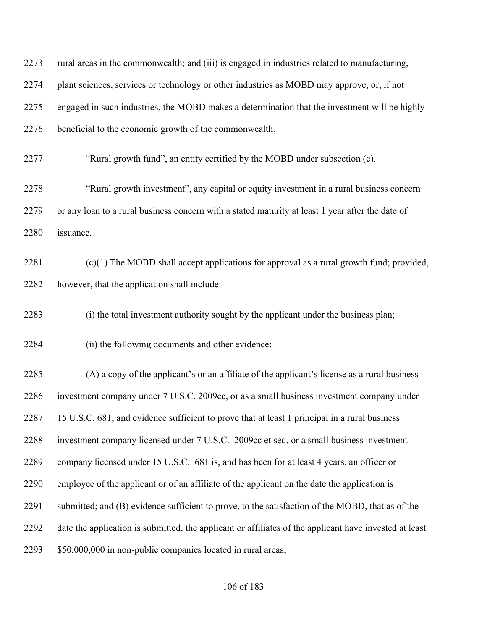| 2273 | rural areas in the commonwealth; and (iii) is engaged in industries related to manufacturing,          |
|------|--------------------------------------------------------------------------------------------------------|
| 2274 | plant sciences, services or technology or other industries as MOBD may approve, or, if not             |
| 2275 | engaged in such industries, the MOBD makes a determination that the investment will be highly          |
| 2276 | beneficial to the economic growth of the commonwealth.                                                 |
| 2277 | "Rural growth fund", an entity certified by the MOBD under subsection (c).                             |
| 2278 | "Rural growth investment", any capital or equity investment in a rural business concern                |
| 2279 | or any loan to a rural business concern with a stated maturity at least 1 year after the date of       |
| 2280 | issuance.                                                                                              |
| 2281 | $(c)(1)$ The MOBD shall accept applications for approval as a rural growth fund; provided,             |
| 2282 | however, that the application shall include:                                                           |
| 2283 | (i) the total investment authority sought by the applicant under the business plan;                    |
| 2284 | (ii) the following documents and other evidence:                                                       |
| 2285 | (A) a copy of the applicant's or an affiliate of the applicant's license as a rural business           |
| 2286 | investment company under 7 U.S.C. 2009cc, or as a small business investment company under              |
| 2287 | 15 U.S.C. 681; and evidence sufficient to prove that at least 1 principal in a rural business          |
| 2288 | investment company licensed under 7 U.S.C. 2009cc et seq. or a small business investment               |
| 2289 | company licensed under 15 U.S.C. 681 is, and has been for at least 4 years, an officer or              |
| 2290 | employee of the applicant or of an affiliate of the applicant on the date the application is           |
| 2291 | submitted; and (B) evidence sufficient to prove, to the satisfaction of the MOBD, that as of the       |
| 2292 | date the application is submitted, the applicant or affiliates of the applicant have invested at least |
| 2293 | \$50,000,000 in non-public companies located in rural areas;                                           |
|      |                                                                                                        |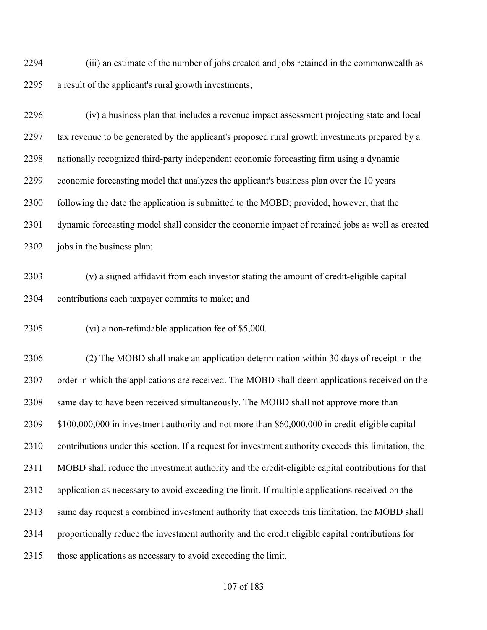(iii) an estimate of the number of jobs created and jobs retained in the commonwealth as a result of the applicant's rural growth investments;

 (iv) a business plan that includes a revenue impact assessment projecting state and local tax revenue to be generated by the applicant's proposed rural growth investments prepared by a nationally recognized third-party independent economic forecasting firm using a dynamic economic forecasting model that analyzes the applicant's business plan over the 10 years following the date the application is submitted to the MOBD; provided, however, that the dynamic forecasting model shall consider the economic impact of retained jobs as well as created 2302 jobs in the business plan;

 (v) a signed affidavit from each investor stating the amount of credit-eligible capital contributions each taxpayer commits to make; and

(vi) a non-refundable application fee of \$5,000.

 (2) The MOBD shall make an application determination within 30 days of receipt in the order in which the applications are received. The MOBD shall deem applications received on the 2308 same day to have been received simultaneously. The MOBD shall not approve more than \$100,000,000 in investment authority and not more than \$60,000,000 in credit-eligible capital contributions under this section. If a request for investment authority exceeds this limitation, the MOBD shall reduce the investment authority and the credit-eligible capital contributions for that application as necessary to avoid exceeding the limit. If multiple applications received on the same day request a combined investment authority that exceeds this limitation, the MOBD shall proportionally reduce the investment authority and the credit eligible capital contributions for those applications as necessary to avoid exceeding the limit.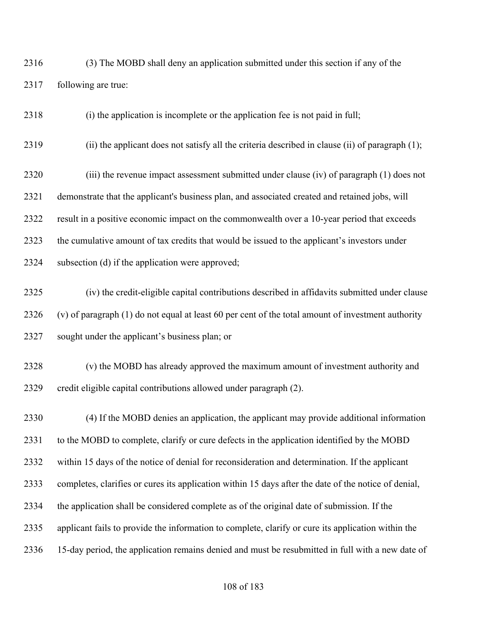(3) The MOBD shall deny an application submitted under this section if any of the following are true:

(i) the application is incomplete or the application fee is not paid in full;

(ii) the applicant does not satisfy all the criteria described in clause (ii) of paragraph (1);

 (iii) the revenue impact assessment submitted under clause (iv) of paragraph (1) does not demonstrate that the applicant's business plan, and associated created and retained jobs, will result in a positive economic impact on the commonwealth over a 10-year period that exceeds the cumulative amount of tax credits that would be issued to the applicant's investors under subsection (d) if the application were approved;

- (iv) the credit-eligible capital contributions described in affidavits submitted under clause (v) of paragraph (1) do not equal at least 60 per cent of the total amount of investment authority sought under the applicant's business plan; or
- (v) the MOBD has already approved the maximum amount of investment authority and credit eligible capital contributions allowed under paragraph (2).

 (4) If the MOBD denies an application, the applicant may provide additional information to the MOBD to complete, clarify or cure defects in the application identified by the MOBD within 15 days of the notice of denial for reconsideration and determination. If the applicant completes, clarifies or cures its application within 15 days after the date of the notice of denial, the application shall be considered complete as of the original date of submission. If the applicant fails to provide the information to complete, clarify or cure its application within the 15-day period, the application remains denied and must be resubmitted in full with a new date of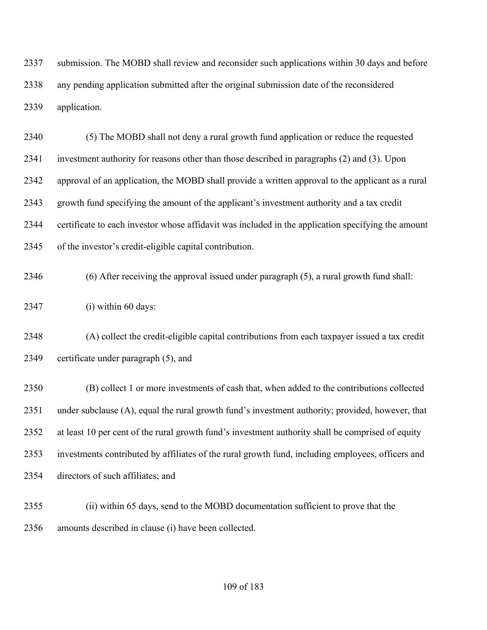submission. The MOBD shall review and reconsider such applications within 30 days and before any pending application submitted after the original submission date of the reconsidered application.

 (5) The MOBD shall not deny a rural growth fund application or reduce the requested investment authority for reasons other than those described in paragraphs (2) and (3). Upon approval of an application, the MOBD shall provide a written approval to the applicant as a rural growth fund specifying the amount of the applicant's investment authority and a tax credit certificate to each investor whose affidavit was included in the application specifying the amount of the investor's credit-eligible capital contribution.

(6) After receiving the approval issued under paragraph (5), a rural growth fund shall:

(i) within 60 days:

 (A) collect the credit-eligible capital contributions from each taxpayer issued a tax credit certificate under paragraph (5), and

 (B) collect 1 or more investments of cash that, when added to the contributions collected under subclause (A), equal the rural growth fund's investment authority; provided, however, that at least 10 per cent of the rural growth fund's investment authority shall be comprised of equity investments contributed by affiliates of the rural growth fund, including employees, officers and directors of such affiliates; and

 (ii) within 65 days, send to the MOBD documentation sufficient to prove that the amounts described in clause (i) have been collected.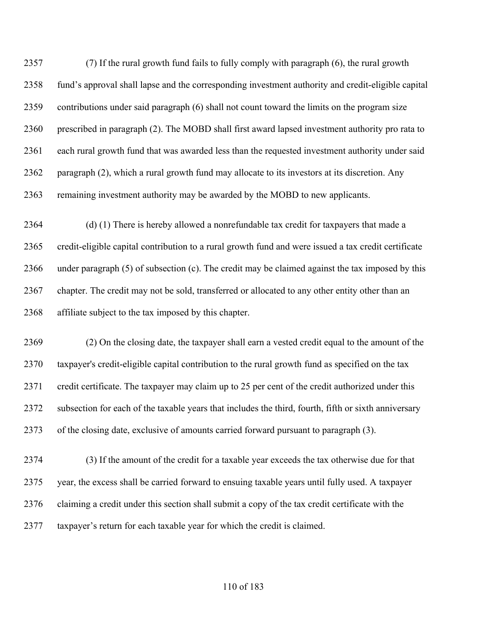(7) If the rural growth fund fails to fully comply with paragraph (6), the rural growth fund's approval shall lapse and the corresponding investment authority and credit-eligible capital contributions under said paragraph (6) shall not count toward the limits on the program size prescribed in paragraph (2). The MOBD shall first award lapsed investment authority pro rata to each rural growth fund that was awarded less than the requested investment authority under said paragraph (2), which a rural growth fund may allocate to its investors at its discretion. Any remaining investment authority may be awarded by the MOBD to new applicants.

 (d) (1) There is hereby allowed a nonrefundable tax credit for taxpayers that made a credit-eligible capital contribution to a rural growth fund and were issued a tax credit certificate under paragraph (5) of subsection (c). The credit may be claimed against the tax imposed by this chapter. The credit may not be sold, transferred or allocated to any other entity other than an affiliate subject to the tax imposed by this chapter.

 (2) On the closing date, the taxpayer shall earn a vested credit equal to the amount of the taxpayer's credit-eligible capital contribution to the rural growth fund as specified on the tax credit certificate. The taxpayer may claim up to 25 per cent of the credit authorized under this subsection for each of the taxable years that includes the third, fourth, fifth or sixth anniversary of the closing date, exclusive of amounts carried forward pursuant to paragraph (3).

 (3) If the amount of the credit for a taxable year exceeds the tax otherwise due for that year, the excess shall be carried forward to ensuing taxable years until fully used. A taxpayer claiming a credit under this section shall submit a copy of the tax credit certificate with the taxpayer's return for each taxable year for which the credit is claimed.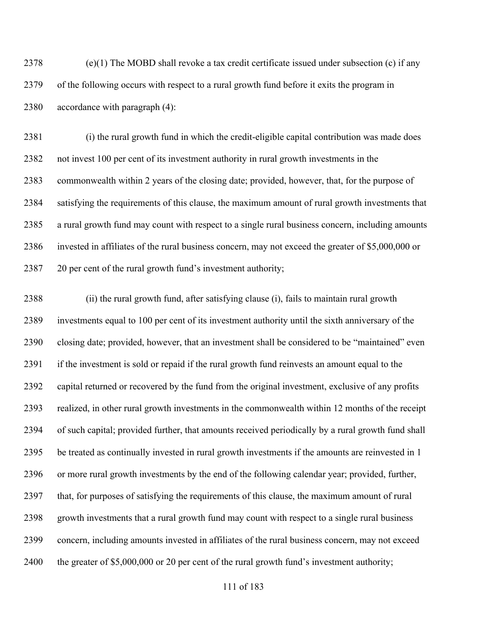(e)(1) The MOBD shall revoke a tax credit certificate issued under subsection (c) if any of the following occurs with respect to a rural growth fund before it exits the program in accordance with paragraph (4):

 (i) the rural growth fund in which the credit-eligible capital contribution was made does not invest 100 per cent of its investment authority in rural growth investments in the commonwealth within 2 years of the closing date; provided, however, that, for the purpose of satisfying the requirements of this clause, the maximum amount of rural growth investments that a rural growth fund may count with respect to a single rural business concern, including amounts invested in affiliates of the rural business concern, may not exceed the greater of \$5,000,000 or 20 per cent of the rural growth fund's investment authority;

 (ii) the rural growth fund, after satisfying clause (i), fails to maintain rural growth investments equal to 100 per cent of its investment authority until the sixth anniversary of the closing date; provided, however, that an investment shall be considered to be "maintained" even if the investment is sold or repaid if the rural growth fund reinvests an amount equal to the capital returned or recovered by the fund from the original investment, exclusive of any profits realized, in other rural growth investments in the commonwealth within 12 months of the receipt of such capital; provided further, that amounts received periodically by a rural growth fund shall be treated as continually invested in rural growth investments if the amounts are reinvested in 1 or more rural growth investments by the end of the following calendar year; provided, further, that, for purposes of satisfying the requirements of this clause, the maximum amount of rural growth investments that a rural growth fund may count with respect to a single rural business concern, including amounts invested in affiliates of the rural business concern, may not exceed 2400 the greater of \$5,000,000 or 20 per cent of the rural growth fund's investment authority;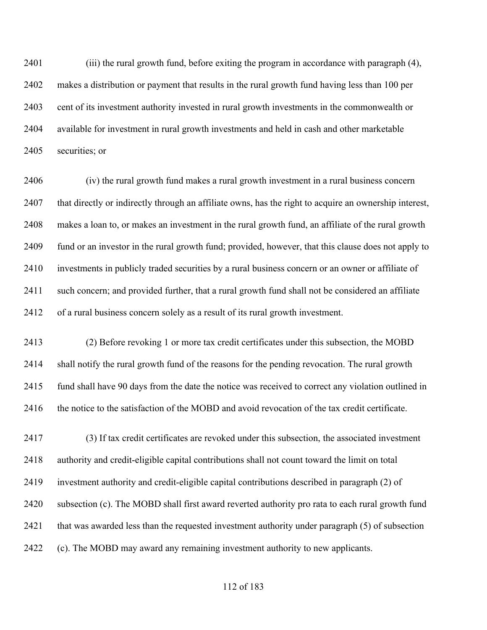(iii) the rural growth fund, before exiting the program in accordance with paragraph (4), makes a distribution or payment that results in the rural growth fund having less than 100 per cent of its investment authority invested in rural growth investments in the commonwealth or available for investment in rural growth investments and held in cash and other marketable securities; or

 (iv) the rural growth fund makes a rural growth investment in a rural business concern that directly or indirectly through an affiliate owns, has the right to acquire an ownership interest, makes a loan to, or makes an investment in the rural growth fund, an affiliate of the rural growth fund or an investor in the rural growth fund; provided, however, that this clause does not apply to investments in publicly traded securities by a rural business concern or an owner or affiliate of such concern; and provided further, that a rural growth fund shall not be considered an affiliate of a rural business concern solely as a result of its rural growth investment.

 (2) Before revoking 1 or more tax credit certificates under this subsection, the MOBD shall notify the rural growth fund of the reasons for the pending revocation. The rural growth fund shall have 90 days from the date the notice was received to correct any violation outlined in the notice to the satisfaction of the MOBD and avoid revocation of the tax credit certificate.

 (3) If tax credit certificates are revoked under this subsection, the associated investment authority and credit-eligible capital contributions shall not count toward the limit on total investment authority and credit-eligible capital contributions described in paragraph (2) of subsection (c). The MOBD shall first award reverted authority pro rata to each rural growth fund that was awarded less than the requested investment authority under paragraph (5) of subsection (c). The MOBD may award any remaining investment authority to new applicants.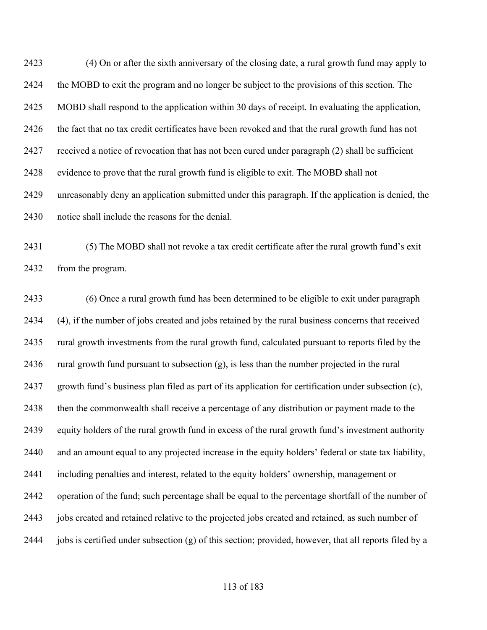(4) On or after the sixth anniversary of the closing date, a rural growth fund may apply to the MOBD to exit the program and no longer be subject to the provisions of this section. The MOBD shall respond to the application within 30 days of receipt. In evaluating the application, the fact that no tax credit certificates have been revoked and that the rural growth fund has not received a notice of revocation that has not been cured under paragraph (2) shall be sufficient evidence to prove that the rural growth fund is eligible to exit. The MOBD shall not unreasonably deny an application submitted under this paragraph. If the application is denied, the notice shall include the reasons for the denial.

 (5) The MOBD shall not revoke a tax credit certificate after the rural growth fund's exit from the program.

 (6) Once a rural growth fund has been determined to be eligible to exit under paragraph (4), if the number of jobs created and jobs retained by the rural business concerns that received rural growth investments from the rural growth fund, calculated pursuant to reports filed by the 2436 rural growth fund pursuant to subsection  $(g)$ , is less than the number projected in the rural growth fund's business plan filed as part of its application for certification under subsection (c), then the commonwealth shall receive a percentage of any distribution or payment made to the equity holders of the rural growth fund in excess of the rural growth fund's investment authority and an amount equal to any projected increase in the equity holders' federal or state tax liability, including penalties and interest, related to the equity holders' ownership, management or operation of the fund; such percentage shall be equal to the percentage shortfall of the number of jobs created and retained relative to the projected jobs created and retained, as such number of jobs is certified under subsection (g) of this section; provided, however, that all reports filed by a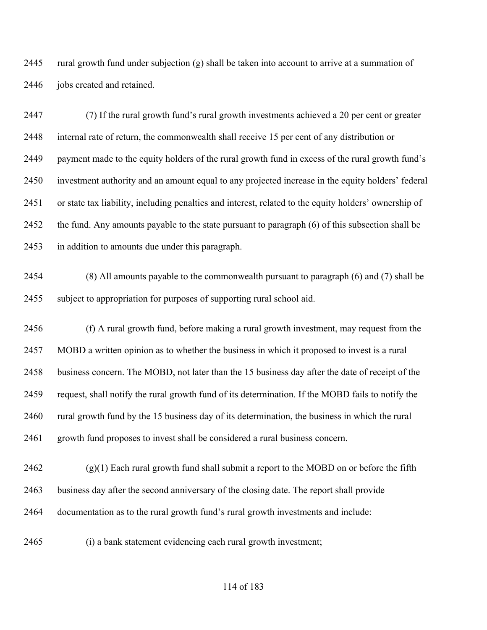rural growth fund under subjection (g) shall be taken into account to arrive at a summation of 2446 jobs created and retained.

 (7) If the rural growth fund's rural growth investments achieved a 20 per cent or greater internal rate of return, the commonwealth shall receive 15 per cent of any distribution or payment made to the equity holders of the rural growth fund in excess of the rural growth fund's investment authority and an amount equal to any projected increase in the equity holders' federal or state tax liability, including penalties and interest, related to the equity holders' ownership of the fund. Any amounts payable to the state pursuant to paragraph (6) of this subsection shall be in addition to amounts due under this paragraph.

 (8) All amounts payable to the commonwealth pursuant to paragraph (6) and (7) shall be subject to appropriation for purposes of supporting rural school aid.

 (f) A rural growth fund, before making a rural growth investment, may request from the MOBD a written opinion as to whether the business in which it proposed to invest is a rural business concern. The MOBD, not later than the 15 business day after the date of receipt of the request, shall notify the rural growth fund of its determination. If the MOBD fails to notify the rural growth fund by the 15 business day of its determination, the business in which the rural growth fund proposes to invest shall be considered a rural business concern.

 (g)(1) Each rural growth fund shall submit a report to the MOBD on or before the fifth business day after the second anniversary of the closing date. The report shall provide documentation as to the rural growth fund's rural growth investments and include:

(i) a bank statement evidencing each rural growth investment;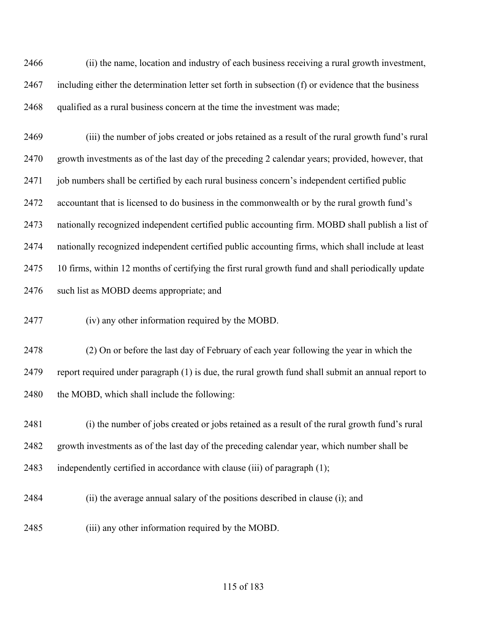(ii) the name, location and industry of each business receiving a rural growth investment, including either the determination letter set forth in subsection (f) or evidence that the business qualified as a rural business concern at the time the investment was made;

 (iii) the number of jobs created or jobs retained as a result of the rural growth fund's rural growth investments as of the last day of the preceding 2 calendar years; provided, however, that 2471 job numbers shall be certified by each rural business concern's independent certified public accountant that is licensed to do business in the commonwealth or by the rural growth fund's nationally recognized independent certified public accounting firm. MOBD shall publish a list of nationally recognized independent certified public accounting firms, which shall include at least 10 firms, within 12 months of certifying the first rural growth fund and shall periodically update such list as MOBD deems appropriate; and

(iv) any other information required by the MOBD.

 (2) On or before the last day of February of each year following the year in which the report required under paragraph (1) is due, the rural growth fund shall submit an annual report to 2480 the MOBD, which shall include the following:

 (i) the number of jobs created or jobs retained as a result of the rural growth fund's rural growth investments as of the last day of the preceding calendar year, which number shall be independently certified in accordance with clause (iii) of paragraph (1);

- (ii) the average annual salary of the positions described in clause (i); and
- (iii) any other information required by the MOBD.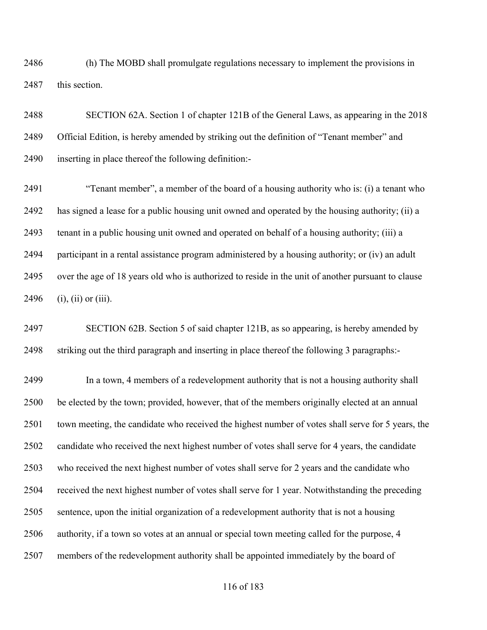(h) The MOBD shall promulgate regulations necessary to implement the provisions in 2487 this section.

 SECTION 62A. Section 1 of chapter 121B of the General Laws, as appearing in the 2018 Official Edition, is hereby amended by striking out the definition of "Tenant member" and inserting in place thereof the following definition:-

 "Tenant member", a member of the board of a housing authority who is: (i) a tenant who has signed a lease for a public housing unit owned and operated by the housing authority; (ii) a tenant in a public housing unit owned and operated on behalf of a housing authority; (iii) a participant in a rental assistance program administered by a housing authority; or (iv) an adult over the age of 18 years old who is authorized to reside in the unit of another pursuant to clause (i), (ii) or (iii).

 SECTION 62B. Section 5 of said chapter 121B, as so appearing, is hereby amended by striking out the third paragraph and inserting in place thereof the following 3 paragraphs:-

 In a town, 4 members of a redevelopment authority that is not a housing authority shall be elected by the town; provided, however, that of the members originally elected at an annual town meeting, the candidate who received the highest number of votes shall serve for 5 years, the candidate who received the next highest number of votes shall serve for 4 years, the candidate who received the next highest number of votes shall serve for 2 years and the candidate who received the next highest number of votes shall serve for 1 year. Notwithstanding the preceding sentence, upon the initial organization of a redevelopment authority that is not a housing authority, if a town so votes at an annual or special town meeting called for the purpose, 4 members of the redevelopment authority shall be appointed immediately by the board of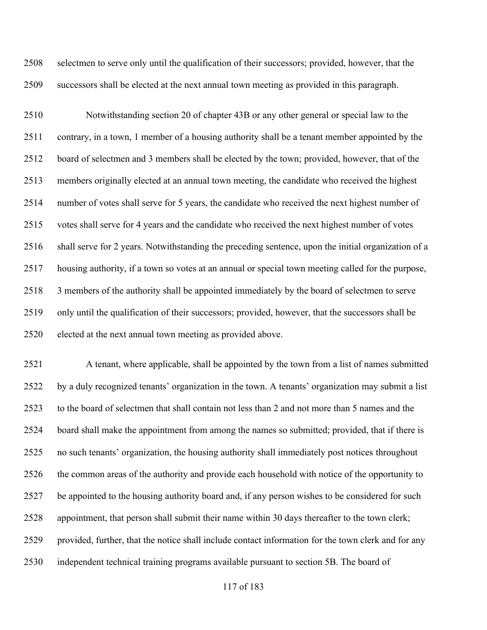selectmen to serve only until the qualification of their successors; provided, however, that the successors shall be elected at the next annual town meeting as provided in this paragraph.

 Notwithstanding section 20 of chapter 43B or any other general or special law to the contrary, in a town, 1 member of a housing authority shall be a tenant member appointed by the board of selectmen and 3 members shall be elected by the town; provided, however, that of the members originally elected at an annual town meeting, the candidate who received the highest number of votes shall serve for 5 years, the candidate who received the next highest number of votes shall serve for 4 years and the candidate who received the next highest number of votes shall serve for 2 years. Notwithstanding the preceding sentence, upon the initial organization of a housing authority, if a town so votes at an annual or special town meeting called for the purpose, 3 members of the authority shall be appointed immediately by the board of selectmen to serve only until the qualification of their successors; provided, however, that the successors shall be elected at the next annual town meeting as provided above.

 A tenant, where applicable, shall be appointed by the town from a list of names submitted by a duly recognized tenants' organization in the town. A tenants' organization may submit a list to the board of selectmen that shall contain not less than 2 and not more than 5 names and the board shall make the appointment from among the names so submitted; provided, that if there is no such tenants' organization, the housing authority shall immediately post notices throughout the common areas of the authority and provide each household with notice of the opportunity to be appointed to the housing authority board and, if any person wishes to be considered for such appointment, that person shall submit their name within 30 days thereafter to the town clerk; provided, further, that the notice shall include contact information for the town clerk and for any independent technical training programs available pursuant to section 5B. The board of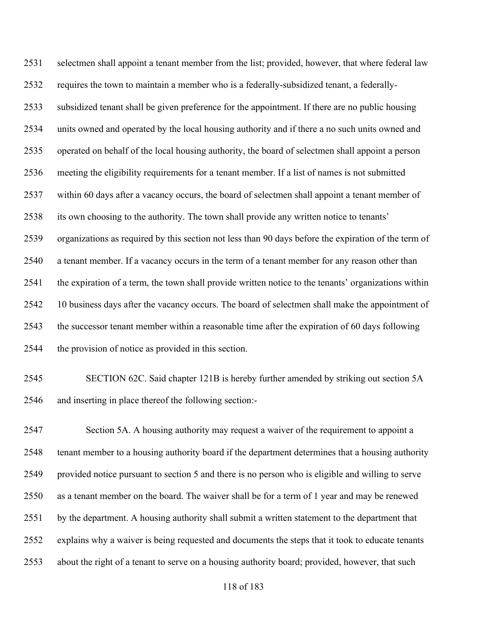selectmen shall appoint a tenant member from the list; provided, however, that where federal law requires the town to maintain a member who is a federally-subsidized tenant, a federally- subsidized tenant shall be given preference for the appointment. If there are no public housing units owned and operated by the local housing authority and if there a no such units owned and operated on behalf of the local housing authority, the board of selectmen shall appoint a person meeting the eligibility requirements for a tenant member. If a list of names is not submitted within 60 days after a vacancy occurs, the board of selectmen shall appoint a tenant member of its own choosing to the authority. The town shall provide any written notice to tenants' organizations as required by this section not less than 90 days before the expiration of the term of a tenant member. If a vacancy occurs in the term of a tenant member for any reason other than the expiration of a term, the town shall provide written notice to the tenants' organizations within 10 business days after the vacancy occurs. The board of selectmen shall make the appointment of the successor tenant member within a reasonable time after the expiration of 60 days following the provision of notice as provided in this section.

 SECTION 62C. Said chapter 121B is hereby further amended by striking out section 5A and inserting in place thereof the following section:-

 Section 5A. A housing authority may request a waiver of the requirement to appoint a tenant member to a housing authority board if the department determines that a housing authority provided notice pursuant to section 5 and there is no person who is eligible and willing to serve as a tenant member on the board. The waiver shall be for a term of 1 year and may be renewed by the department. A housing authority shall submit a written statement to the department that explains why a waiver is being requested and documents the steps that it took to educate tenants about the right of a tenant to serve on a housing authority board; provided, however, that such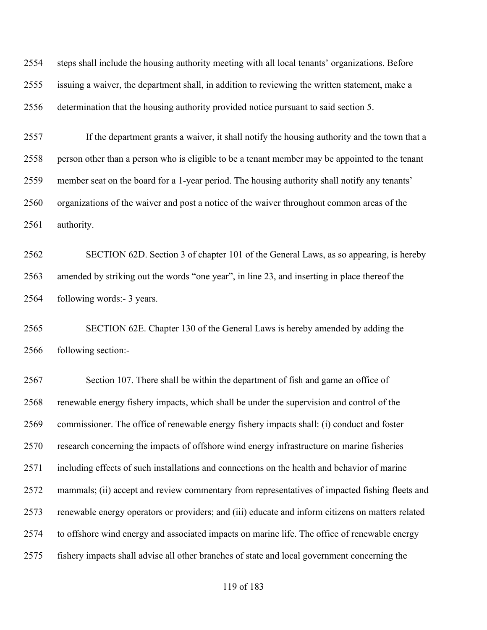steps shall include the housing authority meeting with all local tenants' organizations. Before issuing a waiver, the department shall, in addition to reviewing the written statement, make a determination that the housing authority provided notice pursuant to said section 5.

 If the department grants a waiver, it shall notify the housing authority and the town that a person other than a person who is eligible to be a tenant member may be appointed to the tenant member seat on the board for a 1-year period. The housing authority shall notify any tenants' organizations of the waiver and post a notice of the waiver throughout common areas of the authority.

 SECTION 62D. Section 3 of chapter 101 of the General Laws, as so appearing, is hereby amended by striking out the words "one year", in line 23, and inserting in place thereof the following words:- 3 years.

 SECTION 62E. Chapter 130 of the General Laws is hereby amended by adding the following section:-

 Section 107. There shall be within the department of fish and game an office of renewable energy fishery impacts, which shall be under the supervision and control of the commissioner. The office of renewable energy fishery impacts shall: (i) conduct and foster research concerning the impacts of offshore wind energy infrastructure on marine fisheries including effects of such installations and connections on the health and behavior of marine mammals; (ii) accept and review commentary from representatives of impacted fishing fleets and renewable energy operators or providers; and (iii) educate and inform citizens on matters related to offshore wind energy and associated impacts on marine life. The office of renewable energy fishery impacts shall advise all other branches of state and local government concerning the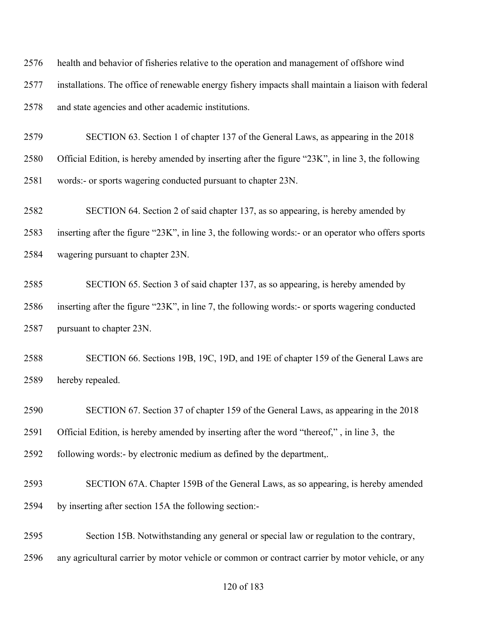| 2576 | health and behavior of fisheries relative to the operation and management of offshore wind          |
|------|-----------------------------------------------------------------------------------------------------|
| 2577 | installations. The office of renewable energy fishery impacts shall maintain a liaison with federal |
| 2578 | and state agencies and other academic institutions.                                                 |
| 2579 | SECTION 63. Section 1 of chapter 137 of the General Laws, as appearing in the 2018                  |
| 2580 | Official Edition, is hereby amended by inserting after the figure "23K", in line 3, the following   |
| 2581 | words:- or sports wagering conducted pursuant to chapter 23N.                                       |
| 2582 | SECTION 64. Section 2 of said chapter 137, as so appearing, is hereby amended by                    |
| 2583 | inserting after the figure "23K", in line 3, the following words:- or an operator who offers sports |
| 2584 | wagering pursuant to chapter 23N.                                                                   |
| 2585 | SECTION 65. Section 3 of said chapter 137, as so appearing, is hereby amended by                    |
| 2586 | inserting after the figure "23K", in line 7, the following words:- or sports wagering conducted     |
| 2587 | pursuant to chapter 23N.                                                                            |
| 2588 | SECTION 66. Sections 19B, 19C, 19D, and 19E of chapter 159 of the General Laws are                  |
| 2589 | hereby repealed.                                                                                    |
| 2590 | SECTION 67. Section 37 of chapter 159 of the General Laws, as appearing in the 2018                 |
| 2591 | Official Edition, is hereby amended by inserting after the word "thereof,", in line 3, the          |
| 2592 | following words:- by electronic medium as defined by the department,.                               |
| 2593 | SECTION 67A. Chapter 159B of the General Laws, as so appearing, is hereby amended                   |
| 2594 | by inserting after section 15A the following section:-                                              |
| 2595 | Section 15B. Notwithstanding any general or special law or regulation to the contrary,              |
| 2596 | any agricultural carrier by motor vehicle or common or contract carrier by motor vehicle, or any    |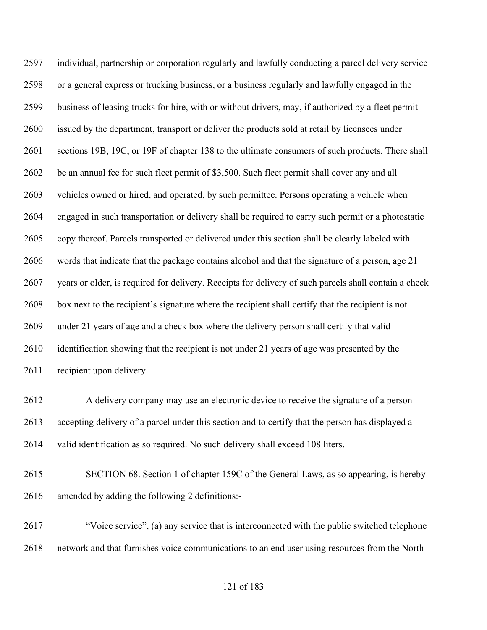individual, partnership or corporation regularly and lawfully conducting a parcel delivery service or a general express or trucking business, or a business regularly and lawfully engaged in the business of leasing trucks for hire, with or without drivers, may, if authorized by a fleet permit issued by the department, transport or deliver the products sold at retail by licensees under sections 19B, 19C, or 19F of chapter 138 to the ultimate consumers of such products. There shall be an annual fee for such fleet permit of \$3,500. Such fleet permit shall cover any and all vehicles owned or hired, and operated, by such permittee. Persons operating a vehicle when engaged in such transportation or delivery shall be required to carry such permit or a photostatic copy thereof. Parcels transported or delivered under this section shall be clearly labeled with words that indicate that the package contains alcohol and that the signature of a person, age 21 years or older, is required for delivery. Receipts for delivery of such parcels shall contain a check box next to the recipient's signature where the recipient shall certify that the recipient is not under 21 years of age and a check box where the delivery person shall certify that valid identification showing that the recipient is not under 21 years of age was presented by the recipient upon delivery.

 A delivery company may use an electronic device to receive the signature of a person accepting delivery of a parcel under this section and to certify that the person has displayed a valid identification as so required. No such delivery shall exceed 108 liters.

- SECTION 68. Section 1 of chapter 159C of the General Laws, as so appearing, is hereby amended by adding the following 2 definitions:-
- "Voice service", (a) any service that is interconnected with the public switched telephone network and that furnishes voice communications to an end user using resources from the North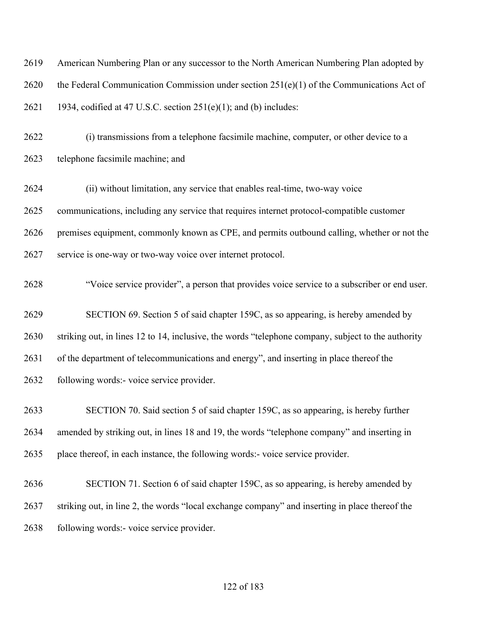| 2619 | American Numbering Plan or any successor to the North American Numbering Plan adopted by           |
|------|----------------------------------------------------------------------------------------------------|
| 2620 | the Federal Communication Commission under section $251(e)(1)$ of the Communications Act of        |
| 2621 | 1934, codified at 47 U.S.C. section $251(e)(1)$ ; and (b) includes:                                |
| 2622 | (i) transmissions from a telephone facsimile machine, computer, or other device to a               |
| 2623 | telephone facsimile machine; and                                                                   |
| 2624 | (ii) without limitation, any service that enables real-time, two-way voice                         |
| 2625 | communications, including any service that requires internet protocol-compatible customer          |
| 2626 | premises equipment, commonly known as CPE, and permits outbound calling, whether or not the        |
| 2627 | service is one-way or two-way voice over internet protocol.                                        |
| 2628 | "Voice service provider", a person that provides voice service to a subscriber or end user.        |
| 2629 | SECTION 69. Section 5 of said chapter 159C, as so appearing, is hereby amended by                  |
| 2630 | striking out, in lines 12 to 14, inclusive, the words "telephone company, subject to the authority |
| 2631 | of the department of telecommunications and energy", and inserting in place thereof the            |
| 2632 | following words:- voice service provider.                                                          |
| 2633 | SECTION 70. Said section 5 of said chapter 159C, as so appearing, is hereby further                |
| 2634 | amended by striking out, in lines 18 and 19, the words "telephone company" and inserting in        |
| 2635 | place thereof, in each instance, the following words:- voice service provider.                     |
| 2636 | SECTION 71. Section 6 of said chapter 159C, as so appearing, is hereby amended by                  |
| 2637 | striking out, in line 2, the words "local exchange company" and inserting in place thereof the     |
| 2638 | following words:- voice service provider.                                                          |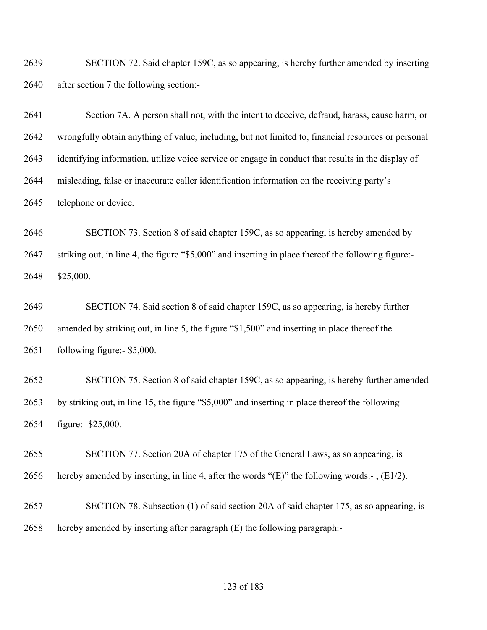SECTION 72. Said chapter 159C, as so appearing, is hereby further amended by inserting after section 7 the following section:-

 Section 7A. A person shall not, with the intent to deceive, defraud, harass, cause harm, or wrongfully obtain anything of value, including, but not limited to, financial resources or personal identifying information, utilize voice service or engage in conduct that results in the display of misleading, false or inaccurate caller identification information on the receiving party's telephone or device.

 SECTION 73. Section 8 of said chapter 159C, as so appearing, is hereby amended by striking out, in line 4, the figure "\$5,000" and inserting in place thereof the following figure:- \$25,000.

 SECTION 74. Said section 8 of said chapter 159C, as so appearing, is hereby further amended by striking out, in line 5, the figure "\$1,500" and inserting in place thereof the following figure:- \$5,000.

 SECTION 75. Section 8 of said chapter 159C, as so appearing, is hereby further amended by striking out, in line 15, the figure "\$5,000" and inserting in place thereof the following figure:- \$25,000.

 SECTION 77. Section 20A of chapter 175 of the General Laws, as so appearing, is 2656 hereby amended by inserting, in line 4, after the words " $(E)$ " the following words:-,  $(E1/2)$ .

 SECTION 78. Subsection (1) of said section 20A of said chapter 175, as so appearing, is hereby amended by inserting after paragraph (E) the following paragraph:-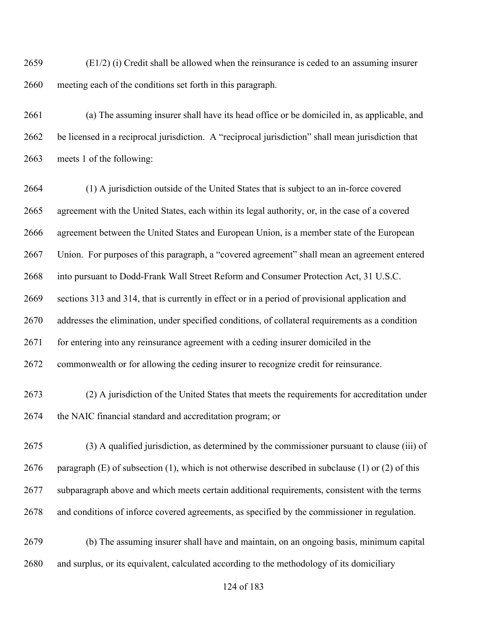(E1/2) (i) Credit shall be allowed when the reinsurance is ceded to an assuming insurer meeting each of the conditions set forth in this paragraph.

 (a) The assuming insurer shall have its head office or be domiciled in, as applicable, and be licensed in a reciprocal jurisdiction. A "reciprocal jurisdiction" shall mean jurisdiction that meets 1 of the following:

 (1) A jurisdiction outside of the United States that is subject to an in-force covered agreement with the United States, each within its legal authority, or, in the case of a covered agreement between the United States and European Union, is a member state of the European Union. For purposes of this paragraph, a "covered agreement" shall mean an agreement entered into pursuant to Dodd-Frank Wall Street Reform and Consumer Protection Act, 31 U.S.C. sections 313 and 314, that is currently in effect or in a period of provisional application and addresses the elimination, under specified conditions, of collateral requirements as a condition 2671 for entering into any reinsurance agreement with a ceding insurer domiciled in the commonwealth or for allowing the ceding insurer to recognize credit for reinsurance. (2) A jurisdiction of the United States that meets the requirements for accreditation under the NAIC financial standard and accreditation program; or

 (3) A qualified jurisdiction, as determined by the commissioner pursuant to clause (iii) of 2676 paragraph  $(E)$  of subsection (1), which is not otherwise described in subclause (1) or (2) of this subparagraph above and which meets certain additional requirements, consistent with the terms and conditions of inforce covered agreements, as specified by the commissioner in regulation.

 (b) The assuming insurer shall have and maintain, on an ongoing basis, minimum capital and surplus, or its equivalent, calculated according to the methodology of its domiciliary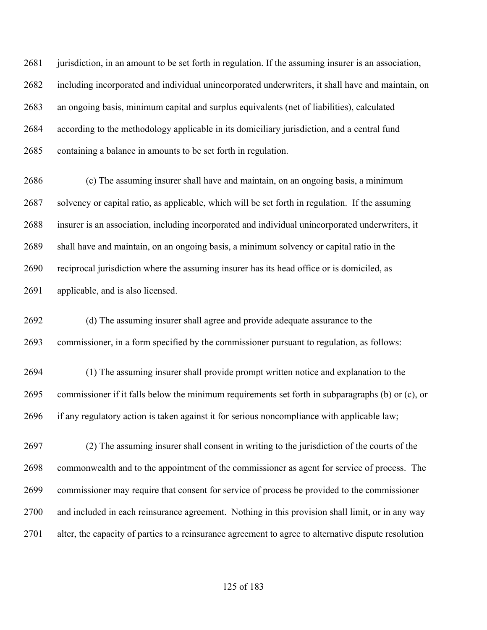jurisdiction, in an amount to be set forth in regulation. If the assuming insurer is an association, including incorporated and individual unincorporated underwriters, it shall have and maintain, on an ongoing basis, minimum capital and surplus equivalents (net of liabilities), calculated according to the methodology applicable in its domiciliary jurisdiction, and a central fund containing a balance in amounts to be set forth in regulation.

 (c) The assuming insurer shall have and maintain, on an ongoing basis, a minimum solvency or capital ratio, as applicable, which will be set forth in regulation. If the assuming insurer is an association, including incorporated and individual unincorporated underwriters, it shall have and maintain, on an ongoing basis, a minimum solvency or capital ratio in the reciprocal jurisdiction where the assuming insurer has its head office or is domiciled, as applicable, and is also licensed.

 (d) The assuming insurer shall agree and provide adequate assurance to the commissioner, in a form specified by the commissioner pursuant to regulation, as follows:

 (1) The assuming insurer shall provide prompt written notice and explanation to the commissioner if it falls below the minimum requirements set forth in subparagraphs (b) or (c), or if any regulatory action is taken against it for serious noncompliance with applicable law;

 (2) The assuming insurer shall consent in writing to the jurisdiction of the courts of the commonwealth and to the appointment of the commissioner as agent for service of process. The commissioner may require that consent for service of process be provided to the commissioner and included in each reinsurance agreement. Nothing in this provision shall limit, or in any way alter, the capacity of parties to a reinsurance agreement to agree to alternative dispute resolution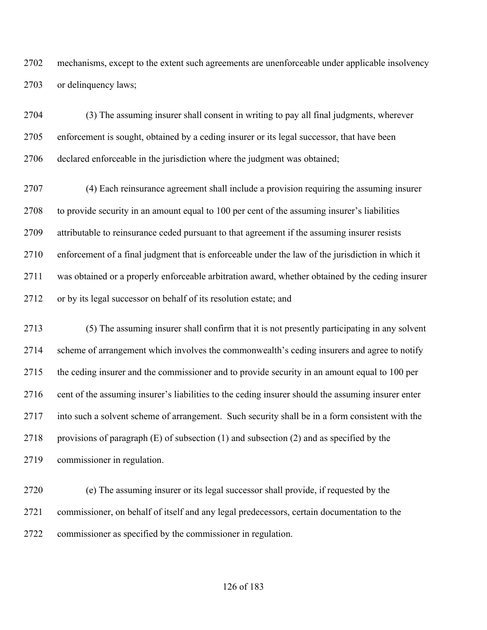mechanisms, except to the extent such agreements are unenforceable under applicable insolvency or delinquency laws;

 (3) The assuming insurer shall consent in writing to pay all final judgments, wherever enforcement is sought, obtained by a ceding insurer or its legal successor, that have been declared enforceable in the jurisdiction where the judgment was obtained;

 (4) Each reinsurance agreement shall include a provision requiring the assuming insurer to provide security in an amount equal to 100 per cent of the assuming insurer's liabilities attributable to reinsurance ceded pursuant to that agreement if the assuming insurer resists enforcement of a final judgment that is enforceable under the law of the jurisdiction in which it was obtained or a properly enforceable arbitration award, whether obtained by the ceding insurer 2712 or by its legal successor on behalf of its resolution estate; and

 (5) The assuming insurer shall confirm that it is not presently participating in any solvent scheme of arrangement which involves the commonwealth's ceding insurers and agree to notify the ceding insurer and the commissioner and to provide security in an amount equal to 100 per cent of the assuming insurer's liabilities to the ceding insurer should the assuming insurer enter into such a solvent scheme of arrangement. Such security shall be in a form consistent with the 2718 provisions of paragraph  $(E)$  of subsection  $(1)$  and subsection  $(2)$  and as specified by the commissioner in regulation.

 (e) The assuming insurer or its legal successor shall provide, if requested by the commissioner, on behalf of itself and any legal predecessors, certain documentation to the commissioner as specified by the commissioner in regulation.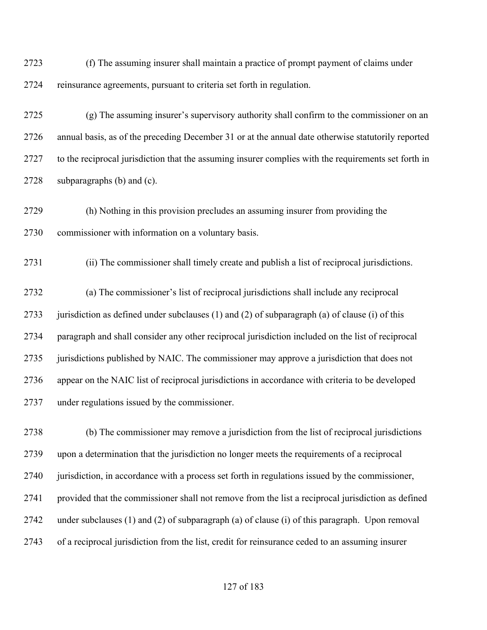(f) The assuming insurer shall maintain a practice of prompt payment of claims under reinsurance agreements, pursuant to criteria set forth in regulation.

 (g) The assuming insurer's supervisory authority shall confirm to the commissioner on an annual basis, as of the preceding December 31 or at the annual date otherwise statutorily reported 2727 to the reciprocal jurisdiction that the assuming insurer complies with the requirements set forth in subparagraphs (b) and (c).

 (h) Nothing in this provision precludes an assuming insurer from providing the commissioner with information on a voluntary basis.

(ii) The commissioner shall timely create and publish a list of reciprocal jurisdictions.

 (a) The commissioner's list of reciprocal jurisdictions shall include any reciprocal 2733 jurisdiction as defined under subclauses (1) and (2) of subparagraph (a) of clause (i) of this paragraph and shall consider any other reciprocal jurisdiction included on the list of reciprocal jurisdictions published by NAIC. The commissioner may approve a jurisdiction that does not appear on the NAIC list of reciprocal jurisdictions in accordance with criteria to be developed under regulations issued by the commissioner.

 (b) The commissioner may remove a jurisdiction from the list of reciprocal jurisdictions upon a determination that the jurisdiction no longer meets the requirements of a reciprocal jurisdiction, in accordance with a process set forth in regulations issued by the commissioner, provided that the commissioner shall not remove from the list a reciprocal jurisdiction as defined under subclauses (1) and (2) of subparagraph (a) of clause (i) of this paragraph. Upon removal of a reciprocal jurisdiction from the list, credit for reinsurance ceded to an assuming insurer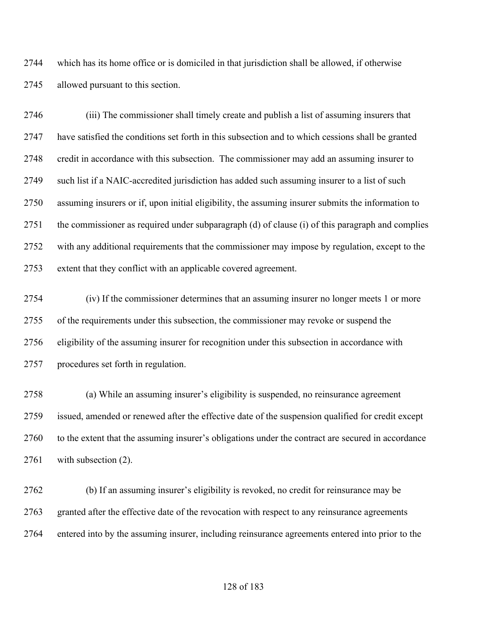which has its home office or is domiciled in that jurisdiction shall be allowed, if otherwise allowed pursuant to this section.

 (iii) The commissioner shall timely create and publish a list of assuming insurers that have satisfied the conditions set forth in this subsection and to which cessions shall be granted credit in accordance with this subsection. The commissioner may add an assuming insurer to such list if a NAIC-accredited jurisdiction has added such assuming insurer to a list of such assuming insurers or if, upon initial eligibility, the assuming insurer submits the information to the commissioner as required under subparagraph (d) of clause (i) of this paragraph and complies with any additional requirements that the commissioner may impose by regulation, except to the extent that they conflict with an applicable covered agreement.

 (iv) If the commissioner determines that an assuming insurer no longer meets 1 or more of the requirements under this subsection, the commissioner may revoke or suspend the eligibility of the assuming insurer for recognition under this subsection in accordance with procedures set forth in regulation.

 (a) While an assuming insurer's eligibility is suspended, no reinsurance agreement issued, amended or renewed after the effective date of the suspension qualified for credit except to the extent that the assuming insurer's obligations under the contract are secured in accordance with subsection (2).

 (b) If an assuming insurer's eligibility is revoked, no credit for reinsurance may be granted after the effective date of the revocation with respect to any reinsurance agreements entered into by the assuming insurer, including reinsurance agreements entered into prior to the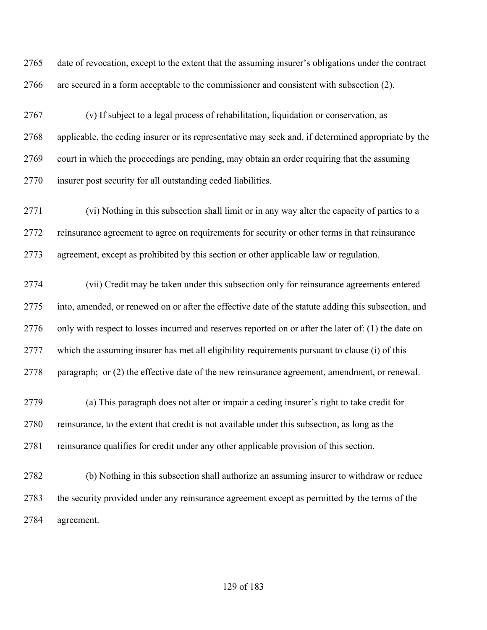date of revocation, except to the extent that the assuming insurer's obligations under the contract are secured in a form acceptable to the commissioner and consistent with subsection (2).

 (v) If subject to a legal process of rehabilitation, liquidation or conservation, as applicable, the ceding insurer or its representative may seek and, if determined appropriate by the court in which the proceedings are pending, may obtain an order requiring that the assuming insurer post security for all outstanding ceded liabilities.

 (vi) Nothing in this subsection shall limit or in any way alter the capacity of parties to a reinsurance agreement to agree on requirements for security or other terms in that reinsurance agreement, except as prohibited by this section or other applicable law or regulation.

 (vii) Credit may be taken under this subsection only for reinsurance agreements entered into, amended, or renewed on or after the effective date of the statute adding this subsection, and 2776 only with respect to losses incurred and reserves reported on or after the later of: (1) the date on which the assuming insurer has met all eligibility requirements pursuant to clause (i) of this paragraph; or (2) the effective date of the new reinsurance agreement, amendment, or renewal.

 (a) This paragraph does not alter or impair a ceding insurer's right to take credit for reinsurance, to the extent that credit is not available under this subsection, as long as the reinsurance qualifies for credit under any other applicable provision of this section.

 (b) Nothing in this subsection shall authorize an assuming insurer to withdraw or reduce the security provided under any reinsurance agreement except as permitted by the terms of the agreement.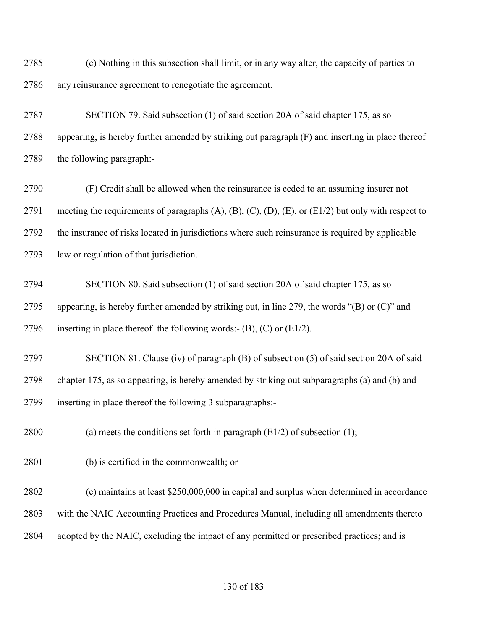(c) Nothing in this subsection shall limit, or in any way alter, the capacity of parties to any reinsurance agreement to renegotiate the agreement.

 SECTION 79. Said subsection (1) of said section 20A of said chapter 175, as so appearing, is hereby further amended by striking out paragraph (F) and inserting in place thereof the following paragraph:-

 (F) Credit shall be allowed when the reinsurance is ceded to an assuming insurer not 2791 meeting the requirements of paragraphs  $(A)$ ,  $(B)$ ,  $(C)$ ,  $(D)$ ,  $(E)$ , or  $(E1/2)$  but only with respect to the insurance of risks located in jurisdictions where such reinsurance is required by applicable law or regulation of that jurisdiction.

 SECTION 80. Said subsection (1) of said section 20A of said chapter 175, as so 2795 appearing, is hereby further amended by striking out, in line 279, the words " $(B)$  or  $(C)$ " and 2796 inserting in place thereof the following words:-  $(B)$ ,  $(C)$  or  $(E1/2)$ .

 SECTION 81. Clause (iv) of paragraph (B) of subsection (5) of said section 20A of said chapter 175, as so appearing, is hereby amended by striking out subparagraphs (a) and (b) and inserting in place thereof the following 3 subparagraphs:-

2800 (a) meets the conditions set forth in paragraph  $(E1/2)$  of subsection (1);

(b) is certified in the commonwealth; or

 (c) maintains at least \$250,000,000 in capital and surplus when determined in accordance with the NAIC Accounting Practices and Procedures Manual, including all amendments thereto 2804 adopted by the NAIC, excluding the impact of any permitted or prescribed practices; and is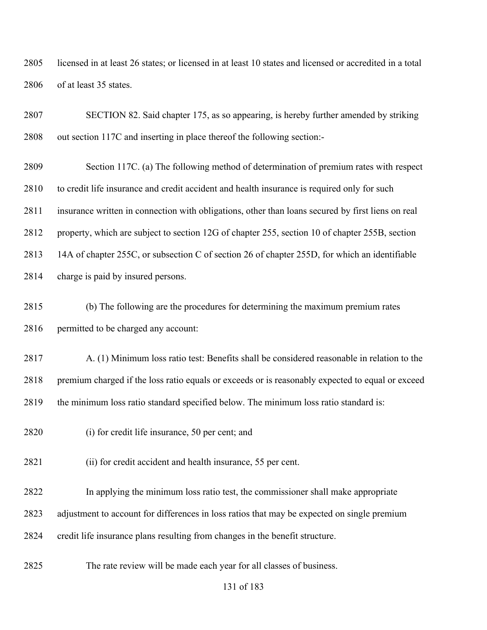licensed in at least 26 states; or licensed in at least 10 states and licensed or accredited in a total of at least 35 states.

 SECTION 82. Said chapter 175, as so appearing, is hereby further amended by striking out section 117C and inserting in place thereof the following section:-

 Section 117C. (a) The following method of determination of premium rates with respect to credit life insurance and credit accident and health insurance is required only for such insurance written in connection with obligations, other than loans secured by first liens on real property, which are subject to section 12G of chapter 255, section 10 of chapter 255B, section 14A of chapter 255C, or subsection C of section 26 of chapter 255D, for which an identifiable charge is paid by insured persons.

- (b) The following are the procedures for determining the maximum premium rates permitted to be charged any account:
- A. (1) Minimum loss ratio test: Benefits shall be considered reasonable in relation to the premium charged if the loss ratio equals or exceeds or is reasonably expected to equal or exceed the minimum loss ratio standard specified below. The minimum loss ratio standard is:
- (i) for credit life insurance, 50 per cent; and
- (ii) for credit accident and health insurance, 55 per cent.
- In applying the minimum loss ratio test, the commissioner shall make appropriate
- adjustment to account for differences in loss ratios that may be expected on single premium
- credit life insurance plans resulting from changes in the benefit structure.
- The rate review will be made each year for all classes of business.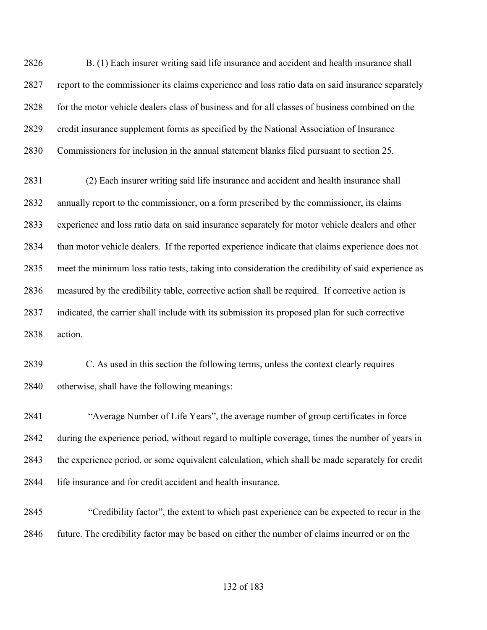B. (1) Each insurer writing said life insurance and accident and health insurance shall report to the commissioner its claims experience and loss ratio data on said insurance separately 2828 for the motor vehicle dealers class of business and for all classes of business combined on the credit insurance supplement forms as specified by the National Association of Insurance Commissioners for inclusion in the annual statement blanks filed pursuant to section 25.

 (2) Each insurer writing said life insurance and accident and health insurance shall annually report to the commissioner, on a form prescribed by the commissioner, its claims experience and loss ratio data on said insurance separately for motor vehicle dealers and other than motor vehicle dealers. If the reported experience indicate that claims experience does not meet the minimum loss ratio tests, taking into consideration the credibility of said experience as measured by the credibility table, corrective action shall be required. If corrective action is indicated, the carrier shall include with its submission its proposed plan for such corrective action.

 C. As used in this section the following terms, unless the context clearly requires otherwise, shall have the following meanings:

 "Average Number of Life Years", the average number of group certificates in force during the experience period, without regard to multiple coverage, times the number of years in the experience period, or some equivalent calculation, which shall be made separately for credit life insurance and for credit accident and health insurance.

 "Credibility factor", the extent to which past experience can be expected to recur in the 2846 future. The credibility factor may be based on either the number of claims incurred or on the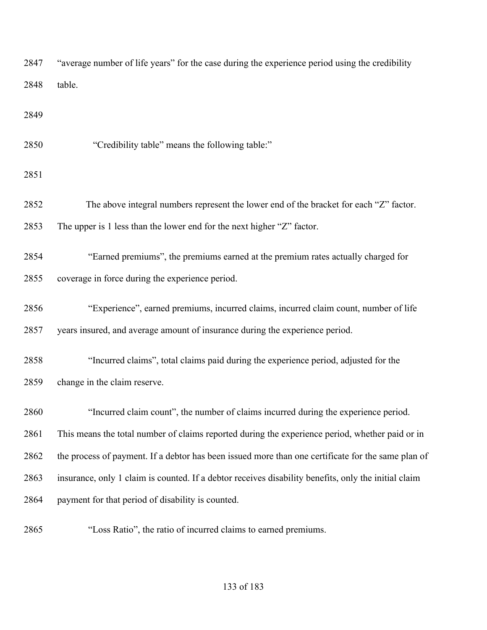| 2847 | "average number of life years" for the case during the experience period using the credibility       |
|------|------------------------------------------------------------------------------------------------------|
| 2848 | table.                                                                                               |
| 2849 |                                                                                                      |
| 2850 | "Credibility table" means the following table:"                                                      |
| 2851 |                                                                                                      |
| 2852 | The above integral numbers represent the lower end of the bracket for each "Z" factor.               |
| 2853 | The upper is 1 less than the lower end for the next higher "Z" factor.                               |
| 2854 | "Earned premiums", the premiums earned at the premium rates actually charged for                     |
| 2855 | coverage in force during the experience period.                                                      |
| 2856 | "Experience", earned premiums, incurred claims, incurred claim count, number of life                 |
| 2857 | years insured, and average amount of insurance during the experience period.                         |
| 2858 | "Incurred claims", total claims paid during the experience period, adjusted for the                  |
| 2859 | change in the claim reserve.                                                                         |
| 2860 | "Incurred claim count", the number of claims incurred during the experience period.                  |
| 2861 | This means the total number of claims reported during the experience period, whether paid or in      |
| 2862 | the process of payment. If a debtor has been issued more than one certificate for the same plan of   |
| 2863 | insurance, only 1 claim is counted. If a debtor receives disability benefits, only the initial claim |
| 2864 | payment for that period of disability is counted.                                                    |
| 2865 | "Loss Ratio", the ratio of incurred claims to earned premiums.                                       |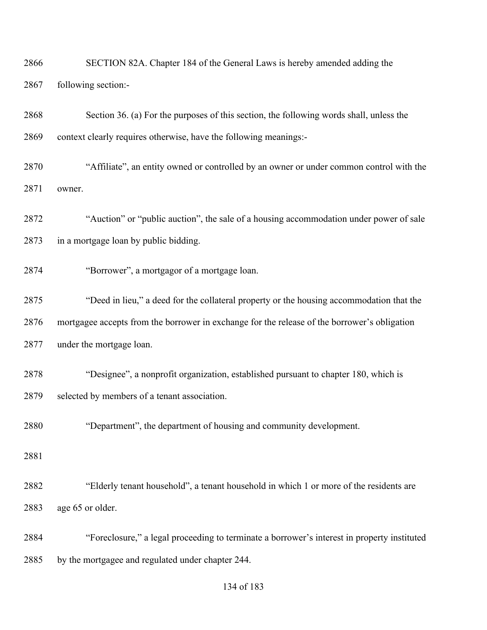| 2866 | SECTION 82A. Chapter 184 of the General Laws is hereby amended adding the                    |
|------|----------------------------------------------------------------------------------------------|
| 2867 | following section:-                                                                          |
| 2868 | Section 36. (a) For the purposes of this section, the following words shall, unless the      |
| 2869 | context clearly requires otherwise, have the following meanings:-                            |
| 2870 | "Affiliate", an entity owned or controlled by an owner or under common control with the      |
| 2871 | owner.                                                                                       |
| 2872 | "Auction" or "public auction", the sale of a housing accommodation under power of sale       |
| 2873 | in a mortgage loan by public bidding.                                                        |
| 2874 | "Borrower", a mortgagor of a mortgage loan.                                                  |
| 2875 | "Deed in lieu," a deed for the collateral property or the housing accommodation that the     |
| 2876 | mortgagee accepts from the borrower in exchange for the release of the borrower's obligation |
| 2877 | under the mortgage loan.                                                                     |
| 2878 | "Designee", a nonprofit organization, established pursuant to chapter 180, which is          |
| 2879 | selected by members of a tenant association.                                                 |
| 2880 | "Department", the department of housing and community development.                           |
| 2881 |                                                                                              |
| 2882 | "Elderly tenant household", a tenant household in which 1 or more of the residents are       |
| 2883 | age 65 or older.                                                                             |
| 2884 | "Foreclosure," a legal proceeding to terminate a borrower's interest in property instituted  |
| 2885 | by the mortgagee and regulated under chapter 244.                                            |
|      |                                                                                              |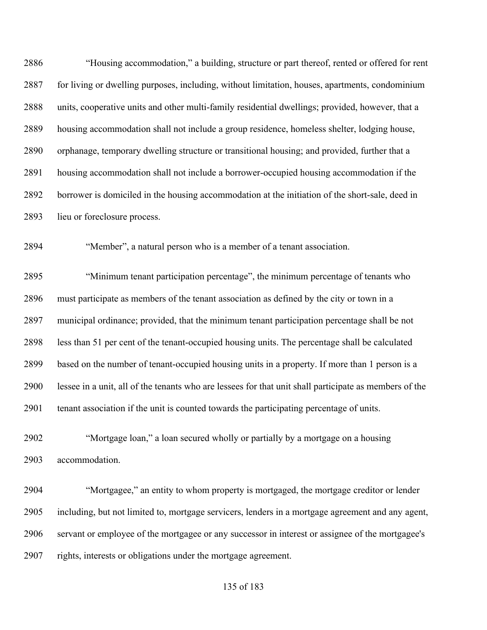"Housing accommodation," a building, structure or part thereof, rented or offered for rent for living or dwelling purposes, including, without limitation, houses, apartments, condominium units, cooperative units and other multi-family residential dwellings; provided, however, that a housing accommodation shall not include a group residence, homeless shelter, lodging house, orphanage, temporary dwelling structure or transitional housing; and provided, further that a housing accommodation shall not include a borrower-occupied housing accommodation if the borrower is domiciled in the housing accommodation at the initiation of the short-sale, deed in lieu or foreclosure process.

"Member", a natural person who is a member of a tenant association.

 "Minimum tenant participation percentage", the minimum percentage of tenants who must participate as members of the tenant association as defined by the city or town in a municipal ordinance; provided, that the minimum tenant participation percentage shall be not less than 51 per cent of the tenant-occupied housing units. The percentage shall be calculated based on the number of tenant-occupied housing units in a property. If more than 1 person is a lessee in a unit, all of the tenants who are lessees for that unit shall participate as members of the tenant association if the unit is counted towards the participating percentage of units.

 "Mortgage loan," a loan secured wholly or partially by a mortgage on a housing accommodation.

 "Mortgagee," an entity to whom property is mortgaged, the mortgage creditor or lender including, but not limited to, mortgage servicers, lenders in a mortgage agreement and any agent, servant or employee of the mortgagee or any successor in interest or assignee of the mortgagee's rights, interests or obligations under the mortgage agreement.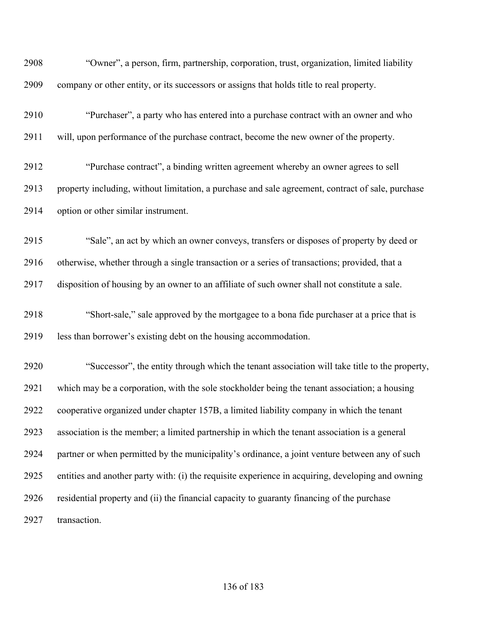| 2908 | "Owner", a person, firm, partnership, corporation, trust, organization, limited liability         |
|------|---------------------------------------------------------------------------------------------------|
| 2909 | company or other entity, or its successors or assigns that holds title to real property.          |
| 2910 | "Purchaser", a party who has entered into a purchase contract with an owner and who               |
| 2911 | will, upon performance of the purchase contract, become the new owner of the property.            |
| 2912 | "Purchase contract", a binding written agreement whereby an owner agrees to sell                  |
| 2913 | property including, without limitation, a purchase and sale agreement, contract of sale, purchase |
| 2914 | option or other similar instrument.                                                               |
| 2915 | "Sale", an act by which an owner conveys, transfers or disposes of property by deed or            |
| 2916 | otherwise, whether through a single transaction or a series of transactions; provided, that a     |
| 2917 | disposition of housing by an owner to an affiliate of such owner shall not constitute a sale.     |
| 2918 | "Short-sale," sale approved by the mortgagee to a bona fide purchaser at a price that is          |
| 2919 | less than borrower's existing debt on the housing accommodation.                                  |
| 2920 | "Successor", the entity through which the tenant association will take title to the property,     |
| 2921 | which may be a corporation, with the sole stockholder being the tenant association; a housing     |
| 2922 | cooperative organized under chapter 157B, a limited liability company in which the tenant         |
| 2923 | association is the member; a limited partnership in which the tenant association is a general     |
| 2924 | partner or when permitted by the municipality's ordinance, a joint venture between any of such    |
| 2925 | entities and another party with: (i) the requisite experience in acquiring, developing and owning |
| 2926 | residential property and (ii) the financial capacity to guaranty financing of the purchase        |
| 2927 | transaction.                                                                                      |
|      |                                                                                                   |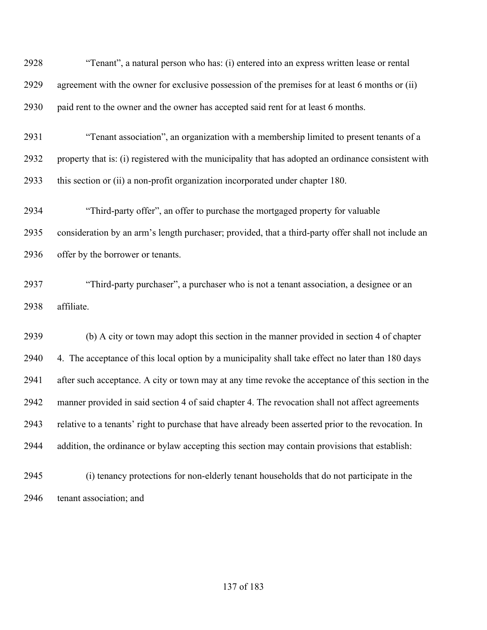| 2928 | "Tenant", a natural person who has: (i) entered into an express written lease or rental              |
|------|------------------------------------------------------------------------------------------------------|
| 2929 | agreement with the owner for exclusive possession of the premises for at least 6 months or (ii)      |
| 2930 | paid rent to the owner and the owner has accepted said rent for at least 6 months.                   |
| 2931 | "Tenant association", an organization with a membership limited to present tenants of a              |
| 2932 | property that is: (i) registered with the municipality that has adopted an ordinance consistent with |
| 2933 | this section or (ii) a non-profit organization incorporated under chapter 180.                       |
| 2934 | "Third-party offer", an offer to purchase the mortgaged property for valuable                        |
| 2935 | consideration by an arm's length purchaser; provided, that a third-party offer shall not include an  |
| 2936 | offer by the borrower or tenants.                                                                    |
| 2937 | "Third-party purchaser", a purchaser who is not a tenant association, a designee or an               |
| 2938 | affiliate.                                                                                           |
| 2939 | (b) A city or town may adopt this section in the manner provided in section 4 of chapter             |
| 2940 | 4. The acceptance of this local option by a municipality shall take effect no later than 180 days    |
| 2941 | after such acceptance. A city or town may at any time revoke the acceptance of this section in the   |
| 2942 | manner provided in said section 4 of said chapter 4. The revocation shall not affect agreements      |
| 2943 | relative to a tenants' right to purchase that have already been asserted prior to the revocation. In |
| 2944 | addition, the ordinance or bylaw accepting this section may contain provisions that establish:       |
| 2945 | (i) tenancy protections for non-elderly tenant households that do not participate in the             |
| 2946 | tenant association; and                                                                              |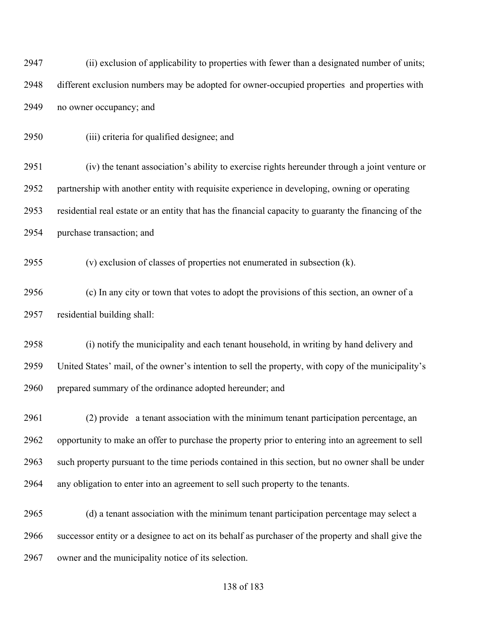(ii) exclusion of applicability to properties with fewer than a designated number of units; different exclusion numbers may be adopted for owner-occupied properties and properties with no owner occupancy; and

(iii) criteria for qualified designee; and

 (iv) the tenant association's ability to exercise rights hereunder through a joint venture or partnership with another entity with requisite experience in developing, owning or operating residential real estate or an entity that has the financial capacity to guaranty the financing of the purchase transaction; and

(v) exclusion of classes of properties not enumerated in subsection (k).

 (c) In any city or town that votes to adopt the provisions of this section, an owner of a residential building shall:

 (i) notify the municipality and each tenant household, in writing by hand delivery and United States' mail, of the owner's intention to sell the property, with copy of the municipality's 2960 prepared summary of the ordinance adopted hereunder; and

 (2) provide a tenant association with the minimum tenant participation percentage, an opportunity to make an offer to purchase the property prior to entering into an agreement to sell such property pursuant to the time periods contained in this section, but no owner shall be under any obligation to enter into an agreement to sell such property to the tenants.

 (d) a tenant association with the minimum tenant participation percentage may select a successor entity or a designee to act on its behalf as purchaser of the property and shall give the owner and the municipality notice of its selection.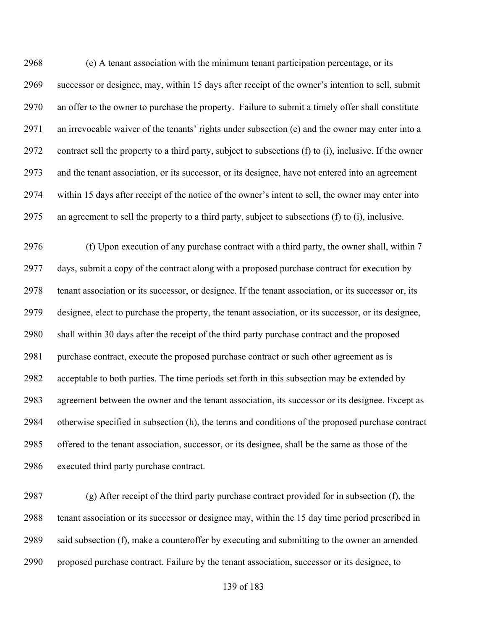(e) A tenant association with the minimum tenant participation percentage, or its successor or designee, may, within 15 days after receipt of the owner's intention to sell, submit an offer to the owner to purchase the property. Failure to submit a timely offer shall constitute an irrevocable waiver of the tenants' rights under subsection (e) and the owner may enter into a contract sell the property to a third party, subject to subsections (f) to (i), inclusive. If the owner and the tenant association, or its successor, or its designee, have not entered into an agreement within 15 days after receipt of the notice of the owner's intent to sell, the owner may enter into an agreement to sell the property to a third party, subject to subsections (f) to (i), inclusive.

 (f) Upon execution of any purchase contract with a third party, the owner shall, within 7 days, submit a copy of the contract along with a proposed purchase contract for execution by tenant association or its successor, or designee. If the tenant association, or its successor or, its designee, elect to purchase the property, the tenant association, or its successor, or its designee, shall within 30 days after the receipt of the third party purchase contract and the proposed purchase contract, execute the proposed purchase contract or such other agreement as is acceptable to both parties. The time periods set forth in this subsection may be extended by agreement between the owner and the tenant association, its successor or its designee. Except as otherwise specified in subsection (h), the terms and conditions of the proposed purchase contract offered to the tenant association, successor, or its designee, shall be the same as those of the executed third party purchase contract.

 (g) After receipt of the third party purchase contract provided for in subsection (f), the tenant association or its successor or designee may, within the 15 day time period prescribed in said subsection (f), make a counteroffer by executing and submitting to the owner an amended proposed purchase contract. Failure by the tenant association, successor or its designee, to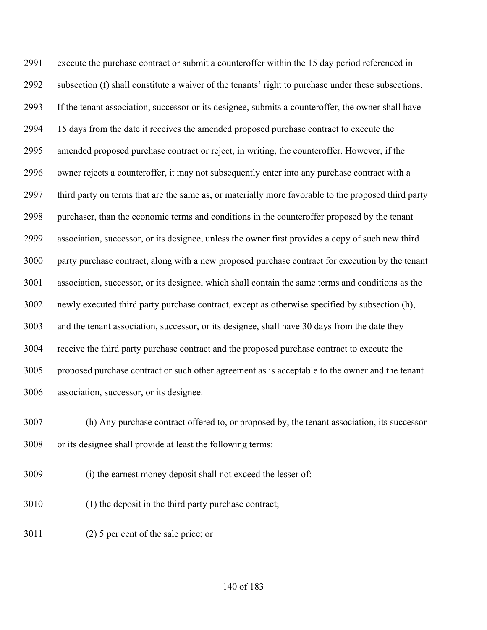execute the purchase contract or submit a counteroffer within the 15 day period referenced in subsection (f) shall constitute a waiver of the tenants' right to purchase under these subsections. If the tenant association, successor or its designee, submits a counteroffer, the owner shall have 15 days from the date it receives the amended proposed purchase contract to execute the amended proposed purchase contract or reject, in writing, the counteroffer. However, if the owner rejects a counteroffer, it may not subsequently enter into any purchase contract with a third party on terms that are the same as, or materially more favorable to the proposed third party purchaser, than the economic terms and conditions in the counteroffer proposed by the tenant association, successor, or its designee, unless the owner first provides a copy of such new third party purchase contract, along with a new proposed purchase contract for execution by the tenant association, successor, or its designee, which shall contain the same terms and conditions as the newly executed third party purchase contract, except as otherwise specified by subsection (h), and the tenant association, successor, or its designee, shall have 30 days from the date they receive the third party purchase contract and the proposed purchase contract to execute the proposed purchase contract or such other agreement as is acceptable to the owner and the tenant association, successor, or its designee.

 (h) Any purchase contract offered to, or proposed by, the tenant association, its successor or its designee shall provide at least the following terms:

- (i) the earnest money deposit shall not exceed the lesser of:
- (1) the deposit in the third party purchase contract;
- (2) 5 per cent of the sale price; or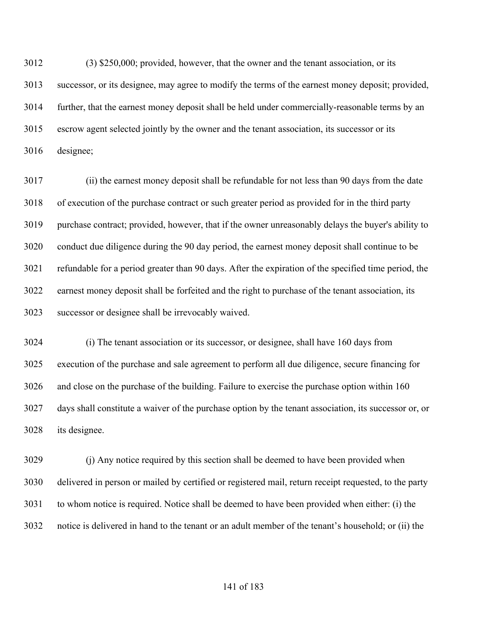(3) \$250,000; provided, however, that the owner and the tenant association, or its successor, or its designee, may agree to modify the terms of the earnest money deposit; provided, further, that the earnest money deposit shall be held under commercially-reasonable terms by an escrow agent selected jointly by the owner and the tenant association, its successor or its designee;

 (ii) the earnest money deposit shall be refundable for not less than 90 days from the date of execution of the purchase contract or such greater period as provided for in the third party purchase contract; provided, however, that if the owner unreasonably delays the buyer's ability to conduct due diligence during the 90 day period, the earnest money deposit shall continue to be refundable for a period greater than 90 days. After the expiration of the specified time period, the earnest money deposit shall be forfeited and the right to purchase of the tenant association, its successor or designee shall be irrevocably waived.

 (i) The tenant association or its successor, or designee, shall have 160 days from execution of the purchase and sale agreement to perform all due diligence, secure financing for and close on the purchase of the building. Failure to exercise the purchase option within 160 days shall constitute a waiver of the purchase option by the tenant association, its successor or, or its designee.

 (j) Any notice required by this section shall be deemed to have been provided when delivered in person or mailed by certified or registered mail, return receipt requested, to the party to whom notice is required. Notice shall be deemed to have been provided when either: (i) the notice is delivered in hand to the tenant or an adult member of the tenant's household; or (ii) the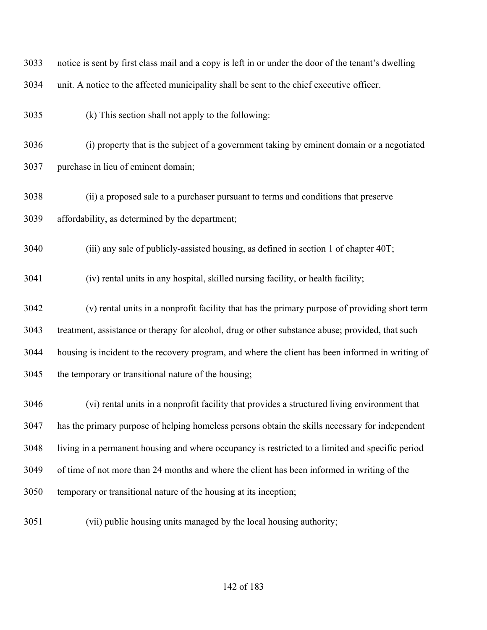| 3033 | notice is sent by first class mail and a copy is left in or under the door of the tenant's dwelling |
|------|-----------------------------------------------------------------------------------------------------|
| 3034 | unit. A notice to the affected municipality shall be sent to the chief executive officer.           |
| 3035 | (k) This section shall not apply to the following:                                                  |
| 3036 | (i) property that is the subject of a government taking by eminent domain or a negotiated           |
| 3037 | purchase in lieu of eminent domain;                                                                 |
| 3038 | (ii) a proposed sale to a purchaser pursuant to terms and conditions that preserve                  |
| 3039 | affordability, as determined by the department;                                                     |
| 3040 | (iii) any sale of publicly-assisted housing, as defined in section 1 of chapter 40T;                |
| 3041 | (iv) rental units in any hospital, skilled nursing facility, or health facility;                    |
| 3042 | (v) rental units in a nonprofit facility that has the primary purpose of providing short term       |
| 3043 | treatment, assistance or therapy for alcohol, drug or other substance abuse; provided, that such    |
| 3044 | housing is incident to the recovery program, and where the client has been informed in writing of   |
| 3045 | the temporary or transitional nature of the housing;                                                |
| 3046 | (vi) rental units in a nonprofit facility that provides a structured living environment that        |
| 3047 | has the primary purpose of helping homeless persons obtain the skills necessary for independent     |
| 3048 | living in a permanent housing and where occupancy is restricted to a limited and specific period    |
| 3049 | of time of not more than 24 months and where the client has been informed in writing of the         |
| 3050 | temporary or transitional nature of the housing at its inception;                                   |
| 3051 | (vii) public housing units managed by the local housing authority;                                  |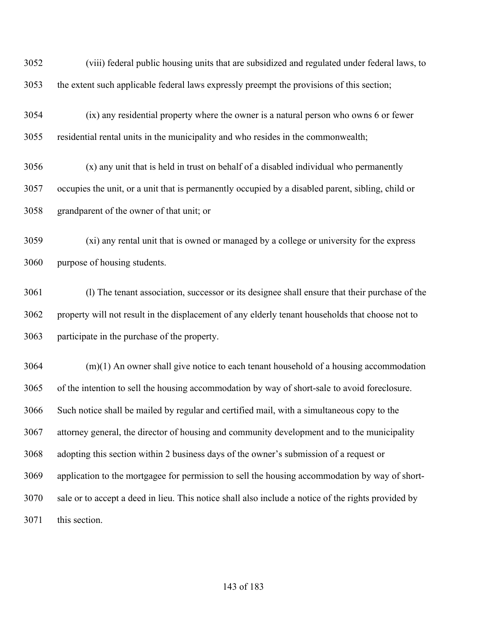(viii) federal public housing units that are subsidized and regulated under federal laws, to the extent such applicable federal laws expressly preempt the provisions of this section;

 (ix) any residential property where the owner is a natural person who owns 6 or fewer residential rental units in the municipality and who resides in the commonwealth;

 (x) any unit that is held in trust on behalf of a disabled individual who permanently occupies the unit, or a unit that is permanently occupied by a disabled parent, sibling, child or grandparent of the owner of that unit; or

 (xi) any rental unit that is owned or managed by a college or university for the express purpose of housing students.

 (l) The tenant association, successor or its designee shall ensure that their purchase of the property will not result in the displacement of any elderly tenant households that choose not to participate in the purchase of the property.

 (m)(1) An owner shall give notice to each tenant household of a housing accommodation of the intention to sell the housing accommodation by way of short-sale to avoid foreclosure. Such notice shall be mailed by regular and certified mail, with a simultaneous copy to the attorney general, the director of housing and community development and to the municipality adopting this section within 2 business days of the owner's submission of a request or application to the mortgagee for permission to sell the housing accommodation by way of short- sale or to accept a deed in lieu. This notice shall also include a notice of the rights provided by this section.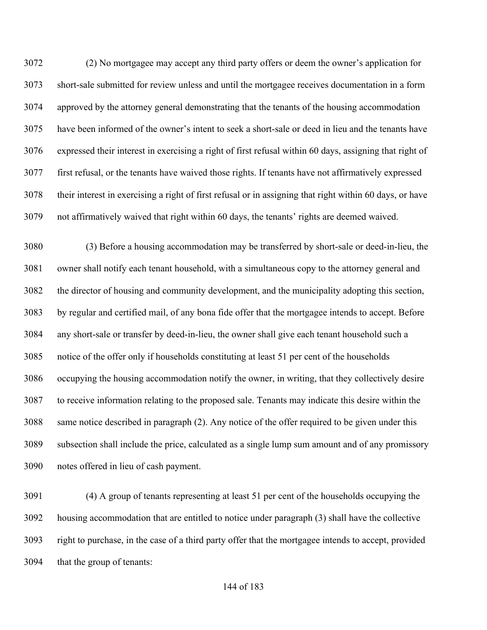(2) No mortgagee may accept any third party offers or deem the owner's application for short-sale submitted for review unless and until the mortgagee receives documentation in a form approved by the attorney general demonstrating that the tenants of the housing accommodation have been informed of the owner's intent to seek a short-sale or deed in lieu and the tenants have expressed their interest in exercising a right of first refusal within 60 days, assigning that right of first refusal, or the tenants have waived those rights. If tenants have not affirmatively expressed their interest in exercising a right of first refusal or in assigning that right within 60 days, or have not affirmatively waived that right within 60 days, the tenants' rights are deemed waived.

 (3) Before a housing accommodation may be transferred by short-sale or deed-in-lieu, the owner shall notify each tenant household, with a simultaneous copy to the attorney general and the director of housing and community development, and the municipality adopting this section, by regular and certified mail, of any bona fide offer that the mortgagee intends to accept. Before any short-sale or transfer by deed-in-lieu, the owner shall give each tenant household such a notice of the offer only if households constituting at least 51 per cent of the households occupying the housing accommodation notify the owner, in writing, that they collectively desire to receive information relating to the proposed sale. Tenants may indicate this desire within the same notice described in paragraph (2). Any notice of the offer required to be given under this subsection shall include the price, calculated as a single lump sum amount and of any promissory notes offered in lieu of cash payment.

 (4) A group of tenants representing at least 51 per cent of the households occupying the housing accommodation that are entitled to notice under paragraph (3) shall have the collective right to purchase, in the case of a third party offer that the mortgagee intends to accept, provided that the group of tenants: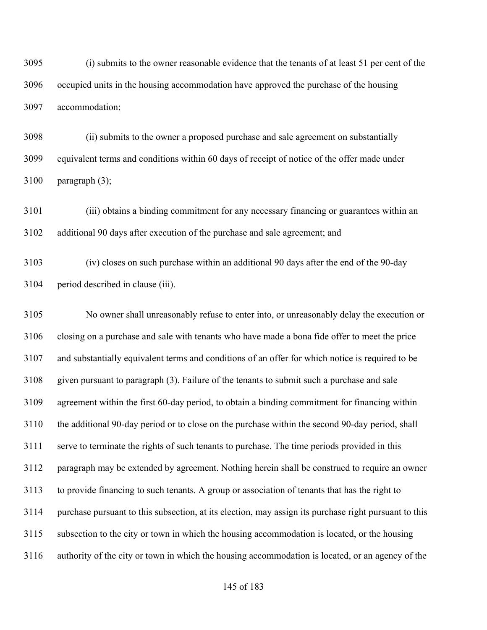(i) submits to the owner reasonable evidence that the tenants of at least 51 per cent of the occupied units in the housing accommodation have approved the purchase of the housing accommodation;

 (ii) submits to the owner a proposed purchase and sale agreement on substantially equivalent terms and conditions within 60 days of receipt of notice of the offer made under paragraph (3);

 (iii) obtains a binding commitment for any necessary financing or guarantees within an additional 90 days after execution of the purchase and sale agreement; and

 (iv) closes on such purchase within an additional 90 days after the end of the 90-day period described in clause (iii).

 No owner shall unreasonably refuse to enter into, or unreasonably delay the execution or closing on a purchase and sale with tenants who have made a bona fide offer to meet the price and substantially equivalent terms and conditions of an offer for which notice is required to be given pursuant to paragraph (3). Failure of the tenants to submit such a purchase and sale agreement within the first 60-day period, to obtain a binding commitment for financing within the additional 90-day period or to close on the purchase within the second 90-day period, shall serve to terminate the rights of such tenants to purchase. The time periods provided in this paragraph may be extended by agreement. Nothing herein shall be construed to require an owner to provide financing to such tenants. A group or association of tenants that has the right to purchase pursuant to this subsection, at its election, may assign its purchase right pursuant to this subsection to the city or town in which the housing accommodation is located, or the housing authority of the city or town in which the housing accommodation is located, or an agency of the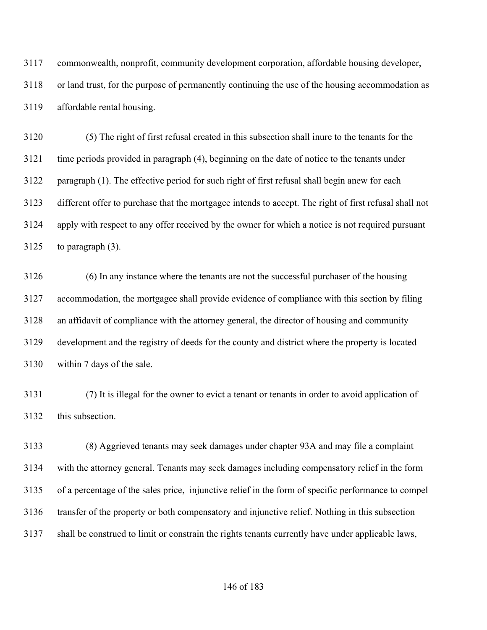commonwealth, nonprofit, community development corporation, affordable housing developer, or land trust, for the purpose of permanently continuing the use of the housing accommodation as affordable rental housing.

 (5) The right of first refusal created in this subsection shall inure to the tenants for the time periods provided in paragraph (4), beginning on the date of notice to the tenants under paragraph (1). The effective period for such right of first refusal shall begin anew for each different offer to purchase that the mortgagee intends to accept. The right of first refusal shall not apply with respect to any offer received by the owner for which a notice is not required pursuant to paragraph (3).

 (6) In any instance where the tenants are not the successful purchaser of the housing accommodation, the mortgagee shall provide evidence of compliance with this section by filing an affidavit of compliance with the attorney general, the director of housing and community development and the registry of deeds for the county and district where the property is located within 7 days of the sale.

 (7) It is illegal for the owner to evict a tenant or tenants in order to avoid application of this subsection.

 (8) Aggrieved tenants may seek damages under chapter 93A and may file a complaint with the attorney general. Tenants may seek damages including compensatory relief in the form of a percentage of the sales price, injunctive relief in the form of specific performance to compel transfer of the property or both compensatory and injunctive relief. Nothing in this subsection shall be construed to limit or constrain the rights tenants currently have under applicable laws,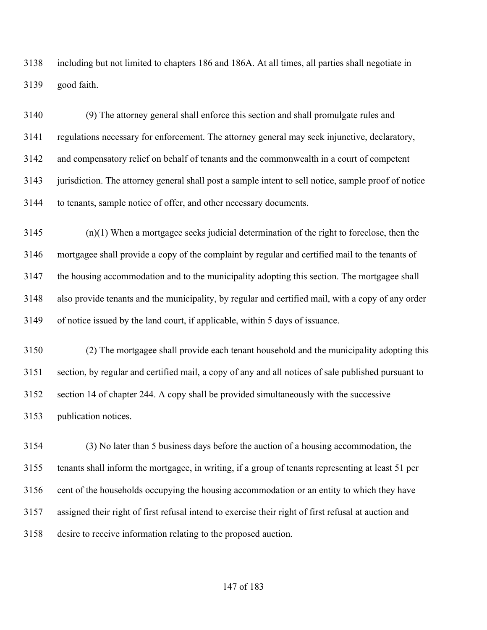including but not limited to chapters 186 and 186A. At all times, all parties shall negotiate in good faith.

 (9) The attorney general shall enforce this section and shall promulgate rules and regulations necessary for enforcement. The attorney general may seek injunctive, declaratory, and compensatory relief on behalf of tenants and the commonwealth in a court of competent jurisdiction. The attorney general shall post a sample intent to sell notice, sample proof of notice to tenants, sample notice of offer, and other necessary documents.

 (n)(1) When a mortgagee seeks judicial determination of the right to foreclose, then the mortgagee shall provide a copy of the complaint by regular and certified mail to the tenants of the housing accommodation and to the municipality adopting this section. The mortgagee shall also provide tenants and the municipality, by regular and certified mail, with a copy of any order of notice issued by the land court, if applicable, within 5 days of issuance.

 (2) The mortgagee shall provide each tenant household and the municipality adopting this section, by regular and certified mail, a copy of any and all notices of sale published pursuant to section 14 of chapter 244. A copy shall be provided simultaneously with the successive publication notices.

 (3) No later than 5 business days before the auction of a housing accommodation, the tenants shall inform the mortgagee, in writing, if a group of tenants representing at least 51 per cent of the households occupying the housing accommodation or an entity to which they have assigned their right of first refusal intend to exercise their right of first refusal at auction and desire to receive information relating to the proposed auction.

## of 183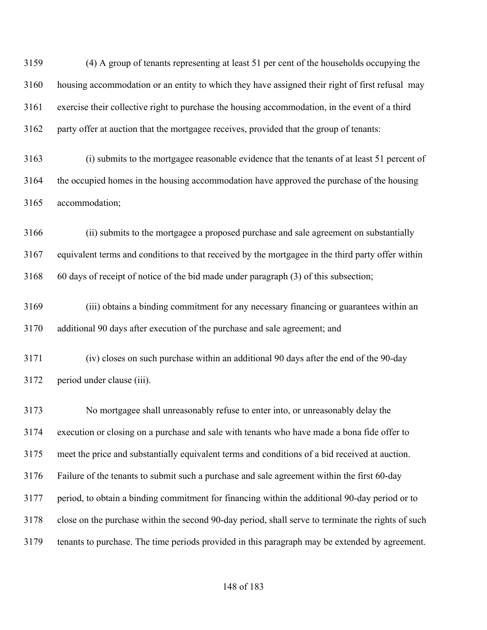(4) A group of tenants representing at least 51 per cent of the households occupying the housing accommodation or an entity to which they have assigned their right of first refusal may exercise their collective right to purchase the housing accommodation, in the event of a third party offer at auction that the mortgagee receives, provided that the group of tenants:

 (i) submits to the mortgagee reasonable evidence that the tenants of at least 51 percent of the occupied homes in the housing accommodation have approved the purchase of the housing accommodation;

 (ii) submits to the mortgagee a proposed purchase and sale agreement on substantially equivalent terms and conditions to that received by the mortgagee in the third party offer within 60 days of receipt of notice of the bid made under paragraph (3) of this subsection;

 (iii) obtains a binding commitment for any necessary financing or guarantees within an additional 90 days after execution of the purchase and sale agreement; and

 (iv) closes on such purchase within an additional 90 days after the end of the 90-day period under clause (iii).

 No mortgagee shall unreasonably refuse to enter into, or unreasonably delay the execution or closing on a purchase and sale with tenants who have made a bona fide offer to meet the price and substantially equivalent terms and conditions of a bid received at auction. Failure of the tenants to submit such a purchase and sale agreement within the first 60-day period, to obtain a binding commitment for financing within the additional 90-day period or to close on the purchase within the second 90-day period, shall serve to terminate the rights of such tenants to purchase. The time periods provided in this paragraph may be extended by agreement.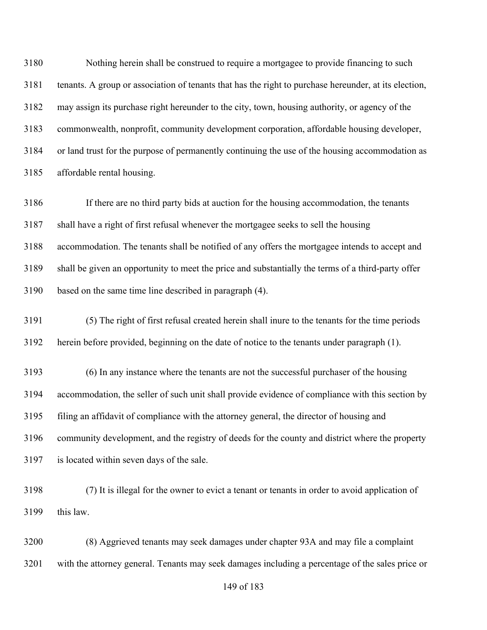Nothing herein shall be construed to require a mortgagee to provide financing to such tenants. A group or association of tenants that has the right to purchase hereunder, at its election, may assign its purchase right hereunder to the city, town, housing authority, or agency of the commonwealth, nonprofit, community development corporation, affordable housing developer, or land trust for the purpose of permanently continuing the use of the housing accommodation as affordable rental housing.

 If there are no third party bids at auction for the housing accommodation, the tenants shall have a right of first refusal whenever the mortgagee seeks to sell the housing accommodation. The tenants shall be notified of any offers the mortgagee intends to accept and shall be given an opportunity to meet the price and substantially the terms of a third-party offer based on the same time line described in paragraph (4).

 (5) The right of first refusal created herein shall inure to the tenants for the time periods herein before provided, beginning on the date of notice to the tenants under paragraph (1).

 (6) In any instance where the tenants are not the successful purchaser of the housing accommodation, the seller of such unit shall provide evidence of compliance with this section by filing an affidavit of compliance with the attorney general, the director of housing and community development, and the registry of deeds for the county and district where the property is located within seven days of the sale.

 (7) It is illegal for the owner to evict a tenant or tenants in order to avoid application of this law.

 (8) Aggrieved tenants may seek damages under chapter 93A and may file a complaint with the attorney general. Tenants may seek damages including a percentage of the sales price or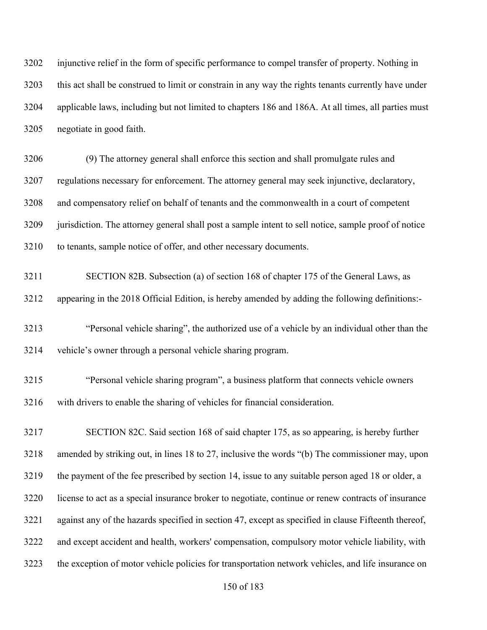injunctive relief in the form of specific performance to compel transfer of property. Nothing in this act shall be construed to limit or constrain in any way the rights tenants currently have under applicable laws, including but not limited to chapters 186 and 186A. At all times, all parties must negotiate in good faith.

 (9) The attorney general shall enforce this section and shall promulgate rules and regulations necessary for enforcement. The attorney general may seek injunctive, declaratory, and compensatory relief on behalf of tenants and the commonwealth in a court of competent jurisdiction. The attorney general shall post a sample intent to sell notice, sample proof of notice to tenants, sample notice of offer, and other necessary documents.

 SECTION 82B. Subsection (a) of section 168 of chapter 175 of the General Laws, as appearing in the 2018 Official Edition, is hereby amended by adding the following definitions:-

 "Personal vehicle sharing", the authorized use of a vehicle by an individual other than the vehicle's owner through a personal vehicle sharing program.

 "Personal vehicle sharing program", a business platform that connects vehicle owners with drivers to enable the sharing of vehicles for financial consideration.

 SECTION 82C. Said section 168 of said chapter 175, as so appearing, is hereby further amended by striking out, in lines 18 to 27, inclusive the words "(b) The commissioner may, upon the payment of the fee prescribed by section 14, issue to any suitable person aged 18 or older, a license to act as a special insurance broker to negotiate, continue or renew contracts of insurance against any of the hazards specified in section 47, except as specified in clause Fifteenth thereof, and except accident and health, workers' compensation, compulsory motor vehicle liability, with the exception of motor vehicle policies for transportation network vehicles, and life insurance on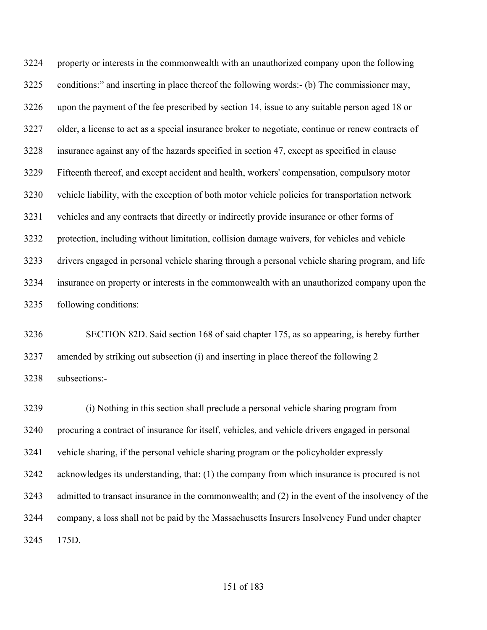property or interests in the commonwealth with an unauthorized company upon the following conditions:" and inserting in place thereof the following words:- (b) The commissioner may, upon the payment of the fee prescribed by section 14, issue to any suitable person aged 18 or older, a license to act as a special insurance broker to negotiate, continue or renew contracts of insurance against any of the hazards specified in section 47, except as specified in clause Fifteenth thereof, and except accident and health, workers' compensation, compulsory motor vehicle liability, with the exception of both motor vehicle policies for transportation network vehicles and any contracts that directly or indirectly provide insurance or other forms of protection, including without limitation, collision damage waivers, for vehicles and vehicle drivers engaged in personal vehicle sharing through a personal vehicle sharing program, and life insurance on property or interests in the commonwealth with an unauthorized company upon the following conditions:

 SECTION 82D. Said section 168 of said chapter 175, as so appearing, is hereby further amended by striking out subsection (i) and inserting in place thereof the following 2 subsections:-

 (i) Nothing in this section shall preclude a personal vehicle sharing program from procuring a contract of insurance for itself, vehicles, and vehicle drivers engaged in personal vehicle sharing, if the personal vehicle sharing program or the policyholder expressly acknowledges its understanding, that: (1) the company from which insurance is procured is not admitted to transact insurance in the commonwealth; and (2) in the event of the insolvency of the company, a loss shall not be paid by the Massachusetts Insurers Insolvency Fund under chapter 175D.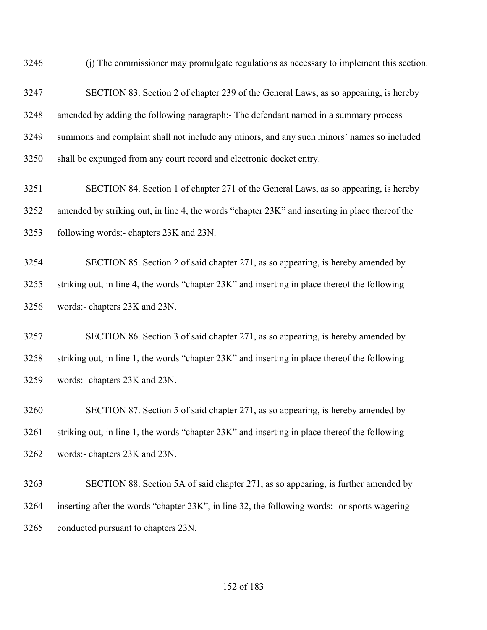(j) The commissioner may promulgate regulations as necessary to implement this section.

 SECTION 83. Section 2 of chapter 239 of the General Laws, as so appearing, is hereby amended by adding the following paragraph:- The defendant named in a summary process summons and complaint shall not include any minors, and any such minors' names so included shall be expunged from any court record and electronic docket entry.

 SECTION 84. Section 1 of chapter 271 of the General Laws, as so appearing, is hereby amended by striking out, in line 4, the words "chapter 23K" and inserting in place thereof the following words:- chapters 23K and 23N.

 SECTION 85. Section 2 of said chapter 271, as so appearing, is hereby amended by striking out, in line 4, the words "chapter 23K" and inserting in place thereof the following words:- chapters 23K and 23N.

 SECTION 86. Section 3 of said chapter 271, as so appearing, is hereby amended by striking out, in line 1, the words "chapter 23K" and inserting in place thereof the following words:- chapters 23K and 23N.

 SECTION 87. Section 5 of said chapter 271, as so appearing, is hereby amended by striking out, in line 1, the words "chapter 23K" and inserting in place thereof the following words:- chapters 23K and 23N.

 SECTION 88. Section 5A of said chapter 271, as so appearing, is further amended by inserting after the words "chapter 23K", in line 32, the following words:- or sports wagering conducted pursuant to chapters 23N.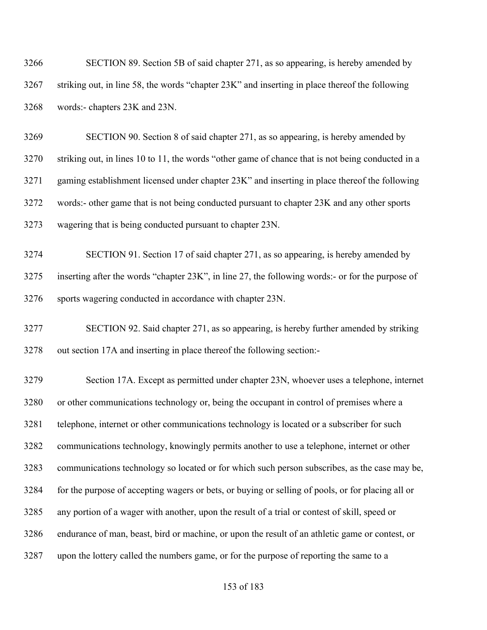| 3266 | SECTION 89. Section 5B of said chapter 271, as so appearing, is hereby amended by              |
|------|------------------------------------------------------------------------------------------------|
| 3267 | striking out, in line 58, the words "chapter 23K" and inserting in place thereof the following |
| 3268 | words:- chapters 23K and 23N.                                                                  |

 SECTION 90. Section 8 of said chapter 271, as so appearing, is hereby amended by striking out, in lines 10 to 11, the words "other game of chance that is not being conducted in a gaming establishment licensed under chapter 23K" and inserting in place thereof the following words:- other game that is not being conducted pursuant to chapter 23K and any other sports wagering that is being conducted pursuant to chapter 23N.

 SECTION 91. Section 17 of said chapter 271, as so appearing, is hereby amended by inserting after the words "chapter 23K", in line 27, the following words:- or for the purpose of sports wagering conducted in accordance with chapter 23N.

 SECTION 92. Said chapter 271, as so appearing, is hereby further amended by striking out section 17A and inserting in place thereof the following section:-

 Section 17A. Except as permitted under chapter 23N, whoever uses a telephone, internet or other communications technology or, being the occupant in control of premises where a telephone, internet or other communications technology is located or a subscriber for such communications technology, knowingly permits another to use a telephone, internet or other communications technology so located or for which such person subscribes, as the case may be, for the purpose of accepting wagers or bets, or buying or selling of pools, or for placing all or any portion of a wager with another, upon the result of a trial or contest of skill, speed or endurance of man, beast, bird or machine, or upon the result of an athletic game or contest, or upon the lottery called the numbers game, or for the purpose of reporting the same to a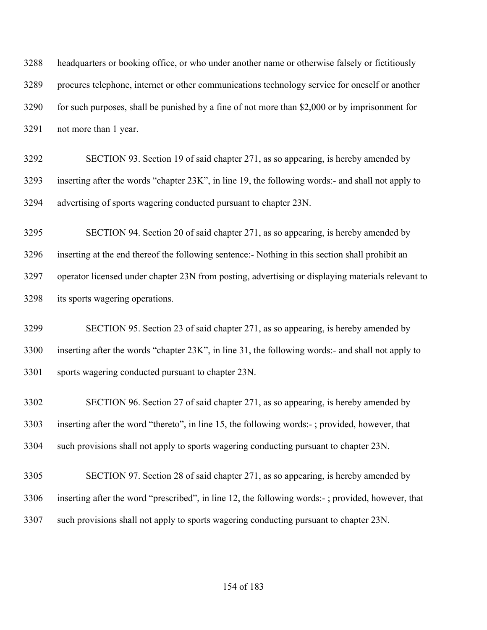headquarters or booking office, or who under another name or otherwise falsely or fictitiously procures telephone, internet or other communications technology service for oneself or another for such purposes, shall be punished by a fine of not more than \$2,000 or by imprisonment for not more than 1 year.

 SECTION 93. Section 19 of said chapter 271, as so appearing, is hereby amended by inserting after the words "chapter 23K", in line 19, the following words:- and shall not apply to advertising of sports wagering conducted pursuant to chapter 23N.

 SECTION 94. Section 20 of said chapter 271, as so appearing, is hereby amended by inserting at the end thereof the following sentence:- Nothing in this section shall prohibit an operator licensed under chapter 23N from posting, advertising or displaying materials relevant to its sports wagering operations.

 SECTION 95. Section 23 of said chapter 271, as so appearing, is hereby amended by inserting after the words "chapter 23K", in line 31, the following words:- and shall not apply to sports wagering conducted pursuant to chapter 23N.

 SECTION 96. Section 27 of said chapter 271, as so appearing, is hereby amended by inserting after the word "thereto", in line 15, the following words:- ; provided, however, that such provisions shall not apply to sports wagering conducting pursuant to chapter 23N.

 SECTION 97. Section 28 of said chapter 271, as so appearing, is hereby amended by inserting after the word "prescribed", in line 12, the following words:- ; provided, however, that such provisions shall not apply to sports wagering conducting pursuant to chapter 23N.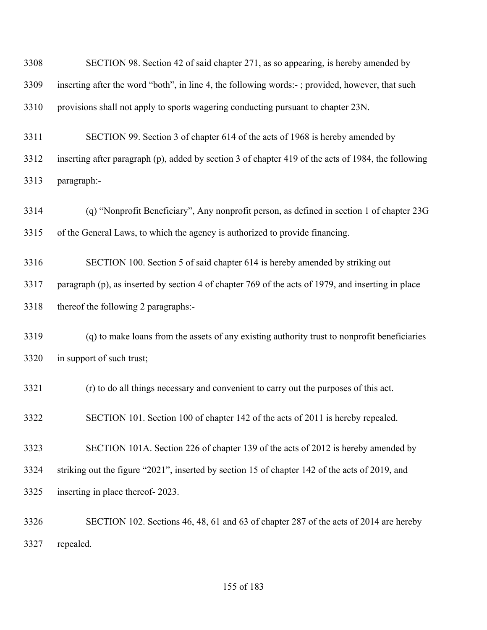| 3308 | SECTION 98. Section 42 of said chapter 271, as so appearing, is hereby amended by                   |
|------|-----------------------------------------------------------------------------------------------------|
| 3309 | inserting after the word "both", in line 4, the following words:-; provided, however, that such     |
| 3310 | provisions shall not apply to sports wagering conducting pursuant to chapter 23N.                   |
| 3311 | SECTION 99. Section 3 of chapter 614 of the acts of 1968 is hereby amended by                       |
| 3312 | inserting after paragraph (p), added by section 3 of chapter 419 of the acts of 1984, the following |
| 3313 | paragraph:-                                                                                         |
| 3314 | (q) "Nonprofit Beneficiary", Any nonprofit person, as defined in section 1 of chapter 23G           |
| 3315 | of the General Laws, to which the agency is authorized to provide financing.                        |
| 3316 | SECTION 100. Section 5 of said chapter 614 is hereby amended by striking out                        |
| 3317 | paragraph (p), as inserted by section 4 of chapter 769 of the acts of 1979, and inserting in place  |
| 3318 | thereof the following 2 paragraphs:-                                                                |
| 3319 | (q) to make loans from the assets of any existing authority trust to nonprofit beneficiaries        |
| 3320 | in support of such trust;                                                                           |
| 3321 | (r) to do all things necessary and convenient to carry out the purposes of this act.                |
| 3322 | SECTION 101. Section 100 of chapter 142 of the acts of 2011 is hereby repealed.                     |
| 3323 | SECTION 101A. Section 226 of chapter 139 of the acts of 2012 is hereby amended by                   |
| 3324 | striking out the figure "2021", inserted by section 15 of chapter 142 of the acts of 2019, and      |
| 3325 | inserting in place thereof-2023.                                                                    |
| 3326 | SECTION 102. Sections 46, 48, 61 and 63 of chapter 287 of the acts of 2014 are hereby               |
| 3327 | repealed.                                                                                           |

of 183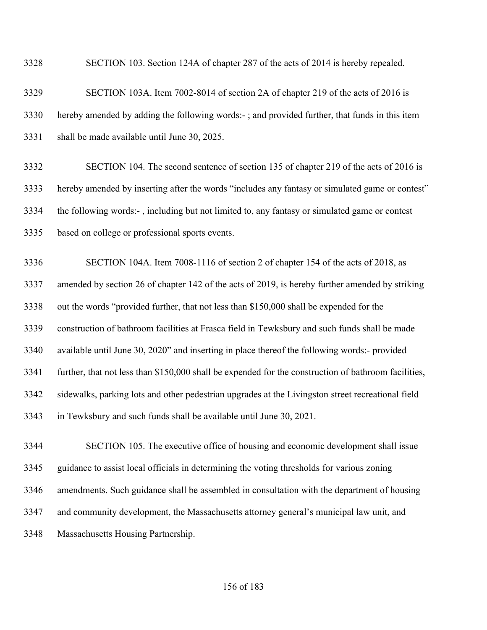SECTION 103. Section 124A of chapter 287 of the acts of 2014 is hereby repealed.

## SECTION 103A. Item 7002-8014 of section 2A of chapter 219 of the acts of 2016 is hereby amended by adding the following words:- ; and provided further, that funds in this item shall be made available until June 30, 2025.

 SECTION 104. The second sentence of section 135 of chapter 219 of the acts of 2016 is hereby amended by inserting after the words "includes any fantasy or simulated game or contest" the following words:- , including but not limited to, any fantasy or simulated game or contest based on college or professional sports events.

 SECTION 104A. Item 7008-1116 of section 2 of chapter 154 of the acts of 2018, as amended by section 26 of chapter 142 of the acts of 2019, is hereby further amended by striking out the words "provided further, that not less than \$150,000 shall be expended for the construction of bathroom facilities at Frasca field in Tewksbury and such funds shall be made available until June 30, 2020" and inserting in place thereof the following words:- provided further, that not less than \$150,000 shall be expended for the construction of bathroom facilities, sidewalks, parking lots and other pedestrian upgrades at the Livingston street recreational field in Tewksbury and such funds shall be available until June 30, 2021.

 SECTION 105. The executive office of housing and economic development shall issue guidance to assist local officials in determining the voting thresholds for various zoning amendments. Such guidance shall be assembled in consultation with the department of housing and community development, the Massachusetts attorney general's municipal law unit, and Massachusetts Housing Partnership.

## of 183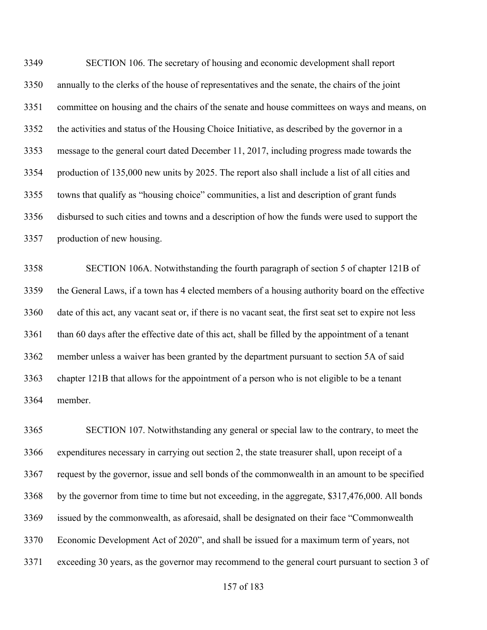SECTION 106. The secretary of housing and economic development shall report annually to the clerks of the house of representatives and the senate, the chairs of the joint committee on housing and the chairs of the senate and house committees on ways and means, on the activities and status of the Housing Choice Initiative, as described by the governor in a message to the general court dated December 11, 2017, including progress made towards the production of 135,000 new units by 2025. The report also shall include a list of all cities and towns that qualify as "housing choice" communities, a list and description of grant funds disbursed to such cities and towns and a description of how the funds were used to support the production of new housing.

 SECTION 106A. Notwithstanding the fourth paragraph of section 5 of chapter 121B of the General Laws, if a town has 4 elected members of a housing authority board on the effective date of this act, any vacant seat or, if there is no vacant seat, the first seat set to expire not less than 60 days after the effective date of this act, shall be filled by the appointment of a tenant member unless a waiver has been granted by the department pursuant to section 5A of said chapter 121B that allows for the appointment of a person who is not eligible to be a tenant member.

 SECTION 107. Notwithstanding any general or special law to the contrary, to meet the expenditures necessary in carrying out section 2, the state treasurer shall, upon receipt of a request by the governor, issue and sell bonds of the commonwealth in an amount to be specified by the governor from time to time but not exceeding, in the aggregate, \$317,476,000. All bonds issued by the commonwealth, as aforesaid, shall be designated on their face "Commonwealth Economic Development Act of 2020", and shall be issued for a maximum term of years, not exceeding 30 years, as the governor may recommend to the general court pursuant to section 3 of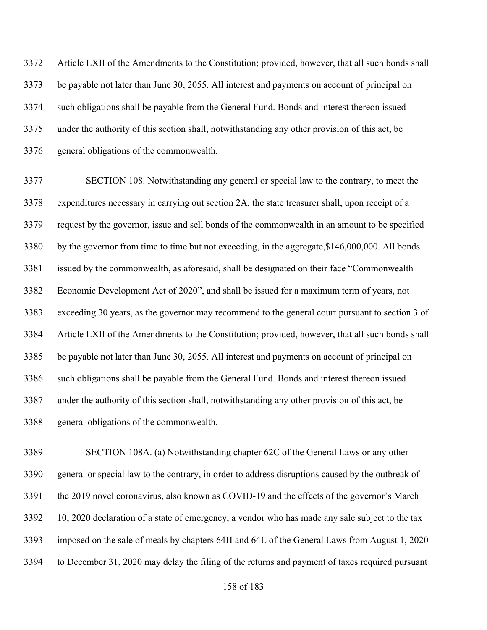Article LXII of the Amendments to the Constitution; provided, however, that all such bonds shall be payable not later than June 30, 2055. All interest and payments on account of principal on such obligations shall be payable from the General Fund. Bonds and interest thereon issued under the authority of this section shall, notwithstanding any other provision of this act, be general obligations of the commonwealth.

 SECTION 108. Notwithstanding any general or special law to the contrary, to meet the expenditures necessary in carrying out section 2A, the state treasurer shall, upon receipt of a request by the governor, issue and sell bonds of the commonwealth in an amount to be specified by the governor from time to time but not exceeding, in the aggregate,\$146,000,000. All bonds issued by the commonwealth, as aforesaid, shall be designated on their face "Commonwealth Economic Development Act of 2020", and shall be issued for a maximum term of years, not exceeding 30 years, as the governor may recommend to the general court pursuant to section 3 of Article LXII of the Amendments to the Constitution; provided, however, that all such bonds shall be payable not later than June 30, 2055. All interest and payments on account of principal on such obligations shall be payable from the General Fund. Bonds and interest thereon issued under the authority of this section shall, notwithstanding any other provision of this act, be general obligations of the commonwealth.

 SECTION 108A. (a) Notwithstanding chapter 62C of the General Laws or any other general or special law to the contrary, in order to address disruptions caused by the outbreak of the 2019 novel coronavirus, also known as COVID-19 and the effects of the governor's March 10, 2020 declaration of a state of emergency, a vendor who has made any sale subject to the tax imposed on the sale of meals by chapters 64H and 64L of the General Laws from August 1, 2020 to December 31, 2020 may delay the filing of the returns and payment of taxes required pursuant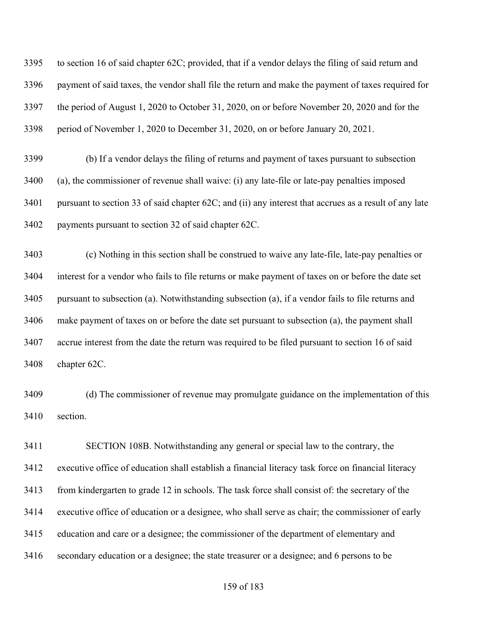to section 16 of said chapter 62C; provided, that if a vendor delays the filing of said return and payment of said taxes, the vendor shall file the return and make the payment of taxes required for the period of August 1, 2020 to October 31, 2020, on or before November 20, 2020 and for the period of November 1, 2020 to December 31, 2020, on or before January 20, 2021.

 (b) If a vendor delays the filing of returns and payment of taxes pursuant to subsection (a), the commissioner of revenue shall waive: (i) any late-file or late-pay penalties imposed pursuant to section 33 of said chapter 62C; and (ii) any interest that accrues as a result of any late payments pursuant to section 32 of said chapter 62C.

 (c) Nothing in this section shall be construed to waive any late-file, late-pay penalties or interest for a vendor who fails to file returns or make payment of taxes on or before the date set pursuant to subsection (a). Notwithstanding subsection (a), if a vendor fails to file returns and make payment of taxes on or before the date set pursuant to subsection (a), the payment shall accrue interest from the date the return was required to be filed pursuant to section 16 of said chapter 62C.

 (d) The commissioner of revenue may promulgate guidance on the implementation of this section.

 SECTION 108B. Notwithstanding any general or special law to the contrary, the executive office of education shall establish a financial literacy task force on financial literacy from kindergarten to grade 12 in schools. The task force shall consist of: the secretary of the executive office of education or a designee, who shall serve as chair; the commissioner of early education and care or a designee; the commissioner of the department of elementary and secondary education or a designee; the state treasurer or a designee; and 6 persons to be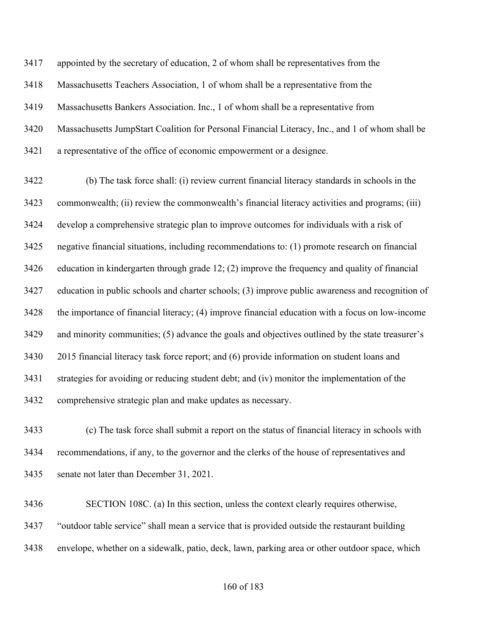appointed by the secretary of education, 2 of whom shall be representatives from the Massachusetts Teachers Association, 1 of whom shall be a representative from the Massachusetts Bankers Association. Inc., 1 of whom shall be a representative from Massachusetts JumpStart Coalition for Personal Financial Literacy, Inc., and 1 of whom shall be a representative of the office of economic empowerment or a designee.

 (b) The task force shall: (i) review current financial literacy standards in schools in the commonwealth; (ii) review the commonwealth's financial literacy activities and programs; (iii) develop a comprehensive strategic plan to improve outcomes for individuals with a risk of negative financial situations, including recommendations to: (1) promote research on financial education in kindergarten through grade 12; (2) improve the frequency and quality of financial education in public schools and charter schools; (3) improve public awareness and recognition of the importance of financial literacy; (4) improve financial education with a focus on low-income and minority communities; (5) advance the goals and objectives outlined by the state treasurer's 2015 financial literacy task force report; and (6) provide information on student loans and strategies for avoiding or reducing student debt; and (iv) monitor the implementation of the comprehensive strategic plan and make updates as necessary.

 (c) The task force shall submit a report on the status of financial literacy in schools with recommendations, if any, to the governor and the clerks of the house of representatives and senate not later than December 31, 2021.

 SECTION 108C. (a) In this section, unless the context clearly requires otherwise, "outdoor table service" shall mean a service that is provided outside the restaurant building envelope, whether on a sidewalk, patio, deck, lawn, parking area or other outdoor space, which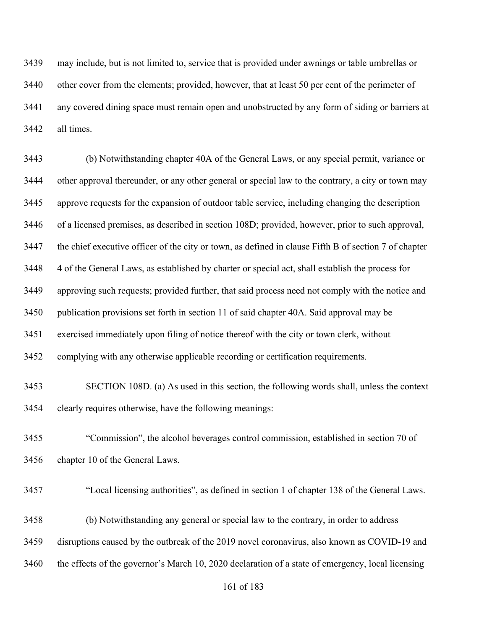may include, but is not limited to, service that is provided under awnings or table umbrellas or other cover from the elements; provided, however, that at least 50 per cent of the perimeter of any covered dining space must remain open and unobstructed by any form of siding or barriers at all times.

 (b) Notwithstanding chapter 40A of the General Laws, or any special permit, variance or other approval thereunder, or any other general or special law to the contrary, a city or town may approve requests for the expansion of outdoor table service, including changing the description of a licensed premises, as described in section 108D; provided, however, prior to such approval, the chief executive officer of the city or town, as defined in clause Fifth B of section 7 of chapter 4 of the General Laws, as established by charter or special act, shall establish the process for approving such requests; provided further, that said process need not comply with the notice and publication provisions set forth in section 11 of said chapter 40A. Said approval may be exercised immediately upon filing of notice thereof with the city or town clerk, without complying with any otherwise applicable recording or certification requirements.

 SECTION 108D. (a) As used in this section, the following words shall, unless the context clearly requires otherwise, have the following meanings:

 "Commission", the alcohol beverages control commission, established in section 70 of chapter 10 of the General Laws.

- "Local licensing authorities", as defined in section 1 of chapter 138 of the General Laws.
- (b) Notwithstanding any general or special law to the contrary, in order to address

disruptions caused by the outbreak of the 2019 novel coronavirus, also known as COVID-19 and

the effects of the governor's March 10, 2020 declaration of a state of emergency, local licensing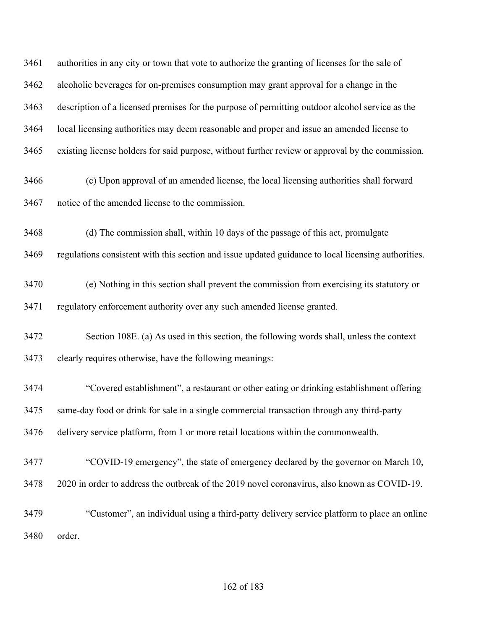authorities in any city or town that vote to authorize the granting of licenses for the sale of alcoholic beverages for on-premises consumption may grant approval for a change in the description of a licensed premises for the purpose of permitting outdoor alcohol service as the local licensing authorities may deem reasonable and proper and issue an amended license to existing license holders for said purpose, without further review or approval by the commission.

- (c) Upon approval of an amended license, the local licensing authorities shall forward notice of the amended license to the commission.
- (d) The commission shall, within 10 days of the passage of this act, promulgate

regulations consistent with this section and issue updated guidance to local licensing authorities.

- (e) Nothing in this section shall prevent the commission from exercising its statutory or regulatory enforcement authority over any such amended license granted.
- Section 108E. (a) As used in this section, the following words shall, unless the context clearly requires otherwise, have the following meanings:
- "Covered establishment", a restaurant or other eating or drinking establishment offering same-day food or drink for sale in a single commercial transaction through any third-party delivery service platform, from 1 or more retail locations within the commonwealth.
- "COVID-19 emergency", the state of emergency declared by the governor on March 10, 2020 in order to address the outbreak of the 2019 novel coronavirus, also known as COVID-19.
- "Customer", an individual using a third-party delivery service platform to place an online order.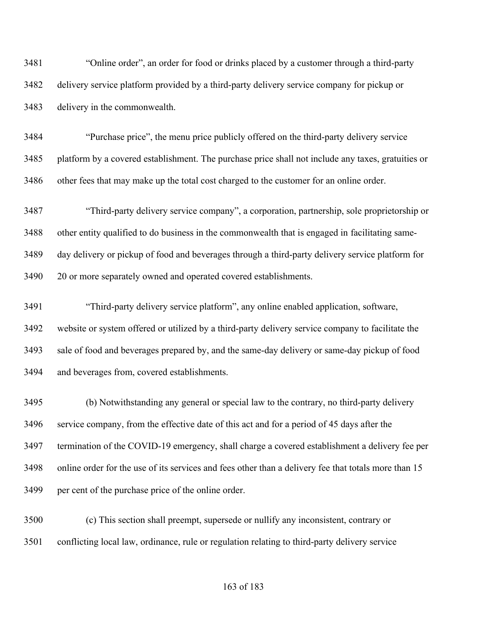"Online order", an order for food or drinks placed by a customer through a third-party delivery service platform provided by a third-party delivery service company for pickup or delivery in the commonwealth.

 "Purchase price", the menu price publicly offered on the third-party delivery service platform by a covered establishment. The purchase price shall not include any taxes, gratuities or other fees that may make up the total cost charged to the customer for an online order.

 "Third-party delivery service company", a corporation, partnership, sole proprietorship or other entity qualified to do business in the commonwealth that is engaged in facilitating same- day delivery or pickup of food and beverages through a third-party delivery service platform for 20 or more separately owned and operated covered establishments.

 "Third-party delivery service platform", any online enabled application, software, website or system offered or utilized by a third-party delivery service company to facilitate the sale of food and beverages prepared by, and the same-day delivery or same-day pickup of food and beverages from, covered establishments.

 (b) Notwithstanding any general or special law to the contrary, no third-party delivery service company, from the effective date of this act and for a period of 45 days after the termination of the COVID-19 emergency, shall charge a covered establishment a delivery fee per online order for the use of its services and fees other than a delivery fee that totals more than 15 per cent of the purchase price of the online order.

 (c) This section shall preempt, supersede or nullify any inconsistent, contrary or conflicting local law, ordinance, rule or regulation relating to third-party delivery service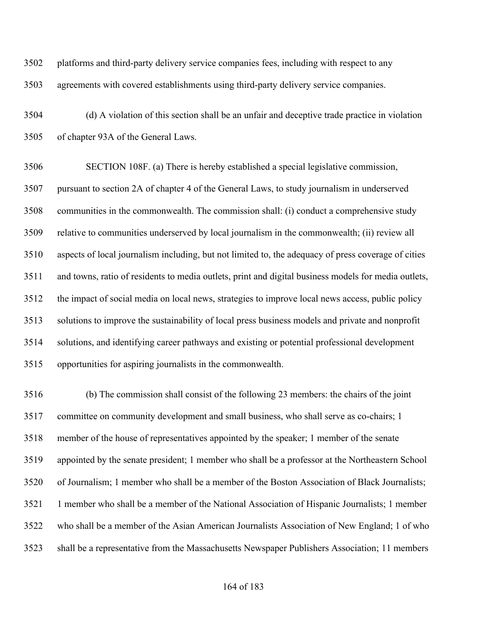platforms and third-party delivery service companies fees, including with respect to any agreements with covered establishments using third-party delivery service companies.

 (d) A violation of this section shall be an unfair and deceptive trade practice in violation of chapter 93A of the General Laws.

 SECTION 108F. (a) There is hereby established a special legislative commission, pursuant to section 2A of chapter 4 of the General Laws, to study journalism in underserved communities in the commonwealth. The commission shall: (i) conduct a comprehensive study relative to communities underserved by local journalism in the commonwealth; (ii) review all aspects of local journalism including, but not limited to, the adequacy of press coverage of cities and towns, ratio of residents to media outlets, print and digital business models for media outlets, the impact of social media on local news, strategies to improve local news access, public policy solutions to improve the sustainability of local press business models and private and nonprofit solutions, and identifying career pathways and existing or potential professional development opportunities for aspiring journalists in the commonwealth.

 (b) The commission shall consist of the following 23 members: the chairs of the joint committee on community development and small business, who shall serve as co-chairs; 1 member of the house of representatives appointed by the speaker; 1 member of the senate appointed by the senate president; 1 member who shall be a professor at the Northeastern School of Journalism; 1 member who shall be a member of the Boston Association of Black Journalists; 1 member who shall be a member of the National Association of Hispanic Journalists; 1 member who shall be a member of the Asian American Journalists Association of New England; 1 of who shall be a representative from the Massachusetts Newspaper Publishers Association; 11 members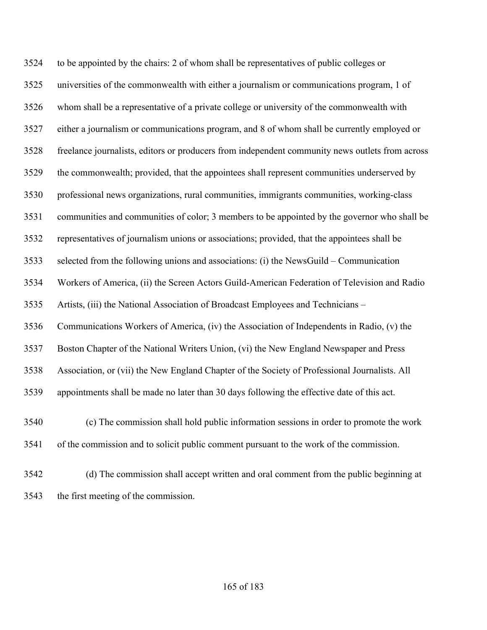to be appointed by the chairs: 2 of whom shall be representatives of public colleges or universities of the commonwealth with either a journalism or communications program, 1 of whom shall be a representative of a private college or university of the commonwealth with either a journalism or communications program, and 8 of whom shall be currently employed or freelance journalists, editors or producers from independent community news outlets from across the commonwealth; provided, that the appointees shall represent communities underserved by professional news organizations, rural communities, immigrants communities, working-class communities and communities of color; 3 members to be appointed by the governor who shall be representatives of journalism unions or associations; provided, that the appointees shall be selected from the following unions and associations: (i) the NewsGuild – Communication Workers of America, (ii) the Screen Actors Guild-American Federation of Television and Radio Artists, (iii) the National Association of Broadcast Employees and Technicians – Communications Workers of America, (iv) the Association of Independents in Radio, (v) the Boston Chapter of the National Writers Union, (vi) the New England Newspaper and Press Association, or (vii) the New England Chapter of the Society of Professional Journalists. All appointments shall be made no later than 30 days following the effective date of this act. (c) The commission shall hold public information sessions in order to promote the work of the commission and to solicit public comment pursuant to the work of the commission.

 (d) The commission shall accept written and oral comment from the public beginning at the first meeting of the commission.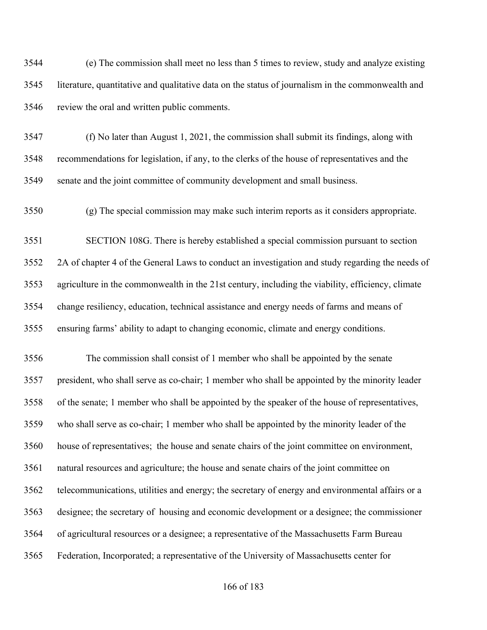(e) The commission shall meet no less than 5 times to review, study and analyze existing literature, quantitative and qualitative data on the status of journalism in the commonwealth and review the oral and written public comments.

 (f) No later than August 1, 2021, the commission shall submit its findings, along with recommendations for legislation, if any, to the clerks of the house of representatives and the senate and the joint committee of community development and small business.

(g) The special commission may make such interim reports as it considers appropriate.

 SECTION 108G. There is hereby established a special commission pursuant to section 2A of chapter 4 of the General Laws to conduct an investigation and study regarding the needs of agriculture in the commonwealth in the 21st century, including the viability, efficiency, climate change resiliency, education, technical assistance and energy needs of farms and means of ensuring farms' ability to adapt to changing economic, climate and energy conditions.

 The commission shall consist of 1 member who shall be appointed by the senate president, who shall serve as co-chair; 1 member who shall be appointed by the minority leader of the senate; 1 member who shall be appointed by the speaker of the house of representatives, who shall serve as co-chair; 1 member who shall be appointed by the minority leader of the house of representatives; the house and senate chairs of the joint committee on environment, natural resources and agriculture; the house and senate chairs of the joint committee on telecommunications, utilities and energy; the secretary of energy and environmental affairs or a designee; the secretary of housing and economic development or a designee; the commissioner of agricultural resources or a designee; a representative of the Massachusetts Farm Bureau Federation, Incorporated; a representative of the University of Massachusetts center for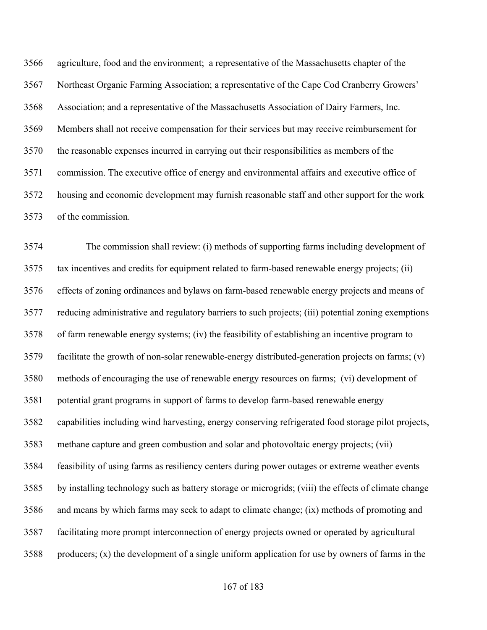agriculture, food and the environment; a representative of the Massachusetts chapter of the Northeast Organic Farming Association; a representative of the Cape Cod Cranberry Growers' Association; and a representative of the Massachusetts Association of Dairy Farmers, Inc. Members shall not receive compensation for their services but may receive reimbursement for the reasonable expenses incurred in carrying out their responsibilities as members of the commission. The executive office of energy and environmental affairs and executive office of housing and economic development may furnish reasonable staff and other support for the work of the commission.

 The commission shall review: (i) methods of supporting farms including development of tax incentives and credits for equipment related to farm-based renewable energy projects; (ii) effects of zoning ordinances and bylaws on farm-based renewable energy projects and means of reducing administrative and regulatory barriers to such projects; (iii) potential zoning exemptions of farm renewable energy systems; (iv) the feasibility of establishing an incentive program to facilitate the growth of non-solar renewable-energy distributed-generation projects on farms; (v) methods of encouraging the use of renewable energy resources on farms; (vi) development of potential grant programs in support of farms to develop farm-based renewable energy capabilities including wind harvesting, energy conserving refrigerated food storage pilot projects, methane capture and green combustion and solar and photovoltaic energy projects; (vii) feasibility of using farms as resiliency centers during power outages or extreme weather events by installing technology such as battery storage or microgrids; (viii) the effects of climate change and means by which farms may seek to adapt to climate change; (ix) methods of promoting and facilitating more prompt interconnection of energy projects owned or operated by agricultural producers; (x) the development of a single uniform application for use by owners of farms in the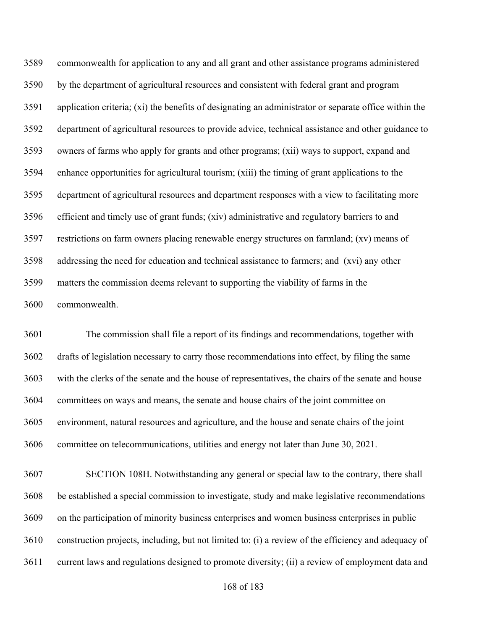commonwealth for application to any and all grant and other assistance programs administered by the department of agricultural resources and consistent with federal grant and program application criteria; (xi) the benefits of designating an administrator or separate office within the department of agricultural resources to provide advice, technical assistance and other guidance to owners of farms who apply for grants and other programs; (xii) ways to support, expand and enhance opportunities for agricultural tourism; (xiii) the timing of grant applications to the department of agricultural resources and department responses with a view to facilitating more efficient and timely use of grant funds; (xiv) administrative and regulatory barriers to and restrictions on farm owners placing renewable energy structures on farmland; (xv) means of addressing the need for education and technical assistance to farmers; and (xvi) any other matters the commission deems relevant to supporting the viability of farms in the commonwealth.

 The commission shall file a report of its findings and recommendations, together with drafts of legislation necessary to carry those recommendations into effect, by filing the same with the clerks of the senate and the house of representatives, the chairs of the senate and house committees on ways and means, the senate and house chairs of the joint committee on environment, natural resources and agriculture, and the house and senate chairs of the joint committee on telecommunications, utilities and energy not later than June 30, 2021.

 SECTION 108H. Notwithstanding any general or special law to the contrary, there shall be established a special commission to investigate, study and make legislative recommendations on the participation of minority business enterprises and women business enterprises in public construction projects, including, but not limited to: (i) a review of the efficiency and adequacy of current laws and regulations designed to promote diversity; (ii) a review of employment data and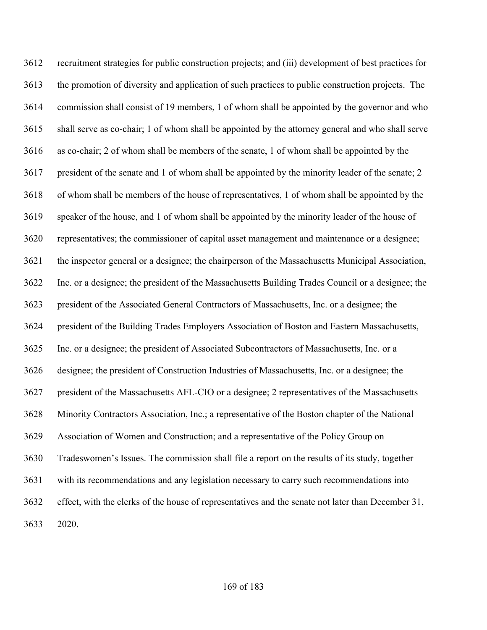recruitment strategies for public construction projects; and (iii) development of best practices for the promotion of diversity and application of such practices to public construction projects. The commission shall consist of 19 members, 1 of whom shall be appointed by the governor and who shall serve as co-chair; 1 of whom shall be appointed by the attorney general and who shall serve as co-chair; 2 of whom shall be members of the senate, 1 of whom shall be appointed by the president of the senate and 1 of whom shall be appointed by the minority leader of the senate; 2 of whom shall be members of the house of representatives, 1 of whom shall be appointed by the speaker of the house, and 1 of whom shall be appointed by the minority leader of the house of representatives; the commissioner of capital asset management and maintenance or a designee; the inspector general or a designee; the chairperson of the Massachusetts Municipal Association, Inc. or a designee; the president of the Massachusetts Building Trades Council or a designee; the president of the Associated General Contractors of Massachusetts, Inc. or a designee; the president of the Building Trades Employers Association of Boston and Eastern Massachusetts, Inc. or a designee; the president of Associated Subcontractors of Massachusetts, Inc. or a designee; the president of Construction Industries of Massachusetts, Inc. or a designee; the president of the Massachusetts AFL-CIO or a designee; 2 representatives of the Massachusetts Minority Contractors Association, Inc.; a representative of the Boston chapter of the National Association of Women and Construction; and a representative of the Policy Group on Tradeswomen's Issues. The commission shall file a report on the results of its study, together with its recommendations and any legislation necessary to carry such recommendations into effect, with the clerks of the house of representatives and the senate not later than December 31, 2020.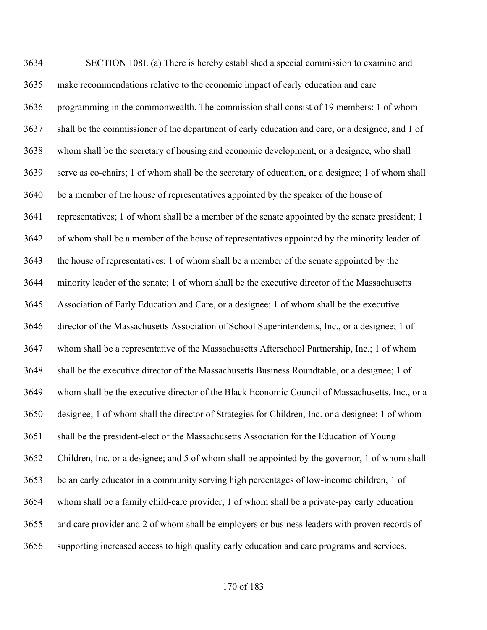SECTION 108I. (a) There is hereby established a special commission to examine and make recommendations relative to the economic impact of early education and care programming in the commonwealth. The commission shall consist of 19 members: 1 of whom shall be the commissioner of the department of early education and care, or a designee, and 1 of whom shall be the secretary of housing and economic development, or a designee, who shall serve as co-chairs; 1 of whom shall be the secretary of education, or a designee; 1 of whom shall be a member of the house of representatives appointed by the speaker of the house of representatives; 1 of whom shall be a member of the senate appointed by the senate president; 1 of whom shall be a member of the house of representatives appointed by the minority leader of the house of representatives; 1 of whom shall be a member of the senate appointed by the minority leader of the senate; 1 of whom shall be the executive director of the Massachusetts Association of Early Education and Care, or a designee; 1 of whom shall be the executive director of the Massachusetts Association of School Superintendents, Inc., or a designee; 1 of whom shall be a representative of the Massachusetts Afterschool Partnership, Inc.; 1 of whom shall be the executive director of the Massachusetts Business Roundtable, or a designee; 1 of whom shall be the executive director of the Black Economic Council of Massachusetts, Inc., or a designee; 1 of whom shall the director of Strategies for Children, Inc. or a designee; 1 of whom shall be the president-elect of the Massachusetts Association for the Education of Young Children, Inc. or a designee; and 5 of whom shall be appointed by the governor, 1 of whom shall be an early educator in a community serving high percentages of low-income children, 1 of whom shall be a family child-care provider, 1 of whom shall be a private-pay early education and care provider and 2 of whom shall be employers or business leaders with proven records of supporting increased access to high quality early education and care programs and services.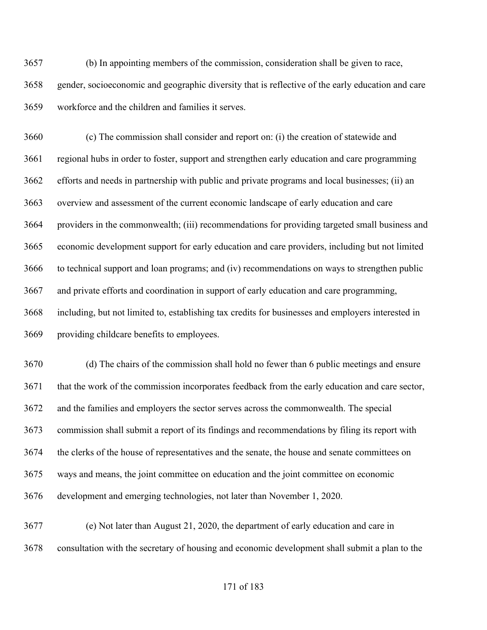(b) In appointing members of the commission, consideration shall be given to race, gender, socioeconomic and geographic diversity that is reflective of the early education and care workforce and the children and families it serves.

 (c) The commission shall consider and report on: (i) the creation of statewide and regional hubs in order to foster, support and strengthen early education and care programming efforts and needs in partnership with public and private programs and local businesses; (ii) an overview and assessment of the current economic landscape of early education and care providers in the commonwealth; (iii) recommendations for providing targeted small business and economic development support for early education and care providers, including but not limited to technical support and loan programs; and (iv) recommendations on ways to strengthen public and private efforts and coordination in support of early education and care programming, including, but not limited to, establishing tax credits for businesses and employers interested in providing childcare benefits to employees.

 (d) The chairs of the commission shall hold no fewer than 6 public meetings and ensure that the work of the commission incorporates feedback from the early education and care sector, and the families and employers the sector serves across the commonwealth. The special commission shall submit a report of its findings and recommendations by filing its report with the clerks of the house of representatives and the senate, the house and senate committees on ways and means, the joint committee on education and the joint committee on economic development and emerging technologies, not later than November 1, 2020.

 (e) Not later than August 21, 2020, the department of early education and care in consultation with the secretary of housing and economic development shall submit a plan to the

## of 183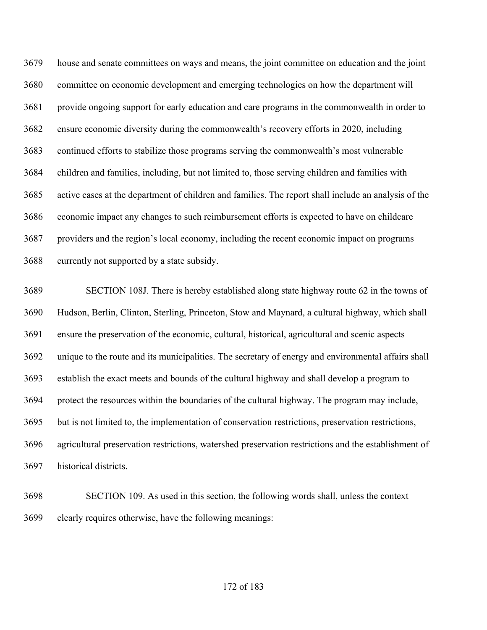house and senate committees on ways and means, the joint committee on education and the joint committee on economic development and emerging technologies on how the department will provide ongoing support for early education and care programs in the commonwealth in order to ensure economic diversity during the commonwealth's recovery efforts in 2020, including continued efforts to stabilize those programs serving the commonwealth's most vulnerable children and families, including, but not limited to, those serving children and families with active cases at the department of children and families. The report shall include an analysis of the economic impact any changes to such reimbursement efforts is expected to have on childcare providers and the region's local economy, including the recent economic impact on programs currently not supported by a state subsidy.

 SECTION 108J. There is hereby established along state highway route 62 in the towns of Hudson, Berlin, Clinton, Sterling, Princeton, Stow and Maynard, a cultural highway, which shall ensure the preservation of the economic, cultural, historical, agricultural and scenic aspects unique to the route and its municipalities. The secretary of energy and environmental affairs shall establish the exact meets and bounds of the cultural highway and shall develop a program to protect the resources within the boundaries of the cultural highway. The program may include, but is not limited to, the implementation of conservation restrictions, preservation restrictions, agricultural preservation restrictions, watershed preservation restrictions and the establishment of historical districts.

 SECTION 109. As used in this section, the following words shall, unless the context clearly requires otherwise, have the following meanings: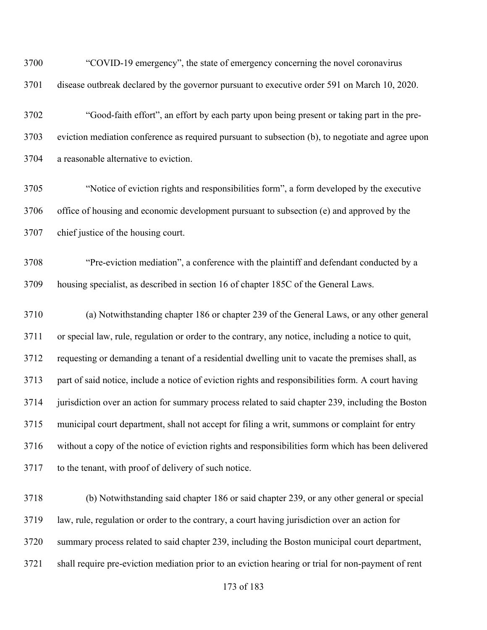| 3700 | "COVID-19 emergency", the state of emergency concerning the novel coronavirus                      |
|------|----------------------------------------------------------------------------------------------------|
| 3701 | disease outbreak declared by the governor pursuant to executive order 591 on March 10, 2020.       |
| 3702 | "Good-faith effort", an effort by each party upon being present or taking part in the pre-         |
| 3703 | eviction mediation conference as required pursuant to subsection (b), to negotiate and agree upon  |
| 3704 | a reasonable alternative to eviction.                                                              |
| 3705 | "Notice of eviction rights and responsibilities form", a form developed by the executive           |
| 3706 | office of housing and economic development pursuant to subsection (e) and approved by the          |
| 3707 | chief justice of the housing court.                                                                |
| 3708 | "Pre-eviction mediation", a conference with the plaintiff and defendant conducted by a             |
| 3709 | housing specialist, as described in section 16 of chapter 185C of the General Laws.                |
| 3710 | (a) Notwithstanding chapter 186 or chapter 239 of the General Laws, or any other general           |
| 3711 | or special law, rule, regulation or order to the contrary, any notice, including a notice to quit, |
| 3712 | requesting or demanding a tenant of a residential dwelling unit to vacate the premises shall, as   |
| 3713 | part of said notice, include a notice of eviction rights and responsibilities form. A court having |
| 3714 | jurisdiction over an action for summary process related to said chapter 239, including the Boston  |
| 3715 | municipal court department, shall not accept for filing a writ, summons or complaint for entry     |
| 3716 | without a copy of the notice of eviction rights and responsibilities form which has been delivered |
| 3717 | to the tenant, with proof of delivery of such notice.                                              |
| 3718 | (b) Notwithstanding said chapter 186 or said chapter 239, or any other general or special          |
| 3719 | law, rule, regulation or order to the contrary, a court having jurisdiction over an action for     |
| 3720 | summary process related to said chapter 239, including the Boston municipal court department,      |
| 3721 | shall require pre-eviction mediation prior to an eviction hearing or trial for non-payment of rent |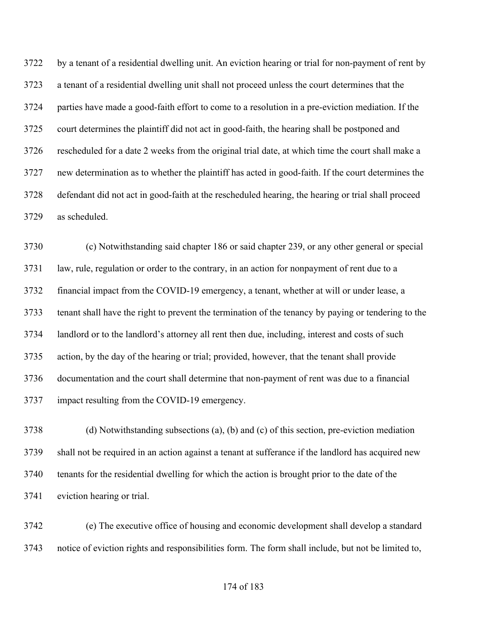by a tenant of a residential dwelling unit. An eviction hearing or trial for non-payment of rent by a tenant of a residential dwelling unit shall not proceed unless the court determines that the parties have made a good-faith effort to come to a resolution in a pre-eviction mediation. If the court determines the plaintiff did not act in good-faith, the hearing shall be postponed and rescheduled for a date 2 weeks from the original trial date, at which time the court shall make a new determination as to whether the plaintiff has acted in good-faith. If the court determines the defendant did not act in good-faith at the rescheduled hearing, the hearing or trial shall proceed as scheduled.

 (c) Notwithstanding said chapter 186 or said chapter 239, or any other general or special law, rule, regulation or order to the contrary, in an action for nonpayment of rent due to a financial impact from the COVID-19 emergency, a tenant, whether at will or under lease, a tenant shall have the right to prevent the termination of the tenancy by paying or tendering to the landlord or to the landlord's attorney all rent then due, including, interest and costs of such action, by the day of the hearing or trial; provided, however, that the tenant shall provide documentation and the court shall determine that non-payment of rent was due to a financial impact resulting from the COVID-19 emergency.

 (d) Notwithstanding subsections (a), (b) and (c) of this section, pre-eviction mediation shall not be required in an action against a tenant at sufferance if the landlord has acquired new tenants for the residential dwelling for which the action is brought prior to the date of the eviction hearing or trial.

 (e) The executive office of housing and economic development shall develop a standard notice of eviction rights and responsibilities form. The form shall include, but not be limited to,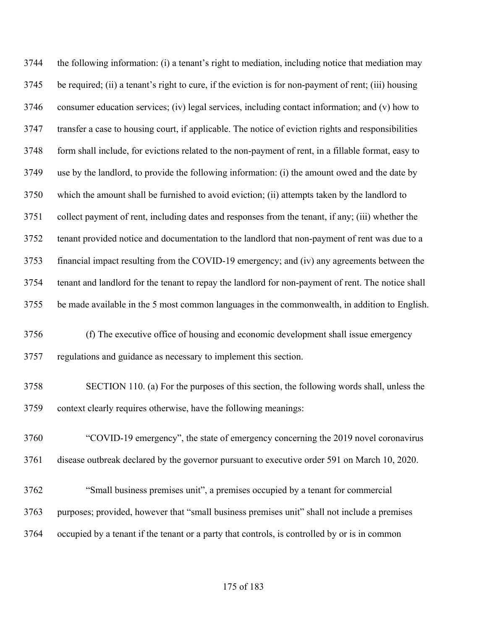the following information: (i) a tenant's right to mediation, including notice that mediation may be required; (ii) a tenant's right to cure, if the eviction is for non-payment of rent; (iii) housing consumer education services; (iv) legal services, including contact information; and (v) how to transfer a case to housing court, if applicable. The notice of eviction rights and responsibilities form shall include, for evictions related to the non-payment of rent, in a fillable format, easy to use by the landlord, to provide the following information: (i) the amount owed and the date by which the amount shall be furnished to avoid eviction; (ii) attempts taken by the landlord to collect payment of rent, including dates and responses from the tenant, if any; (iii) whether the tenant provided notice and documentation to the landlord that non-payment of rent was due to a financial impact resulting from the COVID-19 emergency; and (iv) any agreements between the tenant and landlord for the tenant to repay the landlord for non-payment of rent. The notice shall be made available in the 5 most common languages in the commonwealth, in addition to English. (f) The executive office of housing and economic development shall issue emergency

regulations and guidance as necessary to implement this section.

- SECTION 110. (a) For the purposes of this section, the following words shall, unless the context clearly requires otherwise, have the following meanings:
- "COVID-19 emergency", the state of emergency concerning the 2019 novel coronavirus disease outbreak declared by the governor pursuant to executive order 591 on March 10, 2020.
- "Small business premises unit", a premises occupied by a tenant for commercial purposes; provided, however that "small business premises unit" shall not include a premises occupied by a tenant if the tenant or a party that controls, is controlled by or is in common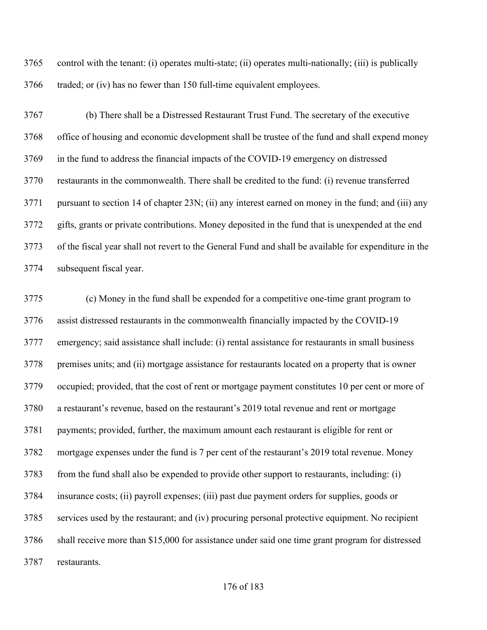control with the tenant: (i) operates multi-state; (ii) operates multi-nationally; (iii) is publically traded; or (iv) has no fewer than 150 full-time equivalent employees.

 (b) There shall be a Distressed Restaurant Trust Fund. The secretary of the executive office of housing and economic development shall be trustee of the fund and shall expend money in the fund to address the financial impacts of the COVID-19 emergency on distressed restaurants in the commonwealth. There shall be credited to the fund: (i) revenue transferred pursuant to section 14 of chapter 23N; (ii) any interest earned on money in the fund; and (iii) any gifts, grants or private contributions. Money deposited in the fund that is unexpended at the end of the fiscal year shall not revert to the General Fund and shall be available for expenditure in the subsequent fiscal year.

 (c) Money in the fund shall be expended for a competitive one-time grant program to assist distressed restaurants in the commonwealth financially impacted by the COVID-19 emergency; said assistance shall include: (i) rental assistance for restaurants in small business premises units; and (ii) mortgage assistance for restaurants located on a property that is owner occupied; provided, that the cost of rent or mortgage payment constitutes 10 per cent or more of a restaurant's revenue, based on the restaurant's 2019 total revenue and rent or mortgage payments; provided, further, the maximum amount each restaurant is eligible for rent or mortgage expenses under the fund is 7 per cent of the restaurant's 2019 total revenue. Money from the fund shall also be expended to provide other support to restaurants, including: (i) insurance costs; (ii) payroll expenses; (iii) past due payment orders for supplies, goods or services used by the restaurant; and (iv) procuring personal protective equipment. No recipient shall receive more than \$15,000 for assistance under said one time grant program for distressed restaurants.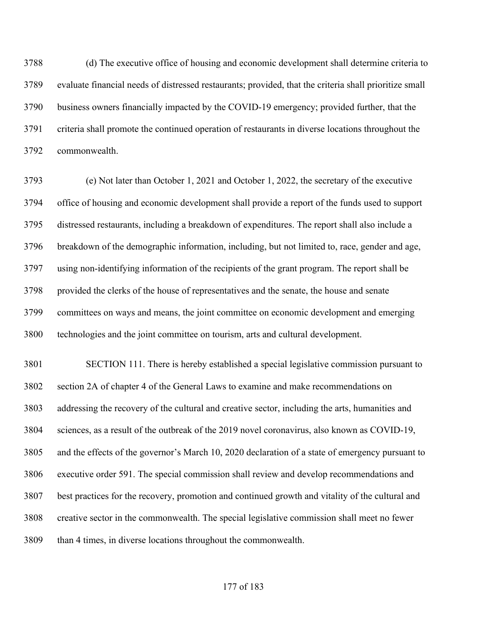(d) The executive office of housing and economic development shall determine criteria to evaluate financial needs of distressed restaurants; provided, that the criteria shall prioritize small business owners financially impacted by the COVID-19 emergency; provided further, that the criteria shall promote the continued operation of restaurants in diverse locations throughout the commonwealth.

 (e) Not later than October 1, 2021 and October 1, 2022, the secretary of the executive office of housing and economic development shall provide a report of the funds used to support distressed restaurants, including a breakdown of expenditures. The report shall also include a breakdown of the demographic information, including, but not limited to, race, gender and age, using non-identifying information of the recipients of the grant program. The report shall be provided the clerks of the house of representatives and the senate, the house and senate committees on ways and means, the joint committee on economic development and emerging technologies and the joint committee on tourism, arts and cultural development.

 SECTION 111. There is hereby established a special legislative commission pursuant to section 2A of chapter 4 of the General Laws to examine and make recommendations on addressing the recovery of the cultural and creative sector, including the arts, humanities and sciences, as a result of the outbreak of the 2019 novel coronavirus, also known as COVID-19, and the effects of the governor's March 10, 2020 declaration of a state of emergency pursuant to executive order 591. The special commission shall review and develop recommendations and best practices for the recovery, promotion and continued growth and vitality of the cultural and creative sector in the commonwealth. The special legislative commission shall meet no fewer than 4 times, in diverse locations throughout the commonwealth.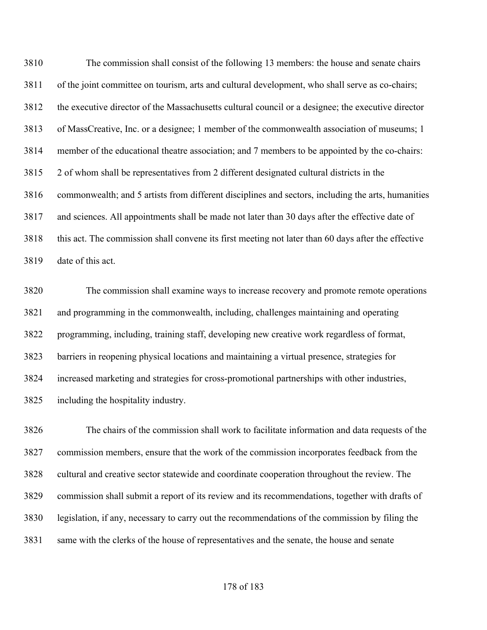The commission shall consist of the following 13 members: the house and senate chairs of the joint committee on tourism, arts and cultural development, who shall serve as co-chairs; the executive director of the Massachusetts cultural council or a designee; the executive director of MassCreative, Inc. or a designee; 1 member of the commonwealth association of museums; 1 member of the educational theatre association; and 7 members to be appointed by the co-chairs: 2 of whom shall be representatives from 2 different designated cultural districts in the commonwealth; and 5 artists from different disciplines and sectors, including the arts, humanities and sciences. All appointments shall be made not later than 30 days after the effective date of this act. The commission shall convene its first meeting not later than 60 days after the effective date of this act.

 The commission shall examine ways to increase recovery and promote remote operations and programming in the commonwealth, including, challenges maintaining and operating programming, including, training staff, developing new creative work regardless of format, barriers in reopening physical locations and maintaining a virtual presence, strategies for increased marketing and strategies for cross-promotional partnerships with other industries, including the hospitality industry.

 The chairs of the commission shall work to facilitate information and data requests of the commission members, ensure that the work of the commission incorporates feedback from the cultural and creative sector statewide and coordinate cooperation throughout the review. The commission shall submit a report of its review and its recommendations, together with drafts of legislation, if any, necessary to carry out the recommendations of the commission by filing the same with the clerks of the house of representatives and the senate, the house and senate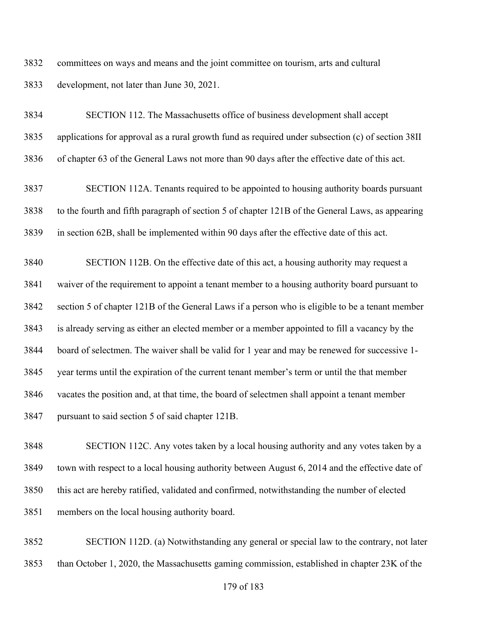committees on ways and means and the joint committee on tourism, arts and cultural development, not later than June 30, 2021.

 SECTION 112. The Massachusetts office of business development shall accept applications for approval as a rural growth fund as required under subsection (c) of section 38II of chapter 63 of the General Laws not more than 90 days after the effective date of this act.

 SECTION 112A. Tenants required to be appointed to housing authority boards pursuant to the fourth and fifth paragraph of section 5 of chapter 121B of the General Laws, as appearing in section 62B, shall be implemented within 90 days after the effective date of this act.

 SECTION 112B. On the effective date of this act, a housing authority may request a waiver of the requirement to appoint a tenant member to a housing authority board pursuant to section 5 of chapter 121B of the General Laws if a person who is eligible to be a tenant member is already serving as either an elected member or a member appointed to fill a vacancy by the board of selectmen. The waiver shall be valid for 1 year and may be renewed for successive 1- year terms until the expiration of the current tenant member's term or until the that member vacates the position and, at that time, the board of selectmen shall appoint a tenant member pursuant to said section 5 of said chapter 121B.

 SECTION 112C. Any votes taken by a local housing authority and any votes taken by a town with respect to a local housing authority between August 6, 2014 and the effective date of this act are hereby ratified, validated and confirmed, notwithstanding the number of elected members on the local housing authority board.

 SECTION 112D. (a) Notwithstanding any general or special law to the contrary, not later than October 1, 2020, the Massachusetts gaming commission, established in chapter 23K of the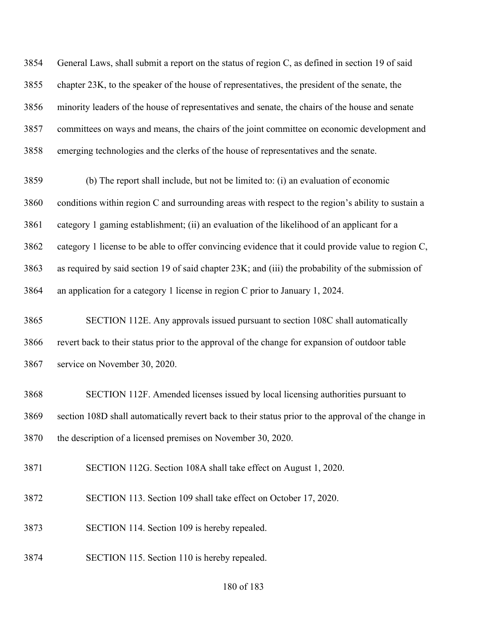General Laws, shall submit a report on the status of region C, as defined in section 19 of said chapter 23K, to the speaker of the house of representatives, the president of the senate, the minority leaders of the house of representatives and senate, the chairs of the house and senate committees on ways and means, the chairs of the joint committee on economic development and emerging technologies and the clerks of the house of representatives and the senate.

 (b) The report shall include, but not be limited to: (i) an evaluation of economic conditions within region C and surrounding areas with respect to the region's ability to sustain a category 1 gaming establishment; (ii) an evaluation of the likelihood of an applicant for a category 1 license to be able to offer convincing evidence that it could provide value to region C, as required by said section 19 of said chapter 23K; and (iii) the probability of the submission of an application for a category 1 license in region C prior to January 1, 2024.

 SECTION 112E. Any approvals issued pursuant to section 108C shall automatically revert back to their status prior to the approval of the change for expansion of outdoor table service on November 30, 2020.

 SECTION 112F. Amended licenses issued by local licensing authorities pursuant to section 108D shall automatically revert back to their status prior to the approval of the change in the description of a licensed premises on November 30, 2020.

SECTION 112G. Section 108A shall take effect on August 1, 2020.

SECTION 113. Section 109 shall take effect on October 17, 2020.

SECTION 114. Section 109 is hereby repealed.

SECTION 115. Section 110 is hereby repealed.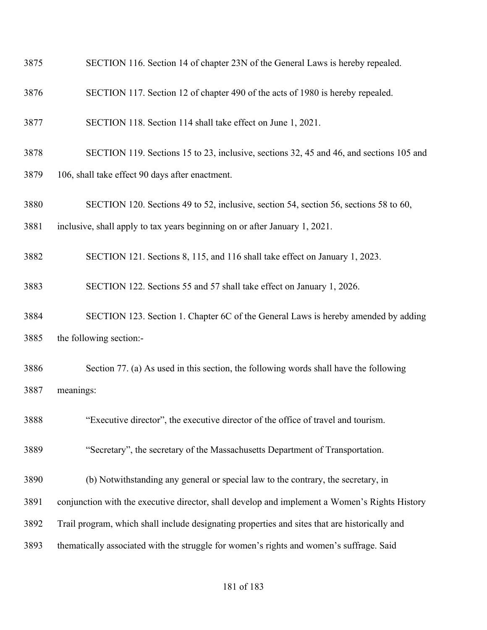- SECTION 116. Section 14 of chapter 23N of the General Laws is hereby repealed.
- SECTION 117. Section 12 of chapter 490 of the acts of 1980 is hereby repealed.
- SECTION 118. Section 114 shall take effect on June 1, 2021.
- SECTION 119. Sections 15 to 23, inclusive, sections 32, 45 and 46, and sections 105 and
- 106, shall take effect 90 days after enactment.
- SECTION 120. Sections 49 to 52, inclusive, section 54, section 56, sections 58 to 60,
- inclusive, shall apply to tax years beginning on or after January 1, 2021.
- SECTION 121. Sections 8, 115, and 116 shall take effect on January 1, 2023.
- SECTION 122. Sections 55 and 57 shall take effect on January 1, 2026.
- SECTION 123. Section 1. Chapter 6C of the General Laws is hereby amended by adding the following section:-
- Section 77. (a) As used in this section, the following words shall have the following meanings:
- "Executive director", the executive director of the office of travel and tourism.
- "Secretary", the secretary of the Massachusetts Department of Transportation.
- (b) Notwithstanding any general or special law to the contrary, the secretary, in
- conjunction with the executive director, shall develop and implement a Women's Rights History
- Trail program, which shall include designating properties and sites that are historically and
- thematically associated with the struggle for women's rights and women's suffrage. Said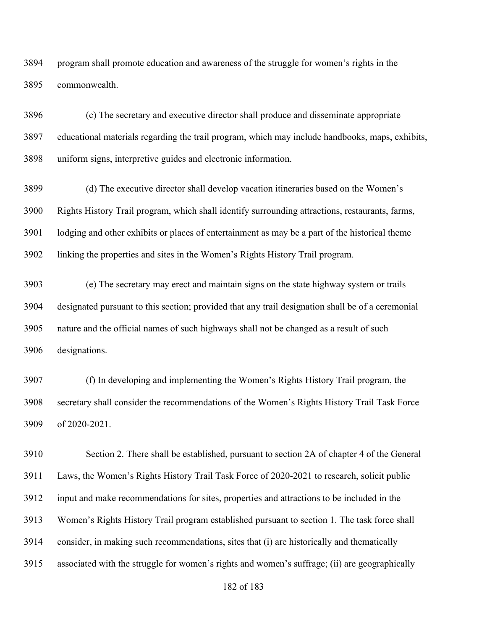program shall promote education and awareness of the struggle for women's rights in the commonwealth.

 (c) The secretary and executive director shall produce and disseminate appropriate educational materials regarding the trail program, which may include handbooks, maps, exhibits, uniform signs, interpretive guides and electronic information.

 (d) The executive director shall develop vacation itineraries based on the Women's Rights History Trail program, which shall identify surrounding attractions, restaurants, farms, lodging and other exhibits or places of entertainment as may be a part of the historical theme linking the properties and sites in the Women's Rights History Trail program.

 (e) The secretary may erect and maintain signs on the state highway system or trails designated pursuant to this section; provided that any trail designation shall be of a ceremonial nature and the official names of such highways shall not be changed as a result of such designations.

 (f) In developing and implementing the Women's Rights History Trail program, the secretary shall consider the recommendations of the Women's Rights History Trail Task Force of 2020-2021.

 Section 2. There shall be established, pursuant to section 2A of chapter 4 of the General Laws, the Women's Rights History Trail Task Force of 2020-2021 to research, solicit public input and make recommendations for sites, properties and attractions to be included in the Women's Rights History Trail program established pursuant to section 1. The task force shall consider, in making such recommendations, sites that (i) are historically and thematically associated with the struggle for women's rights and women's suffrage; (ii) are geographically